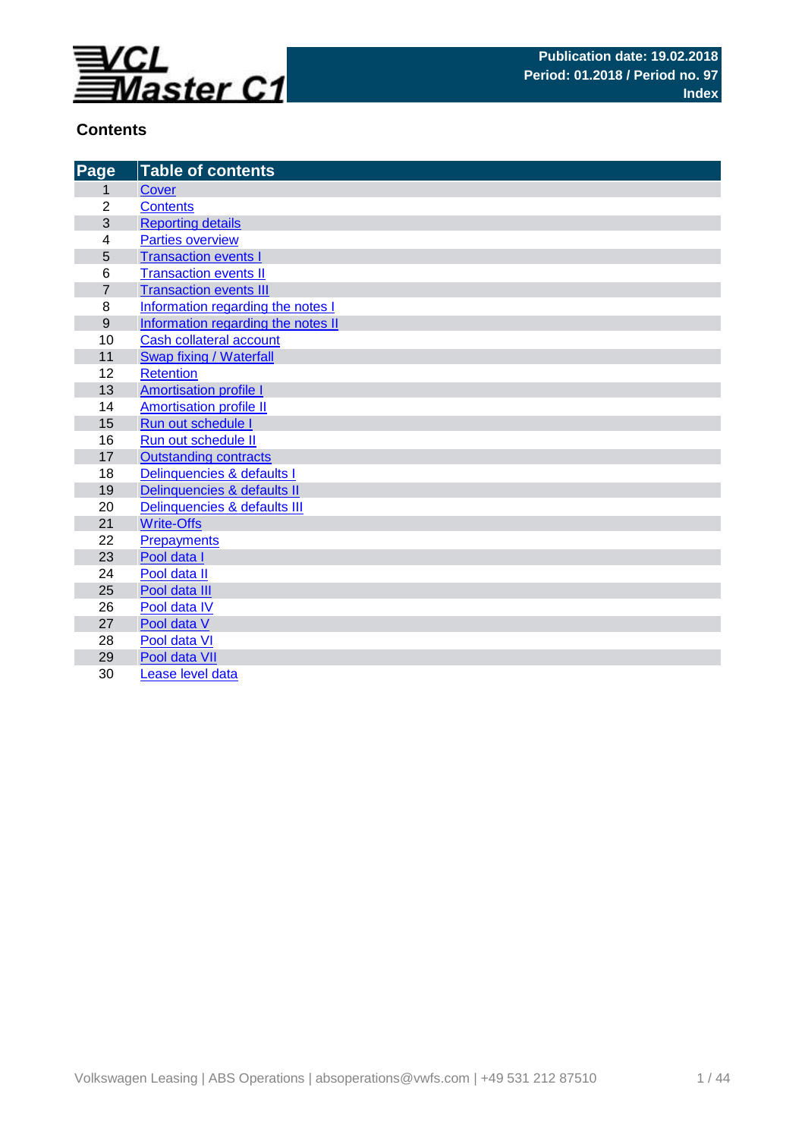

# **Contents**

| Page            | <b>Table of contents</b>           |
|-----------------|------------------------------------|
| 1               | Cover                              |
| $\overline{2}$  | <b>Contents</b>                    |
| $\overline{3}$  | <b>Reporting details</b>           |
| 4               | <b>Parties overview</b>            |
| $\overline{5}$  | <b>Transaction events I</b>        |
| $6\phantom{1}6$ | <b>Transaction events II</b>       |
| $\overline{7}$  | <b>Transaction events III</b>      |
| 8               | Information regarding the notes I  |
| 9               | Information regarding the notes II |
| 10              | <b>Cash collateral account</b>     |
| 11              | Swap fixing / Waterfall            |
| 12              | <b>Retention</b>                   |
| 13              | <b>Amortisation profile I</b>      |
| 14              | <b>Amortisation profile II</b>     |
| 15              | Run out schedule I                 |
| 16              | Run out schedule II                |
| 17              | <b>Outstanding contracts</b>       |
| 18              | Delinquencies & defaults I         |
| 19              | Delinquencies & defaults II        |
| 20              | Delinquencies & defaults III       |
| 21              | <b>Write-Offs</b>                  |
| 22              | Prepayments                        |
| 23              | Pool data I                        |
| 24              | Pool data II                       |
| 25              | Pool data III                      |
| 26              | Pool data IV                       |
| 27              | Pool data V                        |
| 28              | Pool data VI                       |
| 29              | Pool data VII                      |
| 30              | Lease level data                   |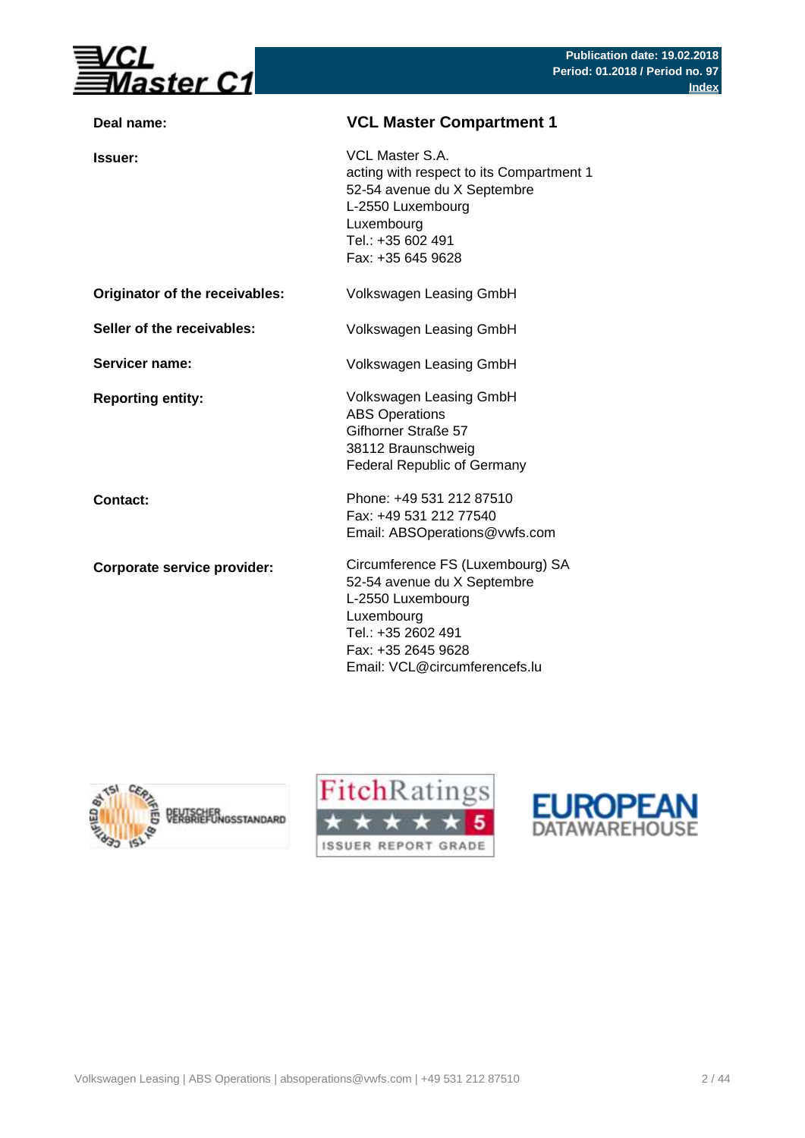

| Deal name:                     | <b>VCL Master Compartment 1</b>                                                                                                                                                 |
|--------------------------------|---------------------------------------------------------------------------------------------------------------------------------------------------------------------------------|
| <b>Issuer:</b>                 | VCL Master S.A.<br>acting with respect to its Compartment 1<br>52-54 avenue du X Septembre<br>L-2550 Luxembourg<br>Luxembourg<br>Tel.: +35 602 491<br>Fax: +35 645 9628         |
| Originator of the receivables: | Volkswagen Leasing GmbH                                                                                                                                                         |
| Seller of the receivables:     | Volkswagen Leasing GmbH                                                                                                                                                         |
| Servicer name:                 | Volkswagen Leasing GmbH                                                                                                                                                         |
| <b>Reporting entity:</b>       | Volkswagen Leasing GmbH<br><b>ABS Operations</b><br>Gifhorner Straße 57<br>38112 Braunschweig<br><b>Federal Republic of Germany</b>                                             |
| Contact:                       | Phone: +49 531 212 87510<br>Fax: +49 531 212 77540<br>Email: ABSOperations@vwfs.com                                                                                             |
| Corporate service provider:    | Circumference FS (Luxembourg) SA<br>52-54 avenue du X Septembre<br>L-2550 Luxembourg<br>Luxembourg<br>Tel.: +35 2602 491<br>Fax: +35 2645 9628<br>Email: VCL@circumferencefs.lu |





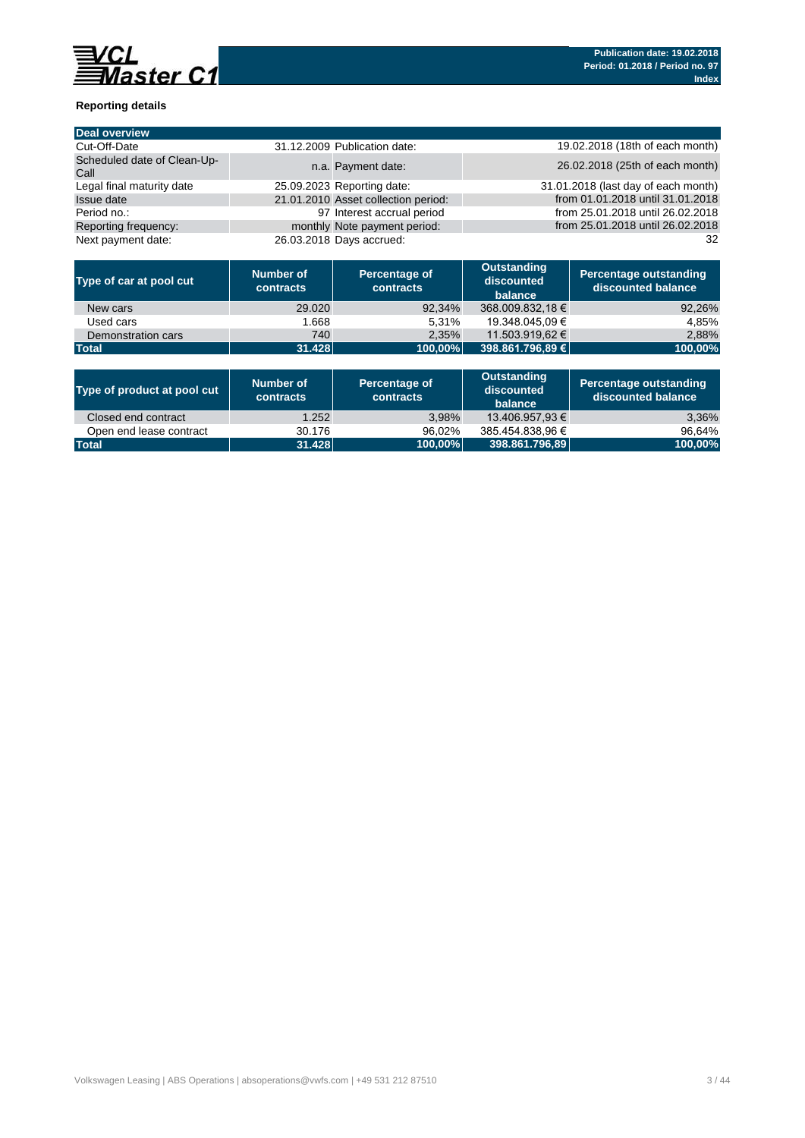

## **Reporting details**

| <b>Deal overview</b>                |                                     |                                     |
|-------------------------------------|-------------------------------------|-------------------------------------|
| Cut-Off-Date                        | 31.12.2009 Publication date:        | 19.02.2018 (18th of each month)     |
| Scheduled date of Clean-Up-<br>Call | n.a. Payment date:                  | 26.02.2018 (25th of each month)     |
| Legal final maturity date           | 25.09.2023 Reporting date:          | 31.01.2018 (last day of each month) |
| <b>Issue date</b>                   | 21.01.2010 Asset collection period: | from 01.01.2018 until 31.01.2018    |
| Period no.:                         | 97 Interest accrual period          | from 25.01.2018 until 26.02.2018    |
| Reporting frequency:                | monthly Note payment period:        | from 25.01.2018 until 26.02.2018    |
| Next payment date:                  | 26.03.2018 Days accrued:            | 32                                  |

| Type of car at pool cut | Number of<br>contracts | Percentage of<br><b>contracts</b> | <b>Outstanding</b><br>discounted<br>balance | Percentage outstanding<br>discounted balance |
|-------------------------|------------------------|-----------------------------------|---------------------------------------------|----------------------------------------------|
| New cars                | 29,020                 | 92,34%                            | 368.009.832,18 €                            | 92,26%                                       |
| Used cars               | 1.668                  | 5.31%                             | 19.348.045.09 €                             | 4.85%                                        |
| Demonstration cars      | 740                    | 2.35%                             | 11.503.919.62 €                             | 2,88%                                        |
| <b>Total</b>            | 31.428                 | $100.00\%$                        | 398.861.796.89 €                            | 100,00%                                      |

| Type of product at pool cut | Number of<br>contracts | Percentage of<br>contracts | Outstanding<br>discounted<br>balance | Percentage outstanding<br>discounted balance |
|-----------------------------|------------------------|----------------------------|--------------------------------------|----------------------------------------------|
| Closed end contract         | 1.252                  | $3.98\%$                   | 13.406.957.93 €                      | 3,36%                                        |
| Open end lease contract     | 30.176                 | 96.02%                     | 385.454.838.96 €                     | 96.64%                                       |
| <b>Total</b>                | 31.428                 | 100,00%                    | 398.861.796,89                       | 100,00%                                      |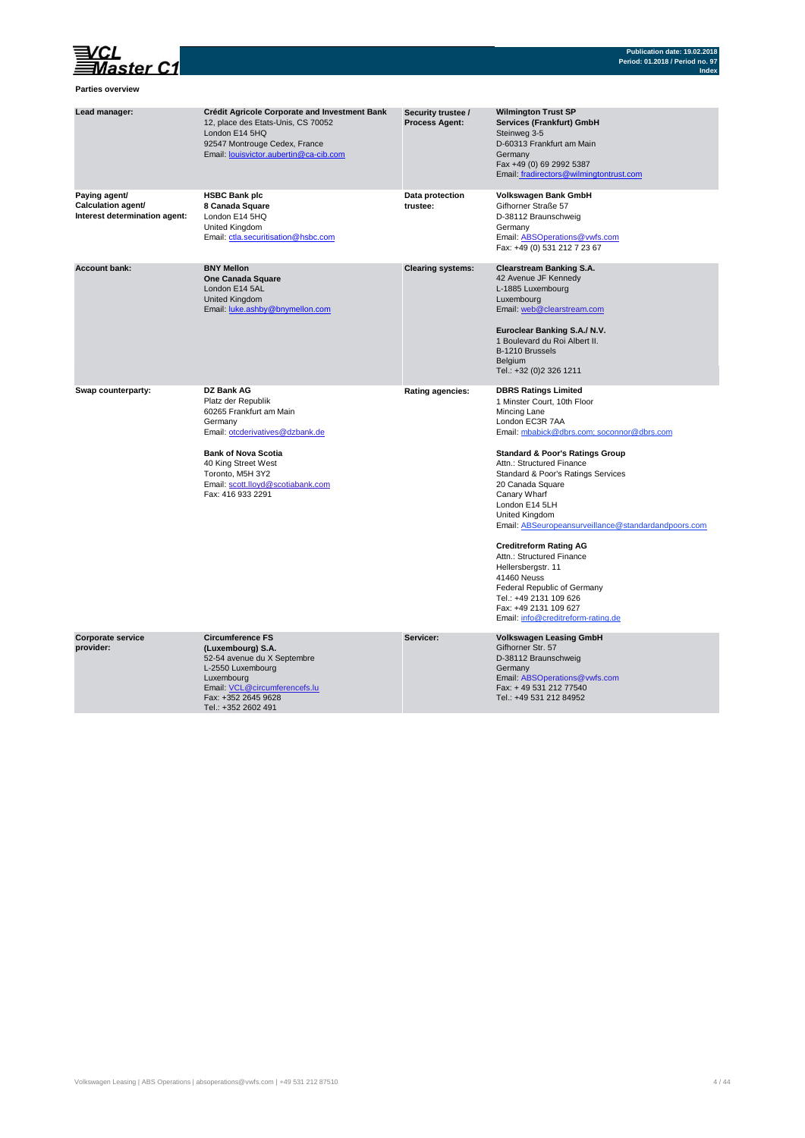

### **Parties overview**

| Lead manager:                                                        | <b>Crédit Agricole Corporate and Investment Bank</b><br>12, place des Etats-Unis, CS 70052<br>London E14 5HQ<br>92547 Montrouge Cedex, France<br>Email: louisvictor.aubertin@ca-cib.com                                                      | Security trustee /<br><b>Process Agent:</b> | <b>Wilmington Trust SP</b><br>Services (Frankfurt) GmbH<br>Steinweg 3-5<br>D-60313 Frankfurt am Main<br>Germany<br>Fax +49 (0) 69 2992 5387<br>Email: fradirectors@wilmingtontrust.com                                                                                                                                                                                                                                                                                                                                                                                                                                 |
|----------------------------------------------------------------------|----------------------------------------------------------------------------------------------------------------------------------------------------------------------------------------------------------------------------------------------|---------------------------------------------|------------------------------------------------------------------------------------------------------------------------------------------------------------------------------------------------------------------------------------------------------------------------------------------------------------------------------------------------------------------------------------------------------------------------------------------------------------------------------------------------------------------------------------------------------------------------------------------------------------------------|
| Paying agent/<br>Calculation agent/<br>Interest determination agent: | <b>HSBC Bank plc</b><br>8 Canada Square<br>London E14 5HQ<br>United Kingdom<br>Email: ctla.securitisation@hsbc.com                                                                                                                           | Data protection<br>trustee:                 | Volkswagen Bank GmbH<br>Gifhorner Straße 57<br>D-38112 Braunschweig<br>Germany<br>Email: ABSOperations@vwfs.com<br>Fax: +49 (0) 531 212 7 23 67                                                                                                                                                                                                                                                                                                                                                                                                                                                                        |
| <b>Account bank:</b>                                                 | <b>BNY Mellon</b><br>One Canada Square<br>London E14 5AL<br>United Kingdom<br>Email: luke.ashby@bnymellon.com                                                                                                                                | <b>Clearing systems:</b>                    | <b>Clearstream Banking S.A.</b><br>42 Avenue JF Kennedy<br>L-1885 Luxembourg<br>Luxembourg<br>Email: web@clearstream.com<br>Euroclear Banking S.A./ N.V.<br>1 Boulevard du Roi Albert II.<br>B-1210 Brussels<br>Belgium<br>Tel.: +32 (0)2 326 1211                                                                                                                                                                                                                                                                                                                                                                     |
| Swap counterparty:                                                   | DZ Bank AG<br>Platz der Republik<br>60265 Frankfurt am Main<br>Germany<br>Email: otcderivatives@dzbank.de<br><b>Bank of Nova Scotia</b><br>40 King Street West<br>Toronto, M5H 3Y2<br>Email: scott.lloyd@scotiabank.com<br>Fax: 416 933 2291 | <b>Rating agencies:</b>                     | <b>DBRS Ratings Limited</b><br>1 Minster Court, 10th Floor<br>Mincing Lane<br>London EC3R 7AA<br>Email: mbabick@dbrs.com; soconnor@dbrs.com<br><b>Standard &amp; Poor's Ratings Group</b><br>Attn.: Structured Finance<br>Standard & Poor's Ratings Services<br>20 Canada Square<br>Canary Wharf<br>London E14 5LH<br>United Kingdom<br>Email: ABSeuropeansurveillance@standardandpoors.com<br><b>Creditreform Rating AG</b><br>Attn.: Structured Finance<br>Hellersbergstr. 11<br>41460 Neuss<br>Federal Republic of Germany<br>Tel.: +49 2131 109 626<br>Fax: +49 2131 109 627<br>Email: info@creditreform-rating.de |
| Corporate service<br>provider:                                       | <b>Circumference FS</b><br>(Luxembourg) S.A.<br>52-54 avenue du X Septembre<br>L-2550 Luxembourg<br>Luxembourg<br>Email: VCL@circumferencefs.lu<br>Fax: +352 2645 9628<br>Tel.: +352 2602 491                                                | Servicer:                                   | <b>Volkswagen Leasing GmbH</b><br>Gifhorner Str. 57<br>D-38112 Braunschweig<br>Germany<br>Email: ABSOperations@vwfs.com<br>Fax: +49 531 212 77540<br>Tel.: +49 531 212 84952                                                                                                                                                                                                                                                                                                                                                                                                                                           |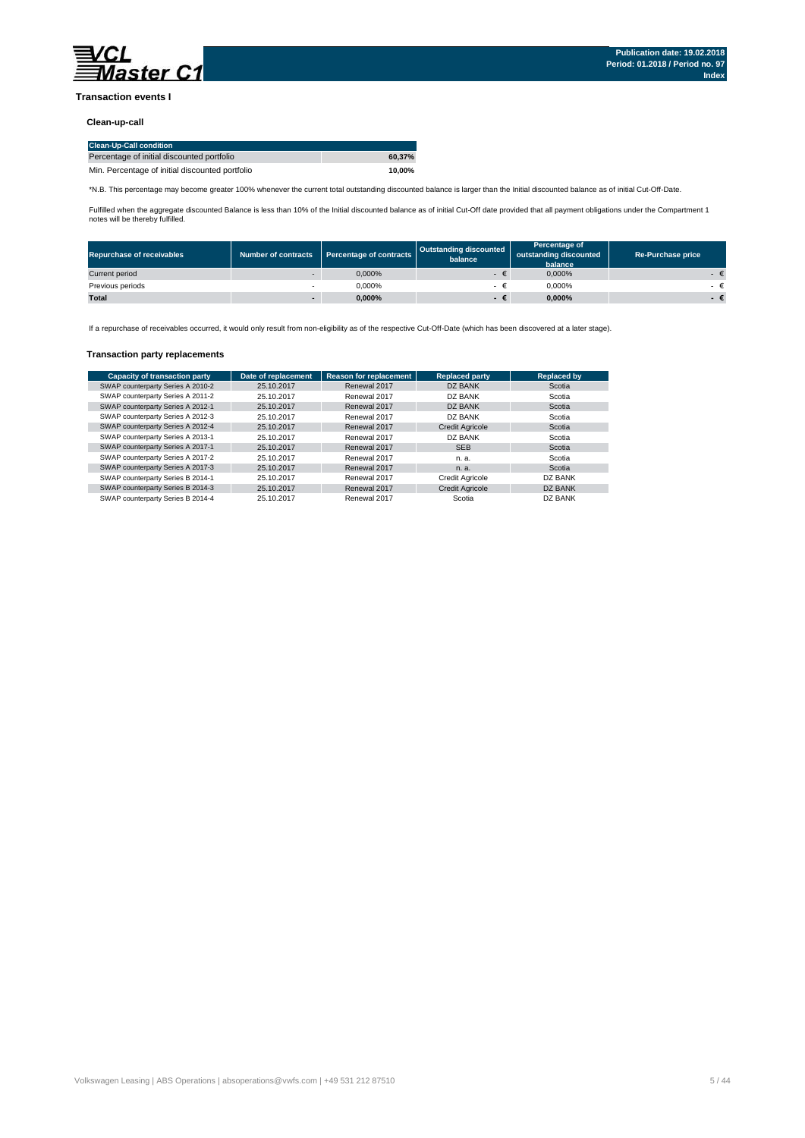

### **Transaction events I**

#### **Clean-up-call**

| <b>Clean-Up-Call condition</b>                  |        |
|-------------------------------------------------|--------|
| Percentage of initial discounted portfolio      | 60.37% |
| Min. Percentage of initial discounted portfolio | 10.00% |

\*N.B. This percentage may become greater 100% whenever the current total outstanding discounted balance is larger than the Initial discounted balance as of initial Cut-Off-Date.

Fulfilled when the aggregate discounted Balance is less than 10% of the Initial discounted balance as of initial Cut-Off date provided that all payment obligations under the Compartment 1 notes will be thereby fulfilled.

| <b>Repurchase of receivables</b> | Number of contracts      | Percentage of contracts | <b>Outstanding discounted</b><br>balance | Percentage of<br>outstanding discounted<br>balance | <b>Re-Purchase price</b> |
|----------------------------------|--------------------------|-------------------------|------------------------------------------|----------------------------------------------------|--------------------------|
| Current period                   | $\sim$                   | 0.000%                  |                                          | 0.000%                                             |                          |
| Previous periods                 |                          | 0.000%                  |                                          | 0.000%                                             |                          |
| <b>Total</b>                     | $\overline{\phantom{a}}$ | $0.000\%$               | -€                                       | $0.000\%$                                          |                          |

If a repurchase of receivables occurred, it would only result from non-eligibility as of the respective Cut-Off-Date (which has been discovered at a later stage).

#### **Transaction party replacements**

| <b>Capacity of transaction party</b> | Date of replacement | <b>Reason for replacement</b> | <b>Replaced party</b>  | <b>Replaced by</b> |
|--------------------------------------|---------------------|-------------------------------|------------------------|--------------------|
| SWAP counterparty Series A 2010-2    | 25.10.2017          | Renewal 2017                  | DZ BANK                | Scotia             |
| SWAP counterparty Series A 2011-2    | 25.10.2017          | Renewal 2017                  | DZ BANK                | Scotia             |
| SWAP counterparty Series A 2012-1    | 25.10.2017          | Renewal 2017                  | DZ BANK                | Scotia             |
| SWAP counterparty Series A 2012-3    | 25.10.2017          | Renewal 2017                  | DZ BANK                | Scotia             |
| SWAP counterparty Series A 2012-4    | 25.10.2017          | Renewal 2017                  | <b>Credit Agricole</b> | Scotia             |
| SWAP counterparty Series A 2013-1    | 25.10.2017          | Renewal 2017                  | DZ BANK                | Scotia             |
| SWAP counterparty Series A 2017-1    | 25.10.2017          | Renewal 2017                  | <b>SEB</b>             | Scotia             |
| SWAP counterparty Series A 2017-2    | 25.10.2017          | Renewal 2017                  | n. a.                  | Scotia             |
| SWAP counterparty Series A 2017-3    | 25.10.2017          | Renewal 2017                  | n. a.                  | Scotia             |
| SWAP counterparty Series B 2014-1    | 25.10.2017          | Renewal 2017                  | <b>Credit Agricole</b> | DZ BANK            |
| SWAP counterparty Series B 2014-3    | 25.10.2017          | Renewal 2017                  | <b>Credit Agricole</b> | <b>DZ BANK</b>     |
| SWAP counterparty Series B 2014-4    | 25.10.2017          | Renewal 2017                  | Scotia                 | DZ BANK            |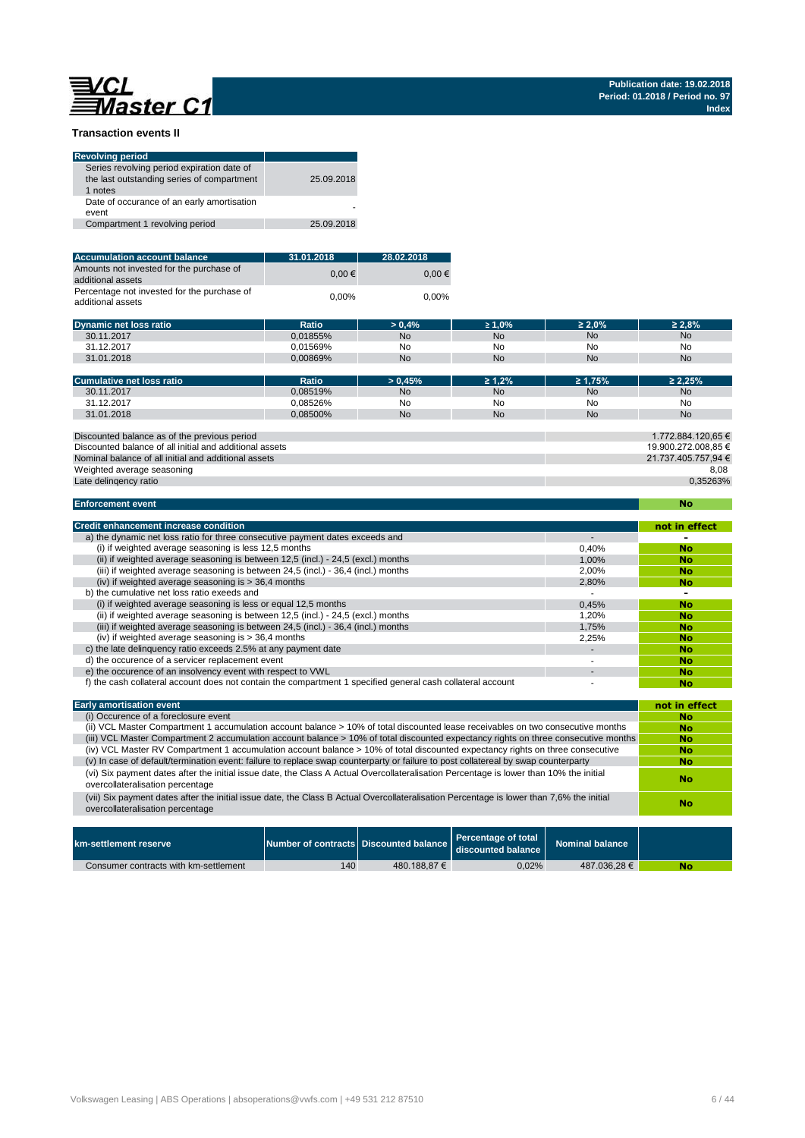# **EVCL** laster C1

### **Transaction events II**

| <b>Revolving period</b>                                                                             |            |
|-----------------------------------------------------------------------------------------------------|------------|
| Series revolving period expiration date of<br>the last outstanding series of compartment<br>1 notes | 25.09.2018 |
| Date of occurance of an early amortisation<br>event                                                 |            |
| Compartment 1 revolving period                                                                      | 25.09.2018 |
|                                                                                                     |            |

| <b>Accumulation account balance</b>                              | 31.01.2018 | 28.02.2018 |
|------------------------------------------------------------------|------------|------------|
| Amounts not invested for the purchase of<br>additional assets    | $0.00 \in$ | $0.00 \in$ |
| Percentage not invested for the purchase of<br>additional assets | 0.00%      | $0.00\%$   |

| Dynamic net loss ratio | Ratio       | 0.4%      | $\geq 1.0\%$ | $\geq 2.0\%$ | : 2.8% |
|------------------------|-------------|-----------|--------------|--------------|--------|
| 30.11.2017             | 0.01855%    | <b>No</b> | No           | <b>No</b>    | No     |
| 31.12.2017             | 0.01569%    | No<br>__  | No<br>__     | No           | No     |
| 31.01.2018             | $0.00869\%$ | <b>No</b> | No           | <b>No</b>    | No     |

| Cumulative net loss ratio                    | Ratio    | > 0.45%   | $\geq 1.2\%$ | $\geq 1.75\%$ | $\geq 2.25\%$      |
|----------------------------------------------|----------|-----------|--------------|---------------|--------------------|
| 30.11.2017                                   | 0.08519% | No.       | <b>No</b>    | No            | <b>No</b>          |
| 31.12.2017                                   | 0.08526% | No        | No           | No            | No                 |
| 31.01.2018                                   | 0.08500% | <b>No</b> | <b>No</b>    | No            | <b>No</b>          |
|                                              |          |           |              |               |                    |
| Discounted balance as of the previous period |          |           |              |               | 1.772.884.120.65 € |

Nominal balance of all initial and additional assets Discounted balance of all initial and additional assets 19.900.272.008,85 € Weighted average seasoning

| Late delingency ratio |  |
|-----------------------|--|

8,08 0,35263%

21.737.405.757,94 €

| <b>Enforcement event</b>                                                                                    |                          | <b>No</b>     |
|-------------------------------------------------------------------------------------------------------------|--------------------------|---------------|
| <b>Credit enhancement increase condition</b>                                                                |                          | not in effect |
| a) the dynamic net loss ratio for three consecutive payment dates exceeds and                               | $\overline{\phantom{a}}$ |               |
| (i) if weighted average seasoning is less 12,5 months                                                       | 0,40%                    | No            |
| (ii) if weighted average seasoning is between 12,5 (incl.) - 24,5 (excl.) months                            | 1.00%                    | <b>No</b>     |
| (iii) if weighted average seasoning is between 24,5 (incl.) - 36,4 (incl.) months                           | 2,00%                    | <b>No</b>     |
| (iv) if weighted average seasoning is $>$ 36,4 months                                                       | 2,80%                    | <b>No</b>     |
| b) the cumulative net loss ratio exeeds and                                                                 |                          |               |
| (i) if weighted average seasoning is less or equal 12.5 months                                              | 0.45%                    | <b>No</b>     |
| (ii) if weighted average seasoning is between 12,5 (incl.) - 24,5 (excl.) months                            | 1.20%                    | No            |
| (iii) if weighted average seasoning is between 24,5 (incl.) - 36,4 (incl.) months                           | 1,75%                    | <b>No</b>     |
| (iv) if weighted average seasoning is $>$ 36,4 months                                                       | 2,25%                    | <b>No</b>     |
| c) the late delinguency ratio exceeds 2.5% at any payment date                                              |                          | <b>No</b>     |
| d) the occurence of a servicer replacement event                                                            |                          | <b>No</b>     |
| e) the occurence of an insolvency event with respect to VWL                                                 |                          | <b>No</b>     |
| f) the cash collateral account does not contain the compartment 1 specified general cash collateral account |                          | No            |

| <b>Early amortisation event</b>                                                                                                                                              | not in effect |
|------------------------------------------------------------------------------------------------------------------------------------------------------------------------------|---------------|
| (i) Occurence of a foreclosure event                                                                                                                                         | No            |
| (ii) VCL Master Compartment 1 accumulation account balance > 10% of total discounted lease receivables on two consecutive months                                             | No            |
| (iii) VCL Master Compartment 2 accumulation account balance > 10% of total discounted expectancy rights on three consecutive months                                          | <b>No</b>     |
| (iv) VCL Master RV Compartment 1 accumulation account balance > 10% of total discounted expectancy rights on three consecutive                                               | No            |
| (v) In case of default/termination event: failure to replace swap counterparty or failure to post collatereal by swap counterparty                                           | <b>No</b>     |
| (vi) Six payment dates after the initial issue date, the Class A Actual Overcollateralisation Percentage is lower than 10% the initial<br>overcollateralisation percentage   | No            |
| (vii) Six payment dates after the initial issue date, the Class B Actual Overcollateralisation Percentage is lower than 7,6% the initial<br>overcollateralisation percentage | No            |
|                                                                                                                                                                              |               |
|                                                                                                                                                                              |               |

| km-settlement reserve                 | Number of contracts Discounted balance |              | Percentage of total<br>discounted balance | Nominal balance |    |
|---------------------------------------|----------------------------------------|--------------|-------------------------------------------|-----------------|----|
| Consumer contracts with km-settlement | 140                                    | 480.188.87 € | 0,02%                                     | 487.036.28 €    | No |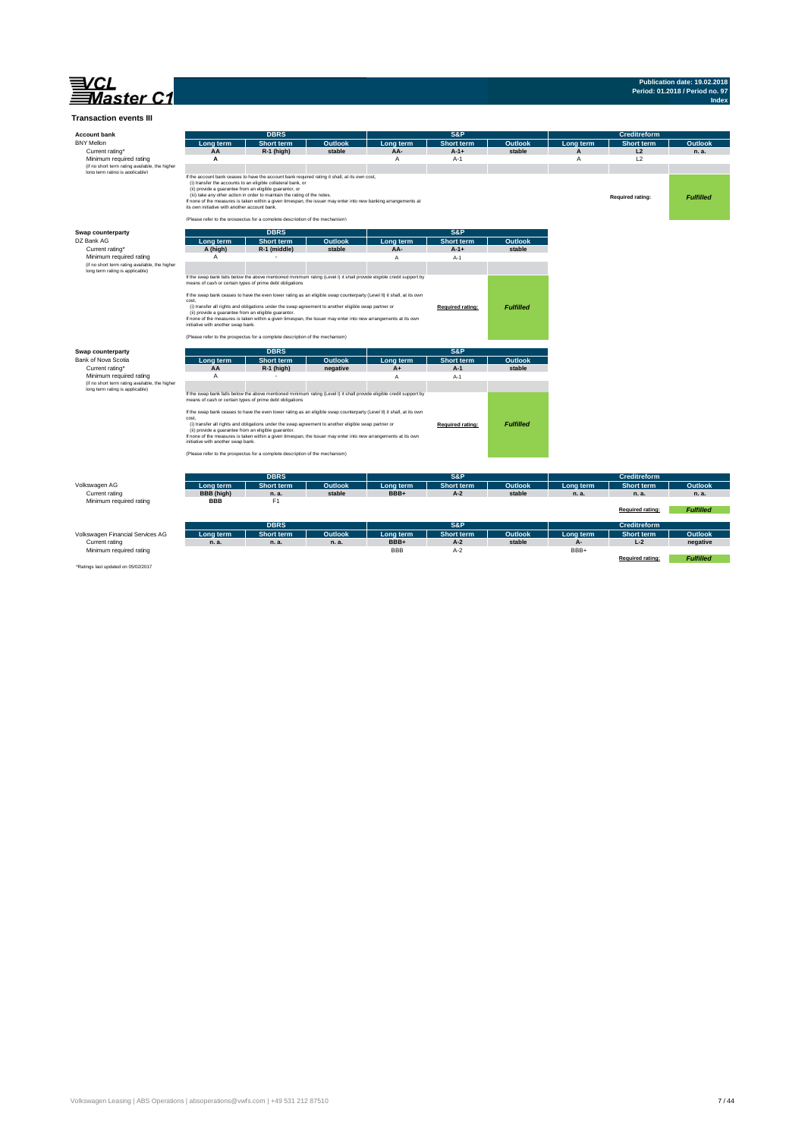

# **Publication date: 19.02.2018 Period: 01.2018 / Period no. 97 Index**

| <b>Transaction events III</b>                                                     |                                                                                            |                                                                                                                                                                                                                                                                                                                                                                                                                                                                                                           |                  |                   |                            |                   |                 |                     |                     |
|-----------------------------------------------------------------------------------|--------------------------------------------------------------------------------------------|-----------------------------------------------------------------------------------------------------------------------------------------------------------------------------------------------------------------------------------------------------------------------------------------------------------------------------------------------------------------------------------------------------------------------------------------------------------------------------------------------------------|------------------|-------------------|----------------------------|-------------------|-----------------|---------------------|---------------------|
| <b>Account bank</b>                                                               |                                                                                            | <b>DBRS</b>                                                                                                                                                                                                                                                                                                                                                                                                                                                                                               |                  |                   | S&P                        |                   |                 | <b>Creditreform</b> |                     |
| <b>BNY Mellon</b>                                                                 | Long term                                                                                  | <b>Short term</b>                                                                                                                                                                                                                                                                                                                                                                                                                                                                                         | Outlook          | Long term         | <b>Short term</b>          | Outlook           | Long term       | Short term          | Outlook             |
| Current rating*                                                                   | AA                                                                                         | R-1 (high)                                                                                                                                                                                                                                                                                                                                                                                                                                                                                                | stable           | AA-               | $A-1+$                     | stable            |                 | L2                  | n. a.               |
| Minimum required rating                                                           | A                                                                                          |                                                                                                                                                                                                                                                                                                                                                                                                                                                                                                           |                  | A                 | $A-1$                      |                   | A               | L2                  |                     |
| (if no short term rating available, the higher<br>Inno term ratino is annlicable) |                                                                                            |                                                                                                                                                                                                                                                                                                                                                                                                                                                                                                           |                  |                   |                            |                   |                 |                     |                     |
|                                                                                   | its own initiative with another account bank.                                              | If the account bank ceases to have the account bank required rating it shall, at its own cost,<br>(i) transfer the accounts to an eligible collateral bank, or<br>(ii) provide a quarantee from an eligible guarantor, or<br>(iii) take any other action in order to maintain the rating of the notes.<br>If none of the measures is taken within a given timespan, the issuer may enter into new banking arrangements at<br>(Please refer to the prospectus for a complete description of the mechanism) |                  |                   |                            |                   |                 | Required rating:    | <b>Fulfilled</b>    |
| Swap counterparty                                                                 |                                                                                            | <b>DBRS</b>                                                                                                                                                                                                                                                                                                                                                                                                                                                                                               |                  |                   | S&P                        |                   |                 |                     |                     |
| DZ Bank AG                                                                        | Long term                                                                                  | <b>Short term</b>                                                                                                                                                                                                                                                                                                                                                                                                                                                                                         | Outlook          | Long term         | <b>Short term</b>          | Outlook           |                 |                     |                     |
| Current rating*                                                                   | A (high)                                                                                   | R-1 (middle)                                                                                                                                                                                                                                                                                                                                                                                                                                                                                              | stable           | AA-               | $A-1+$                     | stable            |                 |                     |                     |
| Minimum required rating                                                           | $\overline{A}$                                                                             |                                                                                                                                                                                                                                                                                                                                                                                                                                                                                                           |                  | A                 | $A-1$                      |                   |                 |                     |                     |
| (if no short term rating available, the higher<br>long term rating is applicable) |                                                                                            |                                                                                                                                                                                                                                                                                                                                                                                                                                                                                                           |                  |                   |                            |                   |                 |                     |                     |
|                                                                                   |                                                                                            | If the swap bank falls below the above mentioned minimum rating (Level I) it shall provide eligible credit support by                                                                                                                                                                                                                                                                                                                                                                                     |                  |                   |                            |                   |                 |                     |                     |
|                                                                                   | means of cash or certain types of prime debt obligations                                   |                                                                                                                                                                                                                                                                                                                                                                                                                                                                                                           |                  |                   |                            |                   |                 |                     |                     |
|                                                                                   |                                                                                            | If the swap bank ceases to have the even lower rating as an eligible swap counterparty (Level II) it shall, at its own                                                                                                                                                                                                                                                                                                                                                                                    |                  |                   |                            |                   |                 |                     |                     |
|                                                                                   | cost,                                                                                      | (i) transfer all rights and obligations under the swap agreement to another eligible swap partner or                                                                                                                                                                                                                                                                                                                                                                                                      |                  |                   |                            |                   |                 |                     |                     |
|                                                                                   | (ii) provide a guarantee from an eligible guarantor.<br>initiative with another swap bank. | If none of the measures is taken within a given timespan, the Issuer may enter into new arrangements at its own                                                                                                                                                                                                                                                                                                                                                                                           |                  |                   | Required rating:           | <b>Fulfilled</b>  |                 |                     |                     |
|                                                                                   |                                                                                            | (Please refer to the prospectus for a complete description of the mechanism)                                                                                                                                                                                                                                                                                                                                                                                                                              |                  |                   |                            |                   |                 |                     |                     |
| Swap counterparty                                                                 |                                                                                            | <b>DBRS</b>                                                                                                                                                                                                                                                                                                                                                                                                                                                                                               |                  |                   | S&P                        |                   |                 |                     |                     |
| Bank of Nova Scotia                                                               | Long term                                                                                  | Short term                                                                                                                                                                                                                                                                                                                                                                                                                                                                                                | <b>Outlook</b>   | Long term         | <b>Short term</b>          | Outlook           |                 |                     |                     |
| Current rating*                                                                   | AA<br>$\overline{A}$                                                                       | R-1 (high)                                                                                                                                                                                                                                                                                                                                                                                                                                                                                                | negative         | A+                | $A-1$                      | stable            |                 |                     |                     |
| Minimum required rating<br>(if no short term rating available, the higher         |                                                                                            |                                                                                                                                                                                                                                                                                                                                                                                                                                                                                                           |                  | A                 | $A-1$                      |                   |                 |                     |                     |
| long term rating is applicable)                                                   |                                                                                            |                                                                                                                                                                                                                                                                                                                                                                                                                                                                                                           |                  |                   |                            |                   |                 |                     |                     |
|                                                                                   | means of cash or certain types of prime debt obligations                                   | If the swap bank falls below the above mentioned minimum rating (Level I) it shall provide eligible credit support by                                                                                                                                                                                                                                                                                                                                                                                     |                  |                   |                            |                   |                 |                     |                     |
|                                                                                   |                                                                                            |                                                                                                                                                                                                                                                                                                                                                                                                                                                                                                           |                  |                   |                            |                   |                 |                     |                     |
|                                                                                   | cost.                                                                                      | If the swap bank ceases to have the even lower rating as an eligible swap counterparty (Level II) it shall, at its own                                                                                                                                                                                                                                                                                                                                                                                    |                  |                   |                            |                   |                 |                     |                     |
|                                                                                   |                                                                                            | (i) transfer all rights and obligations under the swap agreement to another eligible swap partner or                                                                                                                                                                                                                                                                                                                                                                                                      |                  |                   | Required rating:           | <b>Fulfilled</b>  |                 |                     |                     |
|                                                                                   | (ii) provide a guarantee from an eligible guarantor.                                       | If none of the measures is taken within a given timespan, the Issuer may enter into new arrangements at its own                                                                                                                                                                                                                                                                                                                                                                                           |                  |                   |                            |                   |                 |                     |                     |
|                                                                                   | initiative with another swap bank.                                                         |                                                                                                                                                                                                                                                                                                                                                                                                                                                                                                           |                  |                   |                            |                   |                 |                     |                     |
|                                                                                   |                                                                                            | (Please refer to the prospectus for a complete description of the mechanism)                                                                                                                                                                                                                                                                                                                                                                                                                              |                  |                   |                            |                   |                 |                     |                     |
|                                                                                   |                                                                                            |                                                                                                                                                                                                                                                                                                                                                                                                                                                                                                           |                  |                   |                            |                   |                 |                     |                     |
|                                                                                   |                                                                                            | <b>DBRS</b>                                                                                                                                                                                                                                                                                                                                                                                                                                                                                               |                  |                   | S&P                        |                   |                 | Creditreform        |                     |
| Volkswagen AG                                                                     | Long term                                                                                  | <b>Short term</b>                                                                                                                                                                                                                                                                                                                                                                                                                                                                                         | Outlook          | Long term         | <b>Short term</b>          | <b>Outlook</b>    | Lona term       | Short term          | Outlook             |
| Current rating                                                                    | <b>BBB</b> (high)                                                                          | n. a.                                                                                                                                                                                                                                                                                                                                                                                                                                                                                                     | stable           | BBB+              | $A-2$                      | stable            | n. a.           | n. a.               | n. a.               |
| Minimum required rating                                                           | <b>BBB</b>                                                                                 | F <sub>1</sub>                                                                                                                                                                                                                                                                                                                                                                                                                                                                                            |                  |                   |                            |                   |                 |                     |                     |
|                                                                                   |                                                                                            |                                                                                                                                                                                                                                                                                                                                                                                                                                                                                                           |                  |                   |                            |                   |                 | Required rating:    | <b>Fulfilled</b>    |
|                                                                                   |                                                                                            | <b>DBRS</b>                                                                                                                                                                                                                                                                                                                                                                                                                                                                                               |                  |                   | S&P                        |                   |                 |                     |                     |
|                                                                                   |                                                                                            |                                                                                                                                                                                                                                                                                                                                                                                                                                                                                                           |                  |                   |                            |                   |                 | <b>Creditreform</b> |                     |
| Volkswagen Financial Services AG<br>Current rating                                | Long term<br>n. a.                                                                         | <b>Short term</b><br>n. a.                                                                                                                                                                                                                                                                                                                                                                                                                                                                                | Outlook<br>n. a. | Long term<br>BBB+ | <b>Short term</b><br>$A-2$ | Outlook<br>stable | Long term<br>A- | Short term<br>$L-2$ | Outlook<br>negative |
| Minimum required rating                                                           |                                                                                            |                                                                                                                                                                                                                                                                                                                                                                                                                                                                                                           |                  | <b>BBB</b>        | $A-2$                      |                   | BBB+            |                     |                     |
| *Ratings last undated on 05/02/2017                                               |                                                                                            |                                                                                                                                                                                                                                                                                                                                                                                                                                                                                                           |                  |                   |                            |                   |                 | Required rating:    | <b>Fulfilled</b>    |

\*Ratings last updated on 05/02/2017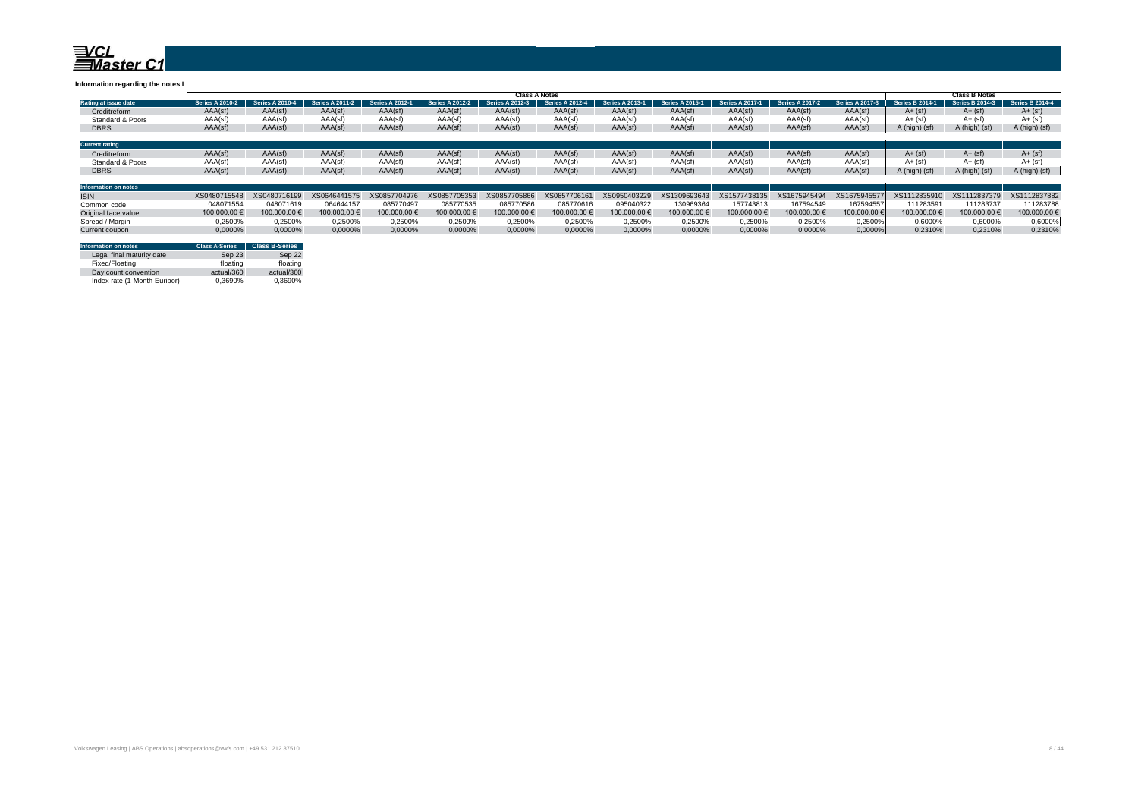#### **Information regarding the notes I**

|                                        | <b>Class A Notes</b>    |                      |                 |                        |                        |                        |            |                               |                        |                        |                        |                      |                        | Class B Notes          |                 |  |  |
|----------------------------------------|-------------------------|----------------------|-----------------|------------------------|------------------------|------------------------|------------|-------------------------------|------------------------|------------------------|------------------------|----------------------|------------------------|------------------------|-----------------|--|--|
| Rating at issue date                   | Series A:<br>$2010 - 2$ | ል 2010-4<br>Series A | Series A 2011-2 | <b>Series A 2012-1</b> | <b>Series A 2012-2</b> | <b>Series A 2012-3</b> | A 2012-4 4 | Series A<br>$\Delta 2013 - 1$ | <b>Series A 2015-1</b> | <b>Series A 2017-1</b> | <b>Series A 2017-2</b> | Series A<br>A 2017-3 | <b>Series B 2014-1</b> | <b>Series B 2014-3</b> | Series B 2014-4 |  |  |
| Creditreform                           | AAA(sf)                 | AAA(sf)              | AAA(sf)         | AAA(sf)                | AAA(sf)                | AAA(sf)                | AAA(sf)    | AAA(sf)                       | AAA(sf)                | AAA(sf)                | AAA(sf)                | AAA(sf)              | $A + (sf)$             | $A + (sf)$             | $A + (sf)$      |  |  |
| Standard & Poors                       | AAA(sf)                 | AAA(sf)              | AAA(sf)         | AAA(sf)                | AAA(sf)                | AAA(sf)                | AAA(sf)    | AAA(sf)                       | AAA(sf)                | AAA(sf)                | AAA(sf)                | AAA(sf               | $A + (sf)$             | $A + (sf)$             | $A+$ (sf)       |  |  |
| <b>DBRS</b>                            | AAA(sf)                 | AAA(sf)              | AAA(sf)         | AAA(sf)                | AAA(sf)                | AAA(sf)                | AAA(sf)    | AAA(sf)                       | AAA(sf)                | AAA(sf)                | AAA(sf)                | AAA(sf)              | A (high) (sf)          | A (high) (sf)          | A (high) (sf)   |  |  |
|                                        |                         |                      |                 |                        |                        |                        |            |                               |                        |                        |                        |                      |                        |                        |                 |  |  |
| <b>Current rating</b>                  |                         |                      |                 |                        |                        |                        |            |                               |                        |                        |                        |                      |                        |                        |                 |  |  |
| Creditreform                           | AAA(sf)                 | AAA(sf)              | AAA(sf)         | AAA(sf)                | AAA(sf)                | AAA(sf)                | AAA(sf)    | AAA(sf)                       | AAA(sf)                | AAA(sf)                | AAA(sf)                | AAA(sf)              | $A + (sf)$             | $A + (sf)$             | $A + (sf)$      |  |  |
| Standard & Poors                       | AAA(sf)                 | AAA(sf)              | AAA(sf)         | AAA(sf)                | AAA(sf)                | AAA(sf)                | AAA(sf)    | AAA(sf)                       | AAA(sf)                | AAA(sf)                | AAA(sf)                | AAA(sf               | $A + (sf)$             | $A + (sf)$             | $A + (sf)$      |  |  |
| <b>DBRS</b>                            | AAA(sf)                 | AAA(sf)              | AAA(sf)         | AAA(sf)                | AAA(sf)                | AAA(sf)                | AAA(sf)    | AAA(sf)                       | AAA(sf)                | AAA(sf)                | AAA(sf)                | AAA(sf)              | A (high) (sf)          | A (high) (sf)          | A (high) (sf)   |  |  |
|                                        |                         |                      |                 |                        |                        |                        |            |                               |                        |                        |                        |                      |                        |                        |                 |  |  |
| <b>Indiananced and an annual state</b> |                         |                      |                 |                        |                        |                        |            |                               |                        |                        |                        |                      |                        |                        |                 |  |  |

| Information on notes |              |              |                                                                  |               |              |              |              |                           |                       |              |              |              |                                                     |              |              |
|----------------------|--------------|--------------|------------------------------------------------------------------|---------------|--------------|--------------|--------------|---------------------------|-----------------------|--------------|--------------|--------------|-----------------------------------------------------|--------------|--------------|
| <b>ISIN</b>          | XS0480715548 | XS0480716199 | XS0646441575 XS0857704976 XS0857705353 XS0857705866 XS0857706161 |               |              |              |              | XS0950403229 XS1309693643 |                       | XS1577438135 | XS1675945494 |              | XS1675945577 XS1112835910 XS1112837379 XS1112837882 |              |              |
| Common code          | 148071554    | 048071619    | 064644157                                                        | 085770497     | 085770535    | 085770586    | 085770616    | 095040322                 | 130969364             | 157743813    | 167594549    | 167594557    | 111283591                                           | 111283737    | 111283788    |
| Original face value  | 100.000.00 € | 100.000.00 € | 100.000.00 €                                                     | 100,000,00 €. | 100,000,00 € | 100.000.00 € | 100.000.00 € | 100.000.00 €              | 100,000,00 $\epsilon$ | 100.000.00 € | 100.000.00 € | 100.000.00 € | 100,000,00 €                                        | 100,000,00 € | 100.000.00 € |
| Spread / Margin      | 1.2500%      | 0.2500%      | 0.2500%                                                          | 0.2500%       | 0.2500%      | 0.2500%      | 0.2500%      | 0.2500%                   | 0.2500%               | J.2500%      | 0.2500%      | 0.2500%      | 0.60009                                             | ን.6000%      | 0.6000%      |
| Current coupon       | 0.0000%      | 0.0000%      | 0,0000%                                                          | 0.0000%       | 0.0000%      | 0.0000%      | 0,0000%      | 0.0000%                   | 0,0000%               |              | 0.0000%      | 0,0000%      | 0.2310%                                             | 0.2310%      | 0.2310%      |

| Information on notes         | <b>Class A-Series</b> | <b>Class B-Series</b> |
|------------------------------|-----------------------|-----------------------|
| Legal final maturity date    | Sep 23                | Sep 22                |
| Fixed/Floating               | floating              | floating              |
| Day count convention         | actual/360            | actual/360            |
| Index rate (1-Month-Euribor) | $-0.3690%$            | $-0.3690%$            |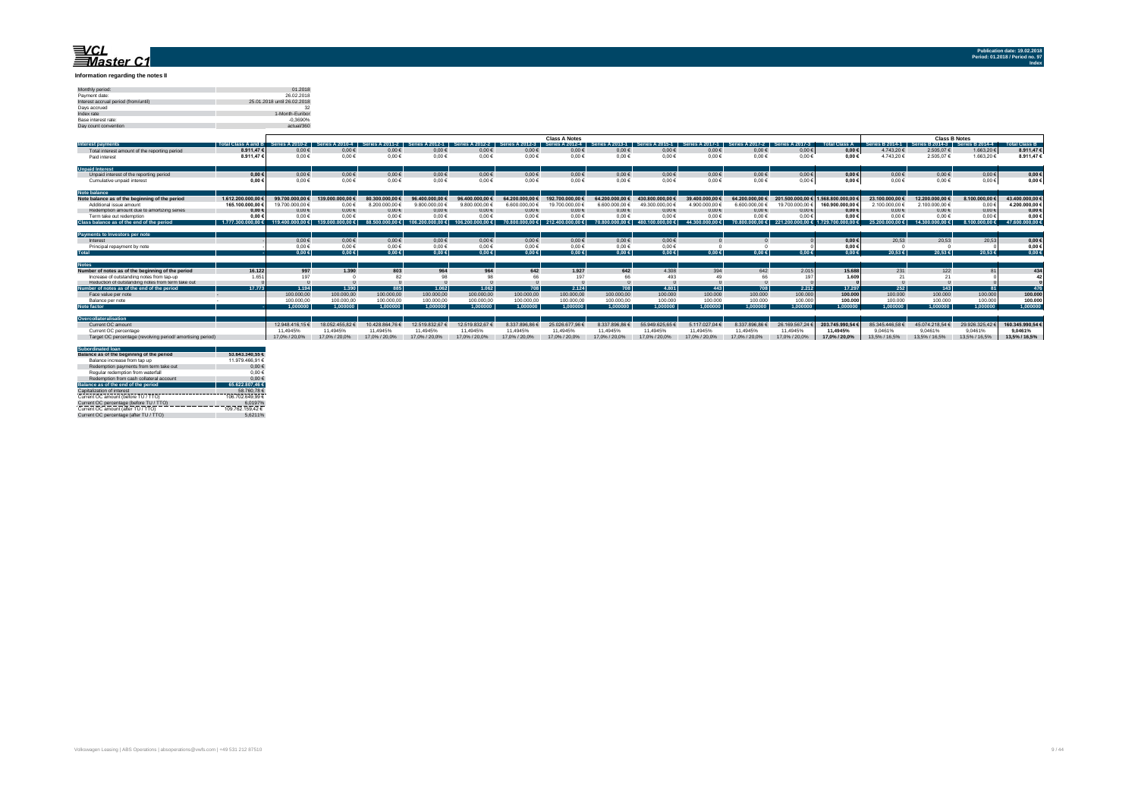#### **Information regarding the notes II**

| 01 2018<br>Monthly period:<br>Payment date:<br>26.02.2018<br>25.01.2018 until 26.02.2018<br>Interest accrual period (from/until)<br>32<br>Davs accrued<br>ndex rate<br>1-Month-Euribor<br>Base interest rate:<br>$-0.3690%$<br>actual/360<br>Day count convention |  |
|-------------------------------------------------------------------------------------------------------------------------------------------------------------------------------------------------------------------------------------------------------------------|--|
|                                                                                                                                                                                                                                                                   |  |
|                                                                                                                                                                                                                                                                   |  |
|                                                                                                                                                                                                                                                                   |  |
|                                                                                                                                                                                                                                                                   |  |
|                                                                                                                                                                                                                                                                   |  |
|                                                                                                                                                                                                                                                                   |  |
|                                                                                                                                                                                                                                                                   |  |

|                                                            |                     |                   |                          |                 |                |                |                | <b>Class A Notes</b> |                  |                      |                     |                 |                |                      |                        | <b>Class B Notes</b> |                        |                      |
|------------------------------------------------------------|---------------------|-------------------|--------------------------|-----------------|----------------|----------------|----------------|----------------------|------------------|----------------------|---------------------|-----------------|----------------|----------------------|------------------------|----------------------|------------------------|----------------------|
| <b>Interest payments</b>                                   | Total Class A and B | Series A $2010.2$ | Sorios /<br>$0.2010 - 4$ | 2011.2          |                |                |                | Series A 2012-4      | 2013.1           |                      | 2017.1              | Series A 2017-2 | $2017 - 3$     | <b>Total Class A</b> | <b>Series B 2014-1</b> | Series R 2014-3      | <b>Series B 2014-4</b> | <b>Total Class B</b> |
| Total interest amount of the reporting period              | 8.911.47            | $0.00 \in$        | $0.00 \in$               | $0.00 \in$      | $0.00 \in$     | $0.00 \in$     | $0.00 \in$     | $0.00 \in$           | $0.00 \in$       | $0.00 \in$           | $0.00 \in$          | $0,00 \in$      | $0,00 \in$     | $0,00 \in$           | 4.743.20 €             | 2.505,07 €           | 1.663,20 €             | 8.911.47€            |
| Paid interest                                              | 8.911.47            | $0.00 \in$        | $0.00 \in$               | $0.00 \in$      | $0.00 \in$     | 0.00€          | 0.00 €         | $0.00 \in$           | $0.00 \in$       | $0.00 \in$           | $0.00 \in$          | $0.00 \in$      | $0.00 \in$     | $0.00 \in$           | 4.743.20 €             | 2.505.07 €           | 1.663.20 €             | 8.911.47€            |
| <b>Unpaid Interest</b>                                     |                     |                   |                          |                 |                |                |                |                      |                  |                      |                     |                 |                |                      |                        |                      |                        |                      |
| Unpaid interest of the reporting period                    | 0.00 <sub>6</sub>   | $0,00 \in$        | $0.00 \in$               | $0.00 \in$      | $0.00 \in$     | $0.00 \in$     | 0.00€          | $0.00 \in$           | $0.00 \in$       | $0.00 \in$           | $0,00 \in$          | $0,00 \in$      | $0,00 \in$     | $0,00 \in$           | $0.00 \in$             | $0.00 \in$           | $0,00 \in$             | $0,00 \in$           |
| Cumulative unpaid interest                                 | 0.00                | 0.00€             | $0.00 \in$               | $0.00 \in$      | $0.00 \in$     | $0.00 \in$     | 0.00€          | $0.00 \in$           | $0.00 \in$       | 0.00€                | $0.00 \in$          | $0.00 \in$      | $0,00 \in$     | $0.00 \in$           | $0.00 \in$             | $0.00 \in$           | 0.00€                  | $0.00 \in$           |
| <b>Note balance</b>                                        |                     |                   |                          |                 |                |                |                |                      |                  |                      |                     |                 |                |                      |                        |                      |                        |                      |
| Note balance as of the beginning of the period             | 1.612.200.000.0     | 99.700.000.00€    | 139.000.000.00 €         | 80.300.000.00   | 96,400,000,00€ | 96.400.000.00  | 64.200.000.006 | 192.700.000.00 €     | 64,200,000,00€   | 430,800,000.00 \$    | 39.400.000.00       | 64.200.000.006  | 201,500,000.00 | .568.800.000.0       | 23.100.000.00 €        | 12.200,000.00 €      | 8.100.000,00           | 43.400.000.00 €      |
| Additional issue amount                                    | 165,100,000,00      | 19.700.000.00 €   | 0.006                    | 8.200.000.00    | 9.800.000.00 € | 9.800.000.00 € | 6.600.000.00 € | 19,700,000.00        | 6.600.000.00 €   | 49.300.000.00        | 4.900.000.00        | 6.600.000.00    | 19,700,000.00  | 160.900.000.00       | 2.100.000.00 €         | 2.100.000.00 €       | 0,00                   | 4.200.000.00 €       |
| Redemption amount due to amortizing series                 | 0.00                | $0.00 \in$        | $0.00 \in$               | $0.00 \in$      | $0.00 \in$     | $0.00 \in$     | 0.00€          | 0.00 €               | $0.00 \in$       | $0.00 \in$           | $0.00 \in$          | $0.00 \in$      | 0,006          | 0.00                 | $0.00 \in$             | $0.00 \in$           | $0,00 \in$             | $0,00 \in$           |
| Term take out redemption                                   | 0.00                | $0.00 \in$        | $0.00 \in$               | $0.00 \in$      | $0.00 \in$     | 0.006          | 0.00€          | $0.00 \in$           | $0.00 \in$       | 0.00 f               | $0.00 \in$          | $0.00 \in$      | 0.006          | $0.00 \in$           | $0.00 \in$             | $0.00 \in$           | 0.006                  | $0.00 \in$           |
| Class balance as of the end of the period                  | 1.777.300.000.00 f  | 119,400,000,00 €  | $00.00 \in$              | 9 00.000.00€ 88 | 00.00€         |                | $000.00 \in$   | 00.00€               | 00.00€<br>70.800 | 480.100.000.00 $\in$ | 44.300.000.00 $\in$ | 70.800.000.00€  | 000.00€        | 0.000.00 f           | $25.200.000.00 \in$    | 14.300.000.006       | 8.100.000.00 €         | 47.600.000,00 €      |
| Payments to Investors per note                             |                     |                   |                          |                 |                |                |                |                      |                  |                      |                     |                 |                |                      |                        |                      |                        |                      |
| Interest                                                   |                     | $0,00 \in$        | $0,00 \in$               | $0,00 \in$      | $0.00 \in$     | $0,00 \in$     | 0.00€          | $0,00 \in$           | $0,00 \in$       | $0,00 \in$           |                     |                 |                | $0,00 \in$           | 20.53                  | 20.53                | 20,53                  | $0,00 \in$           |
| Principal repayment by note                                |                     | 0.00€             | $0.00 \in$               | $0.00 \in$      | $0.00 \in$     | $0.00 \in$     | 0.00 €         | $0.00 \in$           | 0.00 E           | 0.00 €               |                     |                 |                | $0.00 \in$           |                        |                      |                        | 0.00E                |
| <b>Total</b>                                               |                     | 0.00E             | $0.00 \in$               | 0.00E           | $0.00 \in$     | $0.00 \in$     | 0.00E          | $0.00 \in$           | $0,00 \in$       | $0.00 \in$           | $0.00 \in$          | $0.00 \in$      | $0.00 \in$     | $0.00 \in$           | $20.53 \in$            | 20.53 ∈              | 20.53€                 | $0,00 \in$           |
| <b>Notes</b>                                               |                     |                   |                          |                 |                |                |                |                      |                  |                      |                     |                 |                |                      |                        |                      |                        |                      |
| Number of notes as of the beginning of the period          | 16.122              | 997               | 1.390                    | 803             | 964            | 964            | 642            | 1.927                | 642              | 4.308                | 394                 | 642             | 2.015          | 15,688               | 231                    | 122                  |                        | 434                  |
| Increase of outstanding notes from tap-up                  | 1.65                | 197               |                          |                 | 98             |                |                | 197                  | 66               | 493                  |                     |                 | 197            | 1.609                |                        |                      |                        | 42                   |
| Reduction of outstanding notes from term take out          |                     |                   |                          |                 |                |                |                |                      |                  |                      |                     |                 |                |                      |                        |                      |                        |                      |
| Number of notes as of the end of the period                | 17.773              | 1.194             | 1.390                    | 885             | 1.062          | 1.062          | 708            | 2.124                | 708              | 4.801                | 443                 | 708             | 2.212          | 17.297               | 252                    | 143                  |                        | 476                  |
| Face value per note                                        |                     | 100,000.00        | 100,000,00               | 100,000.00      | 100,000.00     | 100,000.00     | 100,000,00     | 100.000.00           | 100,000,00       | 100,000              | 100,000             | 100,000         | 100.000        | 100,000              | 100,000                | 100,000              | 100.000                | 100,000              |
| Balance per note                                           |                     | 100,000,00        | 100,000,00               | 100,000.00      | 100,000.00     | 100,000.00     | 100,000.00     | 100,000.00           | 100,000.00       | 100,000              | 100,000             | 100,000         | 100,000        | 100,000              | 100,000                | 100,000              | 100,000                | 100,000              |
| Note factor                                                |                     | 1.000000          | 1.000000                 | 1.000000        | 1.000000       | 1.000000       | 1.000000       | 1.000000             | 1.000000         | 1.000000             | 1.000000            | 1.000000        | 1.000000       | 1.000000             | 1.000000               | 1.000000             | 1.000000               | 1.000000             |
| Overcollateralisation                                      |                     |                   |                          |                 |                |                |                |                      |                  |                      |                     |                 |                |                      |                        |                      |                        |                      |
| Current OC amount                                          |                     | 12.948.416.15     | 18.052.455.82            | 10.428.864.76   | 12 519 832 671 | 12.519.832.67  | 8.337.896.86   | 25.026.677.96        | 8 337 896 86     | 55 949 625 65        | 5.117.027.04        | 8.337.896.86    | 26.169.567.24  | 203.745.990.54       | 85.345.446.58          | 45.074.218.54        | 29.926.325.42          | 160.345.990.54€      |
| Current OC percentage                                      |                     | 11.4945%          | 11.4945%                 | 11.4945%        | 11.49459       | 11.4945%       | 11.4945%       | 11.4945%             | 11.4945%         | 11.4945%             | 11.4945%            | 11.4945%        | 11 4945%       | 11.4945%             | 9.0461%                | 9.0461%              | 9.0461%                | 9.0461%              |
| Target OC percentage (revolving period/ amortising period) |                     | 17.0% / 20.0%     | 17.0% / 20.0%            | 17.0% / 20.0%   | 17.0% / 20.0%  | 17.0% / 20.0%  | 17.0% / 20.0%  | 17.0% / 20.0%        | 17.0% / 20.0%    | 17.0% / 20.0%        | 17.0% / 20.0%       | 17.0% / 20.0%   | 17.0% / 20.0%  | 17.0% / 20.0%        | 13.5% / 16.5%          | 13.5% / 16.5%        | 13.5% / 16.5%          | 13.5% / 16.5%        |

| <b>Subordinated loan</b>                  |                  |
|-------------------------------------------|------------------|
| Balance as of the beginning of the period | 53,643,340,55 €  |
| Balance increase from tap up              | 11.979.466.91 €  |
| Redemotion payments from term take out    | $0.00 \in$       |
| Regular redemption from waterfall         | $0.00 \in$       |
| Redemotion from cash collateral account   | $0.00 \in$       |
| Balance as of the end of the period       | 65.622.807.46 €  |
| Capitalization of interest                | 58.760.78€       |
| Current OC amount (before TU / TTO)       | 106.702.649.99 € |
| Current OC percentage (before TU / TTO)   | 6.0197%          |
| Current OC amount (after TU / TTO)        | 109.762.159.42 € |
| Current OC percentage (after TU / TTO)    | 56211%           |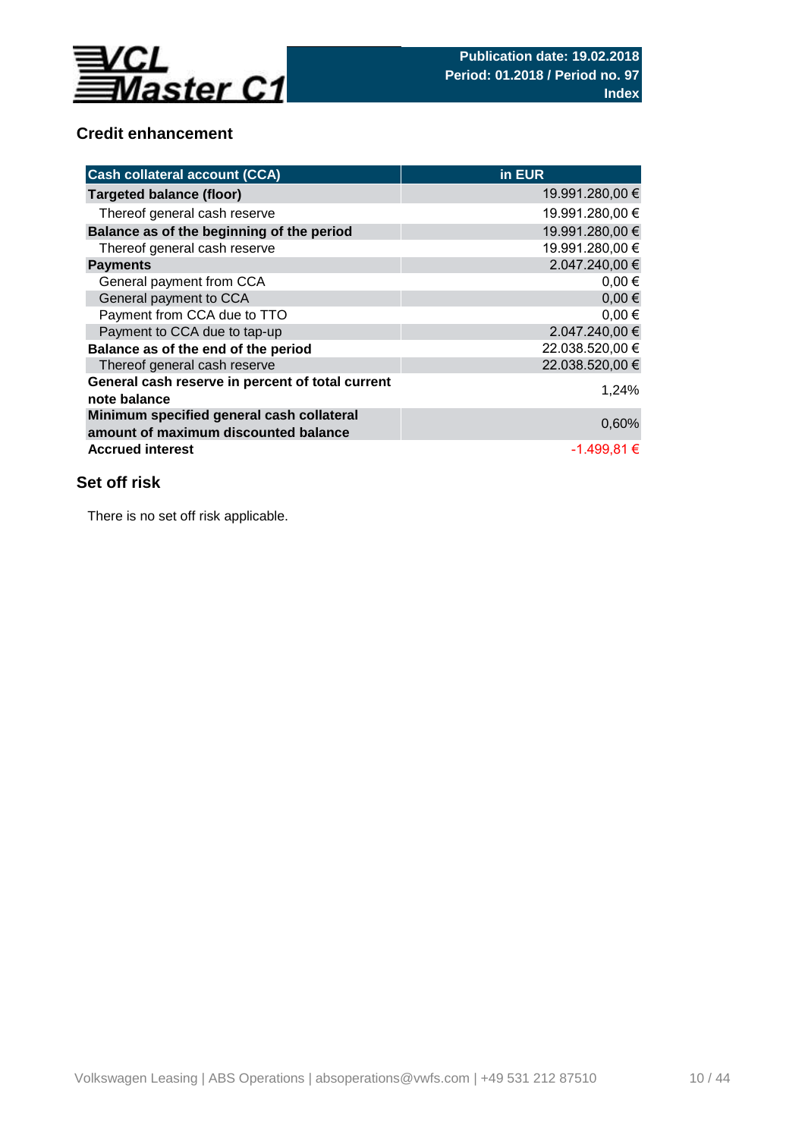

# **Credit enhancement**

| <b>Cash collateral account (CCA)</b>                                              | in EUR          |
|-----------------------------------------------------------------------------------|-----------------|
| <b>Targeted balance (floor)</b>                                                   | 19.991.280,00 € |
| Thereof general cash reserve                                                      | 19.991.280,00 € |
| Balance as of the beginning of the period                                         | 19.991.280,00 € |
| Thereof general cash reserve                                                      | 19.991.280,00 € |
| <b>Payments</b>                                                                   | 2.047.240,00 €  |
| General payment from CCA                                                          | $0,00 \in$      |
| General payment to CCA                                                            | $0,00 \in$      |
| Payment from CCA due to TTO                                                       | $0,00 \in$      |
| Payment to CCA due to tap-up                                                      | 2.047.240,00 €  |
| Balance as of the end of the period                                               | 22.038.520,00 € |
| Thereof general cash reserve                                                      | 22.038.520,00 € |
| General cash reserve in percent of total current<br>note balance                  | 1,24%           |
| Minimum specified general cash collateral<br>amount of maximum discounted balance | 0,60%           |
| <b>Accrued interest</b>                                                           | $-1.499,81 \in$ |

# **Set off risk**

There is no set off risk applicable.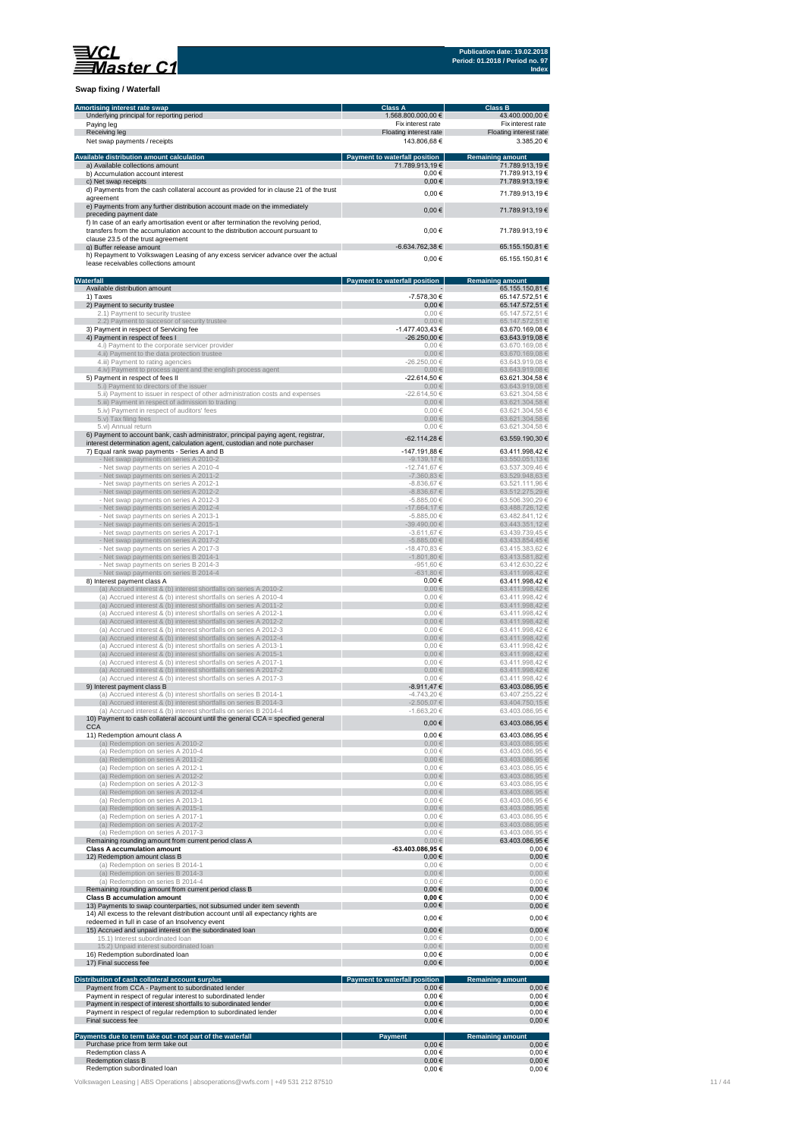

**Swap fixing / Waterfall**

| Amortising interest rate swap                                                                                                                                       | Class A                                         | <b>Class B</b>                             |
|---------------------------------------------------------------------------------------------------------------------------------------------------------------------|-------------------------------------------------|--------------------------------------------|
| Underlying principal for reporting period<br>Paying leg                                                                                                             | 1.568.800.000,00 €<br>Fix interest rate         | 43.400.000,00 €<br>Fix interest rate       |
| Receiving leg                                                                                                                                                       | Floating interest rate<br>143.806.68 €          | Floating interest rate                     |
| Net swap payments / receipts                                                                                                                                        |                                                 | 3.385,20€                                  |
| Available distribution amount calculation<br>a) Available collections amount                                                                                        | Payment to waterfall position<br>71.789.913,19€ | <b>Remaining amount</b><br>71.789.913,19 € |
| b) Accumulation account interest<br>c) Net swap receipts                                                                                                            | $0,00$ €<br>$0,00 \in$                          | 71.789.913.19€<br>71.789.913.19€           |
| d) Payments from the cash collateral account as provided for in clause 21 of the trust                                                                              | 0.00€                                           | 71.789.913,19 €                            |
| agreement<br>e) Payments from any further distribution account made on the immediately                                                                              | $0,00 \in$                                      | 71.789.913,19€                             |
| preceding payment date<br>f) In case of an early amortisation event or after termination the revolving period,                                                      |                                                 |                                            |
| transfers from the accumulation account to the distribution account pursuant to<br>clause 23.5 of the trust agreement                                               | $0,00$ €                                        | 71.789.913,19€                             |
| g) Buffer release amount                                                                                                                                            | -6.634.762,38 €                                 | 65.155.150,81 €                            |
| h) Repayment to Volkswagen Leasing of any excess servicer advance over the actual<br>lease receivables collections amount                                           | $0,00$ €                                        | 65.155.150,81 €                            |
| <b>Waterfall</b>                                                                                                                                                    | <b>Payment to waterfall position</b>            | <b>Remaining amount</b>                    |
| Available distribution amount<br>1) Taxes                                                                                                                           | -7.578,30 €                                     | 65.155.150.81 €<br>65.147.572,51 €         |
| 2) Payment to security trustee                                                                                                                                      | $0,00$ €                                        | 65.147.572,51 €                            |
| 2.1) Payment to security trustee<br>2.2) Payment to succesor of security trustee                                                                                    | $0,00 \in$<br>$0,00 \in$                        | 65.147.572,51 €<br>65.147.572,51 €         |
| 3) Payment in respect of Servicing fee<br>4) Payment in respect of fees I                                                                                           | $-1.477.403.43 \in$<br>-26.250,00 €             | 63.670.169,08 €<br>63.643.919,08 €         |
| 4.i) Payment to the corporate servicer provider                                                                                                                     | $0,00 \in$                                      | 63.670.169,08 €                            |
| 4.ii) Payment to the data protection trustee<br>4.iii) Payment to rating agencies                                                                                   | $0,00 \in$<br>$-26.250,00 \in$                  | 63.670.169,08 €<br>63.643.919,08 €         |
| 4.iv) Payment to process agent and the english process agent<br>5) Payment in respect of fees II                                                                    | $0,00 \in$<br>-22.614,50 €                      | 63.643.919,08 €<br>63.621.304,58 €         |
| 5.i) Payment to directors of the issuer                                                                                                                             | $0,00 \in$                                      | 63.643.919,08 €                            |
| 5.ii) Payment to issuer in respect of other administration costs and expenses<br>5.iii) Payment in respect of admission to trading                                  | $-22.614,50€$<br>$0,00 \in$                     | 63.621.304,58 €<br>63.621.304,58 €         |
| 5.iv) Payment in respect of auditors' fees                                                                                                                          | $0,00 \in$                                      | 63.621.304,58 €                            |
| 5.v) Tax filing fees<br>5.vi) Annual return                                                                                                                         | $0,00 \in$<br>$0,00 \in$                        | 63.621.304,58 €<br>63.621.304,58 €         |
| 6) Payment to account bank, cash administrator, principal paying agent, registrar,<br>interest determination agent, calculation agent, custodian and note purchaser | -62.114,28 €                                    | 63.559.190,30 €                            |
| 7) Equal rank swap payments - Series A and B                                                                                                                        | -147.191,88 €                                   | 63.411.998,42 €                            |
| Net swap payments on series A 2010-2<br>- Net swap payments on series A 2010-4                                                                                      | $-9.139.17 \in$<br>$-12.741.67 \in$             | 63.550.051,13 €<br>63.537.309,46 €         |
| - Net swap payments on series A 2011-2                                                                                                                              | 7.360,83 €                                      | 63.529.948,63 €                            |
| - Net swap payments on series A 2012-1<br>- Net swap payments on series A 2012-2                                                                                    | $-8.836,67 \in$<br>$-8.836,67 \in$              | 63.521.111,96 €<br>63.512.275,29 €         |
| - Net swap payments on series A 2012-3<br>- Net swap payments on series A 2012-4                                                                                    | $-5.885,00 \in$<br>17.664,17 €                  | 63.506.390,29 €<br>63.488.726,12 €         |
| - Net swap payments on series A 2013-1                                                                                                                              | $-5.885,00€$                                    | 63.482.841,12 €                            |
| - Net swap payments on series A 2015-1<br>- Net swap payments on series A 2017-1                                                                                    | 39.490,00 €<br>$-3.611,67 \in$                  | 63.443.351,12 €<br>63.439.739,45 €         |
| - Net swap payments on series A 2017-2                                                                                                                              | $-5.885,00 \in$                                 | 63.433.854,45 €                            |
| - Net swap payments on series A 2017-3<br>- Net swap payments on series B 2014-1                                                                                    | $-18.470,83€$<br>$-1.801, 80 \in$               | 63.415.383,62 €<br>63.413.581,82 €         |
| - Net swap payments on series B 2014-3                                                                                                                              | -951,60 €<br>631,80 €                           | 63.412.630,22 €                            |
| - Net swap payments on series B 2014-4<br>8) Interest payment class A                                                                                               | $0,00$ €                                        | 63.411.998,42 €<br>63.411.998,42 €         |
| (a) Accrued interest & (b) interest shortfalls on series A 2010-2<br>(a) Accrued interest & (b) interest shortfalls on series A 2010-4                              | $0,00 \in$<br>$0,00 \in$                        | 63.411.998,42€<br>63.411.998,42 €          |
| (a) Accrued interest & (b) interest shortfalls on series A 2011-2                                                                                                   | $0,00 \in$                                      | 63.411.998,42 €                            |
| (a) Accrued interest & (b) interest shortfalls on series A 2012-1<br>(a) Accrued interest & (b) interest shortfalls on series A 2012-2                              | $0,00 \in$<br>$0,00 \in$                        | 63.411.998,42 €<br>63.411.998,42 €         |
| (a) Accrued interest & (b) interest shortfalls on series A 2012-3<br>(a) Accrued interest & (b) interest shortfalls on series A 2012-4                              | $0,00 \in$                                      | 63.411.998,42 €                            |
| (a) Accrued interest & (b) interest shortfalls on series A 2013-1                                                                                                   | $0,00 \in$<br>$0,00 \in$                        | 63.411.998,42 €<br>63.411.998,42 €         |
| (a) Accrued interest & (b) interest shortfalls on series A 2015-1<br>(a) Accrued interest & (b) interest shortfalls on series A 2017-1                              | $0,00 \in$<br>$0,00 \in$                        | 63.411.998.42 €<br>63.411.998,42 €         |
| (a) Accrued interest & (b) interest shortfalls on series A 2017-2                                                                                                   | $0,00 \in$                                      | 63.411.998,42 €                            |
| (a) Accrued interest & (b) interest shortfalls on series A 2017-3<br>9) Interest payment class B                                                                    | $0,00 \in$<br>$-8.911,47€$                      | 63.411.998,42 €<br>63.403.086,95 €         |
| (a) Accrued interest & (b) interest shortfalls on series B 2014-1                                                                                                   | $-4.743,20€$                                    | 63.407.255,22 €                            |
| a) Accrued interest & (b) interest shortfalls on series B 2014<br>(a) Accrued interest & (b) interest shortfalls on series B 2014-4                                 | 505.07€<br>$-1.663,20€$                         | 3.404.750,15€<br>63.403.086,95 €           |
| 10) Payment to cash collateral account until the general CCA = specified general<br><b>CCA</b>                                                                      | $0.00 \in$                                      | 63.403.086,95 €                            |
| 11) Redemption amount class A                                                                                                                                       | $0,00$ €                                        | 63.403.086.95 €                            |
| (a) Redemption on series A 2010-2<br>(a) Redemption on series A 2010-4                                                                                              | $0,00 \in$<br>$0,00 \in$                        | 63.403.086,95 €<br>63.403.086,95 €         |
| (a) Redemption on series A 2011-2                                                                                                                                   | $0,00 \in$                                      | 63.403.086,95 €                            |
| (a) Redemption on series A 2012-1<br>(a) Redemption on series A 2012-2                                                                                              | $0,00 \in$<br>$0,00 \in$                        | 63.403.086,95 €<br>63.403.086,95 €         |
| (a) Redemption on series A 2012-3<br>(a) Redemption on series A 2012-4                                                                                              | $0,00 \in$<br>$0,00 \in$                        | 63.403.086,95 €<br>63.403.086,95 €         |
| (a) Redemption on series A 2013-1                                                                                                                                   | $0,00 \in$                                      | 63.403.086,95 €                            |
| (a) Redemption on series A 2015-1<br>(a) Redemption on series A 2017-1                                                                                              | $0,00 \in$<br>$0,00 \in$                        | 63.403.086,95 €<br>63.403.086,95 €         |
| (a) Redemption on series A 2017-2                                                                                                                                   | $0,00 \in$                                      | 63.403.086,95 €                            |
| (a) Redemption on series A 2017-3<br>Remaining rounding amount from current period class A                                                                          | $0,00 \in$<br>$0,00 \in$                        | 63.403.086,95 €<br>63.403.086,95 €         |
| <b>Class A accumulation amount</b>                                                                                                                                  | -63.403.086,95€                                 | 0.00€                                      |
| 12) Redemption amount class B<br>(a) Redemption on series B 2014-1                                                                                                  | 0,00€<br>$0,00 \in$                             | $0,00$ €<br>$0,00 \in$                     |
| (a) Redemption on series B 2014-3<br>(a) Redemption on series B 2014-4                                                                                              | $0,00 \in$<br>$0,00 \in$                        | $0,00 \in$<br>$0,00 \in$                   |
| Remaining rounding amount from current period class B                                                                                                               | $0.00 \in$                                      | $0,00$ €                                   |
| <b>Class B accumulation amount</b><br>13) Payments to swap counterparties, not subsumed under item seventh                                                          | $0,00 \in$<br>$0,00$ €                          | 0,00€<br>0,00€                             |
| 14) All excess to the relevant distribution account until all expectancy rights are                                                                                 | $0,00$ €                                        | $0,00$ €                                   |
| redeemed in full in case of an Insolvency event<br>15) Accrued and unpaid interest on the subordinated loan                                                         | $0,00$ €                                        | $0,00 \in$                                 |
| 15.1) Interest subordinated loan                                                                                                                                    | $0,00 \in$<br>$0.00 \in$                        | $0,00 \in$<br>$0,00 \in$                   |
| 15.2) Unpaid interest subordinated loan<br>16) Redemption subordinated loan                                                                                         | 0,00€                                           | 0,00€                                      |
| 17) Final success fee                                                                                                                                               | $0,00 \in$                                      | 0,00€                                      |
| Distribution of cash collateral account surplus                                                                                                                     | <b>Payment to waterfall position</b>            | <b>Remaining amount</b>                    |
| Payment from CCA - Payment to subordinated lender<br>Payment in respect of regular interest to subordinated lender                                                  | $0,00 \in$<br>$0,00 \in$                        | 0,00€<br>0,00€                             |
| Payment in respect of interest shortfalls to subordinated lender                                                                                                    | $0,00 \in$                                      | 0,00€                                      |
| Payment in respect of regular redemption to subordinated lender<br>Final success fee                                                                                | $0,00 \in$<br>$0,00$ €                          | 0,00€<br>$0,00$ €                          |
| Payments due to term take out - not part of the waterfall                                                                                                           | Payment                                         | <b>Remaining amount</b>                    |
| Purchase price from term take out<br>Redemption class A                                                                                                             | $0,00 \in$<br>$0,00 \in$                        | 0,00€<br>$0,00 \in$                        |
| Redemption class B                                                                                                                                                  | $0,00 \in$                                      | 0,00€                                      |
| Redemption subordinated loan                                                                                                                                        | 0,00€                                           | $0,00 \in$                                 |

Volkswagen Leasing | ABS Operations | absoperations@vwfs.com | +49 531 212 87510 11 / 44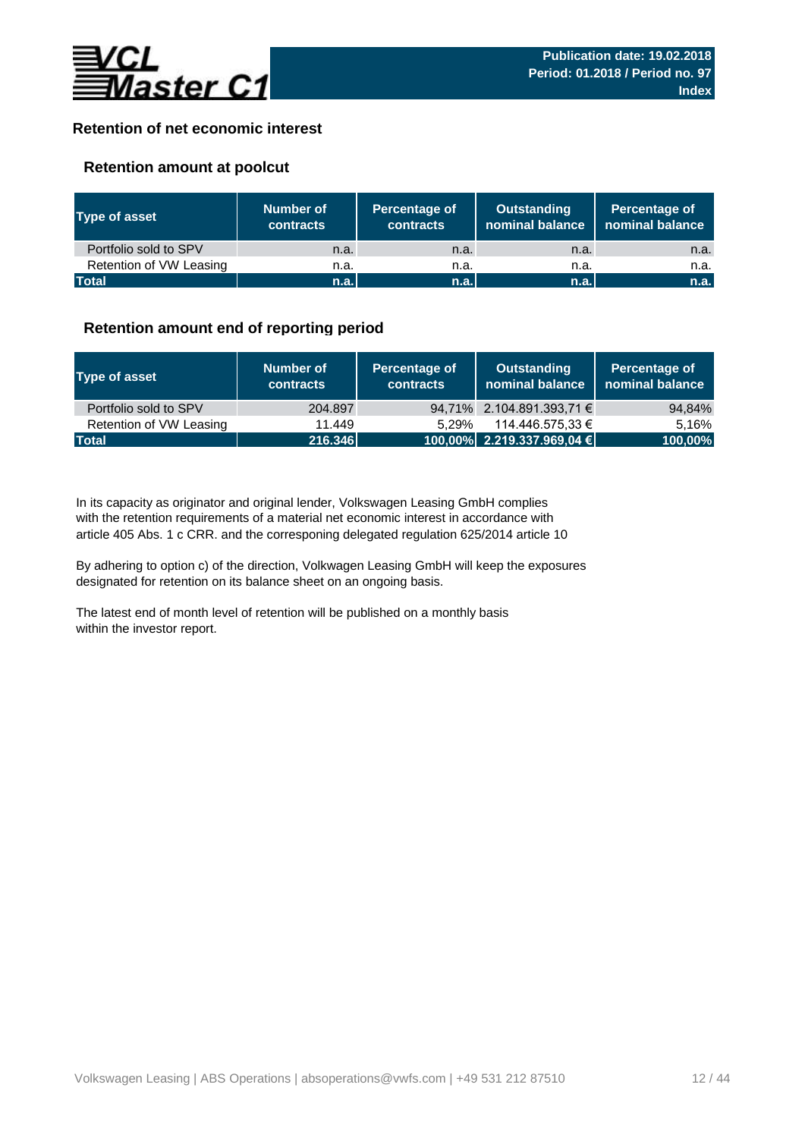

## **Retention of net economic interest**

## **Retention amount at poolcut**

| <b>Type of asset</b>    | Number of<br><b>contracts</b> | Percentage of<br>contracts | Outstanding<br>nominal balance | Percentage of<br>nominal balance |  |
|-------------------------|-------------------------------|----------------------------|--------------------------------|----------------------------------|--|
| Portfolio sold to SPV   | n.a.                          | n.a.                       | n.a.                           | n.a.                             |  |
| Retention of VW Leasing | n.a.                          | n.a.                       | n.a.                           | n.a.                             |  |
| <b>Total</b>            | n.a.                          | n.a.                       | n.a.                           | n.a.                             |  |

## **Retention amount end of reporting period**

| Type of asset           | Number of<br><b>contracts</b> | Percentage of<br>contracts | <b>Outstanding</b><br>nominal balance | Percentage of<br>  nominal balance |  |
|-------------------------|-------------------------------|----------------------------|---------------------------------------|------------------------------------|--|
| Portfolio sold to SPV   | 204.897                       |                            | 94,71% 2.104.891.393,71 $\epsilon$    | 94,84%                             |  |
| Retention of VW Leasing | 11.449                        | 5.29%                      | 114.446.575.33 €                      | 5.16%                              |  |
| <b>Total</b>            | 216.346                       |                            | $100,00\%$ 2.219.337.969,04 €         | 100,00%                            |  |

article 405 Abs. 1 c CRR. and the corresponing delegated regulation 625/2014 article 10 In its capacity as originator and original lender, Volkswagen Leasing GmbH complies with the retention requirements of a material net economic interest in accordance with

By adhering to option c) of the direction, Volkwagen Leasing GmbH will keep the exposures designated for retention on its balance sheet on an ongoing basis.

The latest end of month level of retention will be published on a monthly basis within the investor report.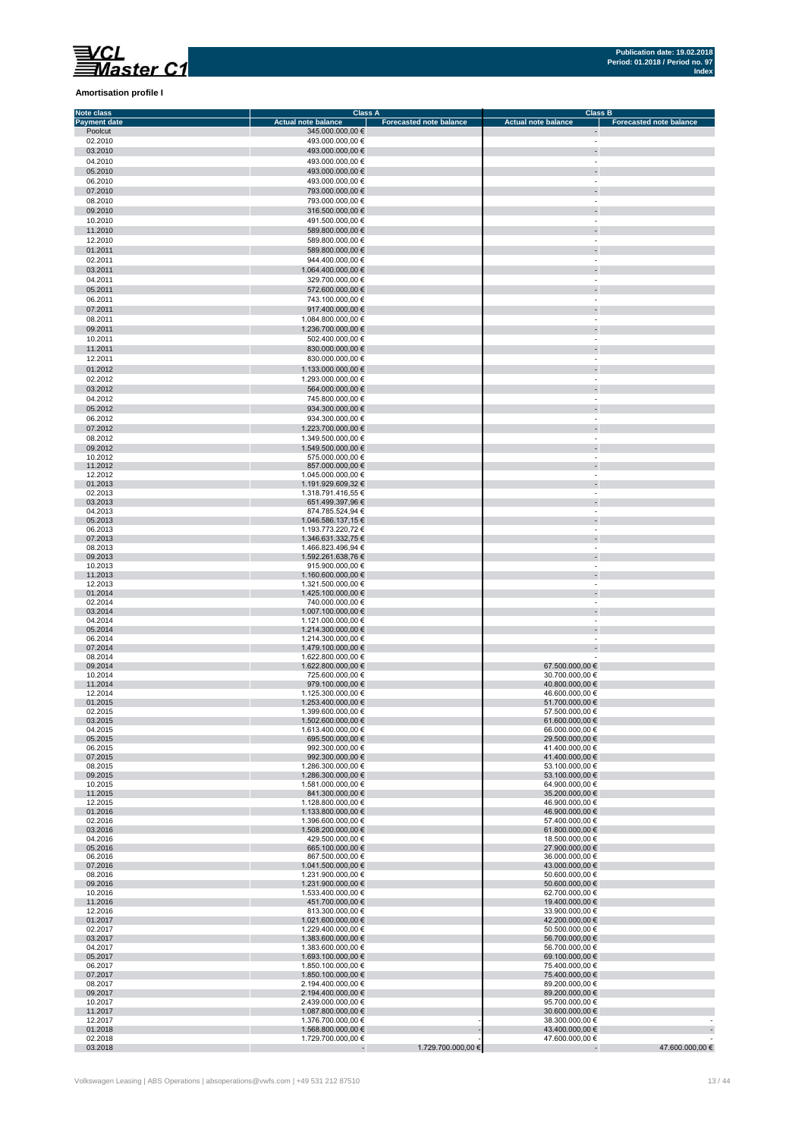## **Amortisation profile I**

| Note class                     | Class A                                        |                                |                                                      | <b>Class B</b>                 |
|--------------------------------|------------------------------------------------|--------------------------------|------------------------------------------------------|--------------------------------|
| <b>Payment date</b><br>Poolcut | <b>Actual note balance</b><br>345.000.000,00 € | <b>Forecasted note balance</b> | <b>Actual note balance</b>                           | <b>Forecasted note balance</b> |
| 02.2010                        | 493.000.000,00 €                               |                                | $\overline{\phantom{a}}$                             |                                |
| 03.2010                        | 493.000.000,00 €                               |                                | $\overline{\phantom{a}}$                             |                                |
| 04.2010                        | 493.000.000,00 €                               |                                | $\sim$                                               |                                |
| 05.2010                        | 493.000.000,00 €                               |                                | $\overline{\phantom{a}}$                             |                                |
| 06.2010                        | 493.000.000.00 €                               |                                | ×,                                                   |                                |
| 07.2010                        | 793.000.000,00 €                               |                                | ÷                                                    |                                |
| 08.2010                        | 793.000.000,00 €                               |                                | $\sim$                                               |                                |
| 09.2010                        | 316.500.000,00 €                               |                                | ÷                                                    |                                |
| 10.2010                        | 491.500.000,00 €                               |                                | $\sim$                                               |                                |
| 11.2010                        | 589.800.000,00 €                               |                                | $\overline{\phantom{a}}$                             |                                |
| 12.2010                        | 589.800.000,00 €                               |                                | $\sim$                                               |                                |
| 01.2011<br>02.2011             | 589.800.000,00 €<br>944.400.000,00 €           |                                | $\overline{\phantom{a}}$<br>$\overline{\phantom{a}}$ |                                |
| 03.2011                        | 1.064.400.000,00 €                             |                                | $\overline{\phantom{a}}$                             |                                |
| 04.2011                        | 329.700.000,00 €                               |                                | $\overline{\phantom{a}}$                             |                                |
| 05.2011                        | 572.600.000,00 €                               |                                | $\overline{\phantom{a}}$                             |                                |
| 06.2011                        | 743.100.000,00 €                               |                                | $\overline{\phantom{a}}$                             |                                |
| 07.2011                        | 917.400.000,00 €                               |                                | $\overline{\phantom{a}}$                             |                                |
| 08.2011                        | 1.084.800.000,00 €                             |                                | $\sim$                                               |                                |
| 09.2011                        | 1.236.700.000,00 €                             |                                | $\overline{\phantom{a}}$                             |                                |
| 10.2011                        | 502.400.000,00 €                               |                                | $\sim$                                               |                                |
| 11.2011                        | 830.000.000,00 €                               |                                |                                                      |                                |
| 12.2011                        | 830.000.000,00 €                               |                                | ×,                                                   |                                |
| 01.2012                        | 1.133.000.000,00 €                             |                                | $\overline{\phantom{a}}$                             |                                |
| 02.2012                        | 1.293.000.000,00 €                             |                                | $\overline{\phantom{a}}$<br>÷                        |                                |
| 03.2012<br>04.2012             | 564.000.000,00 €<br>745.800.000,00 €           |                                | $\sim$                                               |                                |
| 05.2012                        | 934.300.000,00 €                               |                                | $\blacksquare$                                       |                                |
| 06.2012                        | 934.300.000,00 €                               |                                | $\overline{\phantom{a}}$                             |                                |
| 07.2012                        | 1.223.700.000,00 €                             |                                | $\overline{\phantom{a}}$                             |                                |
| 08.2012                        | 1.349.500.000,00 €                             |                                | $\overline{\phantom{a}}$                             |                                |
| 09.2012                        | 1.549.500.000,00 €                             |                                | $\overline{\phantom{a}}$                             |                                |
| 10.2012                        | 575.000.000,00 €                               |                                | $\sim$                                               |                                |
| 11.2012<br>12.2012             | 857.000.000,00 €<br>1.045.000.000,00 €         |                                | $\blacksquare$<br>$\overline{\phantom{a}}$           |                                |
| 01.2013                        | 1.191.929.609,32 €                             |                                | $\overline{\phantom{a}}$                             |                                |
| 02.2013                        | 1.318.791.416,55 €                             |                                | $\sim$                                               |                                |
| 03.2013                        | 651.499.397,96 €                               |                                | $\overline{\phantom{a}}$                             |                                |
| 04.2013                        | 874.785.524,94 €                               |                                | $\sim$                                               |                                |
| 05.2013                        | 1.046.586.137,15 €                             |                                | ÷                                                    |                                |
| 06.2013<br>07.2013             | 1.193.773.220,72 €<br>1.346.631.332,75 €       |                                | $\overline{\phantom{a}}$                             |                                |
| 08.2013                        | 1.466.823.496,94 €                             |                                |                                                      |                                |
| 09.2013                        | 1.592.261.638,76 €                             |                                | $\overline{\phantom{a}}$                             |                                |
| 10.2013                        | 915.900.000,00 €                               |                                | ×,                                                   |                                |
| 11.2013                        | 1.160.600.000,00 €                             |                                | $\overline{\phantom{a}}$                             |                                |
| 12.2013<br>01.2014             | 1.321.500.000,00 €<br>1.425.100.000,00 €       |                                | $\overline{\phantom{a}}$<br>$\overline{\phantom{a}}$ |                                |
| 02.2014                        | 740.000.000,00 €                               |                                | $\sim$                                               |                                |
| 03.2014                        | 1.007.100.000,00 €                             |                                | $\overline{\phantom{a}}$                             |                                |
| 04.2014                        | 1.121.000.000,00 €                             |                                |                                                      |                                |
| 05.2014                        | 1.214.300.000,00 €                             |                                | $\overline{\phantom{a}}$                             |                                |
| 06.2014<br>07.2014             | 1.214.300.000,00 €<br>1.479.100.000,00 €       |                                | $\overline{\phantom{a}}$                             |                                |
| 08.2014                        | 1.622.800.000,00 €                             |                                | $\overline{\phantom{a}}$                             |                                |
| 09.2014                        | 1.622.800.000,00 €                             |                                | 67.500.000,00 €                                      |                                |
| 10.2014                        | 725.600.000,00 €                               |                                | 30.700.000,00 €                                      |                                |
| 11.2014                        | 979.100.000,00 €                               |                                | 40.800.000,00 €                                      |                                |
| 12.2014                        | 1.125.300.000,00 €<br>1.253.400.000,00 €       |                                | 46.600.000,00 €                                      |                                |
| 01.2015<br>02.2015             | 1.399.600.000,00 €                             |                                | 51.700.000,00 €<br>57.500.000,00 €                   |                                |
| 03.2015                        | 1.502.600.000,00 €                             |                                | 61.600.000,00 €                                      |                                |
| 04.2015                        | 1.613.400.000,00 €                             |                                | 66.000.000,00 €                                      |                                |
| 05.2015                        | 695.500.000,00 €                               |                                | 29.500.000,00 €                                      |                                |
| 06.2015                        | 992.300.000,00 €<br>992.300.000,00 €           |                                | 41.400.000,00 €<br>41.400.000,00 €                   |                                |
| 07.2015<br>08.2015             | 1.286.300.000,00 €                             |                                | 53.100.000,00 €                                      |                                |
| 09.2015                        | 1.286.300.000,00 €                             |                                | 53.100.000,00 €                                      |                                |
| 10.2015                        | 1.581.000.000,00 €                             |                                | 64.900.000,00 €                                      |                                |
| 11.2015                        | 841.300.000,00 €                               |                                | 35.200.000,00 €                                      |                                |
| 12.2015<br>01.2016             | 1.128.800.000,00 €<br>1.133.800.000,00 €       |                                | 46.900.000,00 €<br>46.900.000,00 €                   |                                |
| 02.2016                        | 1.396.600.000,00 €                             |                                | 57.400.000,00 €                                      |                                |
| 03.2016                        | 1.508.200.000.00 €                             |                                | 61.800.000,00 €                                      |                                |
| 04.2016                        | 429.500.000,00 €                               |                                | 18.500.000,00 €                                      |                                |
| 05.2016                        | 665.100.000,00 €                               |                                | 27.900.000,00 €                                      |                                |
| 06.2016<br>07.2016             | 867.500.000,00 €<br>1.041.500.000.00 €         |                                | 36.000.000,00 €<br>43.000.000.00 €                   |                                |
| 08.2016                        | 1.231.900.000,00 €                             |                                | 50.600.000,00 €                                      |                                |
| 09.2016                        | 1.231.900.000,00 €                             |                                | 50.600.000,00 €                                      |                                |
| 10.2016                        | 1.533.400.000,00 €                             |                                | 62.700.000,00 €                                      |                                |
| 11.2016                        | 451.700.000,00 €                               |                                | 19.400.000,00 €                                      |                                |
| 12.2016                        | 813.300.000,00 €                               |                                | 33.900.000,00 €                                      |                                |
| 01.2017<br>02.2017             | 1.021.600.000,00 €<br>1.229.400.000,00 €       |                                | 42.200.000,00 €<br>50.500.000,00 €                   |                                |
| 03.2017                        | 1.383.600.000,00 €                             |                                | 56.700.000,00 €                                      |                                |
| 04.2017                        | 1.383.600.000,00 €                             |                                | 56.700.000,00 €                                      |                                |
| 05.2017                        | 1.693.100.000,00 €                             |                                | 69.100.000,00 €                                      |                                |
| 06.2017                        | 1.850.100.000,00 €                             |                                | 75.400.000,00 €                                      |                                |
| 07.2017<br>08.2017             | 1.850.100.000,00 €<br>2.194.400.000,00 €       |                                | 75.400.000,00 €<br>89.200.000,00 €                   |                                |
| 09.2017                        | 2.194.400.000,00 €                             |                                | 89.200.000,00 €                                      |                                |
| 10.2017                        | 2.439.000.000,00 €                             |                                | 95.700.000,00 €                                      |                                |
| 11.2017                        | 1.087.800.000,00 €                             |                                | 30.600.000,00 €                                      |                                |
| 12.2017                        | 1.376.700.000,00 €                             |                                | 38.300.000,00 €                                      |                                |
| 01.2018<br>02.2018             | 1.568.800.000,00 €<br>1.729.700.000,00 €       |                                | 43.400.000,00 €<br>47.600.000,00 €                   |                                |
| 03.2018                        | $\blacksquare$                                 | 1.729.700.000,00 €             | $\sim$                                               | 47.600.000,00 €                |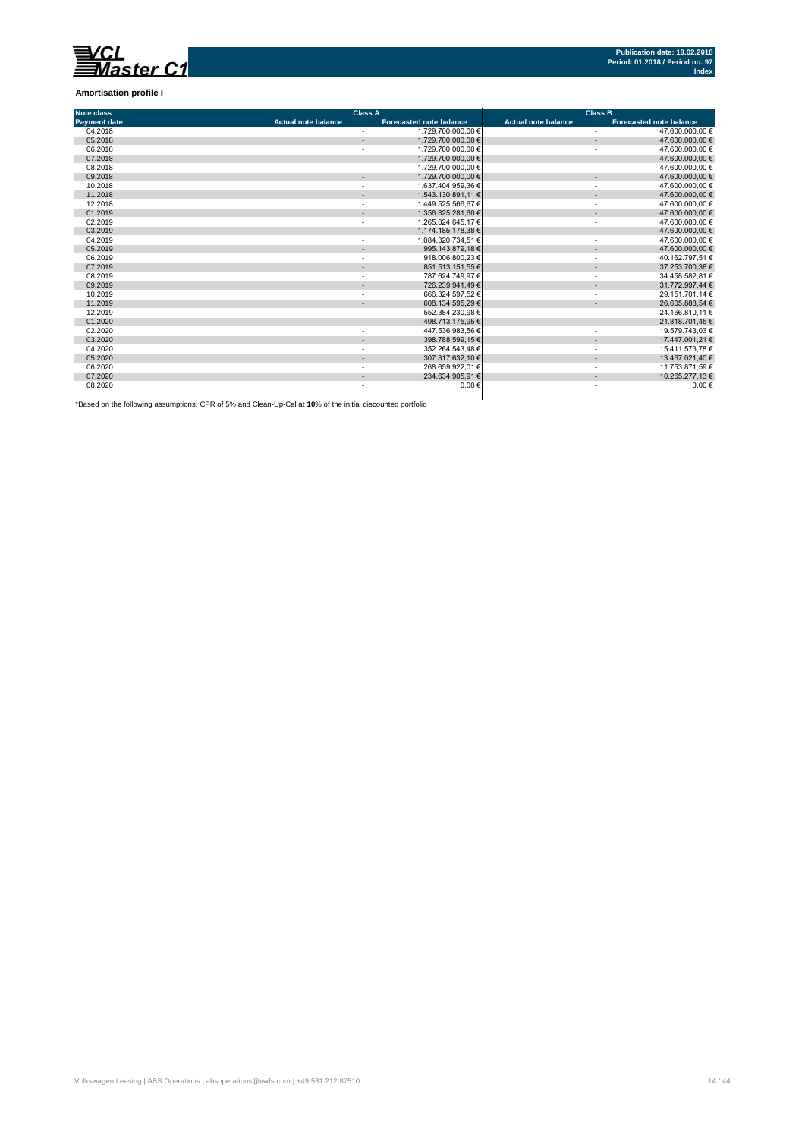

**Amortisation profile I**

| <b>Note class</b>   |                            | <b>Class A</b>                 | <b>Class B</b>             |                                |  |  |
|---------------------|----------------------------|--------------------------------|----------------------------|--------------------------------|--|--|
| <b>Payment date</b> | <b>Actual note balance</b> | <b>Forecasted note balance</b> | <b>Actual note balance</b> | <b>Forecasted note balance</b> |  |  |
| 04.2018             |                            | 1.729.700.000.00 €             |                            | 47.600.000.00 €                |  |  |
| 05.2018             |                            | 1.729.700.000,00 €             | ä,                         | 47.600.000,00 €                |  |  |
| 06.2018             |                            | 1.729.700.000.00 €             |                            | 47.600.000,00 €                |  |  |
| 07.2018             |                            | 1.729.700.000.00 €             |                            | 47,600,000.00 €                |  |  |
| 08.2018             |                            | 1.729.700.000,00 €             |                            | 47.600.000.00 €                |  |  |
| 09.2018             |                            | 1.729.700.000,00 €             | ÷.                         | 47.600.000,00 €                |  |  |
| 10.2018             |                            | 1.637.404.959.36 €             |                            | 47.600.000,00 €                |  |  |
| 11.2018             |                            | 1.543.130.891.11 €             |                            | 47.600.000,00 €                |  |  |
| 12.2018             |                            | 1.449.525.566.67 €             |                            | 47.600.000,00 €                |  |  |
| 01.2019             |                            | 1.356.825.281.60 €             |                            | 47,600,000.00 €                |  |  |
| 02.2019             |                            | 1.265.024.645.17 €             |                            | 47.600.000,00 €                |  |  |
| 03.2019             |                            | 1.174.185.178,38 €             |                            | 47.600.000,00 €                |  |  |
| 04.2019             |                            | 1.084.320.734.51 €             |                            | 47.600.000.00 €                |  |  |
| 05.2019             |                            | 995.143.879.18 €               |                            | 47.600.000,00 €                |  |  |
| 06.2019             |                            | 918.006.800,23 €               |                            | 40.162.797,51 €                |  |  |
| 07.2019             |                            | 851.513.151,55 €               |                            | 37.253.700,38 €                |  |  |
| 08.2019             |                            | 787.624.749.97 €               |                            | 34.458.582.81 €                |  |  |
| 09.2019             |                            | 726.239.941.49 €               |                            | 31.772.997.44 €                |  |  |
| 10.2019             |                            | 666.324.597.52 €               |                            | 29.151.701.14 €                |  |  |
| 11.2019             |                            | 608.134.595,29 €               |                            | 26.605.888,54 €                |  |  |
| 12.2019             |                            | 552.384.230,98 €               |                            | 24.166.810,11 €                |  |  |
| 01.2020             |                            | 498.713.175.95 €               |                            | 21.818.701,45 €                |  |  |
| 02.2020             |                            | 447.536.983.56 €               |                            | 19.579.743.03 €                |  |  |
| 03.2020             |                            | 398.788.599,15 €               |                            | 17.447.001,21 €                |  |  |
| 04.2020             |                            | 352.264.543.48 €               |                            | 15.411.573.78 €                |  |  |
| 05.2020             |                            | 307.817.632.10 €               |                            | 13.467.021,40 €                |  |  |
| 06.2020             |                            | 268.659.922.01 €               |                            | 11.753.871.59 €                |  |  |
| 07.2020             |                            | 234.634.905,91 €               |                            | 10.265.277,13 €                |  |  |
| 08.2020             |                            | $0.00 \in$                     |                            | $0,00$ €                       |  |  |

\*Based on the following assumptions: CPR of 5% and Clean-Up-Cal at **10**% of the initial discounted portfolio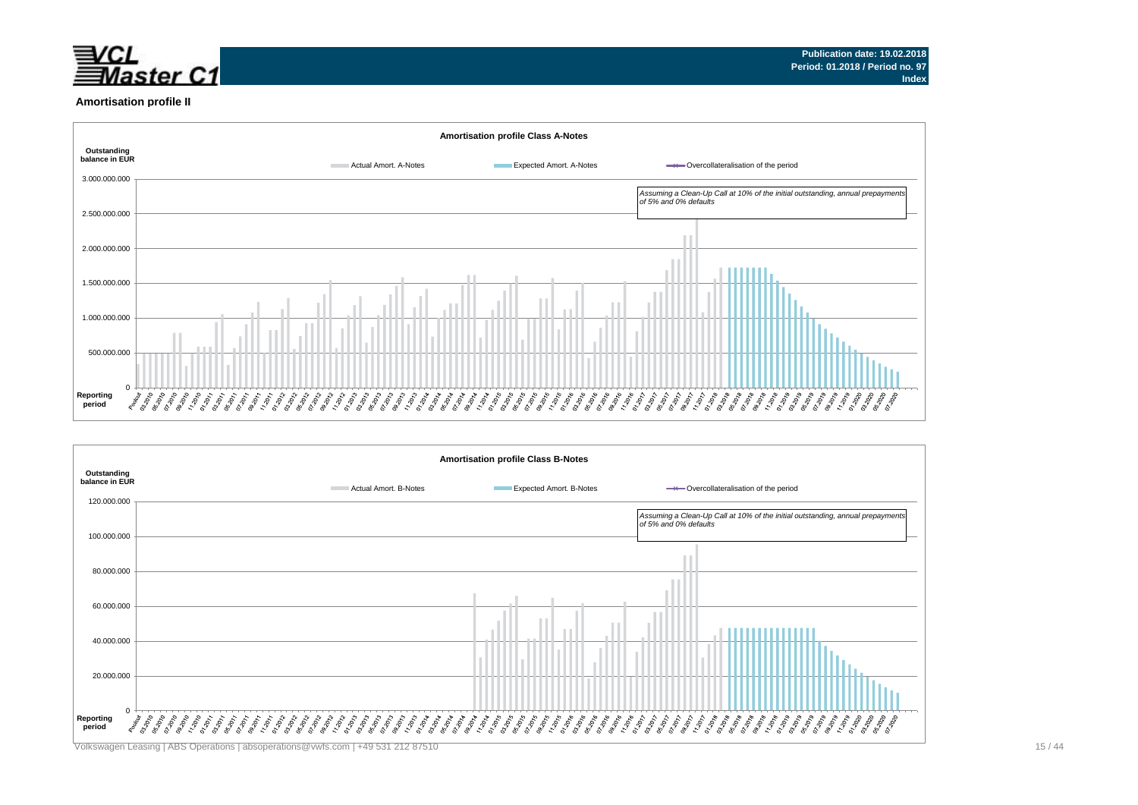

#### **Amortisation profile II**



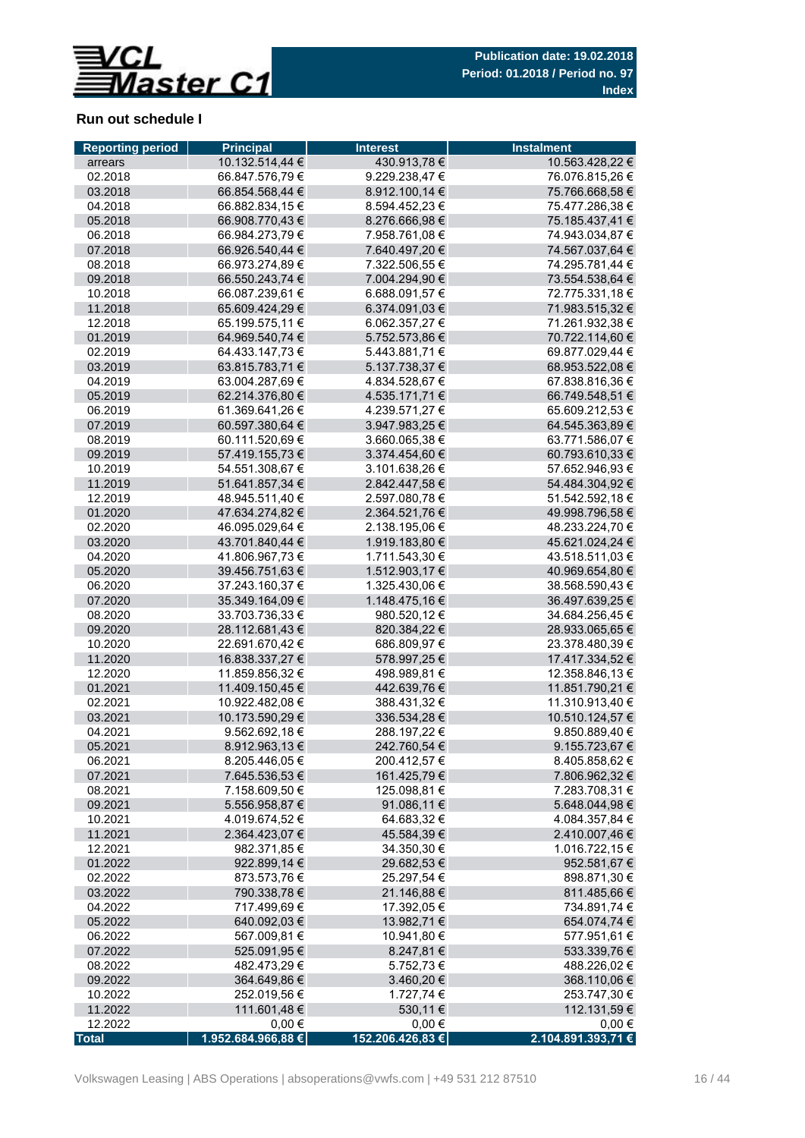

## **Run out schedule I**

| 430.913,78€<br>10.132.514,44 €<br>10.563.428,22 €<br>arrears<br>9.229.238,47€<br>02.2018<br>66.847.576,79 €<br>76.076.815,26 €<br>03.2018<br>66.854.568,44 €<br>8.912.100,14 €<br>75.766.668,58 €<br>04.2018<br>66.882.834,15 €<br>8.594.452,23 €<br>75.477.286,38 €<br>05.2018<br>66.908.770,43 €<br>8.276.666,98 €<br>75.185.437,41 € |            |
|-----------------------------------------------------------------------------------------------------------------------------------------------------------------------------------------------------------------------------------------------------------------------------------------------------------------------------------------|------------|
|                                                                                                                                                                                                                                                                                                                                         |            |
|                                                                                                                                                                                                                                                                                                                                         |            |
|                                                                                                                                                                                                                                                                                                                                         |            |
|                                                                                                                                                                                                                                                                                                                                         |            |
|                                                                                                                                                                                                                                                                                                                                         |            |
| 06.2018<br>66.984.273,79 €<br>7.958.761,08 €<br>74.943.034,87 €                                                                                                                                                                                                                                                                         |            |
| 07.2018<br>66.926.540,44 €<br>7.640.497,20 €<br>74.567.037,64 €                                                                                                                                                                                                                                                                         |            |
| 08.2018<br>66.973.274,89 €<br>7.322.506,55 €<br>74.295.781,44 €                                                                                                                                                                                                                                                                         |            |
| 09.2018<br>66.550.243,74 €<br>7.004.294,90 €<br>73.554.538,64 €                                                                                                                                                                                                                                                                         |            |
| 6.688.091,57 €<br>10.2018<br>66.087.239,61 €<br>72.775.331,18 €                                                                                                                                                                                                                                                                         |            |
| 11.2018<br>65.609.424,29 €<br>6.374.091,03 €<br>71.983.515,32 €                                                                                                                                                                                                                                                                         |            |
| 6.062.357,27 €<br>71.261.932,38 €<br>12.2018<br>65.199.575,11 €                                                                                                                                                                                                                                                                         |            |
| 64.969.540,74 €<br>5.752.573,86 €<br>70.722.114,60 €<br>01.2019                                                                                                                                                                                                                                                                         |            |
| 02.2019<br>64.433.147,73 €<br>5.443.881,71 €<br>69.877.029,44 €                                                                                                                                                                                                                                                                         |            |
| 03.2019<br>5.137.738,37 €<br>63.815.783,71 €<br>68.953.522,08 €                                                                                                                                                                                                                                                                         |            |
| 04.2019<br>63.004.287,69€<br>4.834.528,67 €<br>67.838.816,36 €                                                                                                                                                                                                                                                                          |            |
| 05.2019<br>62.214.376,80 €<br>4.535.171,71 €<br>66.749.548,51 €                                                                                                                                                                                                                                                                         |            |
| 06.2019<br>61.369.641.26 €<br>4.239.571,27 €<br>65.609.212,53 €                                                                                                                                                                                                                                                                         |            |
| 07.2019<br>60.597.380,64 €<br>3.947.983,25 €<br>64.545.363,89 €                                                                                                                                                                                                                                                                         |            |
| 3.660.065,38 €<br>08.2019<br>60.111.520,69€<br>63.771.586,07 €                                                                                                                                                                                                                                                                          |            |
| 09.2019<br>57.419.155,73 €<br>3.374.454,60 €<br>60.793.610,33 €                                                                                                                                                                                                                                                                         |            |
| 3.101.638,26 €<br>10.2019<br>54.551.308,67 €<br>57.652.946,93 €                                                                                                                                                                                                                                                                         |            |
| 51.641.857,34 €<br>2.842.447,58 €<br>54.484.304,92 €<br>11.2019                                                                                                                                                                                                                                                                         |            |
| 12.2019<br>48.945.511,40 €<br>2.597.080,78 €<br>51.542.592,18 €                                                                                                                                                                                                                                                                         |            |
| 01.2020<br>47.634.274,82 €<br>2.364.521,76 €<br>49.998.796,58 €                                                                                                                                                                                                                                                                         |            |
| 02.2020<br>2.138.195,06 €<br>48.233.224,70 €<br>46.095.029.64 €                                                                                                                                                                                                                                                                         |            |
| 43.701.840,44 €<br>1.919.183,80 €<br>45.621.024,24 €<br>03.2020                                                                                                                                                                                                                                                                         |            |
| 41.806.967,73 €<br>43.518.511,03 €<br>04.2020<br>1.711.543,30 €                                                                                                                                                                                                                                                                         |            |
| 05.2020<br>39.456.751,63 €<br>1.512.903,17 €<br>40.969.654,80 €                                                                                                                                                                                                                                                                         |            |
| 06.2020<br>37.243.160,37 €<br>1.325.430,06 €<br>38.568.590,43 €                                                                                                                                                                                                                                                                         |            |
| 07.2020<br>1.148.475,16 €<br>35.349.164,09 €<br>36.497.639,25 €                                                                                                                                                                                                                                                                         |            |
| 08.2020<br>33.703.736,33 €<br>980.520,12 €<br>34.684.256,45 €                                                                                                                                                                                                                                                                           |            |
| 09.2020<br>28.112.681,43 €<br>820.384,22 €<br>28.933.065,65 €                                                                                                                                                                                                                                                                           |            |
| 10.2020<br>22.691.670,42 €<br>686.809,97 €<br>23.378.480,39 €                                                                                                                                                                                                                                                                           |            |
| 11.2020<br>16.838.337,27 €<br>578.997,25 €<br>17.417.334,52 €                                                                                                                                                                                                                                                                           |            |
| 12.2020<br>11.859.856,32 €<br>498.989,81 €<br>12.358.846,13 €                                                                                                                                                                                                                                                                           |            |
| 11.409.150,45 €<br>01.2021<br>442.639,76 €<br>11.851.790,21 €                                                                                                                                                                                                                                                                           |            |
| 11.310.913,40 €<br>02.2021<br>10.922.482,08 €<br>388.431,32 €                                                                                                                                                                                                                                                                           |            |
| 03.2021<br>10.173.590,29 €<br>10.510.124,57 €<br>336.534,28 €                                                                                                                                                                                                                                                                           |            |
| 04.2021<br>9.562.692,18 €<br>288.197,22 €<br>9.850.889,40 €                                                                                                                                                                                                                                                                             |            |
| 05.2021<br>8.912.963,13 €<br>242.760,54 €<br>9.155.723,67 €                                                                                                                                                                                                                                                                             |            |
| 8.205.446,05 €<br>200.412,57 €<br>8.405.858,62 €<br>06.2021                                                                                                                                                                                                                                                                             |            |
| 07.2021<br>7.645.536,53 €<br>161.425,79 €<br>7.806.962,32 €                                                                                                                                                                                                                                                                             |            |
| 7.158.609,50 €<br>125.098,81 €<br>7.283.708,31 €<br>08.2021                                                                                                                                                                                                                                                                             |            |
| 09.2021<br>5.556.958,87 €<br>91.086,11 €<br>5.648.044,98 €                                                                                                                                                                                                                                                                              |            |
| 10.2021<br>64.683,32 €<br>4.019.674,52 €<br>4.084.357,84 €                                                                                                                                                                                                                                                                              |            |
| 11.2021<br>2.364.423,07 €<br>45.584,39 €<br>2.410.007,46 €                                                                                                                                                                                                                                                                              |            |
| 12.2021<br>982.371,85 €<br>34.350,30 €<br>1.016.722,15 €                                                                                                                                                                                                                                                                                |            |
| 01.2022<br>922.899,14 €<br>29.682,53 €<br>952.581,67 €                                                                                                                                                                                                                                                                                  |            |
| 873.573,76 €<br>25.297,54 €<br>898.871,30 €<br>02.2022                                                                                                                                                                                                                                                                                  |            |
| 03.2022<br>790.338,78€<br>21.146,88 €<br>811.485,66 €                                                                                                                                                                                                                                                                                   |            |
| 04.2022<br>717.499,69 €<br>17.392,05 €<br>734.891,74 €                                                                                                                                                                                                                                                                                  |            |
| 05.2022<br>640.092,03 €<br>13.982,71 €<br>654.074,74 €                                                                                                                                                                                                                                                                                  |            |
| 06.2022<br>567.009,81 €<br>10.941,80 €<br>577.951,61 €                                                                                                                                                                                                                                                                                  |            |
| 07.2022<br>525.091,95 €<br>8.247,81 €<br>533.339,76 €                                                                                                                                                                                                                                                                                   |            |
| 08.2022<br>482.473,29 €<br>5.752,73 €<br>488.226,02 €                                                                                                                                                                                                                                                                                   |            |
| 09.2022<br>364.649,86 €<br>3.460,20 €<br>368.110,06 €                                                                                                                                                                                                                                                                                   |            |
| 10.2022<br>252.019,56 €<br>1.727,74 €<br>253.747,30 €                                                                                                                                                                                                                                                                                   |            |
| 11.2022<br>111.601,48 €<br>530,11 €<br>112.131,59 €                                                                                                                                                                                                                                                                                     |            |
| 12.2022<br>$0,00 \in$<br>$0,00 \in$<br>1.952.684.966,88 €<br>152.206.426,83 €<br>2.104.891.393,71 €<br><b>Total</b>                                                                                                                                                                                                                     | $0,00 \in$ |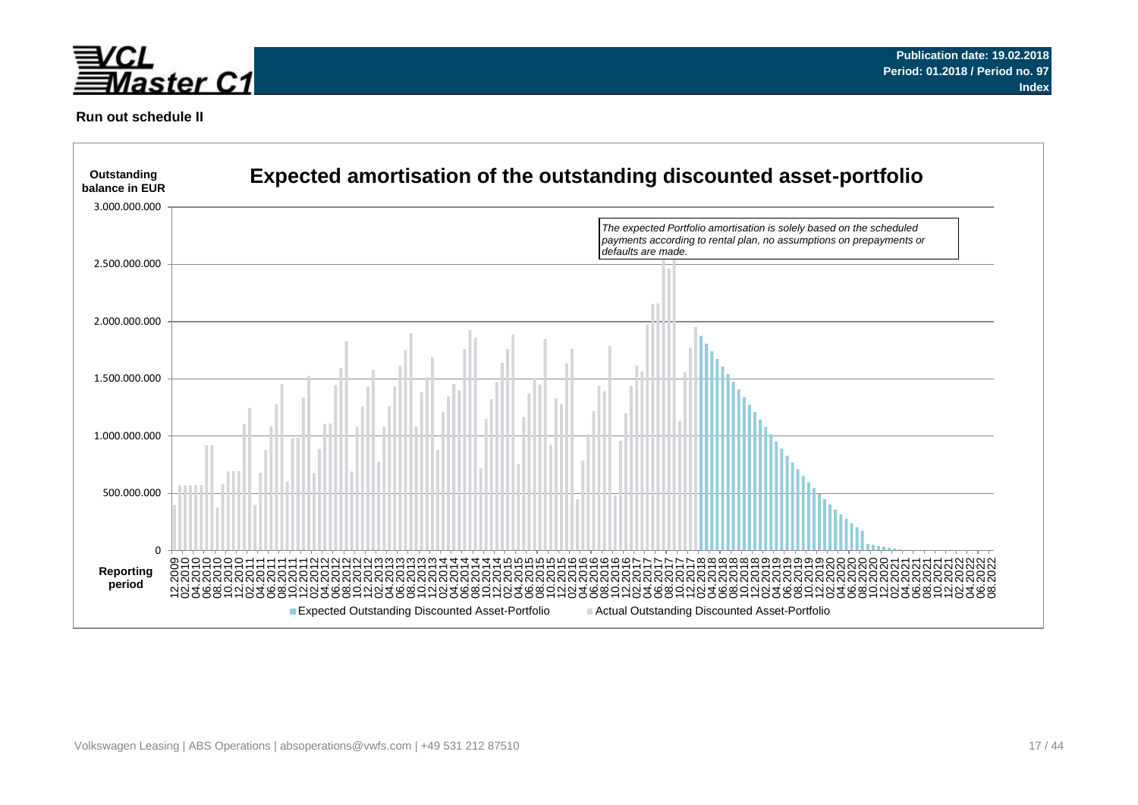



### **Run out schedule II**

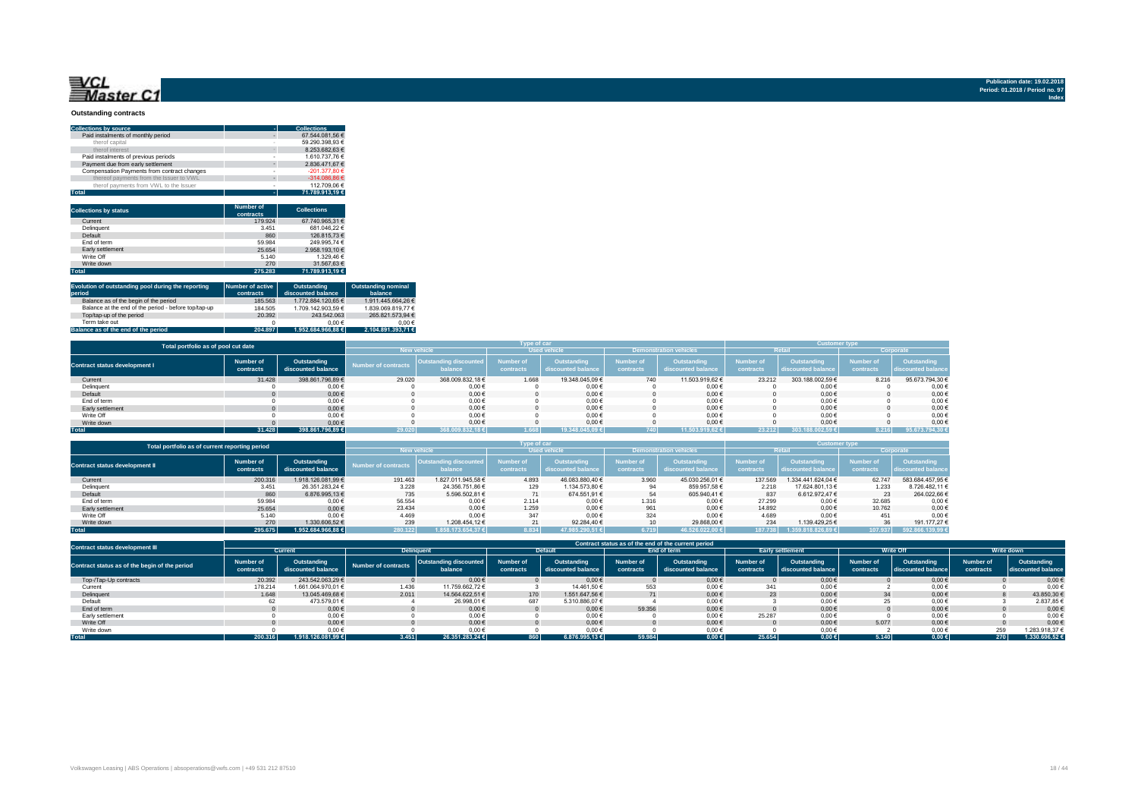# **Master C1**

**Publication date: 19.02.2018 Period: 01.2018 / Period no. 97 Index**

#### **Outstanding contracts**

| <b>Collections by source</b>                | ۰                             | <b>Collections</b> |
|---------------------------------------------|-------------------------------|--------------------|
| Paid instalments of monthly period          |                               | 67.544.081.56 €    |
| therof capital                              |                               | 59.290.398.93 €    |
| therof interest                             |                               | 8.253.682.63 €     |
| Paid instalments of previous periods        |                               | 1.610.737.76 €     |
| Payment due from early settlement           | ٠                             | 2.836.471.67 €     |
| Compensation Payments from contract changes |                               | $-201.377.80 \in$  |
| thereof payments from the Issuer to VWL     | ۰                             | $-314.086.86 \in$  |
| therof payments from VWL to the Issuer      |                               | 112.709.06 €       |
|                                             |                               |                    |
| <b>Total</b>                                | ÷                             | 71.789.913.19 €    |
| <b>Collections by status</b>                | <b>Number of</b><br>contracts | <b>Collections</b> |
| Current                                     | 179.924                       | 67.740.965.31 €    |
| Delinquent                                  | 3.451                         | 681.046.22 €       |
| Default                                     | 860                           | 126.815.73 €       |
| Fnd of term                                 | 59.984                        | 249.995.74 €       |
| Early settlement                            | 25.654                        | 2.958.193.10 €     |
| Write Off                                   | 5.140                         | 1.329.46 €         |
| Write down                                  | 270                           | 31.567.63 €        |

| Evolution of outstanding pool during the reporting<br>period | Number of active<br>contracts | Outstanding<br>discounted balance | <b>Outstanding nominal</b><br>balance |
|--------------------------------------------------------------|-------------------------------|-----------------------------------|---------------------------------------|
| Balance as of the begin of the period                        | 185,563                       | 1.772.884.120.65 €                | 1.911.445.664.26 €                    |
| Balance at the end of the period - before top/tap-up         | 184.505                       | 1.709.142.903.59 €                | 1.839.069.819.77 €                    |
| Top/tap-up of the period                                     | 20.392                        | 243.542.063                       | 265.821.573.94 €                      |
| Term take out                                                |                               | 0.00 f                            | $0.00 \in$                            |
| Balance as of the end of the period                          | 204.897                       | 1.952.684.966.88 €                | 2.104.891.393.71 €                    |

| Total portfolio as of pool cut date  |                        | Type of car                       |                            |                                          |                               |                                   |                               |                                   | <b>Customer type</b>   |                                   |                        |                                   |
|--------------------------------------|------------------------|-----------------------------------|----------------------------|------------------------------------------|-------------------------------|-----------------------------------|-------------------------------|-----------------------------------|------------------------|-----------------------------------|------------------------|-----------------------------------|
|                                      |                        |                                   |                            | <b>New vehicle</b>                       | <b>Used vehicle</b>           |                                   | <b>Demonstration vehicles</b> |                                   | Retai                  |                                   | Corporate              |                                   |
| <b>Contract status development I</b> | Number of<br>contracts | Outstanding<br>discounted balance | <b>Number of contracts</b> | <b>Outstanding discounted</b><br>balance | <b>Number of</b><br>contracts | Outstanding<br>discounted balance | Number of<br>contracts        | Outstanding<br>discounted balance | Number of<br>contracts | Outstanding<br>discounted balance | Number of<br>contracts | Outstanding<br>discounted balance |
| Current                              | 31,428                 | 398.861.796.89 €                  | 29.020                     | 368.009.832.18 €                         | 1.668                         | 19,348,045,09 €                   | 740                           | 11.503.919.62 €                   | 23,212                 | 303.188.002.59 €                  | 8.216                  | 95.673.794.30 €                   |
| Delinquent                           |                        | 0,006                             |                            | $0,00 \in$                               |                               | $0,00 \in$                        |                               | $0,00 \in$                        |                        | 0,00€                             |                        | 0,00                              |
| Default                              |                        | 0,006                             |                            | $0,00 \in$                               |                               | $0,00 \in$                        |                               | $0.00 \in$                        |                        | $0.00 \in$                        |                        | 0,00                              |
| End of term                          |                        | 0,006                             |                            | $0,00 \in$                               |                               | $0,00 \in$                        |                               | $0,00 \in$                        |                        | 0,00€                             |                        | 0,00                              |
| Early settlement                     |                        | 0,006                             |                            | $0,00 \in$                               |                               | $0,00 \in$                        |                               | 0,006                             |                        | $0,00 \in$                        |                        | 0,00                              |
| Write Off                            |                        | 0,006                             |                            | $0,00 \in$                               |                               | $0.00 \in$                        |                               | 0.006                             |                        | $0.00 \in$                        |                        | 0,00                              |
| Write down                           |                        | 0,006                             |                            | $0,00 \in$                               |                               | $0.00 \in$                        |                               | 0,006                             |                        | $0.00 \in$                        |                        | 0,00                              |
| <b>Total</b>                         | 31.428                 | 398,861,796.89€                   | 29.020                     | 368.009.832.18 €                         | 1.668                         | 19.348.045.09 €                   |                               | 11.503.919.62 €                   | 23.212                 | 303.188.002.59 €                  | 8.216                  | 95.673.794,30 €                   |

| Total portfolio as of current reporting period |                        | Type of car                       |                            |                                   |                               |                                   |                               |                                   | <b>Customer type</b>   |                                   |                        |                                   |
|------------------------------------------------|------------------------|-----------------------------------|----------------------------|-----------------------------------|-------------------------------|-----------------------------------|-------------------------------|-----------------------------------|------------------------|-----------------------------------|------------------------|-----------------------------------|
|                                                |                        |                                   |                            | <b>New vehicle</b>                |                               | <b>Used vehicle</b>               |                               | <b>Demonstration vehicles</b>     |                        | <b>Retail</b>                     |                        | Corporate                         |
| <b>Contract status development II</b>          | Number of<br>contracts | Outstanding<br>discounted balance | <b>Number of contracts</b> | Outstanding discounted<br>balance | <b>Number of</b><br>contracts | Outstanding<br>discounted balance | <b>Number of</b><br>contracts | Outstanding<br>discounted balance | Number of<br>contracts | Outstanding<br>discounted balance | Number of<br>contracts | Outstanding<br>discounted balance |
| Current                                        | 200.316                | 1.918.126.081.99 €                | 191.463                    | 1.827.011.945.58 €                | 4.893                         | 46.083.880.40 €                   | 3.960                         | 45.030.256.01 €                   | 137,569                | 1.334.441.624.04 €                | 62.747                 | 583.684.457,95 €                  |
| Delinquent                                     | 3.451                  | 26.351.283.24 €                   | 3.228                      | 24.356.751.86 €                   | 129                           | 1.134.573.80 €                    |                               | 859.957.58 €                      | 2.218                  | 17.624.801.13 €                   | 1.233                  | 8.726.482.11 €                    |
| Default                                        | 860                    | 6.876.995.13 €                    | 735                        | 5.596.502.81 €                    |                               | 674.551.91 €                      | 54                            | 605.940.41 €                      | 837                    | 6.612.972.47 €                    | 23                     | 264.022.66 €                      |
| End of term                                    | 59.984                 | $0.00 \in$                        | 56.554                     | $0.00 \in$                        | 2.114                         | $0,00 \in$                        | 1.316                         | $0.00 \in$                        | 27,299                 | $0.00 \in$                        | 32.685                 | $0,00 \in$                        |
| Early settlement                               | 25.654                 | $0.00 \in$                        | 23.434                     | $0.00 \in$                        | 1.259                         | $0.00 \in$                        | 961                           | $0.00 \in$                        | 14.892                 | $0.00 \in$                        | 10.762                 | $0.00 \in$                        |
| Write Off                                      | 5.140                  | 0.006                             | 4.469                      | $0.00 \in$                        | 347                           | $0.00 \in$                        | 324                           | $0.00 \in$                        | 4.689                  | $0.00 \in$                        | 451                    | $0.00 \in$                        |
| Write down                                     | 270                    | 1.330.606.52 €                    | 239                        | 1.208.454.12 €                    |                               | 92.284.40 €                       |                               | 29.868.00 €                       | 234                    | 1.139.429.25 €                    |                        | 191.177.27 €                      |
| <b>Total</b>                                   | 295.675                | 1.952.684.966.88 €                | 280.122                    | 1.858.173.654.37 €                | 8.834                         | 47.985.290.51 €                   | 6.719                         | 46.526.022.00 €                   | 187.738                |                                   | 107.937                | 592.866.139.99 €                  |

| <b>Contract status development III</b>        | Contract status as of the end of the current period |                                   |                     |                                          |                        |                                   |                        |                                   |                        |                                          |                        |                                   |                        |                                   |
|-----------------------------------------------|-----------------------------------------------------|-----------------------------------|---------------------|------------------------------------------|------------------------|-----------------------------------|------------------------|-----------------------------------|------------------------|------------------------------------------|------------------------|-----------------------------------|------------------------|-----------------------------------|
|                                               | Current                                             |                                   |                     | <b>Delinquent</b>                        |                        | <b>Default</b>                    |                        | End of term                       |                        | <b>Early settlement</b>                  |                        | <b>Write Off</b>                  |                        | Write down                        |
| Contract status as of the begin of the period | Number of<br>contracts                              | Outstanding<br>discounted balance | Number of contracts | <b>Outstanding discounted</b><br>balance | Number of<br>contracts | Outstanding<br>discounted balance | Number of<br>contracts | Outstanding<br>discounted balance | Number of<br>contracts | <b>Outstanding</b><br>discounted balance | Number of<br>contracts | Outstanding<br>discounted balance | Number of<br>contracts | Outstanding<br>discounted balance |
| Top-/Tap-Up contracts                         | 20,392                                              | 243.542.063.29 €                  |                     | $0,00 \in$                               |                        | $0.00 \in$                        |                        | $0.00 \in$                        |                        | $0.00 \in$                               |                        | $0.00 \in$                        |                        | 0,006                             |
| Current                                       | 178.214                                             | 1.661.064.970,01 €                | 1.436               | 11.759.662.72 €                          |                        | 14.461.50 €                       | 553                    | $0,00 \in$                        | 341                    | $0,00 \in$                               |                        | 0,00 €                            |                        | 0,006                             |
| Delinquent                                    | 1.648                                               | 13.045.469.68 €                   | 2.011               | 14.564.622.51 €                          | 170                    | 1.551.647.56 €                    |                        | $0,00 \in$                        | 23                     | $0.00 \in$                               |                        | $0.00 \in$                        |                        | 43.850,30 €                       |
| Default                                       |                                                     | 473.579,01 €                      |                     | 26.998,016                               | 687                    | 5.310.886,07 €                    |                        | $0,00 \in$                        |                        | $0,00 \in$                               |                        | $0,00 \in$                        |                        | 2.837,856                         |
| End of term                                   |                                                     | $0,00 \in$                        |                     | $0,00 \in$                               |                        | $0.00 \in$                        | 59.356                 | $0,00 \in$                        |                        | $0.00 \in$                               |                        | $0.00 \in$                        |                        | 0,006                             |
| Early settlement                              |                                                     | $0,00 \in$                        |                     | 0,006                                    |                        | $0,00 \in$                        |                        | $0,00 \in$                        | 25.287                 | $0.00 \in$                               |                        | 0,00 €                            |                        | 0,006                             |
| Write Off                                     |                                                     | $0.00 \in$                        |                     | $0.00 \in$                               |                        | $0.00 \in$                        |                        | $0.00 \in$                        |                        | $0.00 \in$                               | 5.077                  | $0.00 \in$                        |                        | 0.006                             |
| Write down                                    |                                                     | $0.00 \in$                        |                     | 0,006                                    |                        | $0.00 \in$                        |                        | $0,00 \in$                        |                        | $0.00 \in$                               |                        | $0.00 \in$                        | 259                    | 1.283.918.376                     |
| <b>Total</b>                                  | 200.316                                             | 1.918.126.081.99 ∈                | 3.451               | 26.351.283.24 €                          | 860                    | 6.876.995,13€                     | 59.984                 | $0,00 \in$                        | 25.654                 | $0.00 \in I$                             | 5.140                  | 0,00 ∈                            | 270                    | 1.330.606.52                      |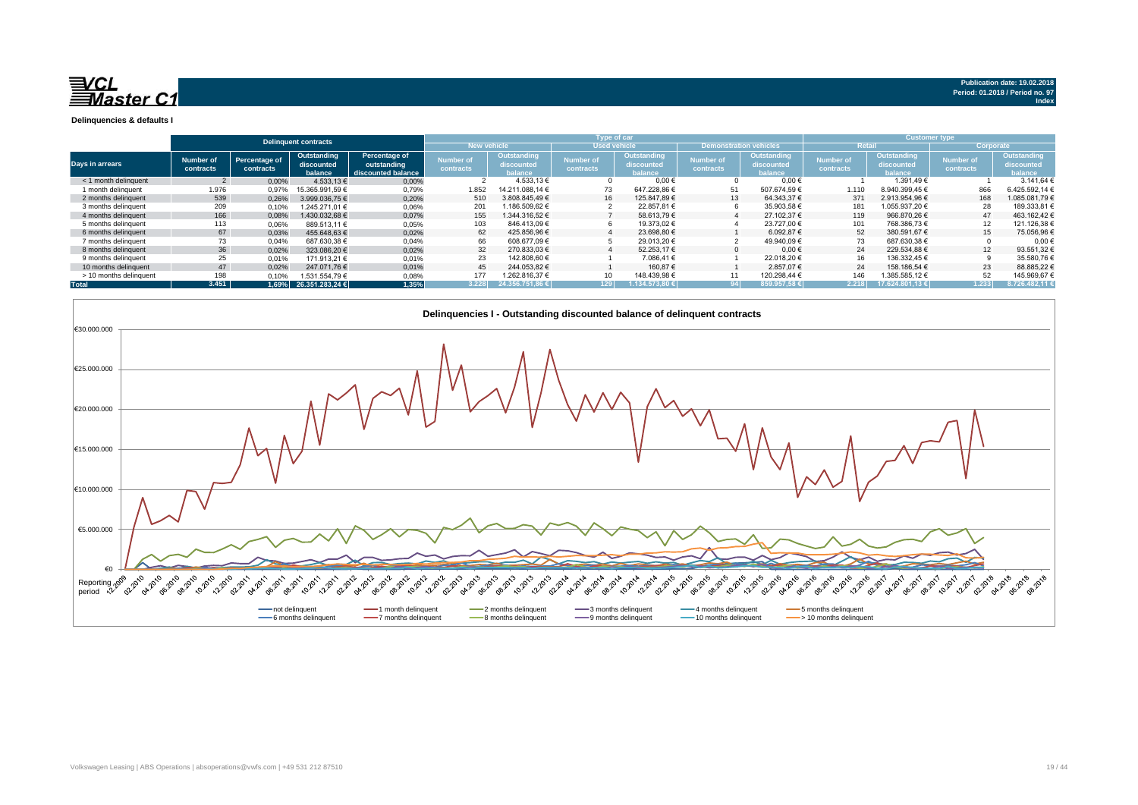

**Delinquencies & defaults I**

|                        |                               |                            |                                      |                                                    |                               |                                      | Type of car                   |                                      |                               |                                      | <b>Customer type</b>          |                                             |                               |                                     |  |
|------------------------|-------------------------------|----------------------------|--------------------------------------|----------------------------------------------------|-------------------------------|--------------------------------------|-------------------------------|--------------------------------------|-------------------------------|--------------------------------------|-------------------------------|---------------------------------------------|-------------------------------|-------------------------------------|--|
|                        |                               |                            | <b>Delinquent contracts</b>          |                                                    | <b>New vehicle</b>            |                                      | <b>Used vehicle</b>           |                                      | <b>Demonstration vehicles</b> |                                      |                               |                                             | Corporate                     |                                     |  |
| Days in arrears        | <b>Number of</b><br>contracts | Percentage of<br>contracts | Outstanding<br>discounted<br>balance | Percentage of<br>outstanding<br>discounted balance | <b>Number of</b><br>contracts | Outstanding<br>discounted<br>balance | <b>Number of</b><br>contracts | Outstanding<br>discounted<br>balance | <b>Number of</b><br>contracts | Outstanding<br>discounted<br>balance | <b>Number of</b><br>contracts | <b>Outstanding</b><br>discounted<br>balance | <b>Number of</b><br>contracts | Outstanding<br>discounted<br>alance |  |
| < 1 month delinquent   |                               | 0,00%                      | 4.533.13 €                           | 0,00%                                              |                               | 4.533,13 €                           |                               | $0.00 \in$                           | $\Omega$                      | $0.00 \in$                           |                               | 1.391.49€                                   |                               | 3.141.64 €                          |  |
| 1 month delinguent     | 1.976                         | 0.97%                      | 15.365.991.59 €                      | 0.79%                                              | 1.852                         | 14.211.088.14 €                      |                               | 647.228.86 €                         | 51                            | 507.674.59 €                         | 1.110                         | 8.940.399.45 €                              | 866                           | 6.425.592.14 6                      |  |
| 2 months delinguent    | 539                           | 0.26%                      | 3.999.036.75 €                       | 0,20%                                              | 510                           | 3.808.845.49 €                       | 16                            | 125.847.89 €                         | 13                            | 64.343.37 €                          | 371                           | 2.913.954.96 €                              | 168                           | 1.085.081.79 €                      |  |
| 3 months delinquent    | 209                           | 0.10%                      | 1.245.271.01 €                       | 0,06%                                              | 201                           | 1.186.509.62 €                       |                               | 22.857.81 €                          | 6                             | 35.903.58 €                          | 181                           | 1.055.937.20 €                              | 28                            | 189.333,81                          |  |
| 4 months delinguent    | 166                           | 0.08%                      | 1.430.032.68 €                       | 0.07%                                              | 155                           | 1.344.316.52 €                       |                               | 58.613.79 €                          |                               | 27.102.37 €                          | 119                           | 966.870.26 €                                | 47                            | 463.162.42€                         |  |
| 5 months delinguent    | 113                           | 0.06%                      | 889.513.11 €                         | 0,05%                                              | 103                           | 846.413.09 €                         |                               | 19.373.02 €                          |                               | 23.727.00 €                          | 101                           | 768.386.73 €                                | 12                            | 121.126.38 €                        |  |
| 6 months delinguent    | 67                            | 0.03%                      | 455.648.63 €                         | 0.02%                                              | 62                            | 425.856.96 €                         |                               | 23.698.80 €                          |                               | 6.092.87 €                           | 52                            | 380.591.67 €                                | 15                            | 75.056.96 €                         |  |
| 7 months delinguent    | 73                            | 0.04%                      | 687.630.38 €                         | 0,04%                                              | 66                            | 608.677.09€                          |                               | 29.013.20 €                          |                               | 49.940.09 €                          | 73                            | 687.630.38 €                                |                               | 0.006                               |  |
| 8 months delinguent    | 36                            | 0.02%                      | 323.086.20 €                         | 0.02%                                              | 32                            | 270.833.03 €                         |                               | 52.253.17 €                          | $\Omega$                      | $0.00 \in$                           | 24                            | 229.534.88 €                                | 12                            | 93.551.32 €                         |  |
| 9 months delinguent    | 25                            | 0.01%                      | 171.913.21 €                         | 0,01%                                              | 23                            | 142.808.60 €                         |                               | 7.086.41 €                           |                               | 22.018.20 €                          | 16                            | 136.332.45 €                                |                               | 35.580.76 €                         |  |
| 10 months delinguent   | 47                            | 0.02%                      | 247.071.76 €                         | 0.01%                                              | 45                            | 244.053.82 €                         |                               | 160.87 €                             |                               | 2.857.07 €                           | 24                            | 158.186.54 €                                | 23                            | 88.885.226                          |  |
| > 10 months delinquent | 198                           | 0.10%                      | 1.531.554.79 €                       | 0,08%                                              | 177                           | 1.262.816.37 €                       |                               | 148.439,98 €                         |                               | 120.298.44 €                         | 146                           | 1.385.585,12 €                              | 52                            | 145.969,676                         |  |
| <b>Total</b>           | 3.451                         |                            | 1,69% 26.351.283,24 €                | ,35%                                               | 3.228                         | 24.356.751.86 €                      | 129 <sub>1</sub>              | .134.573.80 €                        |                               | 359.957.58€                          | 2.218                         | 17.624.801.13€                              | 1.233                         | 8.726.482.11                        |  |

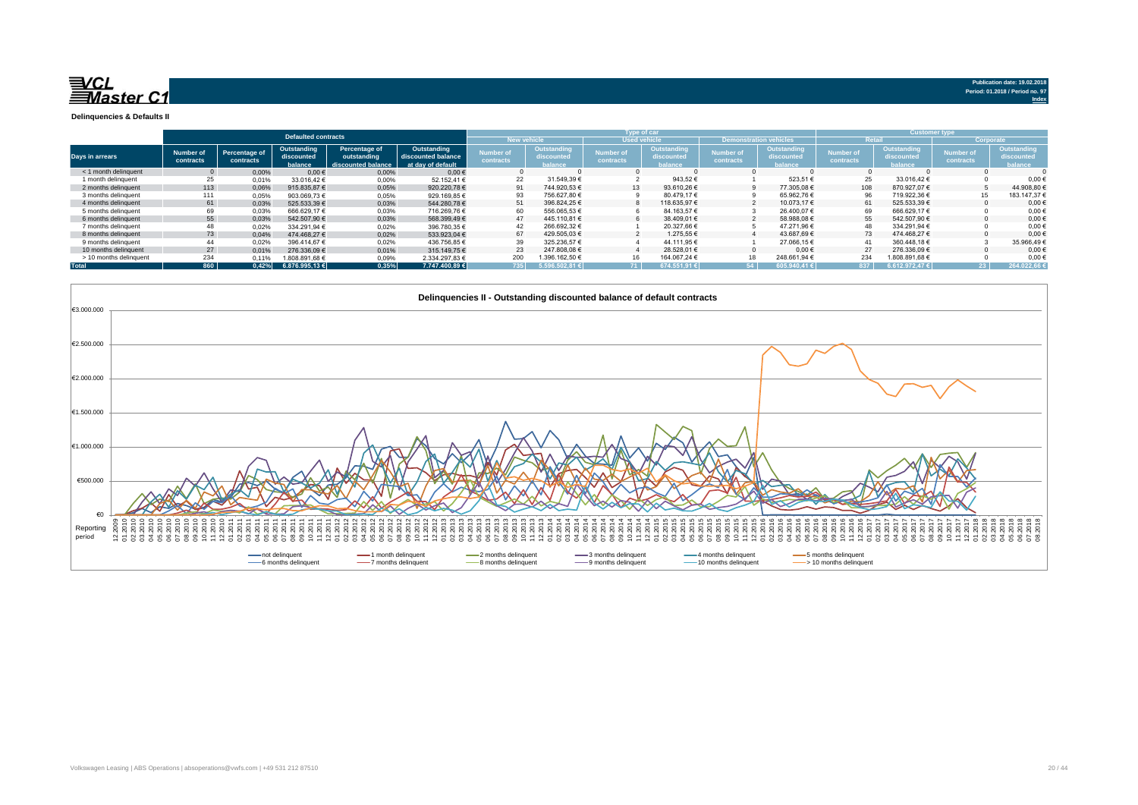

**Index**

**Delinquencies & Defaults II**

|                        | <b>Defaulted contracts</b>    |                            |                                      |                                                    |                                                        |                        |                                      |                               | Type of car                                      |                               | <b>Customer type</b>                 |                        |                                                    |                               |                                      |
|------------------------|-------------------------------|----------------------------|--------------------------------------|----------------------------------------------------|--------------------------------------------------------|------------------------|--------------------------------------|-------------------------------|--------------------------------------------------|-------------------------------|--------------------------------------|------------------------|----------------------------------------------------|-------------------------------|--------------------------------------|
|                        |                               |                            |                                      |                                                    |                                                        | <b>New vehicle</b>     |                                      | <b>Used vehicle</b>           |                                                  | <b>Demonstrat</b>             |                                      | Retai                  |                                                    |                               | Corporate                            |
| Days in arrears        | <b>Number of</b><br>contracts | Percentage of<br>contracts | Outstanding<br>discounted<br>balance | Percentage of<br>outstanding<br>discounted balance | Outstanding<br>discounted balance<br>at day of default | lumber of<br>contracts | Dutstanding<br>discounted<br>balance | <b>Number of</b><br>contracts | <b>Outstanding</b><br>discounted<br><b>Mance</b> | <b>Number of</b><br>contracts | 'Outstanding<br>discounted<br>alance | Number of<br>contracts | <b>Outstanding</b><br>discounted<br><b>balance</b> | <b>Number of</b><br>contracts | Outstanding<br>discounted<br>palance |
| $<$ 1 month delinguent |                               | 0.00%                      | 0.00€                                | 0,00%                                              | $0.00 \in$                                             |                        |                                      |                               |                                                  |                               |                                      |                        |                                                    |                               |                                      |
| 1 month delinguent     | 25                            | 0.01%                      | 33.016.42 €                          | 0.00%                                              | 52.152.41 €                                            | 22                     | 31.549.39 €                          |                               | 943.52€                                          |                               | 523.51€                              | 25                     | 33.016.42€                                         |                               | 0.00                                 |
| 2 months delinguent    | 113                           | 0.06%                      | 915.835.87 €                         | 0.05%                                              | 920.220.78€                                            | 91                     | 744.920.53 €                         | 13 <sup>1</sup>               | 93.610.26€                                       |                               | 77.305.08€                           | 108                    | 870.927.07 €                                       |                               | 44.908.80€                           |
| 3 months delinguent    | 111                           | 0,05%                      | 903.069.73€                          | 0,05%                                              | 929.169.85€                                            | 93                     | 756.627,80 €                         |                               | 80.479,17€                                       |                               | 65.962,76€                           |                        | 719.922,36 €                                       | 15                            | 183.147,37                           |
| 4 months delinguent    | 61                            | 0.03%                      | 525.533.39 €                         | 0,03%                                              | 544.280.78€                                            | 51                     | 396.824.25 €                         |                               | 118.635.97 €                                     |                               | 10.073.17 €                          | 61                     | 525.533,39 €                                       |                               | $0.00*$                              |
| 5 months delinguent    | 69                            | 0.03%                      | 666.629.17€                          | 0.03%                                              | 716.269.76€                                            | 60                     | 556.065.53 €                         |                               | 84.163,57€                                       |                               | 26.400.07€                           |                        | 666.629.17€                                        |                               | 0,00                                 |
| 6 months delinquent    | 55                            | 0.03%                      | 542.507.90 €                         | 0,03%                                              | 568,399,49€                                            | 47                     | 445.110.81 €                         |                               | 38,409.01 €                                      |                               | 58.988.08€                           | 55                     | 542.507.90 €                                       |                               | $0.00*$                              |
| 7 months delinguent    | 48                            | 0,02%                      | 334.291.94 €                         | 0,02%                                              | 396.780,35 €                                           | 42                     | 266.692.32 €                         |                               | 20.327.66€                                       |                               | 47.271.96€                           | 48                     | 334.291.94 €                                       |                               | 0,00                                 |
| 8 months delinguent    | 73                            | 0.04%                      | 474.468.27 €                         | 0.02%                                              | 533.923.04 €                                           | 67                     | 429.505.03 €                         |                               | 1.275.55 €                                       |                               | 43.687.69€                           | 73                     | 474.468.27 €                                       |                               | $0.00*$                              |
| 9 months delinquent    | 44                            | 0.02%                      | 396.414.67 €                         | 0,02%                                              | 436.756.85€                                            | 39                     | 325.236,57 €                         |                               | 44.111.95€                                       |                               | 27.066.15€                           |                        | 360.448.18€                                        |                               | 35.966,49€                           |
| 10 months delinquent   | 27                            | 0.01%                      | 276.336.09€                          | 0.01%                                              | 315,149.75€                                            | 23                     | 247.808.08 €                         |                               | 28.528.01 €                                      |                               | 0.00€                                | 27                     | 276.336.09€                                        |                               | 0.00                                 |
| > 10 months delinquent | 234                           | 0.11%                      | 1.808.891.68 €                       | 0,09%                                              | 2.334.297.83 €                                         | 200                    | 1.396.162,50 €                       | 16                            | 164.067.24 €                                     | 18                            | 248.661,94 €                         | 234                    | 1.808.891,68 €                                     |                               | 0,00                                 |
| <b>Total</b>           | 860                           | 0.42%                      | 6.876.995.13€                        | 0,35%                                              | 7.747.400.89 €                                         | 735                    | 5.596.502.81€                        | 71                            | 674.551.91€                                      | E.A.                          | 05.940.41€                           | 837                    | 6.612.972.47€                                      |                               | 264.022,66                           |

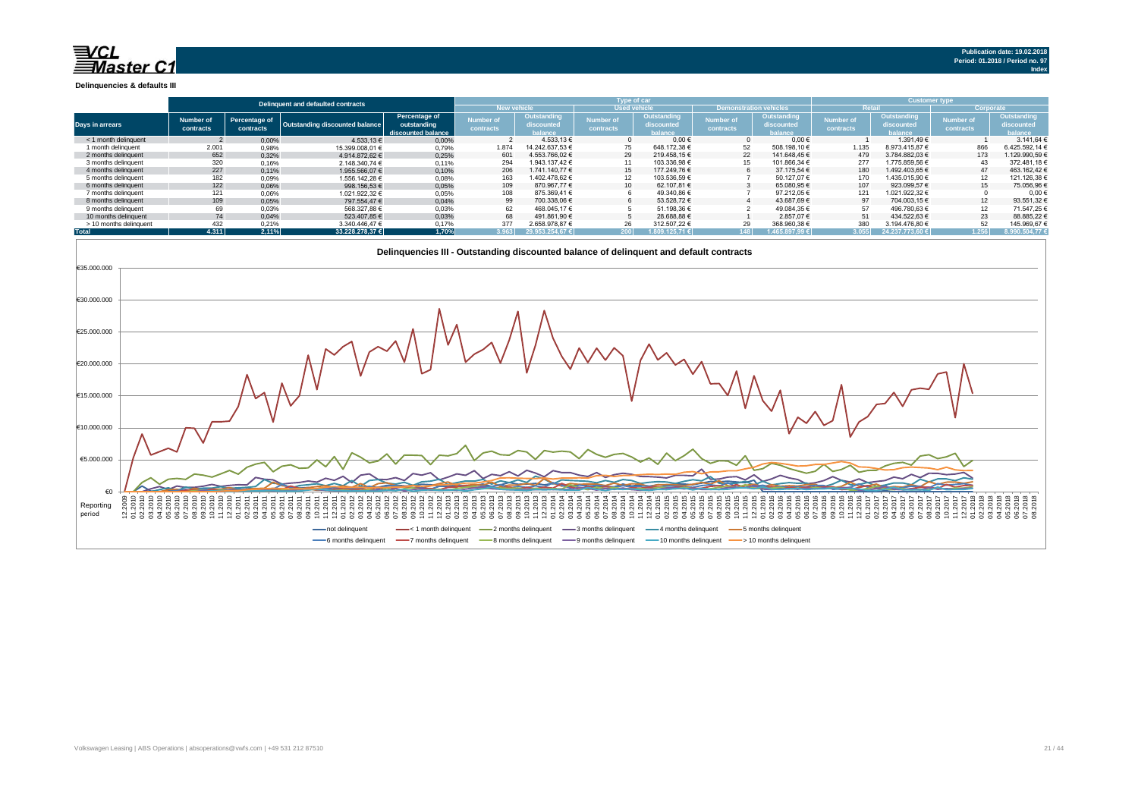$\mathsf{R}$ Master C1

**Delinquencies & defaults III**

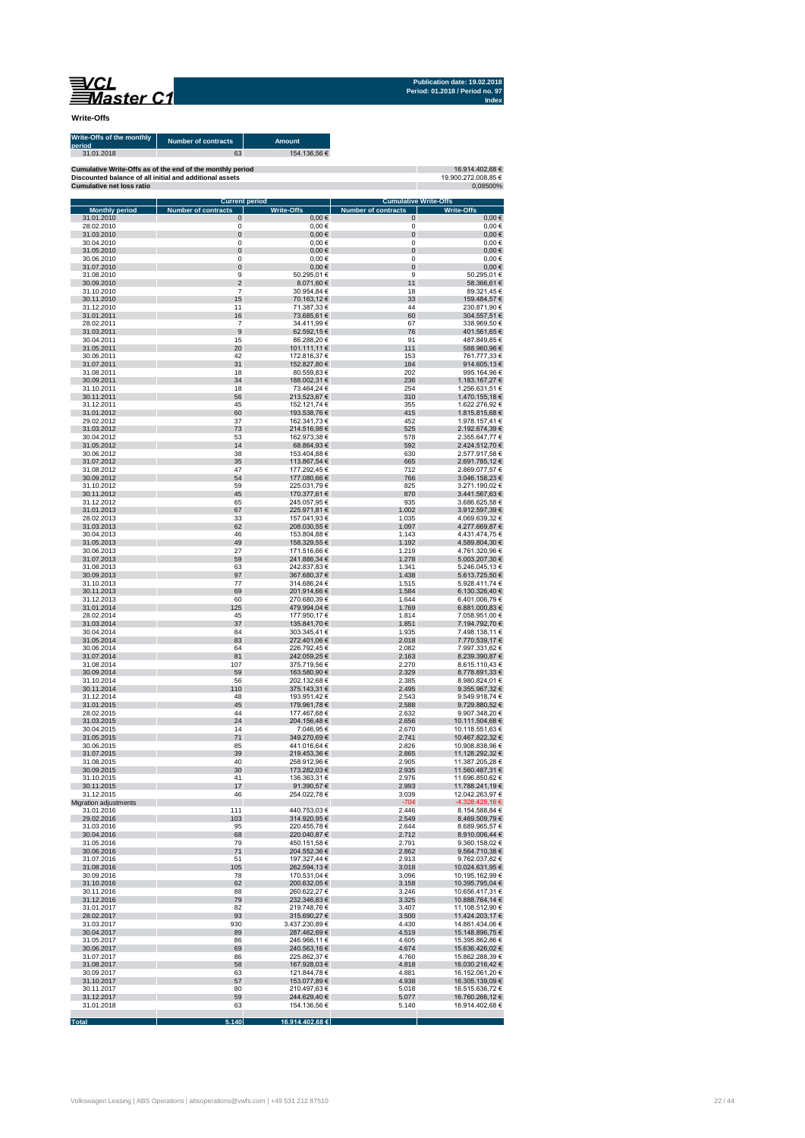**Publication date: 19.02.2018 Period: 01.2018 / Period no. 97 Index**

**Write-Offs**

| Write-Offs of the monthly<br>period<br>31.01.2018 | <b>Number of contracts</b><br>63                          | <b>Amount</b><br>154.136,56 € |                                                            |                                    |
|---------------------------------------------------|-----------------------------------------------------------|-------------------------------|------------------------------------------------------------|------------------------------------|
|                                                   | Cumulative Write-Offs as of the end of the monthly period |                               |                                                            | 16.914.402,68 €                    |
| <b>Cumulative net loss ratio</b>                  | Discounted balance of all initial and additional assets   |                               |                                                            | 19.900.272.008,85 €<br>0,08500%    |
| <b>Monthly period</b>                             | <b>Current period</b><br><b>Number of contracts</b>       | <b>Write-Offs</b>             | <b>Cumulative Write-Offs</b><br><b>Number of contracts</b> | <b>Write-Offs</b>                  |
| 31.01.2010                                        | 0                                                         | $0,00$ €                      | 0                                                          | $0,00$ €                           |
| 28.02.2010<br>31.03.2010                          | 0<br>0                                                    | $0,00$ €<br>$0,00 \in$        | 0<br>0                                                     | $0,00 \in$<br>$0,00 \in$           |
| 30.04.2010                                        | $\mathbf 0$                                               | $0,00$ €                      | $\Omega$                                                   | $0,00$ €                           |
| 31.05.2010<br>30.06.2010                          | 0<br>$\mathbf 0$                                          | $0,00 \in$<br>0,00€           | 0<br>0                                                     | $0,00 \in$<br>$0,00$ €             |
| 31.07.2010                                        | 0                                                         | $0,00 \in$                    | $\bf 0$                                                    | $0,00 \in$                         |
| 31.08.2010                                        | 9                                                         | 50.295,01€                    | 9                                                          | 50.295,01€                         |
| 30.09.2010<br>31.10.2010                          | $\overline{2}$<br>$\overline{7}$                          | 8.071,60 €<br>30.954,84 €     | 11<br>18                                                   | 58.366,61€<br>89.321,45€           |
| 30.11.2010                                        | 15                                                        | 70.163,12€                    | 33                                                         | 159.484,57€                        |
| 31.12.2010                                        | 11                                                        | 71.387,33 €                   | 44<br>60                                                   | 230.871,90 €                       |
| 31.01.2011<br>28.02.2011                          | 16<br>$\overline{7}$                                      | 73.685,61€<br>34.411,99 €     | 67                                                         | 304.557,51 €<br>338.969,50 €       |
| 31.03.2011                                        | $9$                                                       | 62.592,15€                    | 76                                                         | 401.561,65€                        |
| 30.04.2011<br>31.05.2011                          | 15<br>20                                                  | 86.288,20€<br>101.111,11 €    | 91<br>111                                                  | 487.849,85 €<br>588.960,96€        |
| 30.06.2011                                        | 42                                                        | 172.816,37 €                  | 153                                                        | 761.777,33€                        |
| 31.07.2011                                        | 31                                                        | 152.827,80 €                  | 184                                                        | 914.605,13 €                       |
| 31.08.2011<br>30.09.2011                          | 18<br>34                                                  | 80.559,83 €<br>188.002,31 €   | 202<br>236                                                 | 995.164,96 €<br>1.183.167,27 €     |
| 31.10.2011                                        | 18                                                        | 73.464,24 €                   | 254                                                        | 1.256.631,51 €                     |
| 30.11.2011                                        | 56                                                        | 213.523,67 €                  | 310                                                        | 1.470.155,18 €                     |
| 31.12.2011<br>31.01.2012                          | 45<br>60                                                  | 152.121,74 €<br>193.538,76 €  | 355<br>415                                                 | 1.622.276,92 €<br>1.815.815,68 €   |
| 29.02.2012                                        | 37                                                        | 162.341,73 €                  | 452                                                        | 1.978.157,41 €                     |
| 31.03.2012                                        | 73                                                        | 214.516,98€                   | 525                                                        | 2.192.674,39 €                     |
| 30.04.2012<br>31.05.2012                          | 53<br>14                                                  | 162.973,38 €<br>68.864,93 €   | 578<br>592                                                 | 2.355.647,77 €<br>2.424.512,70 €   |
| 30.06.2012                                        | 38                                                        | 153.404,88 €                  | 630                                                        | 2.577.917,58 €                     |
| 31.07.2012                                        | 35                                                        | 113.867,54 €                  | 665                                                        | 2.691.785,12 €                     |
| 31.08.2012<br>30.09.2012                          | 47<br>54                                                  | 177.292,45 €<br>177.080,66 €  | 712<br>766                                                 | 2.869.077,57 €<br>3.046.158,23 €   |
| 31.10.2012                                        | 59                                                        | 225.031,79€                   | 825                                                        | 3.271.190,02 €                     |
| 30.11.2012<br>31.12.2012                          | 45<br>65                                                  | 170.377,61 €<br>245.057,95 €  | 870<br>935                                                 | 3.441.567,63€<br>3.686.625,58 €    |
| 31.01.2013                                        | 67                                                        | 225.971,81 €                  | 1.002                                                      | 3.912.597,39 €                     |
| 28.02.2013                                        | 33                                                        | 157.041,93 €                  | 1.035                                                      | 4.069.639,32 €                     |
| 31.03.2013<br>30.04.2013                          | 62<br>46                                                  | 208.030,55 €<br>153.804,88 €  | 1.097<br>1.143                                             | 4.277.669,87 €<br>4.431.474,75€    |
| 31.05.2013                                        | 49                                                        | 158.329,55 €                  | 1.192                                                      | 4.589.804,30 €                     |
| 30.06.2013                                        | 27                                                        | 171.516,66 €                  | 1.219                                                      | 4.761.320,96 €                     |
| 31.07.2013<br>31.08.2013                          | 59<br>63                                                  | 241.886,34 €<br>242.837,83 €  | 1.278<br>1.341                                             | 5.003.207,30 €<br>5.246.045,13€    |
| 30.09.2013                                        | 97                                                        | 367.680,37 €                  | 1.438                                                      | 5.613.725,50 €                     |
| 31.10.2013                                        | 77                                                        | 314.686,24 €                  | 1.515                                                      | 5.928.411,74 €                     |
| 30.11.2013<br>31.12.2013                          | 69<br>60                                                  | 201.914,66 €<br>270.680,39€   | 1.584<br>1.644                                             | 6.130.326,40 €<br>6.401.006,79 €   |
| 31.01.2014                                        | 125                                                       | 479.994,04 €                  | 1.769                                                      | 6.881.000,83 €                     |
| 28.02.2014                                        | 45                                                        | 177.950,17 €                  | 1.814                                                      | 7.058.951,00 €                     |
| 31.03.2014<br>30.04.2014                          | 37<br>84                                                  | 135.841,70 €<br>303.345,41 €  | 1.851<br>1.935                                             | 7.194.792,70 €<br>7.498.138,11 €   |
| 31.05.2014                                        | 83                                                        | 272.401,06 €                  | 2.018                                                      | 7.770.539,17 €                     |
| 30.06.2014                                        | 64<br>81                                                  | 226.792,45€                   | 2.082                                                      | 7.997.331,62 €                     |
| 31.07.2014<br>31.08.2014                          | 107                                                       | 242.059,25 €<br>375.719,56 €  | 2.163<br>2.270                                             | 8.239.390,87 €<br>8.615.110,43 €   |
| 30.09.2014                                        | 59                                                        | 163.580,90 €                  | 2.329                                                      | 8.778.691,33 €                     |
| 31.10.2014<br>30.11.2014                          | 56<br>110                                                 | 202.132,68 €<br>375.143,31 €  | 2.385<br>2.495                                             | 8.980.824,01 €<br>9.355.967,32 €   |
| 31.12.2014                                        | 48                                                        | 193.951,42€                   | 2.543                                                      | 9.549.918,74 €                     |
| 31.01.2015                                        | 45                                                        | 179.961,78 €                  | 2.588                                                      | 9.729.880,52 €                     |
| 28.02.2015<br>31.03.2015                          | 44<br>24                                                  | 177.467,68 €<br>204.156,48 €  | 2.632<br>2.656                                             | 9.907.348,20 €<br>10.111.504,68 €  |
| 30.04.2015                                        | 14                                                        | 7.046,95 €                    | 2.670                                                      | 10.118.551,63 €                    |
| 31.05.2015                                        | 71                                                        | 349.270,69€                   | 2.741                                                      | 10.467.822,32 €                    |
| 30.06.2015<br>31.07.2015                          | 85<br>39                                                  | 441.016,64 €<br>219.453,36 €  | 2.826<br>2.865                                             | 10.908.838,96 €<br>11.128.292,32 € |
| 31.08.2015                                        | 40                                                        | 258.912,96€                   | 2.905                                                      | 11.387.205,28€                     |
| 30.09.2015                                        | 30                                                        | 173.282,03 €                  | 2.935                                                      | 11.560.487,31 €                    |
| 31.10.2015<br>30.11.2015                          | 41<br>17                                                  | 136.363,31 €<br>91.390,57 €   | 2.976<br>2.993                                             | 11.696.850,62 €<br>11.788.241,19€  |
| 31.12.2015                                        | 46                                                        | 254.022,78€                   | 3.039                                                      | 12.042.263,97 €                    |
| Migration adjustments                             |                                                           |                               | $-704$                                                     | -4.328.428,16 €                    |
| 31.01.2016<br>29.02.2016                          | 111<br>103                                                | 440.753,03€<br>314.920,95€    | 2.446<br>2.549                                             | 8.154.588,84 €<br>8.469.509,79€    |
| 31.03.2016                                        | 95                                                        | 220.455,78€                   | 2.644                                                      | 8.689.965,57€                      |
| 30.04.2016                                        | 68                                                        | 220.040,87€                   | 2.712                                                      | 8.910.006,44 €                     |
| 31.05.2016<br>30.06.2016                          | 79<br>71                                                  | 450.151,58€<br>204.552,36 €   | 2.791<br>2.862                                             | 9.360.158,02 €<br>9.564.710,38 €   |
| 31.07.2016                                        | 51                                                        | 197.327,44 €                  | 2.913                                                      | 9.762.037,82 €                     |
| 31.08.2016                                        | 105                                                       | 262.594,13 €                  | 3.018                                                      | 10.024.631,95 €                    |
| 30.09.2016<br>31.10.2016                          | 78<br>62                                                  | 170.531,04 €<br>200.632,05 €  | 3.096<br>3.158                                             | 10.195.162,99 €<br>10.395.795,04 € |
| 30.11.2016                                        | 88                                                        | 260.622,27€                   | 3.246                                                      | 10.656.417,31€                     |
| 31.12.2016                                        | 79                                                        | 232.346,83 €                  | 3.325                                                      | 10.888.764,14 €                    |
| 31.01.2017<br>28.02.2017                          | 82<br>93                                                  | 219.748,76€<br>315.690,27 €   | 3.407<br>3.500                                             | 11.108.512,90 €<br>11.424.203,17€  |
| 31.03.2017                                        | 930                                                       | 3.437.230,89 €                | 4.430                                                      | 14.861.434,06€                     |
| 30.04.2017                                        | 89                                                        | 287.462,69€                   | 4.519                                                      | 15.148.896,75 €                    |
| 31.05.2017                                        | 86                                                        | 246.966,11€                   | 4.605                                                      | 15.395.862,86 €                    |
| 30.06.2017<br>31.07.2017                          | 69<br>86                                                  | 240.563,16€<br>225.862,37 €   | 4.674<br>4.760                                             | 15.636.426,02 €<br>15.862.288,39 € |
| 31.08.2017                                        | 58                                                        | 167.928,03 €                  | 4.818                                                      | 16.030.216,42€                     |
| 30.09.2017                                        | 63                                                        | 121.844,78 €                  | 4.881                                                      | 16.152.061,20 €                    |
| 31.10.2017<br>30.11.2017                          | 57<br>80                                                  | 153.077,89 €<br>210.497,63€   | 4.938<br>5.018                                             | 16.305.139,09 €<br>16.515.636,72 € |
| 31.12.2017                                        | 59                                                        | 244.629,40 €                  | 5.077                                                      | 16.760.266,12€                     |
| 31.01.2018                                        | 63                                                        | 154.136,56€                   | 5.140                                                      | 16.914.402,68 €                    |

**Total 5.140 16.914.402,68 €**

T.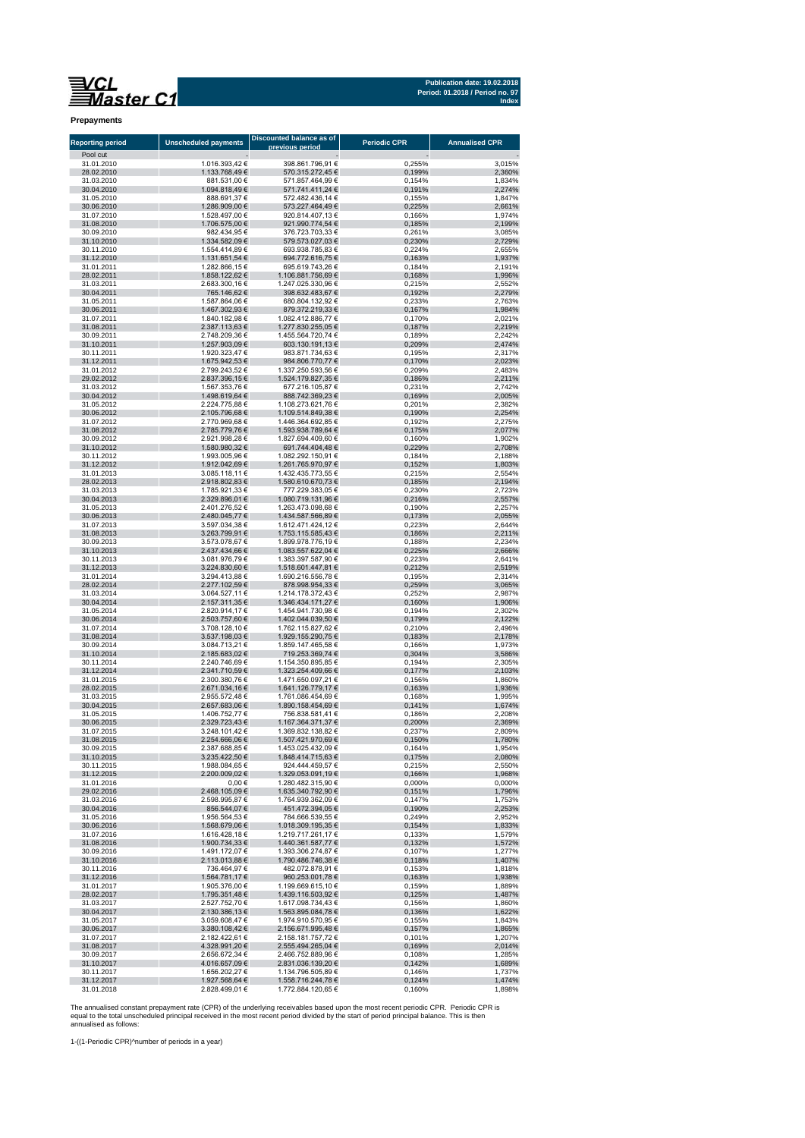**Publication date: 19.02.2018 Period: 01.2018 / Period no. 97 Index**

**Prepayments**

| <b>Reporting period</b>  | <b>Unscheduled payments</b>      | Discounted balance as of<br>previous period | <b>Periodic CPR</b> | <b>Annualised CPR</b> |
|--------------------------|----------------------------------|---------------------------------------------|---------------------|-----------------------|
| Pool cut<br>31.01.2010   | 1.016.393,42 €                   | 398.861.796,91 €                            | 0,255%              | 3,015%                |
| 28.02.2010               | 1.133.768,49 €                   | 570.315.272,45 €                            | 0,199%              | 2,360%                |
| 31.03.2010               | 881.531,00 €                     | 571.857.464,99 €                            | 0,154%              | 1,834%                |
| 30.04.2010               | 1.094.818,49 €                   | 571.741.411,24 €                            | 0,191%              | 2,274%                |
| 31.05.2010               | 888.691,37 €                     | 572.482.436,14 €                            | 0,155%              | 1,847%                |
| 30.06.2010<br>31.07.2010 | 1.286.909,00 €<br>1.528.497,00 € | 573.227.464,49 €<br>920.814.407,13 €        | 0,225%<br>0,166%    | 2,661%<br>1,974%      |
| 31.08.2010               | 1.706.575,00 €                   | 921.990.774,54 €                            | 0,185%              | 2,199%                |
| 30.09.2010               | 982.434,95 €                     | 376.723.703,33 €                            | 0,261%              | 3,085%                |
| 31.10.2010               | 1.334.582,09 €                   | 579.573.027,03 €                            | 0,230%              | 2,729%                |
| 30.11.2010               | 1.554.414,89 €                   | 693.938.785,83 €                            | 0,224%              | 2,655%                |
| 31.12.2010<br>31.01.2011 | 1.131.651,54 €<br>1.282.866,15 € | 694.772.616,75 €<br>695.619.743,26 €        | 0,163%<br>0,184%    | 1,937%<br>2,191%      |
| 28.02.2011               | 1.858.122,62 €                   | 1.106.881.756,69 €                          | 0,168%              | 1,996%                |
| 31.03.2011               | 2.683.300,16 €                   | 1.247.025.330,96 €                          | 0,215%              | 2,552%                |
| 30.04.2011               | 765.146,62 €                     | 398.632.483,67 €                            | 0,192%              | 2,279%                |
| 31.05.2011               | 1.587.864,06 €                   | 680.804.132,92 €                            | 0,233%              | 2.763%                |
| 30.06.2011<br>31.07.2011 | 1.467.302,93 €<br>1.840.182,98 € | 879.372.219,33 €<br>1.082.412.886,77 €      | 0,167%<br>0,170%    | 1,984%<br>2,021%      |
| 31.08.2011               | 2.387.113,63 €                   | 1.277.830.255,05 €                          | 0,187%              | 2,219%                |
| 30.09.2011               | 2.748.209,36 €                   | 1.455.564.720,74 €                          | 0,189%              | 2,242%                |
| 31.10.2011               | 1.257.903,09 €                   | 603.130.191,13 €                            | 0,209%              | 2,474%                |
| 30.11.2011               | 1.920.323,47 €                   | 983.871.734,63 €                            | 0,195%              | 2,317%                |
| 31.12.2011               | 1.675.942,53 €                   | 984.806.770,77 €                            | 0,170%              | 2,023%                |
| 31.01.2012<br>29.02.2012 | 2.799.243,52 €<br>2.837.396,15 € | 1.337.250.593,56 €<br>1.524.179.827,35 €    | 0,209%              | 2,483%<br>2,211%      |
| 31.03.2012               | 1.567.353,76 €                   | 677.216.105,87 €                            | 0,186%<br>0,231%    | 2,742%                |
| 30.04.2012               | 1.498.619,64 €                   | 888.742.369,23 €                            | 0,169%              | 2,005%                |
| 31.05.2012               | 2.224.775.88 €                   | 1.108.273.621,76 €                          | 0,201%              | 2.382%                |
| 30.06.2012               | 2.105.796,68 €                   | 1.109.514.849,38 €                          | 0,190%              | 2,254%                |
| 31.07.2012               | 2.770.969,68 €                   | 1.446.364.692,85 €                          | 0,192%              | 2,275%                |
| 31.08.2012<br>30.09.2012 | 2.785.779,76 €<br>2.921.998,28 € | 1.593.938.789,64 €<br>1.827.694.409,60 €    | 0,175%<br>0,160%    | 2,077%<br>1.902%      |
| 31.10.2012               | 1.580.980,32 €                   | 691.744.404,48 €                            | 0,229%              | 2,708%                |
| 30.11.2012               | 1.993.005,96 €                   | 1.082.292.150,91 €                          | 0,184%              | 2,188%                |
| 31.12.2012               | 1.912.042,69 €                   | 1.261.765.970,97 €                          | 0,152%              | 1,803%                |
| 31.01.2013               | 3.085.118,11 €                   | 1.432.435.773.55 €                          | 0,215%              | 2,554%                |
| 28.02.2013<br>31.03.2013 | 2.918.802,83 €                   | 1.580.610.670,73 €                          | 0,185%              | 2,194%                |
| 30.04.2013               | 1.785.921,33 €<br>2.329.896,01 € | 777.229.383,05 €<br>1.080.719.131,96 €      | 0,230%<br>0,216%    | 2,723%<br>2,557%      |
| 31.05.2013               | 2.401.276,52 €                   | 1.263.473.098,68 €                          | 0,190%              | 2,257%                |
| 30.06.2013               | 2.480.045,77 €                   | 1.434.587.566,89 €                          | 0,173%              | 2,055%                |
| 31.07.2013               | 3.597.034,38 €                   | 1.612.471.424,12 €                          | 0,223%              | 2,644%                |
| 31.08.2013               | 3.263.799,91 €                   | 1.753.115.585,43 €                          | 0,186%              | 2,211%                |
| 30.09.2013<br>31.10.2013 | 3.573.078,67 €<br>2.437.434,66 € | 1.899.978.776,19 €<br>1.083.557.622,04 €    | 0,188%<br>0,225%    | 2,234%<br>2,666%      |
| 30.11.2013               | 3.081.976,79 €                   | 1.383.397.587,90 €                          | 0,223%              | 2,641%                |
| 31.12.2013               | 3.224.830,60 €                   | 1.518.601.447,81 €                          | 0,212%              | 2,519%                |
| 31.01.2014               | 3.294.413,88 €                   | 1.690.216.556,78 €                          | 0,195%              | 2,314%                |
| 28.02.2014               | 2.277.102,59 €                   | 878.998.954,33 €                            | 0,259%              | 3,065%                |
| 31.03.2014<br>30.04.2014 | 3.064.527,11 €<br>2.157.311,35 € | 1.214.178.372,43 €<br>1.346.434.171,27 €    | 0,252%<br>0,160%    | 2,987%<br>1,906%      |
| 31.05.2014               | 2.820.914,17 €                   | 1.454.941.730,98 €                          | 0,194%              | 2,302%                |
| 30.06.2014               | 2.503.757,60 €                   | 1.402.044.039,50 €                          | 0,179%              | 2,122%                |
| 31.07.2014               | 3.708.128,10 €                   | 1.762.115.827,62 €                          | 0,210%              | 2,496%                |
| 31.08.2014               | 3.537.198,03 €                   | 1.929.155.290,75 €                          | 0,183%              | 2,178%                |
| 30.09.2014               | 3.084.713,21 €<br>2.185.683,02 € | 1.859.147.465,58 €                          | 0,166%              | 1,973%                |
| 31.10.2014<br>30.11.2014 | 2.240.746,69 €                   | 719.253.369,74 €<br>1.154.350.895,85 €      | 0,304%<br>0,194%    | 3,586%<br>2,305%      |
| 31.12.2014               | 2.341.710,59 €                   | 1.323.254.409,66 €                          | 0,177%              | 2,103%                |
| 31.01.2015               | 2.300.380,76 €                   | 1.471.650.097,21 €                          | 0,156%              | 1,860%                |
| 28.02.2015               | 2.671.034,16 €                   | 1.641.126.779,17 €                          | 0,163%              | 1,936%                |
| 31.03.2015               | 2.955.572,48 €                   | 1.761.086.454,69 €                          | 0,168%              | 1,995%                |
| 30.04.2015<br>31.05.2015 | 2.657.683,06 €                   | 1.890.158.454,69 €<br>756.838.581,41 €      | 0,141%<br>0,186%    | 1,674%                |
| 30.06.2015               | 1.406.752,77 €<br>2.329.723,43 € | 1.167.364.371,37 €                          | 0,200%              | 2,208%<br>2,369%      |
| 31.07.2015               | 3.248.101,42 €                   | 1.369.832.138,82 €                          | 0,237%              | 2,809%                |
| 31.08.2015               | 2.254.666,06 €                   | 1.507.421.970,69 €                          | 0,150%              | 1,780%                |
| 30.09.2015               | 2.387.688,85 €                   | 1.453.025.432,09 €                          | 0,164%              | 1,954%                |
| 31.10.2015               | 3.235.422.50 €                   | 1.848.414.715,63 €                          | 0,175%              | 2,080%                |
| 30.11.2015<br>31.12.2015 | 1.988.084,65 €<br>2.200.009,02 € | 924.444.459,57 €<br>1.329.053.091,19 €      | 0,215%<br>0,166%    | 2,550%<br>1,968%      |
| 31.01.2016               | 0,00 €                           | 1.280.482.315,90 €                          | 0,000%              | 0,000%                |
| 29.02.2016               | 2.468.105,09 €                   | 1.635.340.792,90 €                          | 0,151%              | 1,796%                |
| 31.03.2016               | 2.598.995,87 €                   | 1.764.939.362,09 €                          | 0,147%              | 1,753%                |
| 30.04.2016               | 856.544,07 €                     | 451.472.394,05 €                            | 0,190%              | 2,253%                |
| 31.05.2016               | 1.956.564,53 €                   | 784.666.539,55 €                            | 0,249%              | 2,952%                |
| 30.06.2016<br>31.07.2016 | 1.568.679,06 €<br>1.616.428,18 € | 1.018.309.195,35 €<br>1.219.717.261,17 €    | 0,154%<br>0,133%    | 1,833%<br>1,579%      |
| 31.08.2016               | 1.900.734,33 €                   | 1.440.361.587,77 €                          | 0,132%              | 1,572%                |
| 30.09.2016               | 1.491.172,07 €                   | 1.393.306.274,87 €                          | 0,107%              | 1,277%                |
| 31.10.2016               | 2.113.013,88 €                   | 1.790.486.746,38 €                          | 0,118%              | 1,407%                |
| 30.11.2016               | 736.464,97 €                     | 482.072.878,91 €                            | 0,153%              | 1.818%                |
| 31.12.2016<br>31.01.2017 | 1.564.781,17 €<br>1.905.376,00 € | 960.253.001,78 €<br>1.199.669.615,10 €      | 0,163%<br>0,159%    | 1,938%<br>1,889%      |
| 28.02.2017               | 1.795.351,48 €                   | 1.439.116.503,92 €                          | 0,125%              | 1,487%                |
| 31.03.2017               | 2.527.752.70 €                   | 1.617.098.734,43 €                          | 0,156%              | 1,860%                |
| 30.04.2017               | 2.130.386,13 €                   | 1.563.895.084,78 €                          | 0,136%              | 1,622%                |
| 31.05.2017               | 3.059.608,47 €                   | 1.974.910.570,95 €                          | 0,155%              | 1,843%                |
| 30.06.2017               | 3.380.108,42 €                   | 2.156.671.995,48 €                          | 0,157%              | 1,865%                |
| 31.07.2017<br>31.08.2017 | 2.182.422,61 €<br>4.328.991,20 € | 2.158.181.757,72 €<br>2.555.494.265,04 €    | 0,101%<br>0,169%    | 1,207%<br>2,014%      |
| 30.09.2017               | 2.656.672,34 €                   | 2.466.752.889,96 €                          | 0,108%              | 1,285%                |
| 31.10.2017               | 4.016.657,09 €                   | 2.831.036.139,20 €                          | 0,142%              | 1,689%                |
| 30.11.2017               | 1.656.202,27 €                   | 1.134.796.505,89 €                          | 0,146%              | 1,737%                |
| 31.12.2017               | 1.927.568,64 €                   | 1.558.716.244,78 €                          | 0,124%              | 1,474%                |
| 31.01.2018               | 2.828.499,01 €                   | 1.772.884.120,65 €                          | 0,160%              | 1,898%                |

The annualised constant prepayment rate (CPR) of the underlying receivables based upon the most recent periodic CPR. Periodic CPR is<br>equal to the total unscheduled principal received in the most recent period divided by th

1-((1-Periodic CPR)^number of periods in a year)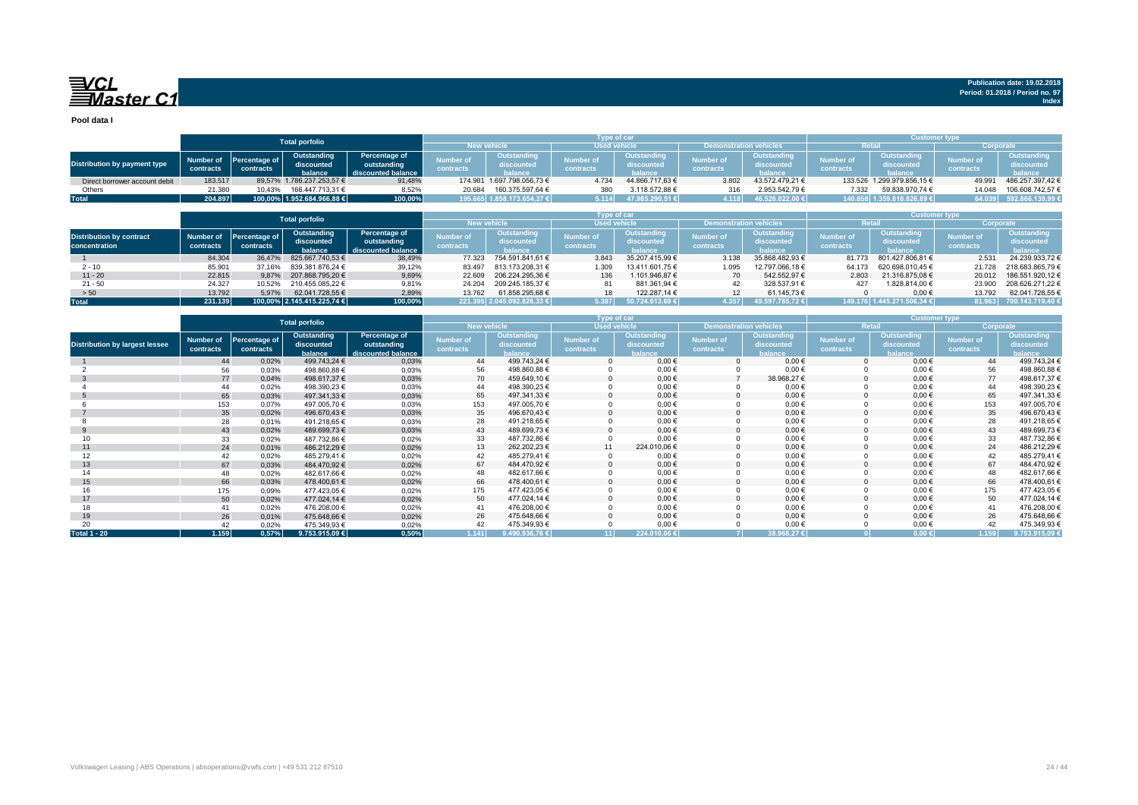**Pool data I**

|                                                  | <b>Total porfolio</b>  |                            |                                      |                                                    |                               |                                             |                               | Type of car                          |                               |                                      | <b>Customer type,</b>         |                                             |                               |                                               |
|--------------------------------------------------|------------------------|----------------------------|--------------------------------------|----------------------------------------------------|-------------------------------|---------------------------------------------|-------------------------------|--------------------------------------|-------------------------------|--------------------------------------|-------------------------------|---------------------------------------------|-------------------------------|-----------------------------------------------|
|                                                  |                        |                            |                                      |                                                    | <b>New vehicle</b>            |                                             | <b>Used vehicle</b>           |                                      | Demonstration vehicles        |                                      |                               | Retai                                       | Corporate                     |                                               |
| Distribution by payment type                     | Number of<br>contracts | Percentage of<br>contracts | Outstanding<br>discounted<br>balance | Percentage of<br>outstanding<br>discounted balance | <b>Number of</b><br>contracts | <b>Outstanding</b><br>discounted<br>balance | <b>Number of</b><br>contracts | Outstanding<br>discounted<br>balance | <b>Number of</b><br>contracts | Outstanding<br>discounted<br>balance | <b>Number of</b><br>contracts | <b>Outstanding</b><br>discounted<br>balance | <b>Number of</b><br>contracts | <b>Outstanding</b><br>discounted<br>balance A |
| Direct borrower account debit                    | 183.517                | 89.57%                     | 1.786.237.253.57 €                   | 91,48%                                             |                               | 174.981 1.697.798.056.73 €                  | 4.734                         | 44.866.717.63 €                      | 3.802                         | 43.572.479.21 €                      |                               | 133.526 1.299.979.856,15 €                  | 49.991                        | 486.257.397.42€                               |
| Others                                           | 21.380                 | 10,43%                     | 166.447.713.31 €                     | 8,52%                                              | 20.684                        | 160.375.597,64 €                            | 380                           | 3.118.572,88 €                       | 316                           | 2.953.542,79 €                       | 7.332                         | 59.838.970,74 €                             | 14.048                        | 106.608.742,57 €                              |
| Total                                            | 204.897                | 100.00%                    | 1.952.684.966,88 €                   | 100,00%                                            |                               | 195.665 1.858.173.654.37 €                  | 5.114                         | 47.985.290.51€                       | 4.118                         | 46.526.022.00 €                      | 140.858                       | 1.359.818.826.89€                           | 64.039                        | 592.866.139.99                                |
| <b>Total porfolio</b>                            |                        |                            |                                      |                                                    |                               |                                             |                               | <b>Type of car</b>                   |                               |                                      |                               | <b>Customer type</b>                        |                               |                                               |
|                                                  |                        |                            |                                      |                                                    | New vehicle                   |                                             | <b>Used vehicle</b>           |                                      | Demonstration vehicles        |                                      |                               | Retai                                       | Corporate                     |                                               |
| <b>Distribution by contract</b><br>concentration | Number of<br>contracts | Percentage of<br>contracts | Outstanding<br>discounted<br>halance | Percentage of<br>outstanding<br>discounted balance | <b>Number of</b><br>contracts | Outstanding<br>discounted<br>halance        | <b>Number of</b><br>contracts | Outstanding<br>discounted<br>halance | <b>Number of</b><br>contracts | Outstanding<br>discounted<br>halance | <b>Number of</b><br>contracts | Outstanding<br>discounted<br>halance        | <b>Number of</b><br>contracts | Outstanding<br>discounted<br>balance 4        |
|                                                  | 84.304                 | 36.47%                     | 825.667.740.53 €                     | 38,49%                                             | 77.323                        | 754.591.841.61 €                            | 3.843                         | 35.207.415.99 €                      | 3.138                         | 35.868.482.93 €                      | 81.773                        | 801.427.806.81 €                            | 2.531                         | 24.239.933.72 €                               |
| $2 - 10$                                         | 85,901                 | 37.16%                     | 839.381.876.24 €                     | 39,12%                                             | 83.497                        | 813.173.208.31 €                            | 1.309                         | 13.411.601.75 €                      | 1.095                         | 12.797.066.18 €                      | 64.173                        | 620.698.010.45 €                            | 21.728                        | 218.683.865.79 €                              |
| $11 - 20$                                        | 22.815                 | 9.87%                      | 207.868.795.20 €                     | 9,69%                                              | 22.609                        | 206.224.295.36 €                            | 136                           | 1.101.946.87 €                       | 70                            | 542.552.97 €                         | 2.803                         | 21.316.875.08 €                             | 20.012                        | 186.551.920,12 €                              |
| $21 - 50$                                        | 24.327                 | 10.52%                     | 210.455.085.22 €                     | 9,81%                                              | 24.204                        | 209.245.185.37 €                            | 81                            | 881.361,94 €                         | 42                            | 328.537,91 €                         | 427                           | 1.828.814,00 €                              | 23,900                        | 208.626.271.22 €                              |
| > 50                                             | 13.792                 | 5.97%                      | 62.041.728.55 €                      | 2,89%                                              | 13.762                        | 61.858.295.68 €                             | 18                            | 122.287.14 €                         | 12                            | 61.145.73 €                          |                               | $0.00 \in$                                  | 13.792                        | 62.041.728.55 €                               |
| <b>Total</b>                                     | 231.139                |                            | 100,00% 2.145.415.225,74 €           | 100,00%                                            |                               | 221.395 2.045.092.826.33 €                  | 5.387                         | 50.724.613.69 €                      | 4.357                         | 9.597.785.72€                        |                               | 149.176 1.445.271.506.34 €                  | 81.963                        | 700.143.719,40                                |

|                                       |                        |                            | <b>Total porfolio</b>                |                                                    |                        |                                             |                               | Type of car                                 |                        | <b>Customer type</b>                 |                               |                                      |                               |                                             |
|---------------------------------------|------------------------|----------------------------|--------------------------------------|----------------------------------------------------|------------------------|---------------------------------------------|-------------------------------|---------------------------------------------|------------------------|--------------------------------------|-------------------------------|--------------------------------------|-------------------------------|---------------------------------------------|
|                                       |                        |                            |                                      |                                                    | <b>New vehicle</b>     |                                             |                               | <b>Used vehicle</b>                         |                        | <b>Demonstration vehicles</b>        | <b>Retail</b>                 |                                      | Corporate                     |                                             |
| <b>Distribution by largest lessee</b> | Number of<br>contracts | Percentage of<br>contracts | Outstanding<br>discounted<br>balance | Percentage of<br>outstanding<br>discounted balance | Number of<br>contracts | <b>Outstanding</b><br>discounted<br>balance | <b>Number of</b><br>contracts | <b>Outstanding</b><br>discounted<br>balance | Number of<br>contracts | Outstanding<br>discounted<br>balance | <b>Number of</b><br>contracts | Outstanding<br>discounted<br>balance | <b>Number of</b><br>contracts | <b>Outstanding</b><br>discounted<br>balance |
|                                       | 44                     | 0,02%                      | 499.743,24 €                         | 0,03%                                              | 44                     | 499.743,24 €                                |                               | $0,00 \in$                                  |                        | $0,00 \in$                           |                               | $0,00 \in$                           | 44                            | 499.743,24 €                                |
|                                       | 56                     | 0,03%                      | 498.860,88 €                         | 0.03%                                              | 56                     | 498.860,88€                                 |                               | $0,00 \in$                                  |                        | $0,00 \in$                           |                               | $0,00 \in$                           | 56                            | 498.860,88€                                 |
|                                       | 77                     | 0,04%                      | 498.617,37 €                         | 0,03%                                              | 70                     | 459.649,10 €                                |                               | $0.00 \in$                                  |                        | 38.968,27 €                          |                               | $0,00 \in$                           | 77                            | 498.617,37 €                                |
|                                       | 44                     | 0,02%                      | 498.390,23 €                         | 0.03%                                              | 44                     | 498.390,23 €                                |                               | $0,00 \in$                                  |                        | $0,00 \in$                           |                               | $0,00 \in$                           | 44                            | 498.390,23 €                                |
|                                       | 65                     | 0,03%                      | 497.341,33 €                         | 0,03%                                              | 65                     | 497.341,33 €                                |                               | $0,00 \in$                                  |                        | $0,00 \in$                           |                               | $0,00 \in$                           | 65                            | 497.341,33 €                                |
|                                       | 153                    | 0,07%                      | 497.005,70 €                         | 0,03%                                              | 153                    | 497.005,70 €                                |                               | $0,00 \in$                                  |                        | $0,00 \in$                           |                               | $0,00 \in$                           | 153                           | 497.005,70 €                                |
|                                       | 35                     | 0,02%                      | 496.670.43 €                         | 0,03%                                              | 35                     | 496.670.43 €                                |                               | $0.00 \in$                                  |                        | $0,00 \in$                           |                               | 0,00€                                | 35                            | 496.670,43 €                                |
|                                       | 28                     | 0,01%                      | 491.218,65€                          | 0.03%                                              | 28                     | 491.218,65€                                 |                               | $0,00 \in$                                  |                        | $0,00 \in$                           |                               | $0,00 \in$                           | 28                            | 491.218,65€                                 |
|                                       | 43                     | 0,02%                      | 489.699,73 €                         | 0,03%                                              | 43                     | 489.699,73€                                 |                               | $0.00 \in$                                  |                        | $0,00 \in$                           |                               | $0,00 \in$                           | 43                            | 489.699,73€                                 |
|                                       | 33                     | 0,02%                      | 487.732,86 €                         | 0,02%                                              | 33                     | 487.732,86 €                                |                               | $0,00 \in$                                  |                        | $0,00 \in$                           |                               | $0,00 \in$                           | 33                            | 487.732,86 €                                |
| 11                                    | 24                     | 0,01%                      | 486.212.29 €                         | 0,02%                                              | 13                     | 262.202.23 €                                |                               | 224.010,06 €                                |                        | $0,00 \in$                           |                               | $0,00 \in$                           | 24                            | 486.212,29€                                 |
| 12                                    |                        | 0,02%                      | 485.279,41 €                         | 0,02%                                              | 42                     | 485.279,41 €                                |                               | $0,00 \in$                                  |                        | $0,00 \in$                           |                               | $0,00 \in$                           | 42                            | 485.279,41 €                                |
| 13                                    | 67                     | 0,03%                      | 484.470,92 €                         | 0,02%                                              | 67                     | 484.470,92 €                                |                               | $0.00 \in$                                  |                        | $0,00 \in$                           |                               | $0,00 \in$                           | 67                            | 484.470,92 €                                |
| 14                                    |                        | 0.02%                      | 482.617.66 €                         | 0,02%                                              | 48                     | 482.617,66 €                                |                               | $0,00 \in$                                  |                        | $0,00 \in$                           |                               | $0,00 \in$                           | 48                            | 482.617,66 €                                |
| 15                                    | 66                     | 0,03%                      | 478.400.61 €                         | 0,02%                                              | 66                     | 478.400.61 €                                |                               | $0.00 \in$                                  |                        | $0,00 \in$                           |                               | $0,00 \in$                           | 66                            | 478.400,61 €                                |
| 16                                    | 175                    | 0.09%                      | 477.423,05 €                         | 0,02%                                              | 175                    | 477.423,05€                                 |                               | $0,00 \in$                                  |                        | $0,00 \in$                           |                               | $0,00 \in$                           | 175                           | 477.423,05€                                 |
| 17                                    | 50                     | 0,02%                      | 477.024,14 €                         | 0,02%                                              | 50                     | 477.024,14 €                                |                               | $0.00 \in$                                  |                        | $0,00 \in$                           |                               | $0,00 \in$                           | 50                            | 477.024,14 €                                |
| 18                                    |                        | 0.02%                      | 476.208,00 €                         | 0,02%                                              | 41                     | 476.208,00 €                                |                               | $0,00 \in$                                  |                        | $0,00 \in$                           |                               | $0,00 \in$                           |                               | 476.208,00 €                                |
| 19                                    | 26                     | 0,01%                      | 475.648,66 €                         | 0,02%                                              | 26                     | 475.648,66 €                                |                               | $0,00 \in$                                  |                        | $0,00 \in$                           |                               | $0,00 \in$                           | 26                            | 475.648,66 €                                |
|                                       |                        | 0.02%                      | 475.349,93 €                         | 0,02%                                              | 42                     | 475.349,93 €                                |                               | $0,00 \in$                                  |                        | $0,00 \in$                           |                               | $0,00 \in$                           | 42                            | 475.349,93 €                                |
| <b>Total 1 - 20</b>                   | 1.159                  | 0,57%                      | 9.753.915,09 $\in$                   | 0,50%                                              | 1.141                  | 9.490.936,76 $E$                            |                               | 224.010.06€                                 |                        | 38.968.27 €                          |                               | 0.00 E                               | 1.159                         | 9.753.915.09 €                              |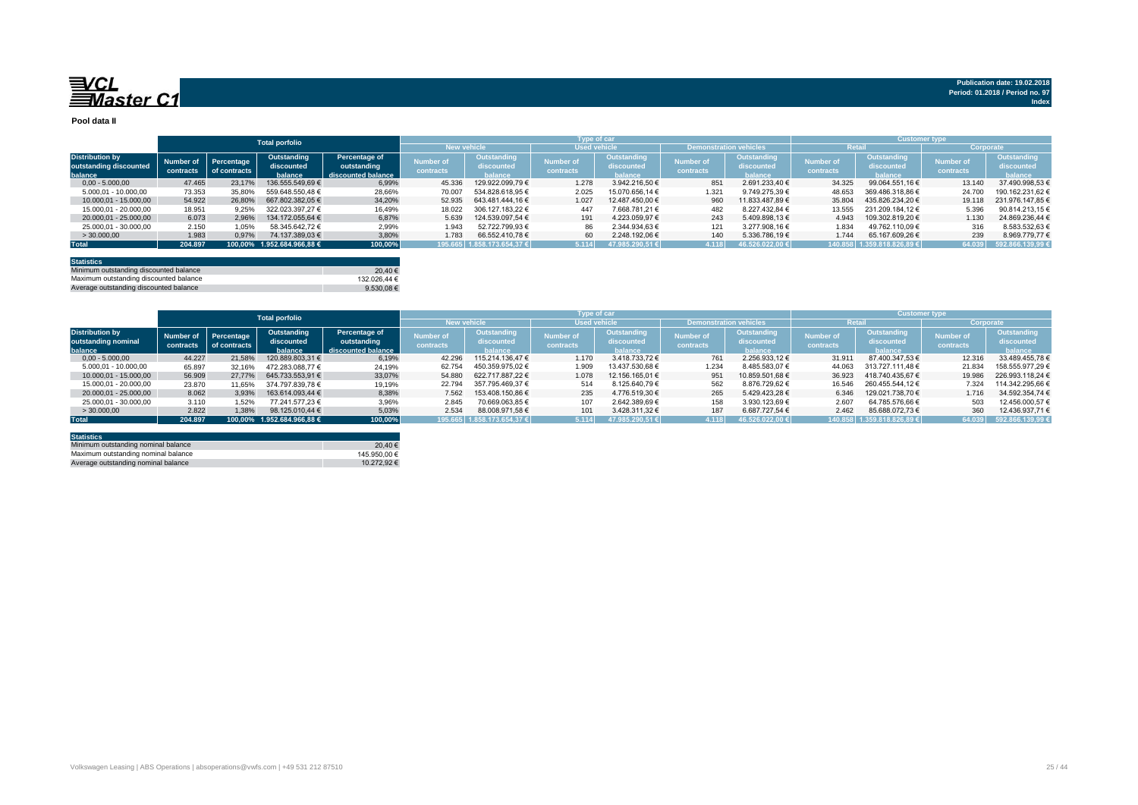**Pool data II**

|                        |           |              | <b>Total porfolio</b>      |                    |                    |                    | Type of car         |                    |                               |                 |           | <b>Customer type</b> |                  |                  |
|------------------------|-----------|--------------|----------------------------|--------------------|--------------------|--------------------|---------------------|--------------------|-------------------------------|-----------------|-----------|----------------------|------------------|------------------|
|                        |           |              |                            |                    | <b>New vehicle</b> |                    | <b>Used vehicle</b> |                    | <b>Demonstration vehicles</b> |                 | Retail    |                      | Corporate        |                  |
| <b>Distribution by</b> | Number of | Percentage   | Outstanding                | Percentage of      | umber of           | Outstanding        | lumber of           | Outstanding        | Number of                     | Outstanding     | Number of | Outstanding          | <b>Number of</b> | Outstanding      |
| outstanding discounted |           | of contracts | discounted                 | outstanding        | contracts          | discounted         | contracts           | discounted         | contracts                     | discounted      | contracts | discounted           | contracts        | discounted       |
| balance                | contracts |              | balance                    | discounted balance |                    | halance            |                     | halance            |                               | halance         |           | halance              |                  | balance          |
| $0.00 - 5.000.00$      | 47.465    | 23.17%       | 136.555.549,69 €           | 6,99%              | 45.336             | 129.922.099.79 €   | 1.278               | 3.942.216.50 €     | 851                           | 2.691.233.40 €  | 34.325    | 99.064.551,16 €      | 13.140           | 37.490.998.53 €  |
| 5.000,01 - 10.000,00   | 73.353    | 35,80%       | 559.648.550.48 €           | 28,66%             | 70.007             | 534.828.618.95 €   | 2.025               | 15.070.656.14 €    | 1.321                         | 9.749.275.39 €  | 48.653    | 369.486.318.86 €     | 24,700           | 190.162.231.62 € |
| 10.000.01 - 15.000.00  | 54.922    | 26,80%       | 667.802.382.05 €           | 34.20%             | 52.935             | 643.481.444.16€    | 1.027               | 12.487.450.00 €    | 960                           | 11.833.487.89 € | 35.804    | 435.826.234.20 €     | 19.118           | 231.976.147.85 € |
| 15.000,01 - 20.000,00  | 18.951    | 9.25%        | 322.023.397.27 €           | 16,49%             | 18.022             | 306.127.183.22 €   | 447                 | 7.668.781.21 €     | 482                           | 8.227.432.84 €  | 13.555    | 231.209.184.12 €     | 5.396            | 90.814.213,15 €  |
| 20.000.01 - 25.000.00  | 6.073     | 2.96%        | 134.172.055.64 €           | 6.87%              | 5.639              | 124.539.097.54 €   | 191                 | 4.223.059.97 €     | 243                           | 5.409.898.13 €  | 4.943     | 109.302.819.20 €     | 1.130            | 24.869.236,44 €  |
| 25,000.01 - 30,000.00  | 2.150     | 1.05%        | 58.345.642.72 €            | 2,99%              | 1.943              | 52.722.799,93 €    | 86                  | 2.344.934.63 €     | 121                           | 3.277.908.16 €  | 1.834     | 49.762.110.09 €      | 316              | 8.583.532,63 €   |
| >30.000,00             | 1.983     | 0.97%        | 74.137.389,03 €            | 3,80%              | 1.783              | 66.552.410.78 €    | 60                  | 2.248.192.06 €     | 140                           | 5.336.786,19 €  | 1.744     | 65.167.609,26 €      | 239              | 8.969.779.77 €   |
| <b>Total</b>           | 204.897   |              | 100.00% 1.952.684.966.88 € | 100,00%            | 195.665            | 1.858.173.654.37 € | 5.114               | 0.516<br>47.985.29 | 4.118                         | 46.526.0        | 140.858   | 1.359.818.826.89€    | 64.039           | 592.866.139,99   |

| <b>Statistics</b>                      |                |
|----------------------------------------|----------------|
| Minimum outstanding discounted balance | 20.40 €        |
| Maximum outstanding discounted balance | 132.026.44 €   |
| Average outstanding discounted balance | 9.530.08 $\in$ |

|                        | <b>Total porfolio</b> |              |                            |                    |           |                    | <b>Type of car</b>  |                          |                               | <b>Customer type</b> |                  |                           |                  |                  |
|------------------------|-----------------------|--------------|----------------------------|--------------------|-----------|--------------------|---------------------|--------------------------|-------------------------------|----------------------|------------------|---------------------------|------------------|------------------|
|                        |                       |              |                            |                    |           | <b>New vehicle</b> | <b>Used vehicle</b> |                          | <b>Demonstration vehicles</b> |                      | <b>Retail</b>    |                           | Corporate        |                  |
| <b>Distribution by</b> | Number of             | Percentage   | Outstanding                | Percentage of      | Number of | <b>Outstanding</b> | <b>Number of</b>    | Outstanding              | <b>Number of</b>              | Outstanding          | <b>Number of</b> | Outstanding               | <b>Number of</b> | Outstanding      |
| outstanding nominal    |                       | of contracts | discounted                 | outstanding        | contracts | discounted         | contracts           | discounted               | contracts                     | discounted           | contracts        | discounted                | contracts        | discounted       |
| balance                | contracts             |              | balance                    | discounted balance |           | halance            |                     | halance                  |                               | <b>halance</b>       |                  | <b>halance</b>            |                  | balance          |
| $0.00 - 5.000.00$      | 44.227                | 21.58%       | 120.889.803.31 €           | 6,19%              | 42.296    | 115.214.136.47 €   | 1.170               | 3.418.733.72 €           | 761                           | 2.256.933.12 €       | 31.911           | 87.400.347.53 €           | 12.316           | 33.489.455.78 €  |
| 5.000,01 - 10.000,00   | 65.897                | 32.16%       | 472.283.088.77 €           | 24,19%             | 62.754    | 450.359.975.02 €   | 1.909               | 13.437.530.68 €          | 1.234                         | 8.485.583.07 €       | 44.063           | 313.727.111.48 €          | 21.834           | 158.555.977.29 € |
| 10.000.01 - 15.000.00  | 56.909                | 27.77%       | 645.733.553.91 €           | 33,07%             | 54,880    | 622.717.887.22 €   | 1.078               | 12.156.165.01 €          | 951                           | 10.859.501.68 €      | 36.923           | 418.740.435.67 €          | 19.986           | 226.993.118.24 € |
| 15.000.01 - 20.000.00  | 23,870                | 11.65%       | 374.797.839.78 €           | 19,19%             | 22.794    | 357.795.469.37 €   | 514                 | 8.125.640.79 €           | 562                           | 8.876.729,62 €       | 16.546           | 260.455.544.12 €          | 7.324            | 114.342.295.66 € |
| 20.000.01 - 25.000.00  | 8.062                 | 3.93%        | 163.614.093.44 €           | 8,38%              | 7.562     | 153.408.150,86 €   | 235                 | 4.776.519.30 €           | 265                           | 5.429.423.28 €       | 6.346            | 129.021.738.70 €          | 1.716            | 34.592.354.74 €  |
| 25,000.01 - 30,000.00  | 3.110                 | 1.52%        | 77.241.577.23 €            | 3,96%              | 2.845     | 70.669.063.85 €    | 107                 | 2.642.389.69 €           | 158                           | 3.930.123.69 €       | 2.607            | 64.785.576.66 €           | 503              | 12.456.000.57 €  |
| >30.000,00             | 2.822                 | 1.38%        | 98.125.010.44 €            | 5,03%              | 2.534     | 88.008.971.58 €    | 101                 | 3.428.311.32 €           | 187                           | 6.687.727.54 €       | 2.462            | 85.688.072.73 €           | 360              | 12.436.937,71 €  |
| <b>Total</b>           | 204.897               |              | 100,00% 1.952.684.966,88 € | 100,00%            | 195665    | 1.858.173.654.37   | 5.114               | 47 985 290 51 $\epsilon$ | 4 118                         | 1.46526022006        |                  | 140.858 1.359.818.826.89€ | 64.039           | 592.866.139.99 € |

| <b>Statistics</b>                   |              |
|-------------------------------------|--------------|
| Minimum outstanding nominal balance | 20.40 €      |
| Maximum outstanding nominal balance | 145.950.00 € |
| Average outstanding nominal balance | 10.272.92 €  |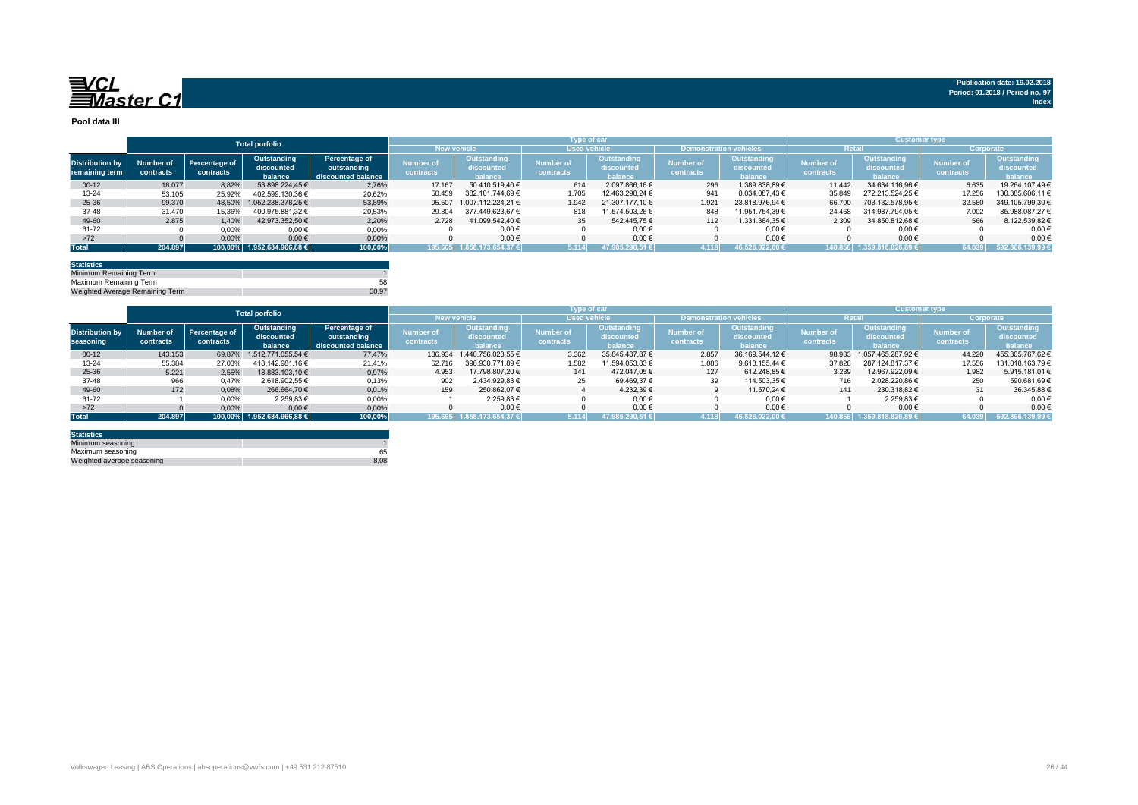

**Publication date: 19.02.2018 Period: 01.2018 / Period no. 97**

**Index**

**Pool data III**

|                        |           |                            |                            |                    |                    |                                 |                     | <b>Type of car</b> |                               | <b>Customer type</b> |                  |                     |                  |                   |
|------------------------|-----------|----------------------------|----------------------------|--------------------|--------------------|---------------------------------|---------------------|--------------------|-------------------------------|----------------------|------------------|---------------------|------------------|-------------------|
|                        |           |                            | <b>Total porfolio</b>      |                    |                    |                                 |                     |                    |                               |                      |                  |                     |                  |                   |
|                        |           |                            |                            |                    | <b>New vehicle</b> |                                 | <b>Used vehicle</b> |                    | <b>Demonstration vehicles</b> |                      | Retai            |                     | Corporate        |                   |
|                        | Number of |                            | Outstanding                | Percentage of      | Number of          | <b>Outstanding</b>              | Number of           | <b>Outstanding</b> | <b>Number of</b>              | Outstanding          | <b>Number of</b> | Outstanding         | <b>Number of</b> | Outstanding       |
| <b>Distribution by</b> |           | Percentage of<br>contracts | discounted                 | outstanding        | contracts          | discounted                      | contracts           | discounted         |                               | discounted           | contracts        | discounted          | contracts        | discounted        |
| remaining term         | contracts |                            | balance                    | discounted balance |                    | halance                         |                     | balance            | contracts                     | balance              |                  | balance.            |                  | balance           |
| $00-12$                | 18.077    | 8.82%                      | 53.898.224.45 €            | 2.76%              | 17.167             | 50.410.519.40 €                 | 614                 | 2.097.866.16 €     | 296                           | 1.389.838.89 €       | 11.442           | 34.634.116.96 €     | 6.635            | 19.264.107.49 €   |
| 13-24                  | 53.105    | 25.92%                     | 402.599.130.36 €           | 20,62%             | 50.459             | 382.101.744.69 €                | 1.705               | 12.463.298.24 €    | 941                           | 8.034.087.43 €       | 35.849           | 272.213.524.25 €    | 17.256           | 130.385.606,11 €  |
| 25-36                  | 99,370    | 48.50%                     | 1.052.238.378.25 €         | 53,89%             | 95,507             | 1.007.112.224.21 €              | 1.942               | 21.307.177.10 €    | 1.921                         | 23.818.976.94 €      | 66.790           | 703.132.578.95 €    | 32,580           | 349.105.799,30 €  |
| $37 - 48$              | 31.470    | 15,36%                     | 400.975.881.32 €           | 20,53%             | 29.804             | 377.449.623.67 €                | 818                 | 11.574.503.26 €    | 848                           | 11.951.754.39 €      | 24.468           | 314.987.794.05 €    | 7.002            | 85.988.087,27 €   |
| 49-60                  | 2.875     | 1.40%                      | 42.973.352.50 €            | 2.20%              | 2.728              | 41.099.542.40 €                 | 35                  | 542.445.75 €       | 112                           | 1.331.364,35 €       | 2.309            | 34.850.812,68 €     | 566              | 8.122.539,82 €    |
| 61-72                  |           | 0,00%                      | $0,00 \in$                 | 0,00%              |                    | $0,00 \in$                      |                     | $0,00 \in$         |                               | $0.00 \in$           |                  | $0,00 \in$          |                  | 0,00              |
| >72                    |           | 0,00%                      | $0,00 \in$                 | 0.00%              |                    | $0.00 \in$                      |                     | $0.00 \in$         |                               | $0.00 \in$           |                  | $0.00 \in$          |                  | 0.00 <sub>0</sub> |
| <b>Total</b>           | 204.897   |                            | 100.00% 1.952.684.966.88 € | 100,00%            | 195.665            | 1.858.173.654.37 ∈ <sup>1</sup> | 5.114               | 47.985.290.51 €    | 4.118                         | 46.526.022.00 €      | 140.858          | l.359.818.826.89 €l | 64.039           | 592.866.139,99 €  |

| <b>Statistics</b>               |       |
|---------------------------------|-------|
| Minimum Remaining Term          |       |
| Maximum Remaining Term          | 58    |
| Weighted Average Remaining Term | 30.97 |

|                                     | <b>Total porfolio</b>  |                            |                                      |                                                    |                               |                                      |                        | <b>Customer type</b>                 |                               |                                      |                               |                                             |                               |                                      |
|-------------------------------------|------------------------|----------------------------|--------------------------------------|----------------------------------------------------|-------------------------------|--------------------------------------|------------------------|--------------------------------------|-------------------------------|--------------------------------------|-------------------------------|---------------------------------------------|-------------------------------|--------------------------------------|
|                                     |                        |                            |                                      |                                                    | <b>New vehicle</b>            |                                      | <b>Used vehicle</b>    |                                      | <b>Demonstration vehicles</b> |                                      | Retai                         |                                             | Corporate                     |                                      |
| <b>Distribution by</b><br>seasoning | Number of<br>contracts | Percentage of<br>contracts | Outstanding<br>discounted<br>balance | Percentage of<br>outstanding<br>discounted balance | <b>Number of</b><br>contracts | Outstanding<br>discounted<br>halance | Number of<br>contracts | Outstanding<br>discounted<br>halance | <b>Number of</b><br>contracts | Outstanding<br>discounted<br>halance | <b>Number of</b><br>contracts | Outstanding<br>discounted<br><b>halance</b> | <b>Number of</b><br>contracts | Outstanding<br>discounted<br>balance |
| $00-12$                             | 143.153                | 69.87%                     | 1.512.771.055.54 €                   | 77,47%                                             |                               | 136.934 1.440.756.023.55 €           | 3.362                  | 35.845.487.87 €                      | 2.857                         | 36.169.544.12 €                      | 98.933                        | 1.057.465.287.92 €                          | 44.220                        | 455.305.767,62 €                     |
| $13 - 24$                           | 55.384                 | 27.03%                     | 418.142.981.16 €                     | 21,41%                                             | 52.716                        | 396.930.771.89 €                     | 1.582                  | 11.594.053.83 €                      | 1.086                         | 9.618.155.44 $\in$                   | 37,828                        | 287.124.817.37 €                            | 17.556                        | 131.018.163.79 €                     |
| 25-36                               | 5.221                  | 2.55%                      | 18.883.103.10 €                      | 0.97%                                              | 4.953                         | 17.798.807.20 €                      | 141                    | 472.047.05 €                         | 127                           | 612.248.85 €                         | 3.239                         | 12.967.922.09 €                             | 1.982                         | 5.915.181,01 €                       |
| $37 - 48$                           | 966                    | 0,47%                      | 2.618.902.55 €                       | 0,13%                                              | 902                           | 2.434.929.83 €                       | 25                     | 69.469.37 €                          | 39                            | 114.503.35 €                         | 716                           | 2.028.220.86 €                              | 250                           | 590.681,69€                          |
| 49-60                               | 172                    | 0,08%                      | 266.664.70 €                         | 0.01%                                              | 159                           | 250.862.07 €                         |                        | 4.232.39 €                           |                               | 11.570.24 €                          | 141                           | 230.318,82 €                                | 31                            | 36.345.88 €                          |
| 61-72                               |                        | 0,00%                      | 2.259,83 €                           | 0,00%                                              |                               | 2.259.83 €                           |                        | $0.00 \in$                           |                               | $0.00 \in$                           |                               | 2.259.83 €                                  |                               | 0.00 <sub>0</sub>                    |
| >72                                 |                        | 0,00%                      | $0,00 \in$                           | 0,00%                                              |                               | $0.00 \in$                           |                        | $0.00 \in$                           |                               | $0.00 \in$                           |                               | $0,00 \in$                                  |                               | 0,00                                 |
| <b>Total</b>                        | 204.897                |                            | 100.00% 1.952.684.966.88 €           | 100,00%                                            | 195.665                       | 1.858.173.654.37 €                   | 5.114                  | 47.985.290.51 €                      | 4.118                         | 46 526 022 00                        | 140858                        | 1.359.818.826.89€                           | 64.039                        | 592.866.139.99 €                     |

| <b>Statistics</b>          |      |
|----------------------------|------|
| Minimum seasoning          |      |
| Maximum seasoning          | 65   |
| Weighted average seasoning | 8.08 |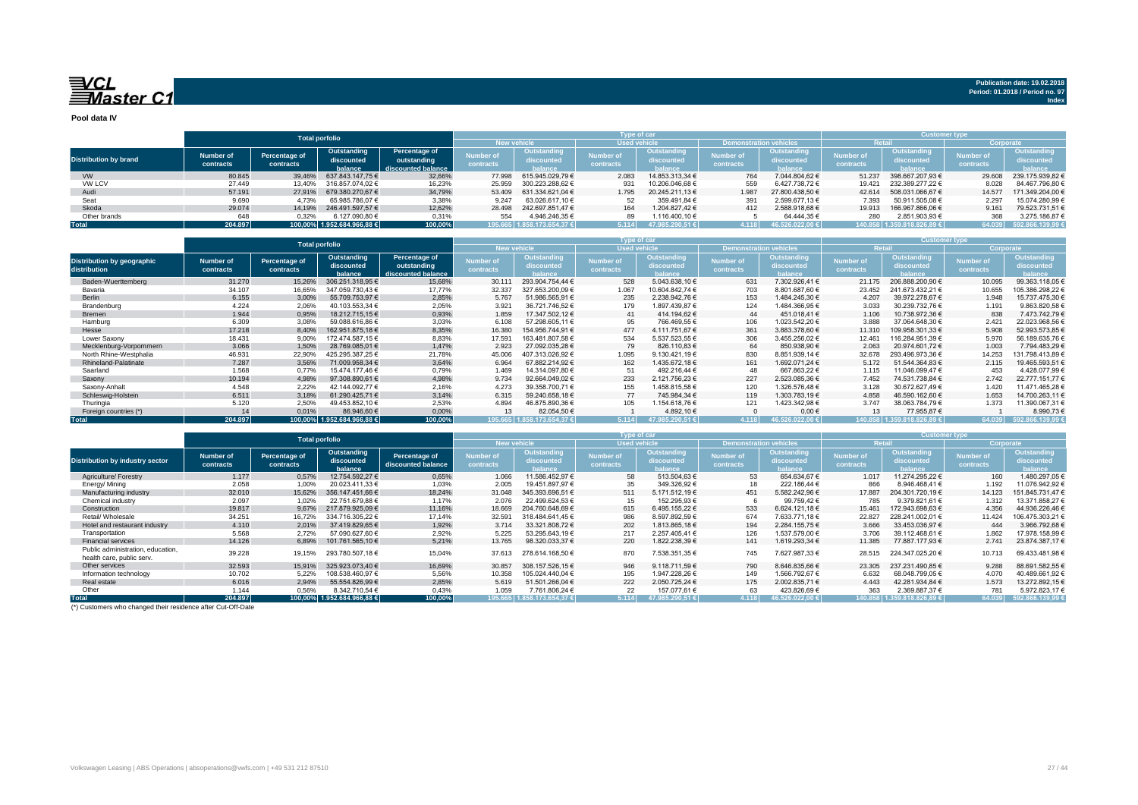

**Index**

**Pool data IV**

|                              |           |               |                            |                    |                    |                            | Type of car         |                    |                               |                     |               |                            |           |                    |
|------------------------------|-----------|---------------|----------------------------|--------------------|--------------------|----------------------------|---------------------|--------------------|-------------------------------|---------------------|---------------|----------------------------|-----------|--------------------|
|                              |           |               | <b>Total porfolio</b>      |                    |                    |                            |                     |                    |                               |                     |               | <b>Customer type</b>       |           |                    |
|                              |           |               |                            |                    | <b>New vehicle</b> |                            | <b>Used vehicle</b> |                    | <b>Demonstration vehicles</b> |                     | <b>Retail</b> |                            | Corporate |                    |
|                              | Number of | Percentage of | Outstanding                | Percentage of      | Number of          | Outstanding                | Number of           | <b>Outstanding</b> | <b>Number of</b>              | Outstanding         | Number of     | Outstanding                | Number of | <b>Outstanding</b> |
| <b>Distribution by brand</b> |           |               | discounted                 | outstanding        |                    | <b>iscounted</b>           |                     | discounted         |                               | discounted          |               | discounted                 | contracts | discounted         |
|                              | contracts | contracts     | balance                    | discounted balance | contracts          | halance                    | contracts           | halance            | contracts                     | halance             | contracts     | halance i                  |           | balance            |
| <b>VW</b>                    | 80.845    | 39.46%        | 637.843.147.75 €           | 32,66%             | 77,998             | 615.945.029.79 €           | 2.083               | 14.853.313.34 €    | 764                           | 7.044.804.62 €      | 51.237        | 398.667.207.93 €           | 29,608    | 239.175.939.82 €   |
| VW LCV                       | 27,449    | 13.40%        | 316.857.074.02 €           | 16,23%             | 25.959             | 300.223.288.62 €           | 931                 | 10.206.046.68 €    | 559                           | 6.427.738.72 €      | 19.421        | 232.389.277.22 €           | 8.028     | 84.467.796.80 €    |
| Audi                         | 57.191    | 27.91%        | 679.380.270.67 €           | 34,79%             | 53,409             | 631.334.621.04 €           | 1.795               | 20.245.211.13 €    | 1.987                         | 27.800.438.50 €     | 42.614        | 508.031.066,67 €           | 14.577    | 171.349.204,00 €   |
| Seat                         | 9.690     | 4.73%         | 65.985.786.07 €            | 3,38%              | 9.247              | 63.026.617.10 €            |                     | 359.491.84 €       | 391                           | 2.599.677.13 €      | 7.393         | 50.911.505,08 €            | 2.297     | 15.074.280,99 €    |
| Skoda                        | 29.074    | 14.19%        | 246.491.597.57 €           | 12.62%             | 28,498             | 242.697.851.47 €           | 164                 | 1.204.827.42 €     | 412                           | 2.588.918.68 €      | 19.913        | 166.967.866.06 €           | 9.161     | 79.523.731.51 €    |
| Other brands                 | 648       | 0.32%         | 6.127.090.80 €             | 0.31%              | 554                | 4.946.246.35 €             |                     | 1.116.400.10 €     |                               | 64.444.35 €         | 280           | 2.851.903.93 €             | 368       | 3.275.186.87 €     |
| <b>Total</b>                 | 204.897   |               | 100.00% 1.952.684.966.88 € | 100,00%            |                    | 195.665 1.858.173.654,37 € | 5.114               | 47.985.290.51 €    | 4.118                         | $46.526.022.00 \in$ |               | 140.858 1.359.818.826.89 € | 64.039    | 592.866.139,99 €   |

|                                                   | <b>Total porfolio</b>         |                            |                                      |                                                    | Type of car                   |                                             |                               |                                             |                               |                                             | <b>Customer type</b>   |                                             |                               |                                             |
|---------------------------------------------------|-------------------------------|----------------------------|--------------------------------------|----------------------------------------------------|-------------------------------|---------------------------------------------|-------------------------------|---------------------------------------------|-------------------------------|---------------------------------------------|------------------------|---------------------------------------------|-------------------------------|---------------------------------------------|
|                                                   |                               |                            |                                      |                                                    | New vehicle                   |                                             | <b>Wised vehicle</b>          |                                             | <b>Demonstration vehicles</b> |                                             |                        | lista)                                      | Corporate                     |                                             |
| <b>Distribution by geographic</b><br>distribution | <b>Number of</b><br>contracts | Percentage of<br>contracts | Outstanding<br>discounted<br>balance | Percentage of<br>outstanding<br>discounted balance | <b>Number of</b><br>contracts | <b>Outstanding</b><br>discounted<br>balance | <b>Number of</b><br>contracts | <b>Outstanding</b><br>discounted<br>halance | <b>Number of</b><br>contracts | <b>Outstanding</b><br>discounted<br>balance | Number of<br>contracts | Outstanding<br>discounted<br><b>balance</b> | <b>Number of</b><br>contracts | <b>Outstanding</b><br>discounted<br>palance |
| Baden-Wuerttemberg                                | 31,270                        | 15,26%                     | 306.251.318.95 €                     | 15,68%                                             | 30.111                        | 293.904.754.44 €                            | 528                           | 5.043.638,10 €                              | 631                           | 7.302.926.41 €                              | 21.175                 | 206.888.200.90 €                            | 10.095                        | 99.363.118.05 €                             |
| Bavaria                                           | 34.107                        | 16.65%                     | 347.059.730.43 €                     | 17,77%                                             | 32.337                        | 327.653.200.09 €                            | 1.067                         | 10.604.842.74 €                             | 703                           | 8.801.687.60 €                              | 23.452                 | 241.673.432.21 €                            | 10.655                        | 105.386.298.22 €                            |
| Berlin                                            | 6.155                         | 3.00%                      | 55.709.753.97 €                      | 2.85%                                              | 5.767                         | 51.986.565.91 €                             | 235                           | 2.238.942.76 €                              | 153                           | 1.484.245.30 €                              | 4.207                  | 39.972.278.67 €                             | 1.948                         | 15.737.475,30 €                             |
| Brandenburg                                       | 4.224                         | 2.06%                      | 40.103.553.34 €                      | 2,05%                                              | 3.921                         | 36.721.746.52 €                             | 179                           | 1.897.439.87 €                              | 124                           | 1.484.366,95 €                              | 3.033                  | 30.239.732.76 €                             | 1.191                         | 9.863.820,58€                               |
| Bremen                                            | 1.944                         | 0.95%                      | 18.212.715.15 €                      | 0,93%                                              | 1.859                         | 17.347.502.12 €                             | 41                            | 414.194.62 €                                | 44                            | 451.018,41 €                                | 1.106                  | 10.738.972.36 €                             | 838                           | 7.473.742,79 €                              |
| Hamburg                                           | 6.309                         | 3.08%                      | 59.088.616.86 €                      | 3,03%                                              | 6.108                         | 57.298.605.11 €                             | 95                            | 766.469.55 €                                | 106                           | 1.023.542.20 €                              | 3.888                  | 37.064.648.30 €                             | 2.421                         | 22.023.968.56 €                             |
| Hesse                                             | 17.218                        | 8.40%                      | 162.951.875.18 €                     | 8,35%                                              | 16.380                        | 154.956.744.91 €                            | 477                           | 4.111.751.67 €                              | 361                           | 3.883.378.60 €                              | 11.310                 | 109.958.301.33 €                            | 5.908                         | 52.993.573,85 €                             |
| Lower Saxony                                      | 18.431                        | 9.00%                      | 172.474.587.15 €                     | 8.83%                                              | 17.591                        | 163.481.807.58 €                            | 534                           | 5.537.523,55 €                              | 306                           | 3.455.256.02 €                              | 12.461                 | 116.284.951.39 €                            | 5.970                         | 56.189.635,76 €                             |
| Mecklenburg-Vorpommern                            | 3.066                         | 1.50%                      | 28.769.085.01 €                      | 1.47%                                              | 2.923                         | 27.092.035,28 €                             | 79                            | 826.110.83 €                                | 64                            | 850.938,90 €                                | 2.063                  | 20.974.601,72 €                             | 1.003                         | 7.794.483,29 €                              |
| North Rhine-Westphalia                            | 46.931                        | 22,90%                     | 425.295.387,25 €                     | 21,78%                                             | 45.006                        | 407.313.026.92 €                            | 1.095                         | 9.130.421,19 €                              | 830                           | 8.851.939,14 €                              | 32.678                 | 293.496.973.36 €                            | 14.253                        | 131.798.413.89 €                            |
| Rhineland-Palatinate                              | 7.287                         | 3.56%                      | 71.009.958.34 €                      | 3.64%                                              | 6.964                         | 67.882.214.92 €                             | 162                           | 1.435.672.18 €                              | 161                           | 1.692.071.24 €                              | 5.172                  | 51.544.364.83 €                             | 2.115                         | 19.465.593,51 €                             |
| Saarland                                          | 1.568                         | 0.77%                      | 15.474.177.46 €                      | 0.79%                                              | 1.469                         | 14.314.097.80 €                             | 51                            | 492.216.44 €                                | 48                            | 667.863.22 €                                | 1.115                  | 11.046.099.47 €                             | 453                           | 4.428.077.99€                               |
| Saxony                                            | 10.194                        | 4.98%                      | 97.308.890,61 €                      | 4,98%                                              | 9.734                         | 92.664.049.02 €                             | 233                           | 2.121.756,23 €                              | 227                           | 2.523.085,36 €                              | 7.452                  | 74.531.738,84 €                             | 2.742                         | 22.777.151,77 €                             |
| Saxony-Anhalt                                     | 4.548                         | 2.22%                      | 42.144.092.77 €                      | 2.16%                                              | 4.273                         | 39.358.700.71 €                             | 155                           | 1.458.815.58 €                              | 120                           | 1.326.576.48 €                              | 3.128                  | 30.672.627.49 €                             | 1.420                         | 11.471.465.28 €                             |
| Schleswig-Holstein                                | 6.511                         | 3.18%                      | 61.290.425.71 €                      | 3.14%                                              | 6.315                         | 59.240.658.18 €                             | 77                            | 745.984.34 €                                | 119                           | 1.303.783.19€                               | 4.858                  | 46.590.162.60 €                             | 1.653                         | 14.700.263.11 €                             |
| Thuringia                                         | 5.120                         | 2.50%                      | 49.453.852.10 €                      | 2.53%                                              | 4.894                         | 46.875.890,36 €                             | 105                           | 1.154.618.76€                               | 121                           | 1.423.342.98 €                              | 3.747                  | 38.063.784.79 €                             | 1.373                         | 11.390.067.31 €                             |
| Foreign countries (*)                             | 14                            | 0.01%                      | 86.946,60 €                          | 0,00%                                              | 13                            | 82.054,50 €                                 |                               | 4.892,10 €                                  |                               | 0,00€                                       | 13                     | 77.955,87€                                  |                               | 8.990,73€                                   |
| <b>Total</b>                                      | 204.897                       |                            | 100.00% 1.952.684.966.88 €           | 100,00%                                            |                               | 195.665 1.858.173.654.37 €                  | 5.114                         | 47.985.290.51 €                             | 4.118                         | 46.526.022.00 €                             |                        | 140.858 1.359.818.826.89 €                  | 64.039                        | 592.866.139.99 €                            |

|                                                                |                        | <b>Total porfolio</b>      |                                      |                                     | 'ype of car            |                                             |                        |                                      |                               |                                             | <b>Customer type</b>          |                                             |                               |                                      |
|----------------------------------------------------------------|------------------------|----------------------------|--------------------------------------|-------------------------------------|------------------------|---------------------------------------------|------------------------|--------------------------------------|-------------------------------|---------------------------------------------|-------------------------------|---------------------------------------------|-------------------------------|--------------------------------------|
|                                                                |                        |                            |                                      |                                     | <b>New vehicle</b>     |                                             | <b>Used vehicle</b>    |                                      | <b>Demonstration vehicles</b> |                                             | <b>Retai</b>                  |                                             | Corporate                     |                                      |
| <b>Distribution by industry sector</b>                         | Number of<br>contracts | Percentage of<br>contracts | Outstanding<br>discounted<br>balance | Percentage of<br>discounted balance | Number of<br>contracts | <b>Outstanding</b><br>discounted<br>balance | Number of<br>contracts | Outstanding<br>liscounted<br>balance | <b>Number of</b><br>contracts | <b>Outstanding</b><br>discounted<br>balance | Number of<br><b>contracts</b> | <b>Outstanding</b><br>discounted<br>balance | <b>Number of</b><br>contracts | Outstanding<br>discounted<br>balance |
| Agriculture/ Forestry                                          | 1.177                  | 0.57%                      | 12.754.592.27 €                      | 0,65%                               | 1.066                  | 11.586.452.97 €                             | 58                     | 513.504.63 €                         | 53                            | 654.634.67 €                                | 1.017                         | 11.274.295.22 €                             | 160                           | 1.480.297.05€                        |
| Energy/Mining                                                  | 2.058                  | 1.00%                      | 20.023.411.33 €                      | 1,03%                               | 2.005                  | 19.451.897.97 €                             | 35                     | 349.326.92 €                         | 18                            | 222.186.44 €                                | 866                           | 8.946.468.41 €                              | 1.192                         | 11.076.942.92€                       |
| Manufacturing industry                                         | 32,010                 | 15,62%                     | 356.147.451.66 €                     | 18.24%                              | 31.048                 | 345.393.696.51 €                            | 511                    | 5.171.512.19€                        | 451                           | 5.582.242.96 €                              | 17,887                        | 204.301.720.19 €                            | 14.123                        | 151.845.731.47                       |
| Chemical industry                                              | 2.097                  | 1.02%                      | 22.751.679.88 €                      | 1.17%                               | 2.076                  | 22.499.624.53 €                             | 15                     | 152.295.93 €                         |                               | 99.759.42€                                  | 785                           | 9.379.821.61 €                              | 1.312                         | 13.371.858,27 €                      |
| Construction                                                   | 19,817                 | 9.67%                      | 217.879.925.09 €                     | 11,16%                              | 18.669                 | 204.760.648.69 €                            | 615                    | 6.495.155.22 €                       | 533                           | 6.624.121.18 €                              | 15.461                        | 172.943.698.63 €                            | 4.356                         | 44.936.226.46                        |
| Retail/ Wholesale                                              | 34.251                 | 16,72%                     | 334.716.305.22 €                     | 17,14%                              | 32.591                 | 318.484.641.45 €                            | 986                    | 8.597.892,59 €                       | 674                           | 7.633.771.18 €                              | 22,827                        | 228.241.002,01 €                            | 11.424                        | 106.475.303.21 €                     |
| Hotel and restaurant industry                                  | 4.110                  | 2.01%                      | 37.419.829,65 €                      | 1,92%                               | 3.714                  | 33.321.808.72 €                             | 202                    | 1.813.865.18 €                       | 194                           | 2.284.155.75 €                              | 3.666                         | 33.453.036,97 €                             | 444                           | 3.966.792.68                         |
| Transportation                                                 | 5.568                  | 2.72%                      | 57.090.627.60 €                      | 2.92%                               | 5.225                  | 53.295.643.19 €                             | 217                    | 2.257.405.41 €                       | 126                           | 1.537.579.00 €                              | 3.706                         | 39.112.468.61 €                             | 1.862                         | 17.978.158.99 €                      |
| <b>Financial services</b>                                      | 14.126                 | 6.89%                      | 101.761.565.10 €                     | 5.21%                               | 13.765                 | 98.320.033.37 €                             | 220                    | 1.822.238.39 €                       | 141                           | 1.619.293.34 €                              | 11.385                        | 77.887.177.93 €                             | 2.741                         | 23.874.387,17 €                      |
| Public administration, education.<br>health care, public serv. | 39.228                 | 19,15%                     | 293.780.507.18 €                     | 15,04%                              | 37.613                 | 278.614.168.50 €                            | 870                    | 7.538.351,35 €                       | 745                           | 7.627.987,33 €                              | 28.515                        | 224.347.025.20 €                            | 10.713                        | 69.433.481,98 €                      |
| Other services                                                 | 32.593                 | 15,91%                     | 325.923.073.40 €                     | 16,69%                              | 30.857                 | 308.157.526.15 €                            | 946                    | 9.118.711.59 €                       | 790                           | 8.646.835.66 €                              | 23.305                        | 237.231.490.85 €                            | 9.288                         | 88.691.582.55 €                      |
| Information technology                                         | 10.702                 | 5.22%                      | 108.538.460.97 €                     | 5,56%                               | 10.358                 | 05.024.440.04€                              | 195                    | 1.947.228.26€                        | 149                           | 1.566.792.67 €                              | 6.632                         | 68.048.799,05 €                             | 4.070                         | 40.489.661.92 €                      |
| Real estate                                                    | 6.016                  | 2.94%                      | 55.554.826,99 €                      | 2,85%                               | 5.619                  | 51.501.266.04 €                             | 222                    | 2.050.725.24 €                       | 175                           | 2.002.835.71 €                              | 4.443                         | 42.281.934.84 €                             | 1.573                         | 13.272.892,15 (                      |
| Other                                                          | 1.144                  | 0.56%                      | 8.342.710,54 €                       | 0,43%                               | 1.059                  | 7.761.806.24 €                              | 22                     | 157.077.61 €                         | 63                            | 423.826,69€                                 | 363                           | 2.369.887.37 €                              | 781                           | 5.972.823.17 €                       |
| <b>Total</b>                                                   | 204.897                |                            | 100.00% 1.952.684.966.88 €           | 100,00%                             |                        | 195.665∫ 1.858.173.654.37 €                 | 5.114                  | 47.985.290.51 €                      | 4.118                         | 46.526.022.00 €                             |                               | 140.858 1.359.818.826.89 €                  | 64.039                        | 592.866.139.99                       |

(\*) Customers who changed their residence after Cut-Off-Date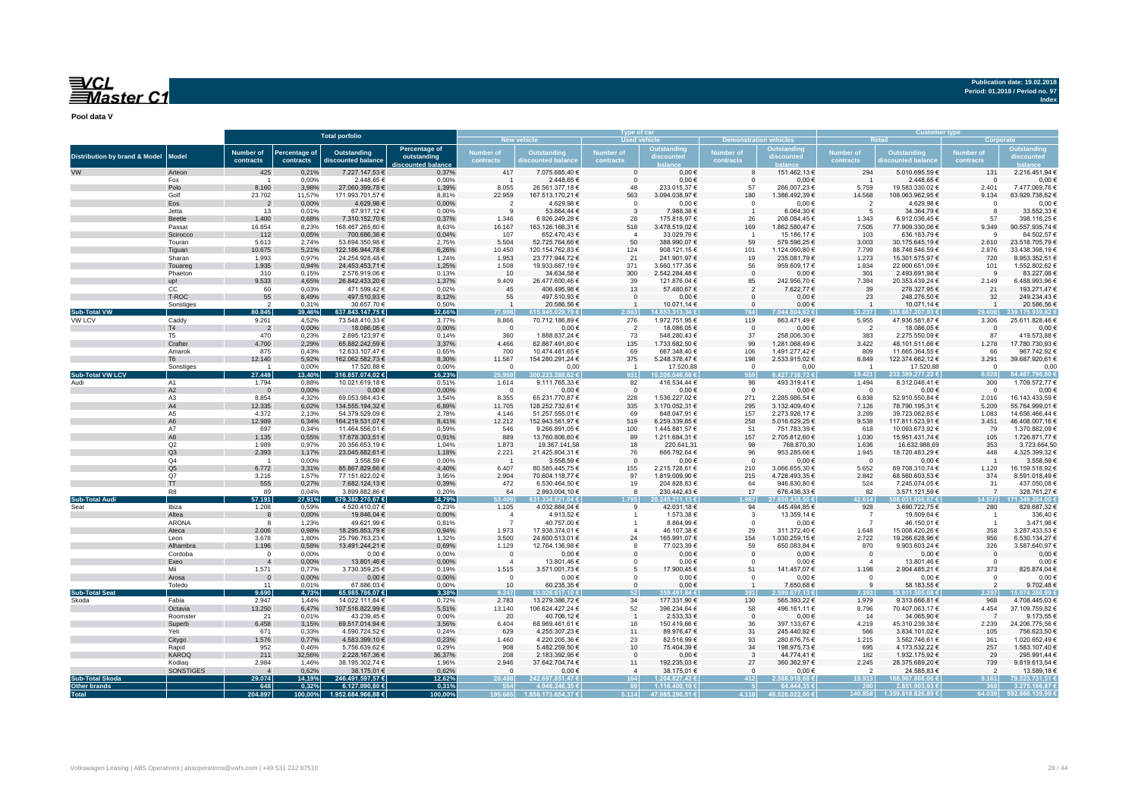

**Publication date: 19.02.2018 Period: 01.2018 / Period no. 97 Index**

**Pool data V**

|                                          |                    | <b>Total porfolio</b>         |                            | Type of car                        |                                                  |                               |                                   |                        |                                 | Customer typ                  |                             |                               |                                    |                               |                                  |
|------------------------------------------|--------------------|-------------------------------|----------------------------|------------------------------------|--------------------------------------------------|-------------------------------|-----------------------------------|------------------------|---------------------------------|-------------------------------|-----------------------------|-------------------------------|------------------------------------|-------------------------------|----------------------------------|
|                                          |                    |                               |                            |                                    |                                                  |                               |                                   | <b>Used vehicle</b>    |                                 | Demonstrat                    | <b>n vehicles</b>           |                               |                                    | Corporat                      |                                  |
| <b>Distribution by brand &amp; Model</b> | <b>Model</b>       | <b>Number of</b><br>contracts | Percentage of<br>contracts | Outstanding<br>discounted balance  | Percentage of<br>outstanding<br>scounted balancı | <b>Jumber</b> of<br>contracts | Outstanding<br>scounted balar     | Number of<br>contracts | <b>Outstandin</b><br>discounted | <b>Number</b> of<br>contracts | Outstanding<br>liscounted   | <b>Number of</b><br>contracts | Outstanding<br>scounted bala       | <b>Number</b> of<br>contracts | <b>Dutstanding</b><br>iscounted  |
|                                          | Arteon             | 425                           | 0,21%                      | 7.227.147,53 €                     | 0,37%                                            | 417                           | 7.075.685,40 €                    | $\Omega$               | $0,00 \in$                      |                               | 151.462,13 €                | 294                           | 5.010.695,59€                      | 131                           | 2.216.451,94 €                   |
|                                          | Fox                | - 1                           | 0,00%                      | 2.448,65 €                         | 0,00%                                            |                               | 2.448,65 €                        | $\Omega$               | $0,00 \in$                      | - 0                           | 0,00€                       | $\overline{1}$                | 2.448,65 €                         | $\Omega$                      | $0,00$ €                         |
|                                          | Polo               | 8.160                         | 3,98%                      | 27.060.399,78 €                    | 1,39%                                            | 8.055                         | 26.561.377,18 €                   | $\Delta$ <sup>R</sup>  | 233.015,37 €                    | 57                            | 266.007,23 €                | 5.759                         | 19.583.330,02 €                    | 2.401                         | 7.477.069,76 €                   |
|                                          | Golf               | 23.702                        | 11,57%                     | 171.993.701,57 €                   | 8,81%                                            | 22.959                        | 167.513.170,21 €                  | 563                    | 3.094.038,97€                   | 180                           | 1.386.492,39 €              | 14.568                        | 108.063.962,95€                    | 9.134                         | 63.929.738,62 €                  |
|                                          | Eos                | $\overline{2}$                | 0,00%                      | 4.629,98 €                         | 0,00%                                            | $\overline{2}$                | 4.629,98 €                        | $\Omega$               | $0,00 \in$                      | $\Omega$                      | 0,00€                       | $\overline{2}$                | 4.629,98 €                         | $^{\circ}$                    | $0,00$ €                         |
|                                          | Jetta              | 13                            | 0,01%                      | 67.917,12€                         | 0,00%                                            | 9                             | 53.864,44 €                       | $\mathbf{3}$           | 7.988,38 €                      |                               | 6.064,30 €                  | 5                             | 34.364,79 €                        | 8                             | 33.552,33 €                      |
|                                          | <b>Beetle</b>      | 1.400                         | 0,68%                      | 7.310.152,70 €                     | 0,37%                                            | 1.346                         | 6.926.249,28 €                    | 28                     | 175.818,97 €                    | 26                            | 208.084,45€                 | 1.343                         | 6.912.036,45€                      | 57                            | 398.116,25€                      |
|                                          | Passat             | 16.854                        | 8,23%                      | 168.467.265,80 €                   | 8,63%                                            | 16.167                        | 163.126.166,31 €                  | 518                    | 3.478.519,02€                   | 169                           | 1.862.580,47 €              | 7.505                         | 77.909.330,06 €                    | 9.349                         | 90.557.935,74 €                  |
|                                          | Scirocco           | 112                           | 0,05%                      | 700.686,36 €                       | 0,04%                                            | 107                           | 652.470,43€                       | $\overline{4}$         | 33.029.76 €                     |                               | 15.186,17€                  | 103                           | 636.183,79€                        |                               | 64.502,57€                       |
|                                          | Touran             | 5.613                         | 2,74%                      | 53.694.350.98 €                    | 2,75%                                            | 5.504                         | 52.725.764,66 €                   | 50                     | 388.990,07 €                    | 59                            | 579.596,25€                 | 3.003                         | 30.175.645,19€                     | 2.610                         | 23.518.705,79€                   |
|                                          | Tiguan             | 10.675                        | 5,21%                      | 122.186.944,78 €                   | 6,26%                                            | 10.450                        | 120.154.762,83 €                  | 124                    | 908.121,15€                     | 101                           | 1.124.060,80 €              | 7.799                         | 88.748.546,59 €                    | 2.876                         | 33.438.398,19 €                  |
|                                          | Sharan             | 1.993<br>1.935                | 0,97%<br>0,94%             | 24.254.928,48 €<br>24.453.453,71 € | 1,24%<br>1,25%                                   | 1.953<br>1.508                | 23.777.944,72 €<br>19.933.667,19€ | 21<br>371              | 241.901,97 €<br>3.560.177,35 €  | 19<br>56                      | 235.081,79€<br>959.609,17€  | 1.273<br>1.834                | 15.301.575,97 €<br>22.900.651,09 € | 720<br>101                    | 8.953.352,51€<br>1.552.802,62€   |
|                                          | Touareg<br>Phaeton | 310                           | 0,15%                      | 2.576.919,06 €                     | 0,13%                                            | 10                            | 34.634,58€                        | 300                    | 2.542.284,48€                   | $\Omega$                      | $0,00 \in$                  | 301                           | 2.493.691,98 €                     | -9                            | 83.227,08 €                      |
|                                          | up!                | 9.533                         | 4,65%                      | 26.842.433,20 €                    | 1,37%                                            | 9.409                         | 26.477.600,46 €                   | 39                     | 121.876,04 €                    | 85                            | 242.956,70 €                | 7.384                         | 20.353.439,24 €                    | 2.149                         | 6.488.993,96 €                   |
|                                          | СC                 | 60                            | 0,03%                      | 471.599,42 €                       | 0,02%                                            | 45                            | 406.495,98€                       | 13                     | 57.480,67€                      | $\overline{\phantom{a}}$      | 7.622,77 €                  | 39                            | 278.327,95€                        | 21                            | 193.271,47€                      |
|                                          | T-ROC              | 55                            | 8,49%                      | 497.510,93 €                       | 8,12%                                            | 55                            | 497.510,93 €                      | $\Omega$               | $0,00 \in$                      |                               | $0.00 \in$                  | 23                            | 248.276,50€                        | 32                            | 249.234,43€                      |
|                                          | Sonstiges          | $\overline{2}$                | 0,31%                      | 30.657,70 €                        | 0,50%                                            | $\overline{1}$                | 20.586,56€                        |                        | 10.071,14 €                     | $\Omega$                      | 0,00€                       | $\overline{1}$                | 10.071,14 €                        | $\overline{1}$                | 20.586,56€                       |
| <b>Sub-Total VW</b>                      |                    | 80.845                        | 39,46%                     | 637.843.147,75€                    | 32,66%                                           | 77.998                        | 5.945.029.79€                     | 2.083                  | 1.853.313.34                    |                               | 044.804.62€                 | 51.237                        | .667.207.93 €                      | 29.608                        | $9.175.939.82 \in$               |
| VW LCV                                   | Caddy              | 9.261                         | 4,52%                      | 73.548.410,33 €                    | 3,77%                                            | 8.866                         | 70.712.186,89 €                   | 276                    | 1.972.751,95€                   | 119                           | 863.471,49 €                | 5.955                         | 47.936.581,87 €                    | 3.306                         | 25.611.828,46€                   |
|                                          | T <sub>4</sub>     | $\overline{2}$                | 0,00%                      | 18.086,05€                         | 0,00%                                            | $\overline{0}$                | $0,00$ €                          | $\overline{2}$         | 18.086,05€                      | $\Omega$                      | 0,00€                       | $\overline{2}$                | 18.086,05€                         | $\Omega$                      | $0,00$ €                         |
|                                          | T <sub>5</sub>     | 470                           | 0,23%                      | 2.695.123,97 €                     | 0,14%                                            | 360                           | 1.888.837,24 €                    | 73                     | 548.280,43€                     | 37                            | 258.006,30 €                | 383                           | 2.275.550,09 €                     | 87                            | 419.573,88 €                     |
|                                          | Crafter            | 4.700                         | 2,29%                      | 65.882.242,59 €                    | 3,37%                                            | 4.466                         | 62.867.491,60 €                   | 135                    | 1.733.682,50 €                  | 99                            | 1.281.068,49 €              | 3.422                         | 48.101.511,66 €                    | 1.278                         | 17.780.730,93 €                  |
|                                          | Amarok             | 875                           | 0,43%                      | 12.633.107,47 €                    | 0,65%                                            | 700                           | 10.474.481,65 €                   | 69                     | 667.348,40 €                    | 106                           | 1.491.277,42 €              | 809                           | 11.665.364,55 €                    | 66                            | 967.742,92€                      |
|                                          | T6                 | 12.140                        | 5,92%                      | 162.062.582,73 €                   | 8,30%                                            | 11.567                        | 154.280.291,24 €                  | 375                    | 5.248.376,47€                   | 198                           | 2.533.915,02 €              | 8.849                         | 122.374.662,12 €                   | 3.291                         | 39.687.920,61 €                  |
|                                          | Sonstiges          |                               | 0,00%                      | 17.520,88 €                        | 0,00%                                            | $\mathbf{0}$                  | 0,00                              | $\overline{1}$         | 17.520,88                       | $\Omega$                      | 0,00                        | $\overline{1}$                | 17.520,88                          | $\overline{0}$                | 0,00                             |
| <b>Sub-Total VW LCV</b>                  |                    | 27.449                        | 13,40%                     | 316.857.074,02€                    | 16,23%                                           | 25.959                        | 0.223.288.62€                     | 931                    | 0 206 046 68 €                  |                               | 427.738,72 €                | 19.421                        | 232.389.277.22€                    | 8.028                         | 467.796.80 €                     |
| Audi                                     | A1                 | 1.794                         | 0,88%<br>0,00%             | 10.021.619,18 €<br>$0,00 \in$      | 0,51%                                            | 1.614                         | 9.111.765,33 €<br>$0,00$ €        | 82<br>$\overline{0}$   | 416.534,44 €<br>$0,00 \in$      | 98<br>$\Omega$                | 493.319,41 €                | 1.494                         | 8.312.046,41 €                     | 300<br>$\overline{0}$         | 1.709.572,77 €<br>$0.00 \in$     |
|                                          | A2<br>A3           | $\mathbf{0}$<br>8.854         | 4,32%                      | 69.053.984,43 €                    | 0,00%<br>3,54%                                   | $\mathbf{0}$<br>8.355         | 65.231.770,87 €                   | 228                    | 1.536.227,02 €                  | 271                           | 0,00€<br>2.285.986,54 €     | $\overline{0}$<br>6.838       | $0,00 \in$<br>52.910.550,84 €      | 2.016                         | 16.143.433,59 €                  |
|                                          | A4                 | 12.335                        | 6,02%                      | 134.555.194,32 €                   | 6,89%                                            | 11.705                        | 128.252.732,61 €                  | 335                    | 3.170.052,31 €                  | 295                           | 3.132.409,40 €              | 7.126                         | 78.790.195,31 €                    | 5.209                         | 55.764.999,01 €                  |
|                                          | A5                 | 4.372                         | 2,13%                      | 54.379.529,09 €                    | 2,78%                                            | 4.146                         | 51.257.555,01 €                   | 69                     | 848.047,91 €                    | 157                           | 2.273.926,17 €              | 3.289                         | 39.723.062,65€                     | 1.083                         | 14.656.466,44 €                  |
|                                          | A <sub>6</sub>     | 12.989                        | 6,34%                      | 164.219.531,07 €                   | 8,41%                                            | 12.212                        | 152.943.561,97 €                  | 519                    | 6.259.339,85€                   | 258                           | 5.016.629,25 €              | 9.538                         | 117.811.523,91 €                   | 3.451                         | 46.408.007,16€                   |
|                                          | A7                 | 697                           | 0,34%                      | 11.464.556,01 €                    | 0,59%                                            | 546                           | 9.266.891,05 €                    | 100                    | 1.445.881,57 €                  | 51                            | 751.783,39 €                | 618                           | 10.093.673,92 €                    | 79                            | 1.370.882,09 €                   |
|                                          | A8                 | 1.135                         | 0,55%                      | 17.678.303,51 €                    | 0,91%                                            | 889                           | 13.760.806,60 €                   | 89                     | 1.211.684,31 €                  | 157                           | 2.705.812,60 €              | 1.030                         | 15.951.431,74 €                    | 105                           | 1.726.871,77 €                   |
|                                          | Q2                 | 1.989                         | 0,97%                      | 20.356.653,19 €                    | 1,04%                                            | 1.873                         | 19.367.141,58                     | 18                     | 220.641,31                      | 98                            | 768.870,30                  | 1.636                         | 16.632.988,69                      | 353                           | 3.723.664,50                     |
|                                          | Q3                 | 2.393                         | 1,17%                      | 23.045.882,61 €                    | 1,18%                                            | 2.221                         | 21.425.804,31 €                   | 76                     | 666.792,64 €                    | 96                            | 953.285,66 €                | 1.945                         | 18.720.483,29 €                    | 448                           | 4.325.399,32 €                   |
|                                          | Q4                 | $\overline{1}$                | 0,00%                      | 3.558,59 €                         | 0,00%                                            | $\overline{1}$                | 3.558,59€                         | $\Omega$               | $0,00 \in$                      | $\Omega$                      | $0,00 \in$                  | $\Omega$                      | $0,00$ €                           | $\overline{1}$                | 3.558,59€                        |
|                                          | Q <sub>5</sub>     | 6.772                         | 3,31%                      | 85.867.829,66 €                    | 4,40%                                            | 6.407                         | 80.585.445,75€                    | 155                    | 2.215.728,61 €                  | 210                           | 3.066.655,30 €              | 5.652                         | 69.708.310,74 €                    | 1.120                         | 16.159.518,92 €                  |
|                                          | Q7                 | 3.216                         | 1,57%                      | 77.151.622,02 €                    | 3,95%                                            | 2.904                         | 70.604.118,77 €                   | 97                     | 1.819.009,90 €                  | 215                           | 4.728.493,35 €              | 2.842                         | 68.560.603,53 €                    | 374                           | 8.591.018,49 €                   |
|                                          | TT.                | 555                           | 0,27%                      | 7.682.124,13 €                     | 0,39%                                            | 472                           | 6.530.464,50 €                    | 19                     | 204.828,83 €                    | 64                            | 946.830,80 €                | 524                           | 7.245.074,05€                      | 31                            | 437.050,08 €                     |
|                                          | R8                 | 89                            | 0.04%                      | 3.899.882.86 €                     | 0,20%                                            | 64                            | 2.993.004.10 €                    | $\mathbf{R}$           | 230.442.43€                     | 17                            | 676.436,33 €                | 82                            | 3.571.121.59€                      | $\overline{7}$                | 328.761,27€                      |
| <b>Sub-Total Audi</b><br>Seat            |                    | 57.191                        | 27,91%                     | 679.380.270,67€                    | 34,79%                                           | 3.409                         | 31.334.621.04€                    | 1.795 I<br>9           | 0.245.211.13€                   | .987<br>94                    | $.800.438.50$ €             | 2.614                         | 08.031.066.67€                     | 14.577                        | 1.349.204.00                     |
|                                          | Ibiza              | 1.208<br>8                    | 0,59%<br>0,00%             | 4.520.410,07 €<br>19.846,04 €      | 0,23%                                            | 1.105<br>-4                   | 4.032.884,04 €                    |                        | 42.031,18 €<br>1.573,38 €       |                               | 445.494,85 €<br>13.359,14 € | 928<br>$\overline{7}$         | 3.690.722,75 €                     | 280                           | 829.687,32€                      |
|                                          | Altea<br>ARONA     | -8                            | 1,23%                      | 49.621,99 €                        | 0,00%<br>0,81%                                   | -7                            | 4.913,52 €<br>40.757,00 €         |                        | 8.864,99 €                      | $\Omega$                      | 0,00€                       | -7                            | 19.509,64 €<br>46.150,01 €         |                               | 336,40 €<br>3.471,98 €           |
|                                          | Ateca              | 2.006                         | 0,98%                      | 18.295.853,79 €                    | 0,94%                                            | 1.973                         | 17.938.374,01 €                   |                        | 46.107,38 €                     | 29                            | 311.372,40 €                | 1.648                         | 15.008.420,26 €                    | 358                           | 3.287.433,53 €                   |
|                                          | Leon               | 3.678                         | 1,80%                      | 25.796.763,23 €                    | 1,32%                                            | 3.500                         | 24.600.513,01 €                   | 24                     | 165.991,07€                     | 154                           | 1.030.259,15 €              | 2.722                         | 19.266.628,96 €                    | 956                           | 6.530.134,27€                    |
|                                          | Alhambra           | 1.196                         | 0,58%                      | 13.491.244,21€                     | 0,69%                                            | 1.129                         | 12.764.136,98 €                   |                        | 77.023,39€                      | 59                            | 650.083,84 €                | 870                           | 9.903.603,24 €                     | 326                           | 3.587.640,97€                    |
|                                          | Cordoba            | $\Omega$                      | 0.00%                      | $0,00 \in$                         | 0.00%                                            | $\Omega$                      | $0.00 \in$                        | $\Omega$               | 0.00€                           | $\Omega$                      | $0.00 \in$                  | $\overline{0}$                | $0,00 \in$                         | $\Omega$                      | 0.00€                            |
|                                          | Exeo               | $\overline{4}$                | 0,00%                      | 13.801,46 €                        | 0,00%                                            | $\Delta$                      | 13.801,46€                        |                        | $0,00 \in$                      |                               | $0,00 \in$                  | $\Delta$                      | 13.801,46 €                        | $\Omega$                      | $0,00 \in$                       |
|                                          | Mii                | 1.571                         | 0,77%                      | 3.730.359,25 €                     | 0,19%                                            | 1.515                         | 3.571.001.73 €                    | 5                      | 17.900.45 €                     | 51                            | 141.457,07 €                | 1.198                         | 2.904.485,21€                      | 373                           | 825.874,04 €                     |
|                                          | Arosa              | $\Omega$                      | 0,00%                      | 0,00€                              | 0,00%                                            | $\Omega$                      | $0,00 \in$                        | U                      | $0,00 \in$                      | $\Omega$                      | $0,00 \in$                  | $\Omega$                      | $0,00 \in$                         | $\Omega$                      | $0,00 \in$                       |
|                                          | Toledo             | 11                            | 0,01%                      | 67.886,03 €                        | 0,00%                                            | 10                            | 60.235,35€                        | $\Omega$               | $0,00 \in$                      |                               | 7.650,68 €                  | $\alpha$                      | 58.183,55 €                        | $\overline{\phantom{a}}$      | 9.702,48€                        |
| <b>Sub-Total Seat</b>                    |                    | 9.690                         | 4,73%                      | 65.985.786,07€                     | 3,38%                                            | 9.247                         | 3.026.617.10 €                    |                        | 159.491.84€                     | 391                           | 599.677.13 6                | 7.393                         | 0.911.505.08                       | 297                           | 5.074.280.99                     |
| Skoda                                    | Fabia              | 2.947                         | 1,44%                      | 14.022.111,84 €                    | 0,72%                                            | 2.783                         | 13.279.386,72 €                   | 34                     | 177.331,90 €                    | 130                           | 565.393,22 €                | 1.979                         | 9.313.666,81 €                     | 968                           | 4.708.445,03 €                   |
|                                          | Octavia            | 13.250                        | 6,47%                      | 107.516.822,99 €                   | 5,51%                                            | 13.140                        | 106.624.427,24 €                  | 52                     | 396.234,64 €                    | 58                            | 496.161,11€                 | 8.796                         | 70.407.063,17€                     | 4.454                         | 37.109.759,82 €                  |
|                                          | Roomster           | 21                            | 0,01%                      | 43.239,45€                         | 0,00%                                            | 20                            | 40.706,12€                        |                        | 2.533,33 €                      | $\Omega$                      | 0,00€                       | 14                            | 34.065,90 €                        |                               | 9.173,55 €                       |
|                                          | Superb             | 6.458<br>671                  | 3,15%                      | 69.517.014,94 €                    | 3,56%                                            | 6.404                         | 68.969.461,61€                    | 18                     | 150.419,66 €                    | 36                            | 397.133,67 €                | 4.219                         | 45.310.239,38 €                    | 2.239<br>105                  | 24.206.775,56 €                  |
|                                          | Yeti               |                               | 0,33%                      | 4.590.724,52 €                     | 0,24%                                            | 629                           | 4.255.307,23 €                    | 11                     | 89.976.47€                      | 31                            | 245.440,82 €                | 566                           | 3.834.101,02 €                     |                               | 756.623,50 €                     |
|                                          | Citygo<br>Rapid    | 1.576<br>952                  | 0,77%<br>0,46%             | 4.583.399,10 €<br>5.756.639,62 €   | 0,23%<br>0,29%                                   | 1.460<br>908                  | 4.220.205,36 €<br>5.482.259,50 €  | 23<br>10               | 82.516,99€<br>75.404,39€        | 93<br>34                      | 280.676,75€<br>198.975,73 € | 1.215<br>695                  | 3.562.746,61 €<br>4.173.532,22 €   | 361<br>257                    | 1.020.652,49 €<br>1.583.107,40 € |
|                                          | <b>KAROQ</b>       | 211                           | 32,56%                     | 2.228.167,36 €                     | 36,37%                                           | 208                           | 2.183.392,95 €                    | $\Omega$               | $0,00 \in$                      | $\mathbf{z}$                  | 44.774,41€                  | 182                           | 1.932.175,92 €                     | 29                            | 295.991,44 €                     |
|                                          | Kodiag             | 2.984                         | 1,46%                      | 38.195.302,74 €                    | 1,96%                                            | 2.946                         | 37.642.704,74 €                   | 11                     | 192.235,03 €                    | 27                            | 360.362,97€                 | 2.245                         | 28.375.689,20 €                    | 739                           | 9.819.613,54 €                   |
|                                          | <b>SONSTIGES</b>   |                               | 0,62%                      | 38.175,01 €                        | 0,62%                                            | $\Omega$                      | 0,00€                             |                        | 38.175,01 €                     | $\Omega$                      | $0,00 \in$                  | $\mathcal{P}$                 | 24.585,83 €                        | $\overline{2}$                | 13.589,18 €                      |
| <b>Sub-Total Skoda</b>                   |                    | 29.074                        | 14,19%                     | 246.491.597,57 €                   | 12,62%                                           |                               | 242.697.851,47€                   | 164                    | 1.204.827,42 €                  | 412                           | 2.588.918,68 €              | 19.913                        | 1.967.866,06€                      |                               | 79.523.731,51                    |
| <b>Other brands</b>                      |                    | 648                           | 0,32%                      | 6.127.090,80 €                     | 0,31%                                            |                               | 4.946.246.35€                     | 89                     | 1.116.400,10 €                  |                               | 64,444,35€                  | 280                           | 2.851.903,93 €                     |                               | 3.275.186.87                     |
| <b>Total</b>                             |                    | 204.897                       | 100,00%                    | 1.952.684.966,88 €                 | 100,00%                                          | 195.665                       | 1.858.173.654.37 €                | 5.114                  | 47.985.290,51 €                 | 4.118                         | 46.526.022,00 €             | 140.858                       | 1.359.818.826.89 €                 | 64.039                        |                                  |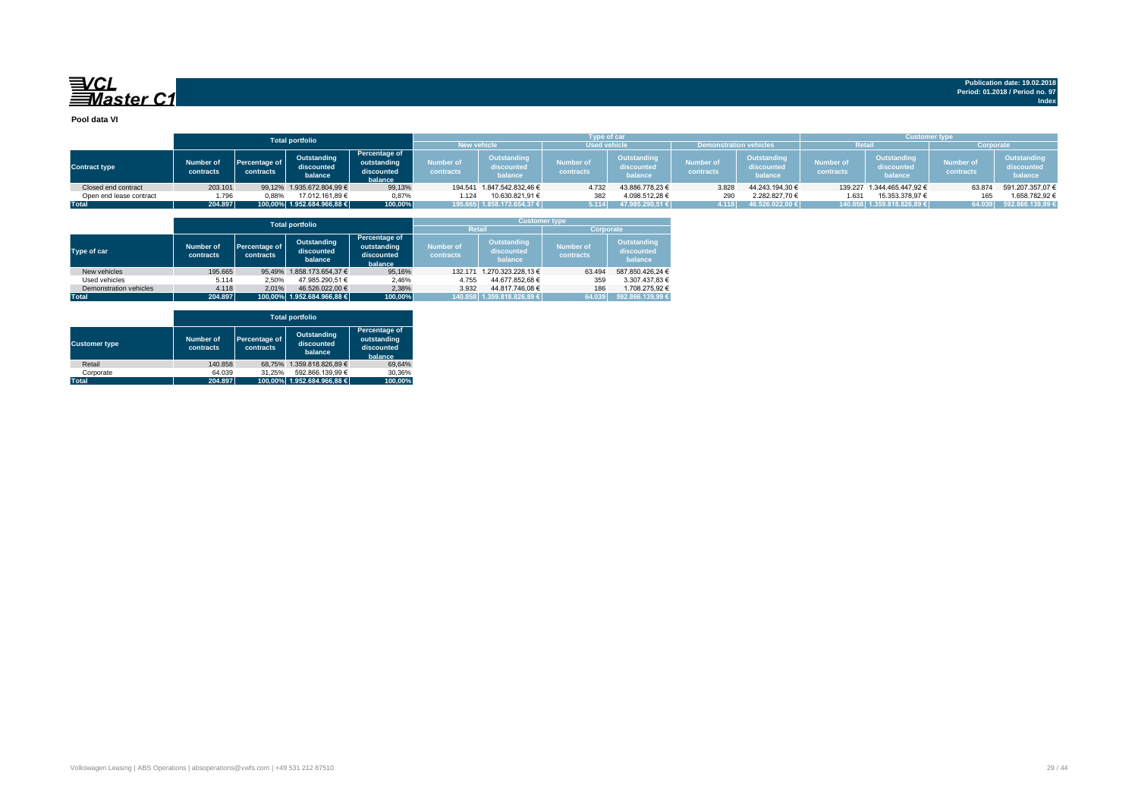

**Publication date: 19.02.2018 Period: 01.2018 / Period no. 97 Index**

**Pool data VI**

|                         |                        |                            | <b>Total portfolio</b>               |                                                              | <b>Type of car</b><br><b>Used vehicle</b><br><b>New vehicle</b><br><b>Demonstration vehicles</b> |                                      |                        |                                      |                        |                                      | <b>Customer type</b><br>रेetai<br>Corporate |                                      |                               |                                      |
|-------------------------|------------------------|----------------------------|--------------------------------------|--------------------------------------------------------------|--------------------------------------------------------------------------------------------------|--------------------------------------|------------------------|--------------------------------------|------------------------|--------------------------------------|---------------------------------------------|--------------------------------------|-------------------------------|--------------------------------------|
| <b>Contract type</b>    | Number of<br>contracts | Percentage of<br>contracts | Outstanding<br>discounted<br>balance | <b>Percentage of</b><br>outstanding<br>discounted<br>balance | Number of<br>contracts <sup>1</sup>                                                              | Outstanding<br>discounted<br>balance | Number of<br>contracts | Outstanding<br>discounted<br>balance | lumber of<br>contracts | Outstanding<br>discounted<br>balance | Number of<br>contracts                      | Outstanding<br>discounted<br>balance | <b>Number</b> of<br>contracts | Outstanding<br>discounted<br>balance |
| Closed end contract     | 203.101                |                            | 99,12% 1.935.672.804,99 €            | 99,13%                                                       |                                                                                                  | 194.541 1.847.542.832,46 €           | 4.732                  | 43.886.778,23 €                      | 3.828                  | 44.243.194,30 €                      | 139,227                                     | 1.344.465.447.92 €                   | 63.874                        | 591.207.357,07 €                     |
| Open end lease contract | 1.796                  | 0.88%                      | 17.012.161.89 €                      | 0,87%                                                        | 1.124                                                                                            | 10.630.821.91 €                      | 382                    | 4.098.512.28 €                       | 290                    | 2.282.827.70 €                       | 1.631                                       | 15.353.378.97 €                      | 165                           | 1.658.782.92 €                       |
| <b>Total</b>            | 204.897                |                            | 100,00% 1.952.684.966,88 €           | 100,00%                                                      |                                                                                                  | 195.665 1.858.173.654,37 €           | 5.114                  | 47.985.290.51 €                      | 4.118                  | 46.526.022,00 €                      |                                             | 140.858 1.359.818.826.89 €           |                               | 64.039 592.866.139,99 €              |

|                        |                               |                            | <b>Total portfolio</b>               |                                                       |                               |                                             | <b>Customer type</b>                 |                                             |  |
|------------------------|-------------------------------|----------------------------|--------------------------------------|-------------------------------------------------------|-------------------------------|---------------------------------------------|--------------------------------------|---------------------------------------------|--|
|                        |                               |                            |                                      |                                                       | <b>Retail</b>                 |                                             | Corporate                            |                                             |  |
| Type of car            | <b>Number of</b><br>contracts | Percentage of<br>contracts | Outstanding<br>discounted<br>balance | Percentage of<br>outstanding<br>discounted<br>balance | <b>Number of</b><br>contracts | <b>Outstanding</b><br>discounted<br>balance | <b>Number of</b><br><b>contracts</b> | <b>Outstanding</b><br>discounted<br>balance |  |
| New vehicles           | 195.665                       |                            | 95.49% 1.858.173.654.37 €            | 95.16%                                                | 132.171                       | 1.270.323.228.13 €                          | 63.494                               | 587.850.426.24 €                            |  |
| Used vehicles          | 5.114                         | 2.50%                      | 47.985.290.51 €                      | 2.46%                                                 | 4.755                         | 44.677.852.68 €                             | 359                                  | 3.307.437.83 €                              |  |
| Demonstration vehicles | 4.118                         | 2.01%                      | 46.526.022.00 €                      | 2.38%                                                 | 3.932                         | 44.817.746.08 €                             | 186                                  | 1.708.275.92 €                              |  |
| <b>Total</b>           | 204.897                       |                            | 100.00% 1.952.684.966.88 €           | 100.00%                                               |                               | 140.858 1.359.818.826.89 €                  | 64.039                               | 592.866.139.99 €                            |  |

|                      |                               |                            | <b>Total portfolio</b>               |                                                       |
|----------------------|-------------------------------|----------------------------|--------------------------------------|-------------------------------------------------------|
| <b>Customer type</b> | <b>Number of</b><br>contracts | Percentage of<br>contracts | Outstanding<br>discounted<br>balance | Percentage of<br>outstanding<br>discounted<br>balance |
| Retail               | 140.858                       |                            | 68.75% 1.359.818.826.89 €            | 69.64%                                                |
| Corporate            | 64.039                        | 31.25%                     | 592.866.139.99 €                     | 30.36%                                                |
| <b>Total</b>         | 204.897                       |                            | 100.00% 1.952.684.966.88 €           | 100.00%                                               |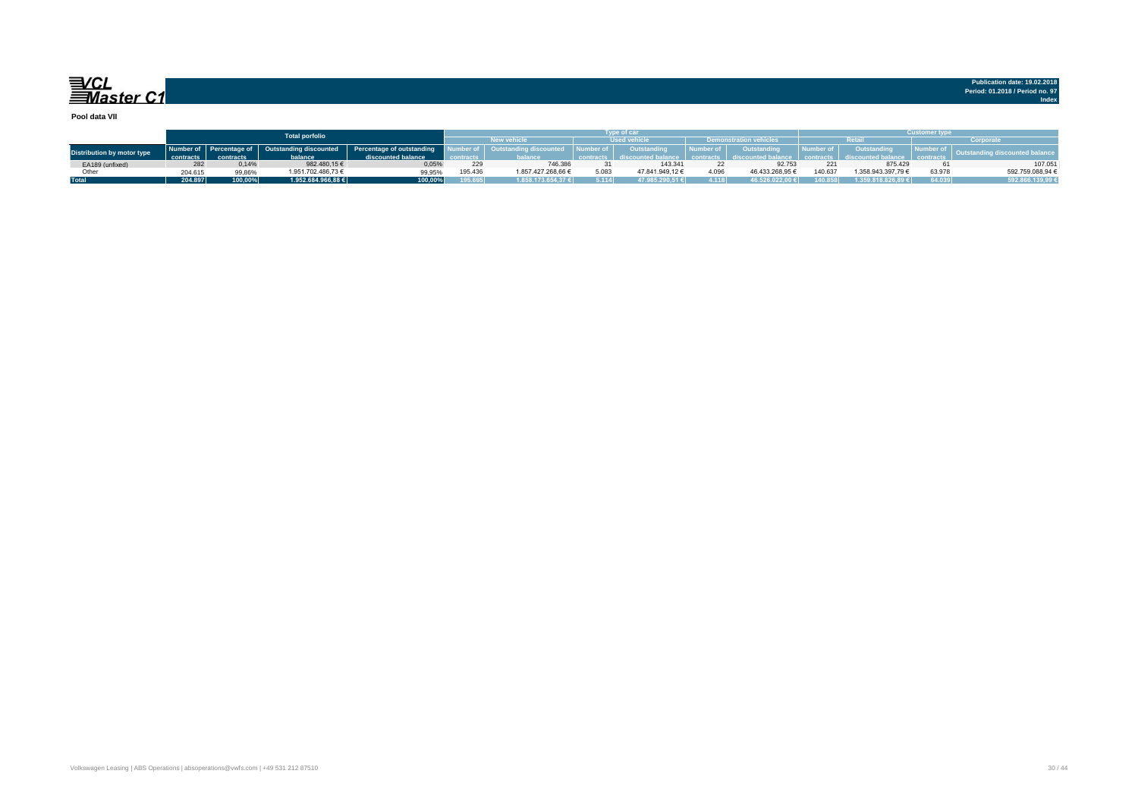

**Pool data VII**

|                                   |           |           | <b>Total porfolio</b> |                                                                          | vpe of car |                       |                     |                 |           |                               |           | <b>Customer type</b> |                                   |                  |  |  |
|-----------------------------------|-----------|-----------|-----------------------|--------------------------------------------------------------------------|------------|-----------------------|---------------------|-----------------|-----------|-------------------------------|-----------|----------------------|-----------------------------------|------------------|--|--|
|                                   |           |           |                       |                                                                          |            | New vehicle \         | <b>Used vehicle</b> |                 |           | <b>Demonstration vehicles</b> |           |                      |                                   | Corporate        |  |  |
| <b>Distribution by motor type</b> |           |           |                       | Number of Percentage of Outstanding discounted Percentage of outstanding |            | utstanding discounted | Number of           | Outstanding     | Number of | Outstanding                   | Number of | Outstanding          | <b>Contract Contract Contract</b> |                  |  |  |
|                                   | contracts | contracts | balance               | discounted balance                                                       | contracts  |                       |                     |                 |           |                               |           |                      |                                   |                  |  |  |
| EA189 (unfixed)                   |           | 0.14%     | 982.480.15€           | 0.05%                                                                    | 229        | 746.386               |                     | 143.341         |           | 92.753                        |           | 875,429              |                                   | 107.051          |  |  |
| Other                             | 204.615   | 99.86%    | 1.951.702.486.73 €    | 99.95%                                                                   | 195.436    | 1.857.427.268.66 €    | 5.083               | 47.841.949.12 € | 4.096     | 46.433.268.95 €               | 140.637   | 1.358.943.397.79 €   | 63.978                            | 592.759.088.94 € |  |  |
| <b>Total</b>                      | 204.897   | 100.00%   | 1.952.684.966.88 €    | 100.00%                                                                  | 195.665    | 1.858.173.654.37 €    | 5.114               | 47.985.290.51 € | 1118      | 16.526.022.00€                |           | 1.359.818.826.89 €   | 64.039                            | 592.866.139,99 € |  |  |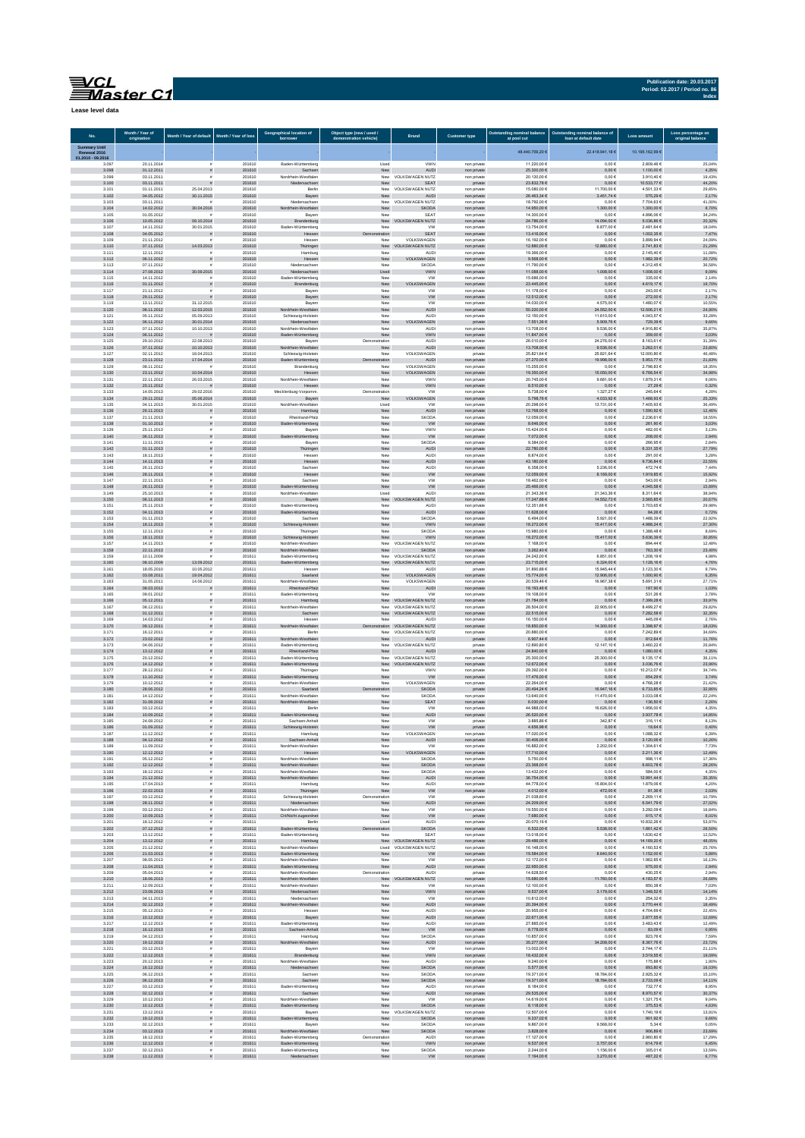| <b>Publication date: 20.03.2017</b> |       |
|-------------------------------------|-------|
| Period: 02.2017 / Period no. 86     |       |
|                                     | Index |

चि∕CL<br>≡Master C1

| Lease level data |  |
|------------------|--|
|------------------|--|

ŕ

| No.                           | Month / Year of<br>origination | Month / Year of default             | Month / Year of loss | borrower                                                   | t type (new / used.<br>demonstration vehicle) | <b>Brand</b>                                | <b>Customer type</b>       | at pool cut                  | loan at default date               | Loss amount                            | original balance         |
|-------------------------------|--------------------------------|-------------------------------------|----------------------|------------------------------------------------------------|-----------------------------------------------|---------------------------------------------|----------------------------|------------------------------|------------------------------------|----------------------------------------|--------------------------|
| Summary Until<br>Renewal 2016 |                                |                                     |                      |                                                            |                                               |                                             |                            | 48.440.709,20 €              | 22.418.941,186                     | 10.195.162,99 6                        |                          |
| 01.2010 - 09.2016<br>3.097    | 20.11.2014                     |                                     | 201610               | Baden-Württemberg                                          | Used                                          | VWN                                         | non private                | 11.220,00 €                  | $0,00 \in$                         | 2.809,46 €                             | 25,04%                   |
| 3.098                         | 01.12.2011                     | $\tilde{\pi}$                       | 201610               | Sachsen                                                    | ${\sf New}$                                   | <b>AUDI</b>                                 | non private                | 25.300,00 €                  | $0{,}00 \in$                       | 1.100,00 €                             | 4,35%                    |
| 3.099                         | 03.11.2011                     |                                     | 201610               | Nordrhein-Westfalen                                        | New                                           | VOLKSWAGEN NUTZ                             | non private                | 20.130,00 €                  | $0,00 \in$                         | 3.910,40 €                             | 19,43%                   |
| 3.100                         | 03.11.2011                     | 25.04.2013                          | 201610               | Niedersachsen                                              | New                                           | SEAT                                        | private                    | 23.832,78 €                  | $0,00 \in$                         | 10.533,77 €                            | 44,20%                   |
| 3.101                         | 01.11.2011                     |                                     | 201610               | Berlin                                                     | New                                           | <b>VOLKSWAGEN NUTZ</b>                      | non private                | 15,080.00 €                  | 11.700.00 €                        | 4.501.33 €                             | 29.85%                   |
| 3.102                         | 04.05.2012                     | 30.11.2015                          | 201610               | Bayern                                                     | New                                           | AUDI                                        | non private                | 26.463,34 €                  | 3.451,74 €                         | 575,29€                                | 2,17%                    |
| 3.103                         | 03.11.2011                     |                                     | 201610               | Niedersachser                                              | New                                           | VOLKSWAGEN NUTZ                             | non private                | 18.792,00 €                  | $0,00 \in$                         | 7.704,63 €                             | 41,00%                   |
| 3.104                         | 14.02.2012                     | 30.04.2016                          | 201610               | ordrhein-Westfalen                                         | New                                           | <b>SKODA</b>                                | non private                | 14.950,00 €                  | 1.300,00 €                         | 1.300,00 €                             | 8,70%                    |
| 3.105                         | 01.05.2012                     |                                     | 201610               | Bayern                                                     | New                                           | SEA1                                        | non private                | 14.300,00 €                  | $0,00 \in$                         | 4.896,06 €                             | 34,24%                   |
| 3.106                         | 10.05.2012                     | 09.10.2014                          | 201610               | Brandenburg                                                | New                                           | VOLKSWAGEN NUTZ                             | non private                | 24.786,00 €                  | 14.094,00 €                        | 5.036,86 €                             | 20,32%                   |
| 3.107                         | 14.11.2012                     | 30.01.2015                          | 201610               | Baden-Württemberg                                          | New                                           | W                                           | non private                | 13.754,00 €                  | 6.877,00 €                         | 2.481,64 €                             | 18,04%                   |
| 3.108                         | 04.05.2012                     | $\tilde{\pi}$                       | 201610               | Hessen                                                     | stration                                      | SEAT                                        | non private                | 13.416,00 €                  | $0,00 \in$                         | 1.002,35 €                             | 7,47%                    |
| 3.109                         | 21.11.2012                     | 14.03.2013                          | 201610               | Hessen                                                     | New                                           | VOLKSWAGEN                                  | non private                | 16,192.00 €                  | 0.006                              | 3.899.94 €                             | 24.09%                   |
| 3.110                         | 07.11.2012                     |                                     | 201610               | Thüringen                                                  | New                                           | VOLKSWAGEN NUTZ                             | non private                | 12.880,00 €                  | 12.880,00 €                        | 2.741,83 €                             | 21,29%                   |
| 3.111                         | 12.11.2012                     | $\tilde{\pi}$                       | 201610               | Hamburg                                                    | Nev                                           | AUD                                         | non private                | 19.366,00 €                  | $0,00 \in$                         | 2.145,40 €                             | 11,08%                   |
| 3.112                         | 06.11.2012                     |                                     | 201610               | Hessen                                                     | ${\sf New}$                                   | VOLKSWAGEN                                  | non private                | 9.568,00 $\in$               | $0,00 \in$                         | 1.982,39 €                             | 20,72%                   |
| 3.113                         | 07.11.2012                     | 30.09.2015                          | 201610               | Niedersachser                                              | New                                           | SKOD/                                       | non private                | 11.790,00 €                  | 0,006                              | 4.312,456                              | 36,58%                   |
| 3.114                         | 27.08.2012                     |                                     | 201610               | Niedersachsen                                              | Used                                          | VWN                                         | non private                | 11.088,00 €                  | $008,00 \in$                       | 1.008,00 €                             | 9,09%                    |
| 3.115                         | 14.11.2012                     | $\tilde{\pi}$                       | 201610               | Baden-Württemberg                                          | New                                           | <b>VW</b>                                   | non private                | 15.686,00 €                  | $0,00 \in$                         | 335,00 €                               | 2,14%                    |
| 3.116                         | 01.11.2012                     |                                     | 201610               | Brandenburg                                                | New                                           | VOLKSWAGEN                                  | non private                | 23.445,00 €                  | $0,00 \in$                         | 4.619,17€                              | 19,70%                   |
| 3.117                         | 21.11.2012                     | s                                   | 201610               | Bayern                                                     | New                                           | <b>VW</b>                                   | non private                | 11.178.00 €                  | 0.006                              | 243.00 €                               | 2.17%                    |
| 3.118                         | 29.11.2012                     |                                     | 201610               | Bayern                                                     | New                                           | <b>VW</b>                                   | non private                | 12.512,00 €                  | $0,00 \in$                         | 272,00 €                               | 2,17%                    |
| 3.119                         | 13.11.2012                     | 31.12.2015                          | 201610               | Bayern                                                     | New                                           | <b>VW</b>                                   | non private                | 14.030,00 €                  | 4.575,00 €                         | 1.480,07 €                             | 10,55%                   |
| 3.120<br>3.121                | 08.11.2012<br>05.11.2012       | 12.03.2015<br>05.09.2013            | 201610<br>201610     | Nordrhein-Westfalen<br>Schleswig-Holstein<br>Niedersachsen | ${\sf New}$<br>New                            | AUDI<br><b>AUDI</b>                         | non private<br>non private | $50.220,00$ €<br>12.150,00 € | 24.552,00 €<br>11.610,00 €         | 12.506,21 €<br>4.043,57 €              | 24,90%<br>33,28%         |
| 3.122<br>3.123                | 06.11.2012<br>07.11.2012       | 30.01.2014<br>10.10.2013            | 201610<br>201610     | Nordrhein-Westfalen                                        | ${\sf New}$<br>New                            | VOLK:<br><b>/AGEN</b><br>AUDI               | private<br>non private     | 7.551,36 €<br>13.708,00 €    | 5.909,76€<br>9.536,00 €            | 729,39 €<br>4.916,80 €                 | 9,66%<br>35,87%          |
| 3.124                         | 06.11.2012                     | $\mathbf{r}$                        | 201610               | Baden-Württemberg                                          | New                                           | VWN                                         | non private                | 11.847,00 €                  | $0,00 \in$                         | 359,00 €                               | 3,03%                    |
| 3.125                         | 29.10.2012                     | 22.08.2013                          | 201610               | Bayern                                                     | Demonstration                                 | <b>AUDI</b>                                 | non private                | 26.010,00 €                  | 24.276,00 €                        | 8.163,61 €                             | 31,39%                   |
| 3.126                         | 07.11.2012                     | 10.10.2013                          | 201610               | Nordrhein-Westfalen                                        | New                                           | <b>AUDI</b>                                 | non private                | 13,708,00 €                  | 9.536,00 €                         | 3.262,01 €                             | 23,80%                   |
| 3.127                         | 02.11.2012                     | 18.04.2013                          | 201610               | Schleswig-Holstein                                         | New                                           | VOLKSWAGEN                                  | private                    | 25.821.64 €                  | 25.821,64 €                        | 12,000.80 €                            | 46.48%                   |
| 3.128                         | 23.11.2012                     | 17.04.2014                          | 201610               | Baden-Württemberg                                          | tration                                       | <b>AUDI</b>                                 | non private                | 27.270,00 €                  | 19.998,00 €                        | 5.953,77 €                             | 21,83%                   |
| 3.129                         | 08.11.2012                     |                                     | 201610               | Brandenburg                                                | New                                           | VOLKSWAGEN                                  | non private                | 15.255,00 €                  | $0,00 \in$                         | 2.798,836                              | 18,35%                   |
| 3.130                         | 23.11.2012                     | 10.04.2014                          | 201610               | Hessen                                                     | ${\sf New}$                                   | VOLKSWAGEN                                  | non private                | 19.350,00 €                  | 15.050,00 €                        | $6.768, 54 \in$                        | 34,98%                   |
| 3.131                         | 22.11.2012                     | 26.03.2015                          | 201610               | Nordrhein-Westfalen                                        | New                                           | <b>VWM</b>                                  | non private                | 20.745,00 €                  | 9.681,00 €                         | 1.879,31 €                             | 9,06%                    |
| 3.132                         | 20.11.2012                     | $\overline{z}$                      | 201610               | Hessen                                                     | New                                           | VWN                                         | non private                | 8.510,00 €                   | $0,00 \in$                         | 27,29 €                                | 0,32%                    |
| 3.133                         | 14.05.2013                     | 29.02.2016                          | 201610               | Mecklenburg-Vorpomm                                        | Demonstration                                 | w                                           | non private                | 5.738,00 €                   | 1.327,27 €                         | 245,64 €                               | 4,28%                    |
| 3.134                         | 29.11.2012                     | 05.06.2014                          | 201610               | Bayern                                                     | New                                           | VOLKSWAGEN                                  | non private                | 5.798,76€                    | 4.033,92 €                         | 1.468,93 €                             | 25,33%                   |
| 3.135                         | 04.11.2013                     | 30.01.2015                          | 201610               | Nordrhein-Westfalen                                        | Used                                          | <b>VW</b>                                   | non private                | 20,298.00 €                  | 13.731,00 €                        | 7.405.93 €                             | 36.49%                   |
| 3.136                         | 26.11.2013                     | $\tilde{\pi}$                       | 201610               | Hamburg                                                    | ${\sf New}$                                   | AUDI                                        | non private                | 12.768,00 €                  | $0,00 \in$                         | 1.590,92 €                             | 12,46%                   |
| 3.137<br>3.138                | 21.11.2013<br>01.10.2013       | $\tilde{\pi}$<br>$\tilde{\pi}$      | 201610<br>201610     | Rheinland-Pfalz<br>en-Wü<br>temberg                        | New<br>${\sf New}$                            | <b>SKODA</b><br><b>VW</b>                   | non private<br>non private | 12.059,00 €<br>8.646,00 €    | $0,00 \in$<br>$0,00 \in$           | 2.236,61 €<br>261,90 €                 | 18,55%<br>3,03%          |
| 3.139                         | 25.11.2013                     |                                     | 201610               | Bayern                                                     | New                                           | VWN                                         | non private                | 15.424,00 €                  | $0,00 \in$                         | 482,00 €                               | 3,13%                    |
| 3.140                         | 06.11.2013                     |                                     | 201610               | Baden-Württemberg                                          | New                                           | ${\sf VW}$                                  | non private                | 7.072,00 €                   | $0,00 \in$                         | 208,00€                                | 2,94%                    |
| 3.141                         | 11.11.2013                     | $\mathbf{r}$                        | 201610               | Bayern                                                     | New                                           | SKOD/                                       | non private                | 9.384,00 €                   | 0,006                              | 266,95€                                | 2,84%                    |
| 3.142                         | 01.11.2013                     | $\tilde{\pi}$                       | 201610               | Thüringen                                                  | New                                           | <b>AUDI</b>                                 | non private                | 22.780.00 €                  | $0,00 \in$                         | 6.331,35 €                             | 27,79%                   |
| 3.143                         | 18.11.2013                     |                                     | 201610               | Hessen                                                     | New                                           | <b>AUDI</b>                                 | non private                | 8.874.00 €                   | 0.006                              | 291.00 €                               | 3.28%                    |
| 3.144                         | 14.11.2013                     |                                     | 201610               | Hessen                                                     | New                                           | AUDI                                        | non private                | 43.180,00 €                  | $0,00 \in$                         | 9.736,84 $\in$                         | 22,55%                   |
| 3.145                         | 26.11.2013                     | $\tilde{\pi}$                       | 201610               | Sachser                                                    | New                                           | <b>AUDI</b>                                 | non private                | 6.358,00 €                   | 5.236,00 €                         | 472,74€                                | 7,44%                    |
| 3.146                         | 28.11.2013                     |                                     | 201610               | Hessen                                                     | New                                           | ${\sf VW}$                                  | non private                | 12.059,00 €                  | 8.169,00 €                         | 1.919,85 €                             | 15,92%                   |
| 3.147                         | 22.11.2013                     |                                     | 201610               | Sachser                                                    | New                                           | VW                                          | non private                | 18.462,00 €                  | $0,00 \in$                         | 543,00 €                               | 2,94%                    |
| 3.148                         | 26.11.2013                     | $\tilde{\mathbf{z}}$                | 201610               | Baden-Württemberg                                          | New                                           | ${\sf VW}$                                  | non private                | 25.466,00 €                  | $0,00 \in$                         | 4.045,58 €                             | 15,89%                   |
| 3.149                         | 25.10.2013                     | $\mathbf{r}$                        | 201610               | Nordrhein-Westfaler                                        | Used                                          | AUD                                         | non private                | 21.343,36 €                  | 21.343,36 €                        | 8.311,64 €                             | 38,94%                   |
| 3.150                         | 06.11.2013                     | $\bar{\mathbf{z}}$                  | 201610               | Bayern                                                     | New                                           | VOLKSWAGEN NUTZ                             | non private                | 17.247,68 €                  | 14.552,73 €                        | 3.565,85 $\in$                         | 20,67%                   |
| 3.151                         | 25.11.2013                     | $\tilde{\pi}$                       | 201610               | Baden-Württemberg                                          | New                                           | AUD                                         | non private                | 12.351.68 €                  | 0.006                              | 3.703.65 €                             | 29.98%                   |
| 3.152                         | 04.11.2013                     | $\tilde{\pi}$                       | 201610               | Baden-Württemberg                                          | New                                           | AUDI                                        | non private                | 11.628,00 €                  | $0{,}00 \in$                       | 84,26€                                 | 0,72%                    |
| 3.153                         | 01.11.2013                     |                                     | 201610               | Sachsen                                                    | New                                           | SKOD/                                       | non private                | 6.494,00 €                   | 5.921,00 €                         | 1.488,39 €                             | 22,92%                   |
| 3.154                         | 18.11.2013                     |                                     | 201610               | swig-Holstein                                              | New                                           | <b>VWN</b>                                  | non private                | 18.272,00 €                  | 15.417,00 €                        | 4.988,24 €                             | 27,30%                   |
| 3.155                         | 12.11.2013                     |                                     | 201610               | Thüringen                                                  | New                                           | <b>SKODA</b>                                | non private                | 15.980,00 €                  | $0,00 \in$                         | 1.388,48 €                             | 8,69%                    |
| 3.156                         | 18.11.2013                     | s                                   | 201610               | Schleswig-Holstein                                         | New                                           | <b>VWN</b>                                  | non private                | 18.272,00 €                  | 15.417,00 €                        | 5.636,39 €                             | 30,85%                   |
| 3.157                         | 14.11.2013                     |                                     | 201610               | Nordrhein-Westfalen                                        | New                                           | VOLKSWAGEN NUTZ                             | non private                | 7.168,00 €                   | 0,006                              | 894,44 €                               | 12,48%                   |
| 3.158<br>3.159                | 22.11.2013<br>10.11.2009       | $\tilde{\pi}$                       | 201610<br>201611     | Nordrhein-Westfalen<br>Baden-Württemberg                   | New                                           | <b>SKODA</b><br>New VOLKSWAGEN NUTZ         | non private<br>non private | 3.262,40 €<br>24.242.00 €    | $0,00 \in$<br>6.851.00 €           | 763,30 €<br>1.208.19 €                 | 23,40%<br>4.98%          |
| 3.160<br>3.161                | 08.10.2009                     | 13.09.2012                          | 201611<br>201611     | Baden-Württemberg                                          |                                               | New VOLKSWAGEN NUTZ                         | non private                | 23.715,00 €<br>31.890,88 €   | 6.324,00 €                         | 1.128,16€                              | 4,76%                    |
| 3.162                         | 18.05.2010<br>03.08.2011       | 10.05.2012<br>19.04.2012            | 201611               | Hesser<br>Saarland                                         | Nev<br>New                                    | AUD<br>VOLKSWAGEN                           | private<br>non private     | 15.774,00 €                  | 15.945,44 €<br>12.906,00 €         | 3.123,30 €<br>1.000,90 €               | 9,79%<br>6,35%           |
| 3.163                         | 31.05.2011                     | 14.06.2012                          | 201611               | Nordrhein-Westfalen                                        | New                                           | VOLKSWAGEN                                  | non private                | 20.539,46 6                  | 16.967,38 6                        | 5.691,31 €                             | 27,71%                   |
| 3.164                         | 08.03.2012                     | $\tilde{\pi}$                       | 201611               | Rheinland-Pfalz                                            | ${\sf New}$                                   | <b>AUDI</b>                                 | non private                | 18.193,46 €                  | $0,00 \in$                         | 187,90 €                               | 1,03%                    |
| 3.165                         | 09.01.2012                     | $\mathbf{r}$                        | 201611               | Baden-Württemberg                                          | New                                           | <b>VV</b>                                   | non private                | 19.108,00 €                  | $0,00 \in$                         | 531,26 €                               | 2,78%                    |
| 3.166                         | 05.12.2011                     | $\tilde{\pi}$                       | 201611               | Hamburg                                                    |                                               | New VOLKSWAGEN NUTZ                         | non private                | 21.784,00 €                  | $0,00 \in$                         | 7.399,28 €                             | 33,97%                   |
| 3.167                         | 08.12.2011                     | s                                   | 201611               | Nordrhein-Westfalen                                        | New                                           | <b>VOLKSWAGEN NUTZ</b>                      | non private                | 28,504.00 €                  | 22,905.00 €                        | 8.499.27 €                             | 29.82%                   |
| 3.168                         | 01.12.2011                     | $\tilde{\pi}$                       | 201611               | Sachsen                                                    | New                                           | VOLKSWAGEN NUTZ                             | non private                | 22.515,00 €                  | $0,00 \in$                         | 7.282,58 €                             | 32,35%                   |
| 3.169                         | 14.03.2012                     | $\tilde{\pi}$                       | 201611               | Hesser                                                     | New                                           | AUD                                         | non private                | 16.150,00 €                  | $0,00 \in$                         | 445,09€                                | 2,76%                    |
| 3.170                         | 09.12.2011                     | $\tilde{\varpi}$                    | 201611               | Nordrhein-Westfalen                                        | tration                                       | VOLKSWAGEN NUTZ                             | non private                | 18.850,00 €                  | 14.300,00 €                        | 3.398,97 €                             | 18,03%                   |
| 3.171                         | 16.12.2011                     |                                     | 201611               | Berlin                                                     | New                                           | VOLKSWAGEN NUTZ                             | non private                | 20.880,00 €                  | $0,00 \in$                         | 7.242,89 €                             | 34,69%                   |
| 3.172                         | 23.02.2012                     |                                     | 201611               | Nordrhein-Westfalen                                        | New                                           | AUDI                                        | private                    | 6.907,44 €                   | $0,00 \in$                         | 812,64 €                               | 11,76%                   |
| 3.173<br>3.174                | 04.06.2012<br>13.12.2012       |                                     | 201611               | Baden-Württemberg<br>Rheinland-Pfalz                       |                                               | New VOLKSWAGEN NUTZ                         | private                    | 12.890,80 €<br>24.840,00 €   | 12.147,10 €                        | 3.460,22 €<br>1.080,00 €               | 26,84%<br>4,35%          |
| 3.175                         | 20.12.2012                     |                                     | 201611<br>201611     | Baden-Württemberg                                          | New                                           | <b>AUDI</b><br>New VOLKSWAGEN NUTZ          | private<br>non private     | 25,300.00 €                  | $0,00 \in$<br>25,300.00 €          | 9.135.17€                              | 36.11%                   |
| 3.176<br>3.177                | 14.12.2012<br>28.12.2012       |                                     | 201611<br>201611     | Baden-Württemberg<br>Thüringer                             | New                                           | New VOLKSWAGEN NUTZ<br>VWN                  | non private<br>non private | 12.672,00 €<br>29.392,00 €   | $0,00 \in$<br>$0,00 \in$           | 3.036,76 €<br>10.212,07 €              | 23,96%<br>34,74%         |
| 3.178                         | 11.10.2012                     |                                     | 201611               | Baden-Württemberg                                          | New                                           | <b>VW</b>                                   | non private                | 17.476,00 €                  | $0,00 \in$                         | 654,29€                                | 3,74%                    |
| 3.179                         | 10.12.2012                     |                                     | 201611               | Nordrhein-Westfalen                                        | New                                           | VOLKSWAGEN                                  | non private                | 22.264,00 €                  | $0,00 \in$                         | 4.768,286                              | 21,42%                   |
| 3.180                         | 28.06.2012                     | $\tilde{\pi}$                       | 201611               | Saarland                                                   | ration                                        | SKODA                                       | private                    | 20.494,24 €                  | 16.947,16 €                        | 6.733,85 €                             | 32,86%                   |
| 3.181                         | 14.12.2012                     |                                     | 201611               | Nordrhein-Westfalen                                        | New                                           | SKOD/                                       | non private                | 13.640,00 €                  | 11.470,00 €                        | 3.033,08 €                             | 22,24%                   |
| 3.182                         | 31.08.2012                     | $\tilde{\pi}$                       | 201611               | Nordrhein-Westfalen                                        | New                                           | SEAT                                        | non private                | 6.030,00 €                   | $0,00 \in$                         | 136,50 €                               | 2,26%                    |
| 3.183                         | 03.12.2012                     | $\tilde{\pi}$                       | 201611               | Berlin                                                     | New                                           | <b>VW</b>                                   | non private                | 44.988.00 €                  | 16,626,00 €                        | 1.956.00 €                             | 4.35%                    |
| 3.184                         | 10.09.2012                     | $\tilde{\pi}$                       | 201611               | Baden-Württemberg                                          | New                                           | AUDI                                        | non private                | 26.520,00 €                  | 0,006                              | 3.937,78 €                             | 14,85%                   |
| 3.185                         | 24.08.2012                     | $\tilde{\pi}$                       | 201611               | Sachsen-Anhalt                                             | New                                           | <b>VW</b>                                   | private                    | 3,885,86 €                   | 342,87 €                           | 316,11€                                | 8,13%                    |
| 3.186<br>3.187                | 01.09.2012<br>11.12.2012       | $\tilde{\mathbf{z}}$                | 201611<br>201611     | Schleswig-Holstein<br>Hamburg                              | New<br>New                                    | <b>VW</b><br>VOLKSWAGEN                     | private                    | 4.656,98 €<br>17.020,00 €    | $0{,}00 \in$                       | 18,64 $\in$                            | 0,40%                    |
| 3.189                         | 4.12.2012<br>11.09.2012        |                                     | 201611<br>201611     | ısen-Anhal<br>Nordrhein-Westfalen                          | New<br>New                                    | AULI<br>VW                                  | non private                | .406,00 t<br>16.882,00 €     | $0,00 \in$<br>0,00 t<br>2.202,00 € | 1.088,32 €<br>3.120,06 e<br>1.304,61 € | 6,39%<br>10,26%<br>7,73% |
| 3.190                         | 12.12.2012                     | $\boldsymbol{\pi}$<br>$\tilde{\pi}$ | 201611               | Hessen                                                     | New                                           | VOLKSWAGEN                                  | non private<br>non private | 17.710,00 €                  | $0{,}00 \in$                       | 2.211,36 €                             | 12,49%                   |
| 3.191                         | 05.12.2012                     | s                                   | 201611               | Nordrhein-Westfalen                                        | New                                           | SKODA                                       | non private                | 5.750,00 €                   | $0,00 \in$                         | 998,11€                                | 17,36%                   |
| 3.192                         | 12.12.2012                     | $\tilde{\pi}$                       | 201611               | Nordrhein-Westfalen                                        | New                                           | <b>SKODA</b>                                | non private                | 23.368.00 €                  | $0.00 \in$                         | 6.603.78 €                             | 28.26%                   |
| 3.193                         | 18.12.2012                     | $\tilde{\pi}$                       | 201611               | Nordrhein-Westfalen                                        | New                                           | <b>SKODA</b>                                | non private                | 13,432.00 €                  | 0.006                              | 584.00 €                               | 4.35%                    |
| 3.194                         | 21.12.2012                     | $\tilde{\pi}$                       | 201611               | Nordrhein-Westfalen                                        | New                                           | <b>AUDI</b>                                 | non private                | 36.754,00 €                  | $0,00 \in$                         | 12.991,44 €                            | 35,35%                   |
| 3.195                         | 17.04.2013                     | $\tilde{\mathbf{z}}$                | 201611               | Hamburg                                                    | New                                           | AUD                                         | non private                | 44.778,00 €                  | 15.804,00 €                        | 1.879,06 €                             | 4,20%                    |
| 3.196                         | 22.02.2013                     |                                     | 201611               | Thüringen                                                  | New                                           | <b>VW</b>                                   | non private                | 4.012,00 €                   | 472,00 €                           | 81,36€                                 | 2,03%                    |
| 3.197                         | 03.12.2012                     | $\tilde{\mathbf{z}}$                | 201611               | Schleswig-Holstein                                         | Demonstration                                 | VW                                          | private                    | 21.038,60 €                  | $0,00 \in$                         | 2.269,116                              | 10,79%                   |
| 3.198                         | 28.11.2012                     |                                     | 201611               | Niedersachsen                                              | New                                           | AUDI                                        | non private                | 24.209,00 €                  | $0,00 \in$                         | 6.541,79 €                             | 27,02%                   |
| 3.199                         | 03.12.2012                     | s                                   | 201611               | Nordrhein-Westfalen                                        | New                                           | <b>VW</b>                                   | non private                | 19.550,00 €                  | $0,00 \in$                         | 3.292,09 €                             | 16,84%                   |
| 3.200                         | 10.09.2013                     | $\tilde{\pi}$                       | 201611               | CH/Nicht zugeordnet                                        | New                                           | <b>VW</b>                                   | private                    | 7.680,00 €                   | $0.00 \in$                         | 615.17€                                | 8,01%                    |
| 3.201                         | 18.12.2012                     | s                                   | 201611               | Berlin                                                     | Used                                          | <b>AUDI</b>                                 | non private                | 20.070.16 €                  | 0.006                              | 10.832.26 €                            | 53.97%                   |
| 3.202                         | 07.12.2012                     | $\tilde{\pi}$                       | 201611               | Baden-Württemberg                                          | tration                                       | <b>SKODA</b>                                | non private                | 6.532,00 €                   | 5.538,00 €                         | 1.861,42 €                             | 28,50%                   |
| 3.203                         | 13.12.2012                     | $\tilde{\Xi}$                       | 201611               | Baden-Württemberg                                          | New                                           | SEAT                                        | non private                | 13.018,00 €                  | $0,00 \in$                         | 1.630,42 €                             | 12,52%                   |
| 3.204<br>3.205                | 13.12.2012<br>21.12.2012       | $\tilde{\mathbf{z}}$                | 201611<br>201611     | Hamburg<br>Nordrhein-Westfalen                             |                                               | New VOLKSWAGEN NUTZ<br>Used VOLKSWAGEN NUTZ | non private<br>non private | 29.486,00 €<br>16.148,00 €   | $0{,}00 \in$<br>$0,00 \in$         | 14.169,20 €<br>4.160,53 €              | 48,05%<br>25,76%         |
| 3.206                         | 21.03.2013                     | $\tilde{\pi}$                       | 201611               | Baden-Württemberg                                          | New                                           | <b>VW</b>                                   | non private                | 19.584,00 €                  | 640,00 €                           | 1.152,00 €                             | 5,88%                    |
| 3.207                         | 08.05.2013                     | s                                   | 201611               | Nordrhein-Westfalen                                        | New                                           | <b>VW</b>                                   | non private                | 12.172,00 €                  | $0,00 \in$                         | 1.962,85€                              | 16,13%                   |
| 3.208                         | 11.04.2013                     | $\tilde{\pi}$                       | 201611               | Baden-Württemberg                                          | New                                           | <b>AUDI</b>                                 | non private                | 22.950.00 €                  | $0.00 \in$                         | 675.00€                                | 2.94%                    |
| 3.209                         | 05.04.2013                     | $\tilde{\pi}$                       | 201611               | Nordrhein-Westfalen                                        | Demonstration                                 | <b>AUDI</b>                                 | private                    | 14.628.50 €                  | 0.006                              | 430.25€                                | 2.94%                    |
| 3.210<br>3.211                | 18.06.2013<br>12.09.2013       | $\tilde{\mathbf{z}}$                | 201611<br>201611     | Nordrhein-Westfalen<br>Nordrhein-Westfalen                 | New                                           | New VOLKSWAGEN NUTZ<br><b>VW</b>            | non private<br>non private | 15.680,00 €<br>12.100,00 €   | 11.760,00 €<br>$0,00 \in$          | 4.183,57 €<br>850,38€                  | 26,68%<br>7,03%          |
| 3.212                         | 23.08.2013                     | $\tilde{\mathbf{z}}$                | 201611               | Niedersachsen                                              | ${\sf New}$                                   | <b>VWN</b>                                  | non private                | 9.537,00 €                   | 3.179,00 €                         | 1.348,52 €                             | 14,14%                   |
| 3.213                         | 04.11.2013                     |                                     | 201611               | Niedersachsen                                              | New                                           | VW                                          | non private                | 10.812,00 €                  | $0,00 \in$                         | 254,32 €                               | 2,35%                    |
| 3.214                         | 02.12.2013                     | $\tilde{\pi}$                       | 201611               | Nordrhein-Westfalen                                        | New                                           | AUDI                                        | non private                | 20.394,00 $\in$              | $0,00 \in$                         | 3.770,44 €                             | 18,49%                   |
| 3.215                         | 05.12.2013                     | s                                   | 201611               | Hessen                                                     | New                                           | AUDI                                        | non private                | 20.955,00 €                  | $0,00 \in$                         | 4.704,69 €                             | 22,45%                   |
| 3.216                         | 10.12.2013                     | $\tilde{\pi}$                       | 201611               | Bayern                                                     | New                                           | <b>AUDI</b>                                 | non private                | 22.671.00 €                  | $0,00 \in$                         | 2.877.55€                              | 12.69%                   |
| 3.217                         | 12.12.2013                     | s                                   | 201611               | Baden-Württemberg                                          | New                                           | <b>AUDI</b>                                 | non private                | 27,885.00 €                  | 0.00E                              | 3.483.43 €                             | 12.49%                   |
| 3.218                         | 16.12.2013                     | $\tilde{\mathbf{z}}$                | 201611               | Sachsen-Anhalt                                             | ${\sf New}$                                   | <b>VW</b>                                   | non private                | 8.778,00 €                   | $0{,}00 \in$                       | 83,09€                                 | 0,95%                    |
| 3.219                         | 04.12.2013                     | $\tilde{\Xi}$                       | 201611               | Hamburg                                                    | New                                           | <b>SKODA</b>                                | non private                | 10.857,00 €                  | $0,00 \in$                         | 823,76€                                | 7,59%                    |
| 3.220                         | 19.12.2013                     | $\tilde{\mathbf{z}}$                | 201611               | Westfalen                                                  | New                                           | AUDI                                        | non private                | 35.277,00 €                  | 34.208,00 €                        | 8.367,76 €                             | 23,72%                   |
| 3.221                         | 03.12.2013                     |                                     | 201611               | Bayern                                                     | New                                           | VW                                          | non private                | 13.002,00 €                  | $0,00 \in$                         | 2.744,17€                              | 21,11%                   |
| 3.222                         | 12.12.2013                     |                                     | 201611               | Brandenburg                                                | ${\sf New}$                                   | <b>VWN</b>                                  | non private                | 18.432,00 €                  | $0,00 \in$                         | 3.519,55 €                             | 19,09%                   |
| 3.223                         | 20.12.2013                     | s                                   | 201611               | Nordrhein-Westfalen                                        | New                                           | AUDI                                        | non private                | 9.240,00 €                   | 0,006                              | 175,88 €                               | 1,90%                    |
| 3.224                         | 16.12.2013                     | $\tilde{\pi}$                       | 201611               | Niedersachsen                                              | New                                           | <b>SKODA</b>                                | non private                | $6.677,00€$                  | $0,00 \in$                         | 893,80 €                               | 16,03%                   |
| 3.225                         | 06.12.2013                     | $\tilde{\pi}$                       | 201611               | Sachsen                                                    | New                                           | <b>SKODA</b>                                | non private                | 19.371.00 €                  | 18,784.00 €                        | 2.925.32 €                             | 15.10%                   |
| 3.226                         | 06.12.2013                     | $\tilde{\pi}$                       | 201611               | Sachsen                                                    | New                                           | <b>SKODA</b>                                | non private                | 19.371,00 €                  | 18.784,00 €                        | 2.733,09 €                             | 14,11%                   |
| 3.227                         | 03.12.2013                     | $\tilde{\pi}$                       | 201611               | Baden-Württemberg                                          | New                                           | <b>AUDI</b>                                 | non private                | 8.184,00 €                   | $0,00 \in$                         | 732,77€                                | 8,95%                    |
| 3.228                         | 02.12.2013                     | $\tilde{\pi}$                       | 201611               | Sachsen                                                    | New                                           | AUDI                                        | non private                | 29.535,00 €                  | $0,00 \in$                         | 8.970,57 €                             | 30,37%                   |
| 3.229                         | 10.12.2013                     |                                     | 201611               | Nordrhein-Westfalen                                        | New                                           | <b>VV</b>                                   | non private                | 14.619,00 €                  | $0,00 \in$                         | 1.321,75€                              | 9,04%                    |
| 3.230                         | 10.12.2013                     | $\tilde{\pi}$                       | 201611               | Baden-Württemberg                                          | New                                           | <b>SKODA</b>                                | non private                | 8.118,00 €                   | $0,00 \in$                         | 375,53 €                               | 4,63%                    |
| 3.231                         | 13.12.2013                     | s                                   | 201611               | Bayern                                                     | New                                           | VOLKSWAGEN NUTZ                             | non private                | 12.507,00 €                  | $0,00 \in$                         | 1.740,19 €                             | 13,91%                   |
| 3.232                         | 19.12.2013                     | $\tilde{\pi}$                       | 201611               | Baden-Württemberg                                          | New                                           | <b>SKODA</b>                                | non private                | 9.337,02 $\in$               | $0,00 \in$                         | 901,92€                                | 9,66%                    |
| 3.233                         | 02.12.2013                     | s                                   | 201611               | Bavern                                                     | New                                           | <b>SKODA</b>                                | non private                | 9.867.00 €                   | $9.568.00 \in$                     | 6.34E                                  | 0.05%                    |
| 3.234                         | 03.12.2013                     | $\tilde{\pi}$                       | 201611               | Nordrhein-Westfalen                                        | New                                           | <b>SKODA</b>                                | non private                | 3.828,00 €                   | $0,00 \in$                         | 906,89€                                | 23,69%                   |
| 3.235                         | 18.12.2013                     | $\tilde{\Xi}$                       | 201611               | Baden-Württemberg                                          | Demonstration                                 | <b>AUDI</b>                                 | non private                | 17.127.00 €                  | 0.006                              | 2.960.80 €                             | 17,29%                   |
| 3.236                         | 12.12.2013                     | $\tilde{\pi}$                       | 201611               | Baden-Württemberg                                          | New                                           | VWN                                         | non private                | $9.537{,}00 \in$             | $3.757{,}00 \in$                   | 614,79 $\in$                           | 6,45%                    |
| 3.237                         | 02.12.2013                     | $\boldsymbol{\pi}$                  | 201611               | Baden-Württemberg                                          | ${\sf New}$                                   | <b>SKODA</b>                                | non private                | 2.244,00 €                   | 1.156,00 €                         | 305,01€                                | 13,59%                   |
| 3.238                         | 11.12.2013                     | $\tilde{\pi}$                       | 201611               | Niedersachsen                                              | New                                           | <b>VW</b>                                   | non private                | 7.194,00 €                   | 3.270,00 €                         | 487,22 €                               | 6,77%                    |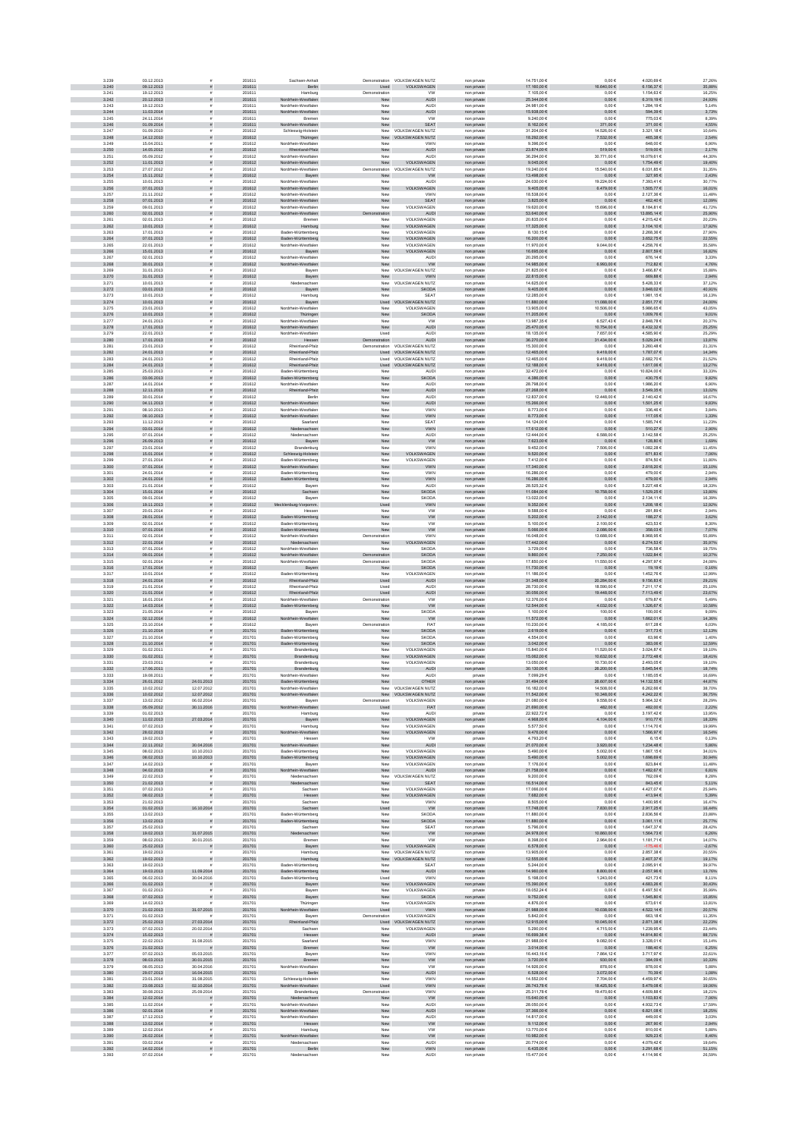| 3.235          | 03.12.2013                        | ă                                     | 201611           | Sachsen-Anhalt                             | Demonstration         | VOLKSWAGEN NUTZ                              | non privat                 | 14.751,00 €                      | $0,00 \in$                         | 4.020,69 €                    | 27,26%             |
|----------------|-----------------------------------|---------------------------------------|------------------|--------------------------------------------|-----------------------|----------------------------------------------|----------------------------|----------------------------------|------------------------------------|-------------------------------|--------------------|
| 3.240<br>3.241 | 09.12.2013<br>19.12.2013          | s<br>$\mathbf{r}$                     | 201611<br>201611 | Berlin<br>Hamburg                          | Used<br>Demonstration | VOLKSWAGEN<br><b>VW</b>                      | non private<br>non private | 17.160,00 €<br>7.105,00 €        | 16.640,00 €<br>$0,00 \in$          | 6.156,37 €<br>1.154,63 €      | 35,88%<br>16,25%   |
| 3.242          | 20.12.2013                        | $\tilde{\pi}$                         | 201611           | Nordrhein-Westfalen                        | New                   | <b>AUDI</b>                                  | non private                | 25.344,00 €                      | $0,00 \in$                         | 6.319,19€                     | 24,93%             |
| 3.243<br>3.244 | 19.12.2013                        | $\bar{\pi}$<br>$\tilde{\pi}$          | 201611<br>201611 | Nordrhein-Westfaler                        | New<br>New            | <b>AUDI</b><br><b>AUDI</b>                   | non private                | 24.981.00 €<br>15.938,00 €       | 0.00E                              | 1.284.19€<br>594,39€          | 5.14%              |
| 3.245          | 11.03.2014<br>24.11.2014          | $\bar{a}$                             | 201611           | Nordrhein-Westfalen<br>Bremer              | New                   | <b>VW</b>                                    | non private<br>non privat  | 9.240,00 €                       | $0,00 \in$<br>$0{,}00 \in$         | 775,03€                       | 3,73%<br>8,39%     |
|                | 3.246<br>01.09.2014               | ñ                                     | 201611           | Nordrhein-Westfalen                        | New                   | SEAT                                         | non private                | 8.162,00 €                       | 371,00 €                           | 371,00 €                      | 4,55%              |
| 3.247          | 01.09.2010<br>3.248<br>14.12.2010 |                                       | 201612<br>201612 | Schleswig-Holstein<br>Thüringen            |                       | New VOLKSWAGEN NUTZ<br>New VOLKSWAGEN NUTZ   | non private<br>non private | 31.204,00 €<br>18.292,00 €       | 14.526,00 €<br>7.532,00 €          | 3.321,18 €<br>465,38 €        | 10,64%<br>2,54%    |
| 3.249          | 15.04.2011                        | $\bar{z}$                             | 201612           | Nordrhein-Westfalen                        | New                   | VWN                                          | non private                | 9.396,00 €                       | $0,00 \in$                         | 648,00 €                      | 6,90%              |
| 3.250<br>3.251 | 14.05.2012<br>05.09.2012          |                                       | 201612<br>201612 | Rheinland-Pfalz<br>Nordrhein-Westfalen     | New                   | <b>AUDI</b><br><b>AUDI</b>                   | non private                | 23.874,00 €<br>36.294.00 €       | 519,00 €                           | 519,00 €<br>16.079.61 €       | 2,17%<br>44.30%    |
| 3.252          | 11.01.2013                        |                                       | 201612           | Nordrhein-Westfalen                        | New<br>New            | VOLKSWAGEN                                   | non private<br>non private | 9.045,00 €                       | 30.771,00 €<br>$0,00 \in$          | 1.754,49 €                    | 19,40%             |
| 3.253          | 27.07.2012                        |                                       | 201612           | Nordrhein-Westfaler                        | Demonstration         | VOLKSWAGEN NUTZ                              | non privat                 | 19.240,00 €                      | 15.540,00 €                        | 6.031,85 €                    | 31,35%             |
| 3.255          | 3.254<br>15.11.2012<br>10.01.2013 |                                       | 201612<br>201612 | Bayern<br>Nordrhein-Westfaler              | New<br>Nev            | <b>VW</b><br><b>AUD</b>                      | non private<br>non private | 13.498,00 €<br>24.030,00 €       | $0,00 \in$<br>19.224,00 €          | 327,95 $\in$<br>7.393,41 €    | 2,43%<br>30,77%    |
| 3.256          | 07.01.2013                        | $\tilde{\pi}$                         | 201612           | Nordrhein-Westfalen                        | New                   | VOLKSWAGEN                                   | non private                | $9.405,00 \in$                   | $6.479,00 \in$                     | $1.505,77 \in$                | 16,01%             |
| 3.257          | 21.11.2012                        | $\mathbf{r}$                          | 201612           | Nordrhein-Westfalen                        | New                   | VWN                                          | non private                | 18.538,00 €                      | $0,00 \in$                         | 2.127,36 €                    | 11,48%             |
| 3.258<br>3.259 | 07.01.2013<br>09.01.2013          | $\tilde{\pi}$<br>$\bar{z}$            | 201612<br>201612 | Nordrhein-Westfalen<br>Nordrhein-Westfaler | New<br>New            | <b>SEAT</b><br>VOLKSWAGEN                    | non private<br>non private | 3.825,00 €<br>19,620,00 €        | $0,00 \in$<br>15,696.00 €          | 462,40 €<br>8.184.81 €        | 12,09%<br>41.72%   |
| 3.260          | 02.01.2013                        | $\tilde{\pi}$                         | 201612           | Nordrhein-Westfalen                        | ration                | AUDI                                         | non private                | 53.640,00 €                      | $0,00 \in$                         | 13.895,14 €                   | 25,90%             |
| 3.261          | 02.01.2013                        | $\tilde{\mathbf{r}}$<br>ñ             | 201612           | Bremer                                     | New<br>New            | VOLKSWAGEN                                   | non private                | 20.835,00 €                      | $0,00 \in$                         | 4.215,42 €                    | 20,23%             |
| 3.263          | 3.262<br>10.01.2013<br>17.01.2013 |                                       | 201612<br>201612 | Hamburg<br>Baden-Württemberg               | New                   | VOLKSWAGEN<br>VOLKSWAGEN                     | non private<br>private     | $17.325{,}00$ $\in$<br>8.130,156 | $0{,}00 \in$<br>$0{,}00 \in$       | 3.104,10 €<br>2.268,36 €      | 17,92%<br>27,90%   |
| 3.264          | 07.01.2013                        |                                       | 201612           | Baden-Württemberg                          | New                   | VOLKSWAGEN                                   | non private                | 16.200,00 €                      | $0,00 \in$                         | 3.652,75 €                    | 22,55%             |
| 3.265<br>3.266 | 22.01.2013<br>15.01.2013          |                                       | 201612<br>201612 | Nordrhein-Westfalen<br>Bayern              | New<br>New            | VOLKSWAGEN<br>VOLKSWAGEN                     | non private<br>non private | 11.970,00 €<br>16.695,00 €       | 9.044,00 €<br>$0,00 \in$           | 4.258,76€<br>2.807,59 €       | 35,58%<br>16,82%   |
| 3.267          | 02.01.2013                        |                                       | 201612           | Nordrhein-Westfaler                        | New                   | AUDI                                         | non privat                 | 20.295.00 6                      | 0.006                              | 676.14€                       | 3.33%              |
| 3.268          | 30.01.2013                        |                                       | 201612           | Nordrhein-Westfalen                        | New                   | <b>VW</b>                                    | non private                | 14.985,00 €                      | 6.993,00 €                         | 712,82 €                      | 4,76%              |
| 3.269          | 31.01.2013<br>3.270<br>31.01.2013 |                                       | 201612<br>201612 | Bayen<br>Bayern                            | New<br>New            | VOLKSWAGEN NUTZ<br>VWN                       | non privat<br>non private  | 21.825,00 €<br>22.815,00 €       | $0,00 \in$<br>$0{,}00 \in$         | 3.466,87 €<br>669,88 $\in$    | 15,88%<br>2,94%    |
| 3.271          | 10.01.2013                        |                                       | 201612           | Niedersachsen                              | New                   | VOLKSWAGEN NUTZ                              | non private                | 14.625,00 €                      | $0,00 \in$                         | 5.428,33 €                    | 37,12%             |
| 3.272<br>3.273 | 03.01.2013<br>10.01.2013          | s                                     | 201612<br>201612 | Bayern<br>Hamburg                          | New<br>New            | <b>SKODA</b><br>SEAT                         | non private<br>non private | 9.405,00 €<br>12.285,00 €        | $0{,}00 \in$<br>$0,00 \in$         | 3.848,02 €<br>1.981,15€       | 40,91%<br>16,13%   |
| 3.274          | 10.01.2013                        | s                                     | 201612           | Bayern                                     | Used                  | VOLKSWAGEN NUTZ                              | non private                | 11.880,00 €                      | 11.088,00 €                        | 2.851,77 €                    | 24,00%             |
| 3.275          | 23.01.2013                        | $\mathbf{r}$                          | 201612           | Nordrhein-Westfaler                        | New                   | VOLKSWAGEN                                   | non private                | 13.905,00 €                      | 10.506,00 €                        | 5.986,65€                     | 43,05%             |
| 3.276<br>3.277 | 10.01.2013<br>24.01.2013          | $\tilde{\pi}$<br>$\bar{z}$            | 201612<br>201612 | Thüringen<br>Nordrhein-Westfalen           | New<br>New            | <b>SKODA</b><br><b>VW</b>                    | non private<br>non private | 11.205,00 €<br>13,987,35 €       | $0,00 \in$<br>6.527.43 €           | 1.009,76 €<br>2.848.78€       | 9,01%<br>20,37%    |
|                | 3.278<br>17.01.2013               | $\tilde{\pi}$                         | 201612           | Nordrhein-Westfalen                        | New                   | AUDI                                         | non private                | $26.470{,}00 \in$                | 10.754,00 €                        | $6.432,32 \in$                | 25,25%             |
| 3.279<br>3.280 | 22.01.2013<br>17.01.2013          | $\tilde{\mathbf{r}}$                  | 201612<br>201612 | Nordrhein-Westfaler<br>Hessen              | Used<br>stration      | <b>AUDI</b><br><b>AUDI</b>                   | non private<br>non private | 18.135,00 €<br>36.270,00 €       | 7.657,00 €<br>31.434,00 €          | 4.585,90 €<br>5.029,24 €      | 25,29%<br>13,87%   |
| 3.281          | 23.01.2013                        |                                       | 201612           | Rheinland-Pfalz                            |                       | Demonstration VOLKSWAGEN NUTZ                | non private                | 15.300,00 €                      | $0,00 \in$                         | 3.260,48 €                    | 21,31%             |
| 3.282          | 24.01.2013                        |                                       | 201612           | Rheinland-Pfalz                            |                       | Used VOLKSWAGEN NUTZ                         | non private                | 12.465,00 €                      | 9.418,00 €                         | 1.787,07 €                    | 14,34%             |
| 3.283<br>3.284 | 24.01.2013<br>24.01.2013          |                                       | 201612<br>201612 | Rheinland-Pfalz<br>Rheinland-Pfalz         |                       | Used VOLKSWAGEN NUTZ<br>Used VOLKSWAGEN NUTZ | non private<br>non private | 12.465,00 €<br>12.188.00 €       | 9.418,006<br>9.418,00 €            | 2.682,70 €<br>1.617,06 €      | 21,52%<br>13,27%   |
| 3.285          | 25.03.2013                        |                                       | 201612           | Baden-Württemberg                          | New                   | AUDI                                         | non private                | 32.472.00 6                      | 0.006                              | 10.824.00 €                   | 33,33%             |
| 3.287          | 3.286<br>03.06.2013<br>14.01.2014 |                                       | 201612<br>201612 | Baden-Württemberg<br>Nordrhein-Westfaler   | New<br>Nev            | SKODA<br>AUDI                                | non private<br>non privat  | 4.386,00 €<br>28.798,00 €        | $0{,}00 \in$<br>$0,00 \in$         | 430,75 €<br>1.986,20 €        | 9,82%<br>6,90%     |
| 3.288          | 12.11.2013                        | $\tilde{\pi}$                         | 201612           | Rheinland-Pfalz                            | New                   | <b>AUDI</b>                                  | non private                | 27.268,00 €                      | $0{,}00 \in$                       | $3.549,35 \in$                | 13,02%             |
| 3.289          | 30.01.2014                        |                                       | 201612           | Berlin                                     | New                   | <b>AUDI</b>                                  | non private                | 12.837,00 €                      | 12.448,00 €                        | 2.140,42 €                    | 16,67%             |
| 3.290<br>3.291 | 04.11.2013<br>08.10.2013          | $\tilde{\pi}$                         | 201612<br>201612 | Nordrhein-Westfalen<br>Nordrhein-Westfaler | New<br>New            | <b>AUDI</b><br><b>VWN</b>                    | non private<br>non private | 15.266,00 €<br>8.773,00 €        | $0,00 \in$<br>$0,00 \in$           | 1.501,25 €<br>336,46 €        | 9,83%<br>3,84%     |
| 3.292          | 08.10.2013                        | $\tilde{\pi}$                         | 201612           | Nordrhein-Westfalen                        | New                   | <b>VWN</b>                                   | non private                | 8.773,00 €                       | $0,00 \in$                         | 117,05€                       | 1,33%              |
| 3.293          | 11.12.2013                        | $\mathbf{r}$                          | 201612           | Saarland                                   | New                   | <b>SEAT</b>                                  | non private                | 14.124.00 €                      | 0.00E                              | 1.585.74 €                    | 11.23%             |
| 3.294<br>3.295 | 03.01.2014<br>07.01.2014          | $\tilde{\pi}$<br>$\dot{a}$            | 201612<br>201612 | Niedersachsen<br>Niedersachser             | New<br>New            | VWN<br><b>AUDI</b>                           | non private<br>non private | 17.612,00 €<br>12.444,00 €       | $0{,}00 \in$<br>$6.588,\!00$ $\in$ | $510,27 \in$<br>3.142,58 €    | 2,90%<br>25,25%    |
| 3.296          | 26.09.2013                        |                                       | 201612           | Bayern                                     | New                   | <b>VW</b>                                    | non private                | 7.623,00 €                       | $0,00 \in$                         | 128,80 €                      | 1,69%              |
| 3.297          | 23.01.2014<br>3.298<br>15.01.2014 |                                       | 201612<br>201612 | Brandenburg<br>Schleswig-Holstein          | New<br>New            | VWN<br>VOLKSWAGEN                            | non private                | 9.452,00 €<br>9.520,00 $\in$     | 7.506,00 €<br>$0,00 \in$           | 1.082,28 €<br>671,83€         | 11,45%<br>7,06%    |
| 3.299          | 27.01.2014                        |                                       | 201612           | Baden-Württemberg                          | New                   | VOLKSWAGEN                                   | non private<br>non private | 7.412,00 €                       | $0,00 \in$                         | 874,50 €                      | 11,80%             |
| 3.300          | 07.01.2014                        |                                       | 201612           | Nordrhein-Westfalen                        | New                   | <b>VWN</b>                                   | non private                | 17.340.00 €                      | 0.00 E                             | 2.618.20 €                    | 15,10%             |
| 3.301<br>3.302 | 24.01.2014<br>24.01.2014          |                                       | 201612<br>201612 | Baden-Württemberg<br>Baden-Württemberg     | New<br>New            | <b>VWN</b><br>VWN                            | non private<br>non private | 16,286.00 €<br>16.286,00 €       | 0.00E<br>$0,00 \in$                | 479.00 €<br>479,00 €          | 2.94%<br>2,94%     |
| 3.303          | 21.01.2014                        |                                       | 201612           | Bayerr                                     | New                   | <b>AUDI</b>                                  | non privat                 | 28.525,326                       | $0,00 \in$                         | 5.227,48 €                    | 18,33%             |
| 3.304          | 15.01.2014                        |                                       | 201612           | Sachsen                                    | New                   | SKODA                                        | non private                | 11.084,00 €                      | $0.758,00 \in$                     | 1.529,25 €                    | 13,80%             |
| 3.305          | 09.01.2014<br>3.306<br>19.11.2013 | $\tilde{\pi}$                         | 201612<br>201612 | Bayerr<br>Mecklenburg-Vorpomm.             | New<br>Used           | <b>SKODA</b><br><b>VWN</b>                   | non private<br>non private | 13.022,00 €<br>$9.352,00 \in$    | $0,00 \in$<br>$0{,}00 \in$         | 2.134,11 €<br>$1.208, 18 \in$ | 16,39%<br>12,92%   |
| 3.307          | 20.01.2014                        | $\mathbf{r}$                          | 201612           | Hessen                                     | New                   | <b>VW</b>                                    | non private                | 9.588,006                        | $0,00 \in$                         | 281,89€                       | 2,94%              |
| 3.308<br>3.309 | 28.01.2014<br>02.01.2014          | $\tilde{\pi}$                         | 201612<br>201612 | Baden-Württemberg<br>Baden-Württemberg     | New                   | <b>VW</b><br><b>VW</b>                       | non private                | 5.202,00 €<br>5.100.00 €         | 2.142,00 €<br>2.100.00 €           | 188,27 €<br>423.53 €          | 3,62%<br>8.30%     |
| 3.310          | 07.01.2014                        | $\bar{z}$<br>$\tilde{\pi}$            | 201612           | Baden-Württemberg                          | New<br>New            | <b>VW</b>                                    | non private<br>non private | $5.066,00 \in$                   | 2.086,00 €                         | 358,03€                       | 7,07%              |
| 3.311          | 02.01.2014                        | $\dot{a}$                             | 201612           | Nordrhein-Westfaler                        | Demonstration         | VWN                                          | non private                | 16.048,00 €                      | 13.688,00 €                        | 8.968,95€                     | 55,89%             |
| 3.313          | 3.312<br>22.01.2014<br>07.01.2014 |                                       | 201612<br>201612 | Niedersachsen<br>Nordrhein-Westfalen       | New<br>New            | VOLKSWAGEN<br><b>SKODA</b>                   | non private<br>non private | 17.442,00 €<br>3.729,00 €        | $0{,}00 \in$<br>$0,00 \in$         | $6.274, 63 \in$<br>736,58 €   | 35,97%<br>19,75%   |
| 3.314          | 09.01.2014                        |                                       | 201612           | lordrhein-Westfalen                        | ration                | <b>SKODA</b>                                 | non private                | 9.860,00 $\in$                   | 7.250,00 €                         | 1.022,84 €                    | 10,37%             |
| 3.315          | 02.01.2014                        |                                       | 201612           | Nordrhein-Westfalen                        | Demonstration         | SKODA                                        | non private                | 17.850,00 €                      | 11.550,00 €                        | 4.297,97€                     | 24,08%             |
| 3.316<br>3.317 | 17.01.2014<br>10.01.2014          |                                       | 201612<br>201612 | Bayern<br>Baden-Württemberg                | New<br>New            | <b>SKODA</b><br>VOLKSWAGEN                   | non private<br>non privat  | 11.730,00 €<br>11.186.00 €       | $0,00 \in$<br>0.006                | 19,19€<br>1.452.76 €          | 0,16%<br>12,99%    |
| 3.318          | 24.01.2014                        |                                       | 201612           | Rheinland-Pfalz                            | Used                  | <b>AUDI</b>                                  | non private                | 31.348,00 €                      | 20.284,00 €                        | 9.156,83 €                    | 29,21%             |
| 3.319          | 21.01.2014<br>3.320<br>21.01.2014 |                                       | 201612<br>201612 | Rheinland-Pfalz<br>Rheinland-Pfalz         | Usec<br>Used          | AUDI<br>AUDI                                 | non privat<br>non private  | 28.730,00 €<br>$30.056,00 \in$   | 18.590,00 €<br>19.448,00 €         | 7.211,17€<br>$7.113,49 \in$   | 25,10%<br>23,67%   |
| 3.321          | 16.01.2014                        |                                       | 201612           | Nordrhein-Westfaler                        | Demonstration         | <b>VW</b>                                    | non privat                 | 12.376,00 €                      | $0,00 \in$                         | 679,87 €                      | 5,49%              |
| 3.322          | 14.03.2014                        | $\tilde{\pi}$                         | 201612           | Baden-Württemberg                          | New                   | <b>VW</b>                                    | non private                | 12.544,00 €                      | 4.032,00 €                         | 1.326,67 €                    | 10,58%             |
| 3.323<br>3.324 | 21.05.2014<br>02.12.2014          | $\mathbf{r}$<br>$\tilde{\pi}$         | 201612<br>201612 | Bayern<br>Nordrhein-Westfalen              | New<br>New            | SKODA<br><b>VW</b>                           | non private<br>non private | 1.100,00 €<br>11.572,00 €        | 100,00 €<br>$0,00 \in$             | 100,00 €<br>1.662,01 €        | 9,09%<br>14,36%    |
| 3.325          | 23.10.2014                        | $\bar{\pi}$                           | 201612           | Bayerr                                     | Demonstration         | <b>FIAT</b>                                  | non private                | 10.230.00 €                      | 4.185.00 €                         | 617.28€                       | 6.03%              |
| 3.326          | 21.10.2014                        | $\tilde{\mathbf{z}}$<br>$\bar{a}$     | 201701           | Baden-Württemberg                          | New                   | <b>SKODA</b>                                 | non private                | 2.619,00 €                       | $0,00 \in$                         | 317,73 $\in$                  | 12,13%             |
| 3.327          | 21.10.2014<br>3.328<br>21.10.2014 |                                       | 201701<br>201701 | Baden-Württemberg<br>Baden-Württemberg     | Nev<br>New            | <b>SKODA</b><br><b>SKODA</b>                 | non privat<br>non private  | 4.554,006<br>3.042,00 €          | $0,00 \in$<br>$0{,}00 \in$         | 63,96 €<br>383,06 €           | 1,40%<br>12,59%    |
| 3.325          | 01.02.2011                        |                                       | 201701           | Brandenburg                                | New                   | VOLKSWAGEN                                   | non private                | 15.840,00 €                      | 11.520,00 €                        | 3.024,87 €                    | 19,10%             |
| 3.331          | 3.330<br>01.02.2011<br>23.03.2011 |                                       | 201701<br>201701 | Brandenburg<br>Brandenburg                 | New<br>New            | VOLKSWAGEN<br>VOLKSWAGEN                     | non private<br>non private | 15.062,00 €<br>13.050,00 €       | 10.632,00 €<br>10.730,00 €         | 2.772,48 €<br>2.493,05€       | 18,41%<br>19,10%   |
| 3.332          | 17.06.2011                        |                                       | 201701           | Brandenburg                                | New                   | <b>AUDI</b>                                  | non private                | 30.130,00 €                      | 26.200,00 €                        | 5.645,54 €                    | 18,74%             |
| 3.333          | 19.08.2011                        | 24.01.2013                            | 201701           | Nordrhein-Westfalen                        | New<br>New            | <b>AUDI</b><br>OTHER                         | private                    | 7.099.296<br>31.494,00 €         | 0.006<br>26.607.00 €               | 1.185.05€<br>14.132.55 €      | 16.69%<br>44,87%   |
| 3.334<br>3.335 | 26.01.2012<br>10.02.2012          | 12.07.2012                            | 201701<br>201701 | Baden-Württemberg<br>Nordrhein-Westfaler   |                       | New VOLKSWAGEN NUTZ                          | non private<br>non privat  | 16,182.00 €                      | 14.508,00 €                        | 6.262.66 €                    | 38,70%             |
| 3.336          | 10.02.2012                        | 12.07.2012                            | 201701           | Nordrhein-Westfalen                        |                       | New VOLKSWAGEN NUTZ                          | non private                | 11.542,00 €                      | 10.348,00 €                        | 4.242,22 €                    | 36,75%             |
| 3.337<br>3.338 | 13.02.2012<br>05.09.2012          | 06.02.2014<br>30.11.2016              | 201701<br>201701 | Bayerr<br>Nordrhein-Westfalen              | Demonstration<br>Used | VOLKSWAGEN<br>FIAT                           | non private<br>non private | 21.080,00 €<br>21.690,00 $\in$   | 9.558,00 €<br>482,00 €             | 5.964,32 €<br>482,00 €        | 28,29%<br>2,22%    |
| 3.339          | 01.02.2013                        |                                       | 201701           | Hamburg                                    | New                   | <b>AUDI</b>                                  | private                    | 22.922,72 €                      | $0,00 \in$                         | 3.197,42 €                    | 13,95%             |
| 3.340<br>3.341 | 11.02.2013<br>07.02.2013          | 27.03.2014<br>$\bar{\pi}$             | 201701<br>201701 | Bayern<br>Hamburg                          | New<br>New            | VOLKSWAGEN<br>VOLKSWAGEN                     | non private<br>private     | 4.968,00 €<br>5.577,50 €         | 4.104,00 €<br>$0,00 \in$           | 910,77€<br>1.114,70 €         | 18,33%<br>19,99%   |
| 3.342          | 28.02.2013                        | $\bar{\pi}$                           | 201701           | Westfalen<br>Nordrheir                     | New                   | VOLKSWAGEN                                   | non private                | 9.476.00 €                       | $0,00 \in$                         | 1.566,97 €                    | 16.54%             |
| 3.343          | 19.02.2013                        | $\tilde{\mathbf{r}}$                  | 201701           | Hessen                                     | New                   | <b>VW</b>                                    | private                    | 4.793.20 €                       | 0.00E                              | 6.15€                         | 0.13%              |
| 3.344<br>3.345 | 22.11.2012<br>08.02.2013          | 30.04.2016<br>10.10.2013              | 201701<br>201701 | Nordrhein-Westfalen<br>Baden-Württemberg   | New<br>New            | AUDI<br>VOLKSWAGEN                           | non private<br>non private | $21.070{,}00 \in$<br>5.490,00 €  | 3.920,00 €<br>$6.002,00 \in$       | $1.234,48 \in$<br>1.867,15€   | 5,86%<br>34,01%    |
|                | 3.346<br>08.02.2013               | 10.10.2013                            | 201701           | Baden-Württemberg                          | New                   | VOLKSWAGEN                                   | non private                | 5.490,00 €                       | 5.002,00 €                         | 1.698,69 €                    | 30,94%             |
| 3.347<br>3.348 | 14.02.2013<br>04.02.2013          | $\tilde{\pi}$                         | 201701<br>201701 | Bayern<br>Nordrhein-Westfalen              | New<br>New            | VOLKSWAGEN<br>AUDI                           | non private<br>non private | 7.176,00 €<br>21.758,00 €        | $0,00 \in$<br>$0,00 \in$           | 823,84 €<br>1.482,67 €        | 11,48%<br>6,81%    |
| 3.349          | 22.02.2013                        | $\bar{z}$                             | 201701           | Niedersachsen                              |                       | New VOLKSWAGEN NUTZ                          | non private                | 9.200,00 €                       | $0,00 \in$                         | 762,09€                       | 8,28%              |
| 3.350<br>3.351 | 21.02.2013<br>07.02.2013          | $\bar{\pi}$                           | 201701<br>201701 | Niedersachsen<br>Sachser                   | New<br>New            | <b>SEAT</b><br>VOLKSWAGEN                    | non private<br>non private | 16.514.00 €<br>17,066,00 €       | 0.00 E<br>0.00E                    | 843.45€<br>4.427.07 €         | 5,11%<br>25.94%    |
| 3.352          | 08.02.2013                        | s                                     | 201701           | Hessen                                     | New                   | VOLKSWAGEN                                   | non private                | 7.682,00 €                       | $0{,}00 \in$                       | 413,94 €                      | 5,39%              |
| 3.353          | 21.02.2013                        |                                       | 201701           | Sachser                                    | Nev                   | VWN                                          | non privat                 | 8.505,00 €                       | $0,00 \in$                         | 1.400,95 €                    | 16,47%             |
| 3.354<br>3.355 | 01.02.2013<br>13.02.2013          | 16.10.2014                            | 201701<br>201701 | Sachsen<br>Baden-Württemberg               | Used<br>New           | <b>VW</b><br><b>SKODA</b>                    | non private<br>non private | 17.748,00 €<br>11.880,00 €       | 30,00€<br>$0,00 \in$               | 2.917,25 €<br>2.836,56 €      | 16,44%<br>23,88%   |
| 3.356          | 13.02.2013                        | $\tilde{\pi}$                         | 201701           | Baden-Württemberg                          | New                   | <b>SKODA</b>                                 | non private                | 11.880,00 €                      | $0,00 \in$                         | 3.061,11 €                    | 25,77%             |
| 3.357<br>3.358 | 25.02.2013<br>19.02.2013          | 31.07.2015                            | 201701<br>201701 | Sachser<br>Niedersachsen                   | New<br>New            | SEAT<br><b>VW</b>                            | non private                | 5.796,00 €<br>24 978 00 €        | $0,00 \in$<br>10.860,00 €          | 1.647,37 €<br>1.564.73 €      | 28,42%<br>6,26%    |
| 3.359          | 08.02.2013                        | 30.01.2015                            | 201701           | Bremen                                     | New                   | <b>VW</b>                                    | non private<br>non private | 8.398.00 €                       | 2.964,00 €                         | 1.181.71€                     | 14.07%             |
| 3.361          | 3.360<br>25.02.2013<br>19.02.2013 | $\tilde{\pi}$<br>$\tilde{\mathbf{r}}$ | 201701<br>201701 | Bayern                                     | New                   | VOLKSWAGEN<br>New VOLKSWAGEN NUTZ            | non private                | $6.578,00 \in$<br>13.905,00 €    | $0,00 \in$<br>$0,00 \in$           | $-175,46 \in$<br>2.857.38 €   | $-2,67%$<br>20,55% |
| 3.362          | 19.02.2013                        | $\tilde{\pi}$                         | 201701           | Hamburg<br>Hamburg                         |                       | New VOLKSWAGEN NUTZ                          | non private<br>non private | 12.555,00 €                      | $0,00 \in$                         | 2.407,37 €                    | 19,17%             |
| 3.363          | 19.02.2013                        |                                       | 201701           | Baden-Württemberg                          | New                   | SEAT                                         | non private                | 5.244,00 €                       | $0,00 \in$                         | 2.095,91€                     | 39,97%             |
|                | 3.364<br>19.03.2013               | 11.09.2014                            | 201701           | Baden-Württemberg                          | New                   | <b>AUDI</b>                                  | non private                | 14.960,00 €                      | $8.800,00\times$                   | 2.057,98 €                    | 13,76%             |
| 3.365<br>3.366 | 06.02.2013<br>01.02.2013          | 30.04.2016<br>$\tilde{\pi}$           | 201701<br>201701 | Baden-Württemberg<br>Bayern                | Used<br>New           | <b>VWN</b><br><b>VOLKSWAGEN</b>              | non private<br>non private | 5.198,00 €<br>15,390,00 €        | 1.243,00 €<br>$0.00 \in$           | 421,73€<br>4.683.26 €         | 8,11%<br>30.43%    |
| 3.367          | 01.02.2013                        |                                       | 201701           | Bavern                                     | New                   | VOLKSWAGEN                                   | private                    | 18.052.24 €                      | 0.00E                              | 6.497.50 €                    | 35,99%             |
| 3.368<br>3.369 | 07.02.2013<br>14.02.2013          |                                       | 201701<br>201701 | Bayern<br>Thüringen                        | New<br>Nev            | SKODA<br>VOLKSWAGEN                          | non private<br>non privat  | 9.752,00 €<br>4.876,00 €         | $0,00 \in$<br>$0,00 \in$           | 1.545,80 €<br>673,61 €        | 15,85%<br>13,81%   |
| 3.370          | 21.02.2013                        | 31.07.2015                            | 201701           | Westfalen                                  | Used                  | <b>VWN</b>                                   | non private                | 21.988,00 €                      | 10.038,00 €                        | 4.522,14 €                    | 20,57%             |
| 3.371          | 01.02.2013                        |                                       | 201701           | Bayern                                     | Demonstration         | VOLKSWAGEN                                   | non private                | 5.842,00 €                       | $0,00 \in$                         | 663,18€                       | 11,35%             |
| 3.372<br>3.373 | 25.02.2013<br>07.02.2013          | 27.03.2014<br>20.02.2014              | 201701<br>201701 | land-Pfalz<br>Sachsen                      | Used<br>New           | OLKSWAGEN NUTZ<br>VOLKSWAGEN                 | non private<br>non private | 12.915,00 €<br>5.290,00 €        | 10.045,00 €<br>4.715,00 €          | 2.871,38 €<br>1.239,95€       | 22,23%<br>23,44%   |
| 3.374          | 15.02.2013                        | $\frac{1}{2}$                         | 201701           | Hessen                                     | New                   | AUDI                                         | private                    | 16.699,38 €                      | $0,00 \in$                         | 14.814,80 €                   | 88,71%             |
| 3.375<br>3.376 | 22.02.2013<br>21.02.2013          | 31.08.2015<br><b>F</b>                | 201701<br>201701 | Saarland<br>Bremen                         | New<br>New            | <b>VWN</b><br><b>VW</b>                      | non private                | 21,988,00 €<br>3.014,00 €        | 9.082.00 €<br>$0,00 \in$           | 3.328.01 €<br>188,40 €        | 15.14%<br>6,25%    |
| 3.377          | 07.02.2013                        | 05.03.2015                            | 201701           | Bayerr                                     | New                   | VWN                                          | non private<br>non private | 16.443,16 €                      | 7.864,12 €                         | 3.717,97€                     | 22,61%             |
|                | 3.378<br>08.03.2013               | 30.01.2015                            | 201701           | Bremen                                     | New                   | W                                            | non private                | $3.720,00 \in$                   | 930,00 €                           | 384,09 $\in$                  | 10,33%             |
| 3.379<br>3.380 | 08.05.2013<br>29.07.2013          | 30.04.2016<br>16.04.2015              | 201701<br>201701 | Nordrhein-Westfalen<br>Berlin              | New<br>New            | <b>VW</b><br><b>AUDI</b>                     | non private<br>non private | 14.926,00 €<br>6.528,00 €        | 878,00 €<br>3.072,00 €             | 878,00 €<br>70,39 €           | 5,88%<br>1,08%     |
| 3.381          | 23.01.2014                        | 31.08.2015                            | 201701           | Schleswig-Holstein                         | New                   | <b>VWN</b>                                   | non private                | 14.552,00 €                      | 7.704,00 €                         | 4.459,97€                     | 30,65%             |
| 3.382<br>3.383 | 23.08.2013<br>30.08.2013          | 02.10.2014<br>25.09.2014              | 201701<br>201701 | Nordrhein-Westfalen<br>Brandenburg         | Used<br>Demonstration | <b>VWN</b><br><b>VWN</b>                     | non private<br>non private | 28.743,78 €<br>25.311.78 6       | 18.425,50 €<br>19.470,60 €         | 5.479,08 €<br>4.609.88 €      | 19,06%<br>18.21%   |
| 3.384          | 12.02.2014                        | $\tilde{\pi}$                         | 201701           | Niedersachsen                              | New                   | <b>VW</b>                                    | non private                | 15,640.00 €                      | $0,00 \in$                         | 1.103,83 €                    | 7,06%              |
| 3.385          | 11.02.2014                        | $\dot{a}$                             | 201701           | Nordrhein-Westfaler                        | Nev                   | <b>AUDI</b>                                  | non privat                 | 28.050,00 €                      | 0,006                              | 4.932,73 €                    | 17,59%             |
| 3.387          | 3.386<br>02.01.2014<br>17.12.2013 |                                       | 201701<br>201701 | Nordrhein-Westfalen<br>Nordrhein-Westfalen | New<br>New            | AUDI<br>AUDI                                 | non private<br>non private | 37.366,00 €<br>14.817,00 €       | $0{,}00 \in$<br>$0,00 \in$         | $6.821,08 \in$<br>449,00 €    | 18,25%<br>3,03%    |
| 3.388          | 13.02.2014                        | $\tilde{\pi}$                         | 201701           | Hessen                                     | ${\sf New}$           | W                                            | non private                | 9.112,00 €                       | $0,00 \in$                         | 267,90 €                      | 2,94%              |
| 3.389<br>3.390 | 12.02.2014<br>26.02.2014          | $\bar{\pi}$                           | 201701<br>201701 | Hamburg<br>Nordrhein-Westfalen             | New<br>New            | <b>VW</b><br><b>VW</b>                       | non private<br>non private | 13.770,00 €<br>10.982,00 €       | $0,00 \in$<br>$0,00 \in$           | 810,00 €<br>929,23€           | 5,88%<br>8,46%     |
| 3.391          | 03.02.2014                        | $\tilde{\pi}$<br>$\mathbf{r}$         | 201701           | Niedersachsen                              | New                   | <b>AUDI</b>                                  | non private                | 20.774.00 €                      | 0.00E                              | 4.079.42€                     | 19.64%             |
| 3.392          | 14.02.2014                        | $\tilde{\pi}$                         | 201701           | Berlin                                     | New                   | <b>VWN</b>                                   | non private                | 6.435,00 €                       | $0,00 \in$                         | 3.291,68 €                    | 51,15%             |
| 3.393          | 07.02.2014                        | $\tilde{\pi}$                         | 201701           | Niedersachsen                              | New                   | <b>AUDI</b>                                  | non private                | 15.477,00 €                      | $0,00 \in$                         | 4.114,96 €                    | 26,59%             |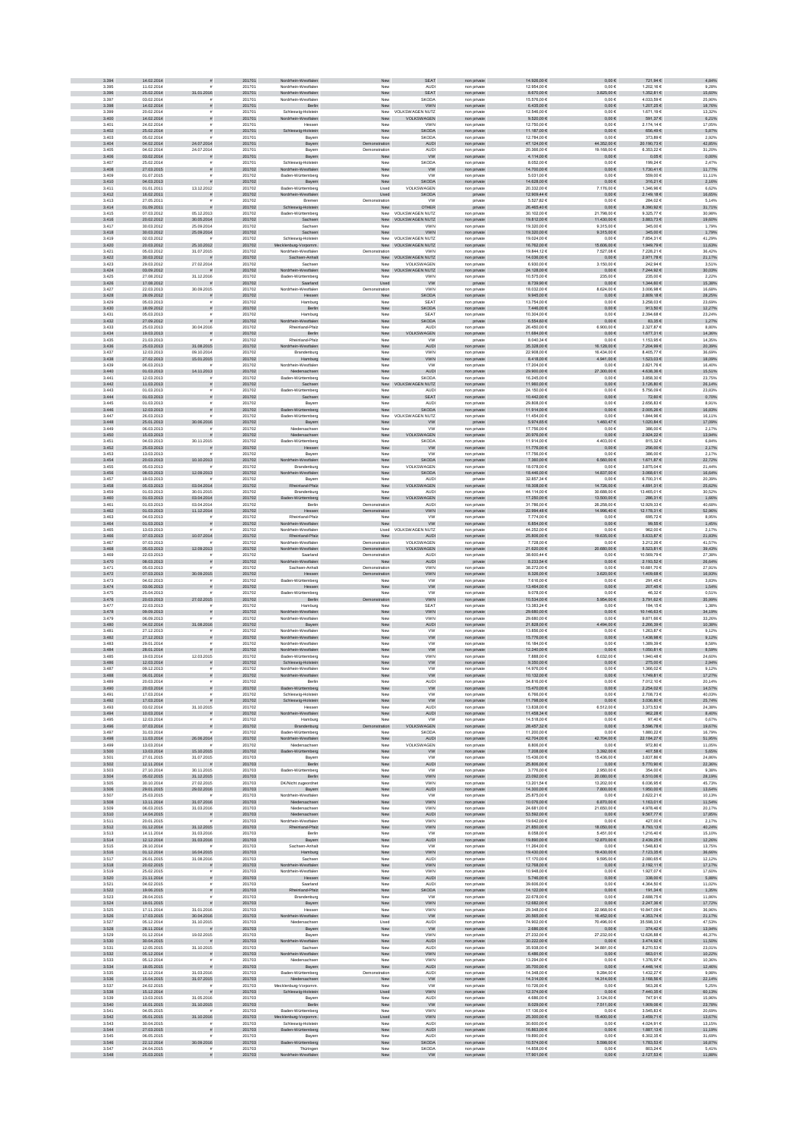| 3.395<br>3.396 | 14.02.2014               |                                    | 201701           | Nordrhein-Westfalen                        | New                            | <b>SEAT</b>                           | non private                | 14.926,00 €                    | $0,00 \in$                  | 721,94 €                   | 4,84%            |
|----------------|--------------------------|------------------------------------|------------------|--------------------------------------------|--------------------------------|---------------------------------------|----------------------------|--------------------------------|-----------------------------|----------------------------|------------------|
|                | 11.02.2014               |                                    | 201701           | Nordrhein-Westfalen                        | New                            | <b>AUD</b>                            | non private                | 12.954,00 €                    | $0,00 \in$                  | 1.202,16€                  | 9,28%            |
|                | 25.02.2014               | 31.01.2016                         | 201701           | Nordrhein-Westfalen                        | New                            | SEAT                                  | non private                | 8.670.00 €                     | 3.825,00 €                  | 1.352,81 €                 | 15.60%           |
| 3.397<br>3.398 | 03.02.2014<br>14.02.2014 | s                                  | 201701<br>201701 | Nordrhein-Westfalen<br>Berlin              | New<br>New                     | <b>SKODA</b><br>VWN                   | non private<br>non private | 15.576.00 €<br>$6.435,00 \in$  | 0.006<br>$0,00 \in$         | 4.033.59 €<br>1.207,25 €   | 25.90%<br>18,76% |
| 3.399          | 20.02.2014               |                                    | 201701           | Schleswig-Holstein                         | New                            | VOLKSWAGEN NUTZ                       | non privat                 | 12.546,00 €                    | 0,006                       | 1.671,19 €                 | 13,32%           |
| 3.400          | 14.02.2014               | s                                  | 201701           | Nordrhein-Westfalen                        | New                            | VOLKSWAGEN                            | non private                | $9.520,00 \in$                 | $0,00 \in$                  | 591,37€                    | 6,21%            |
| 3.401          | 24.02.2014               |                                    | 201701           | Hesser                                     | New                            | <b>VWN</b>                            | non private                | 12.750,00 €                    | $0,00 \in$                  | 2.174,14 €                 | 17,05%           |
| 3.402<br>3.403 | 25.02.2014<br>05.02.2014 | $\tilde{\pi}$                      | 201701<br>201701 | Schleswig-Holstein<br>Bayern               | New<br>New                     | <b>SKODA</b><br><b>SKODA</b>          | non private<br>non private | 11.187,00 €<br>12.784,00 €     | $0,00 \in$<br>$0,00 \in$    | 656,49€<br>373,89 €        | 5,87%<br>2,92%   |
| 3.404          | 04.02.2014               | 24.07.2014                         | 201701           | Bayern                                     | tration                        | AUDI                                  | non private                | 47.124,00 €                    | 44.352,00 €                 | 20.190,73€                 | 42,85%           |
| 3.405          | 04.02.2014               | 24.07.2014                         | 201701           | Bayern                                     | Demonstration                  | <b>AUD</b>                            | non private                | 20.366.00 €                    | 19.168,00 €                 | 6.353,22 €                 | 31,20%           |
| 3.406<br>3.407 | 03.02.2014<br>25.02.2014 | $\tilde{\pi}$                      | 201701<br>201701 | Bayern<br>Schleswig-Holstein               | New                            | <b>VW</b>                             | non private                | $4.114,00€$                    | $0{,}00 \in$                | $0,05 \in$                 | 0,00%            |
| 3.408          | 27.03.2015               | $\tilde{\pi}$                      | 201702           | Nordrhein-Westfalen                        | New<br>New                     | SKODA<br><b>VW</b>                    | non private<br>non private | 8.052,00 €<br>14.700,00 €      | $0,00 \in$<br>$0,00 \in$    | 199,24 €<br>1.730,41 €     | 2,47%<br>11,77%  |
| 3.409          | 01.07.2015               |                                    | 201702           | Baden-Württemberg                          | New                            | VW                                    | non private                | 5.031,00 €                     | $0,00 \in$                  | 559,00 €                   | 11,11%           |
| 3.410          | 04.03.2013               |                                    | 201702           | Bayern                                     | New                            | <b>SKODA</b>                          | non private                | 14.628,00 €                    | $0{,}00 \in$                | 316,21 €                   | 2,16%            |
| 3.411          | 01.01.2011               | 13.12.2012                         | 201702           | Baden-Württemberg                          | Used                           | VOLKSWAGEN                            | non private                | 20.332,00 €                    | 7.176,00 €                  | 1.346,96 €                 | 6,62%            |
| 3.412<br>3.413 | 16.02.2011<br>27.05.2011 | $\bar{\pi}$                        | 201702<br>201702 | Nordrhein-Westfalen<br>Bremen              | Used<br>Demonstration          | <b>SKODA</b><br><b>VW</b>             | private<br>private         | 12,909,44 €<br>5.527.82€       | $0,00 \in$<br>$0,00 \in$    | 2.149,18€<br>284.02€       | 16,65%<br>5.14%  |
| 3.414          | 01.09.2011               |                                    | 201702           | Schleswig-Holstein                         | New                            | OTHER                                 | private                    | 26.465,40 €                    | $0,00 \in$                  | 8.390,92 €                 | 31,71%           |
| 3.415          | 07.03.2012               | 05.12.2013                         | 201702           | Baden-Württemberg                          |                                | VOLKSWAGEN NUTZ                       | non private                | 30.102,00 €                    | 21.798,00 €                 | 9.325,77€                  | 30,98%           |
| 3.416          | 20.02.2012               | 30.05.2014                         | 201702           | Sachsen                                    |                                | New VOLKSWAGEN NUTZ                   | non private                | 19.812,00 €                    | 11.430,00 €                 | 3.883,73 €                 | 19,60%           |
| 3.417<br>3.418 | 30.03.2012<br>30.03.2012 | 25.09.2014<br>25.09.2014           | 201702<br>201702 | Sachser<br>Sachsen                         | New<br>New                     | VWN<br><b>VWN</b>                     | non private<br>non private | 19.320,00 €<br>19.320,00 €     | 9.315,006<br>9.315,00 €     | 345,00 €<br>345,00 €       | 1,79%<br>1,79%   |
| 3.419          | 02.03.2012               |                                    | 201702           | Schleswig-Holstein                         | New                            | VOLKSWAGEN NUTZ                       | non private                | 19.024,00 €                    | $0,00 \in$                  | 7.854,31 €                 | 41,29%           |
| 3.420          | 20.03.2012               | 25.10.2012                         | 201702           | Mecklenburg-Vorpomm.                       |                                | New VOLKSWAGEN NUTZ                   | non private                | 16.762,00 €                    | 15.606,00 €                 | 1.949,79 €                 | 11,63%           |
| 3.421          | 05.03.2012               | 31.07.2015                         | 201702           | Nordrhein-Westfalen                        | Demonstration                  | <b>VWN</b>                            | non private                | 19.844.12 €                    | 7.527.086                   | 7.228.21 €                 | 36.42%           |
| 3.422<br>3.423 | 30.03.2012<br>29.03.2012 | $\frac{1}{2}$<br>27.02.2014        | 201702<br>201702 | Sachsen-Anhalt<br>Sachser                  | ${\sf New}$                    | <b>OLKSWAGEN NUTZ</b><br>VOLKSWAGEN   | non private<br>non private | 14.036,00 €<br>6.930,00 €      | $0,00 \in$<br>3.150,00 €    | 2.971,78 €<br>242,94 €     | 21,17%<br>3,51%  |
| 3.424          | 03.09.2012               |                                    | 201702           | Nordrhein-Westfalen                        | New                            | <b>VOLKSWAGEN NUTZ</b>                | non private                | 24.128,00 €                    | $0,00 \in$                  | 7.244,92 €                 | 30,03%           |
| 3.425          | 27.08.2012               | 31.12.2016                         | 201702           | Baden-Württemberg                          | New                            | <b>VWN</b>                            | non private                | 10.575,00 €                    | 235,00 €                    | 235,00 €                   | 2,22%            |
| 3.426          | 17.08.2012               | 30.09.2015                         | 201702           | Saarland                                   | Used                           | ww                                    | private                    | 8.739,90 €                     | $0,00 \in$                  | 1.344,60 €<br>3.006,98 €   | 15,38%<br>16,68% |
| 3.427<br>3.428 | 22.03.2013<br>28.09.2012 | $\mathbf{r}$                       | 201702<br>201702 | Nordrhein-Westfalen<br>Hessen              | Demonstration<br>New           | VWN<br><b>SKODA</b>                   | non private<br>non private | 18.032,00 €<br>9.945.00 $\in$  | 8.624,00 €<br>$0,00 \in$    | 2.809,18€                  | 28.25%           |
| 3.429          | 05.03.2013               |                                    | 201702           | Hamburg                                    | New                            | SEA <sub>T</sub>                      | non private                | 13.754.00 €                    | 0.006                       | 3.258.03 €                 | 23,69%           |
| 3.430          | 18.09.2012               |                                    | 201702           | Berlin                                     | New                            | <b>SKODA</b>                          | non private                | 7.446,00 €                     | $0,00 \in$                  | 913,50 €                   | 12,27%           |
| 3.431          | 05.03.2013               |                                    | 201702           | Hamburg                                    | New                            | SEAT                                  | non privat                 | 10.304,00 €                    | $0{,}00 \in$                | 2.394,68 €                 | 23,24%           |
| 3.432<br>3.433 | 27.09.2012<br>25.03.2013 | 30.04.2016                         | 201702<br>201702 | Nordrhein-Westfalen<br>Rheinland-Pfalz     | New<br>New                     | SKODA<br>AUDI                         | private<br>non private     | $6.554, 60 \in$<br>26.450,00 € | $0{,}00 \in$<br>6.900,00 €  | 83,35€<br>2.327,87 €       | 1,27%<br>8,80%   |
| 3.434          | 19.03.2013               | $\overline{z}$                     | 201702           | Berlin                                     | New                            | VOLKSWAGEN                            | non private                | 11.684,00 €                    | $0{,}00 \in$                | 1.677,31 €                 | 14,36%           |
| 3.435          | 21.03.2013               |                                    | 201702           | Rheinland-Pfalz                            | New                            | VW                                    | private                    | 8.040,34 €                     | $0,00 \in$                  | 1.153,95 €                 | 14,35%           |
| 3.436<br>3.437 | 25.03.2013<br>12.03.2013 | 31.08.2015<br>09.10.2014           | 201702<br>201702 | Nordrhein-Westfalen<br><b>Brandenburg</b>  | New<br>New                     | <b>AUDI</b><br><b>VWN</b>             | non private<br>non private | 35.328,00 €<br>22.908.00 €     | 16.128,00 €<br>16,434.00 €  | 7.204,99 €<br>8.405.77 €   | 20,39%<br>36.69% |
| 3.438          | 27.02.2013               | 15.01.2015                         | 201702           | Hamburg                                    | New                            | VWN                                   | non private                | 8.418,00 $\in$                 | 4.941,00 €                  | $1.523,03 \in$             | 18,09%           |
| 3.439          | 06.03.2013               |                                    | 201702           | Nordrhein-Westfalen                        | New                            | VW                                    | non private                | 17.204,00 €                    | $0,00 \in$                  | 2.821,76 €                 | 16,40%           |
| 3.440          | 01.03.2013               | 14.11.2013                         | 201702           | Niedersachsen                              | New                            | <b>AUDI</b>                           | non private                | 29.900,00 $\in$                | 27.300,00 €                 | 4.638,36 €                 | 15,51%           |
| 3.441<br>3.442 | 12.03.2013<br>11.03.2013 |                                    | 201702<br>201702 | Baden-Württemberg<br>Sachsen               | New<br>New                     | <b>SKODA</b><br><b>OLKSWAGEN NUTZ</b> | non private<br>non private | 16.245,00 €<br>11.960,00 €     | $0,00 \in$<br>$0,00 \in$    | 3.858,30 €<br>3.126,80 €   | 23,75%<br>26,14% |
| 3.443          | 01.03.2013               |                                    | 201702           | Baden-Württemberg                          | New                            | <b>AUD</b>                            | non private                | 24.150,00 €                    | 0,006                       | 5.756,09 €                 | 23,83%           |
| 3.444          | 01.03.2013               |                                    | 201702           | Sachsen                                    | New                            | <b>SEAT</b>                           | non private                | 10.442,00 €                    | $0,00 \in$                  | 72,60 €                    | 0,70%            |
| 3.445          | 01.03.2013               |                                    | 201702           | Bayer                                      | New                            | <b>AUD</b>                            | non private                | 29.808.00 €                    | 0.006                       | 2.656.83 €                 | 8.91%            |
| 3.446<br>3.447 | 12.03.2013<br>26.03.2013 |                                    | 201702<br>201702 | Baden-Württemberg                          | New<br>New                     | <b>SKODA</b><br>VOLKSWAGEN NUTZ       | non private                | 11.914,00 €                    | $0,00 \in$                  | 2.005,26 €<br>1.844,96 €   | 16,83%           |
| 3.448          | 25.01.2013               | 30.06.2016                         | 201702           | Baden-Württemberg<br>Bayern                | New                            | <b>VW</b>                             | non private<br>private     | 11.454,00 €<br>$6.974, 66 \in$ | $0{,}00 \in$<br>1.460,47 €  | 1.020,84 €                 | 16,11%<br>17,09% |
| 3.449          | 06.03.2013               |                                    | 201702           | Niedersachser                              | New                            | <b>VW</b>                             | non private                | 17.756,00 €                    | $0,00 \in$                  | 386,00 €                   | 2,17%            |
| 3.450          | 15.03.2013               |                                    | 201702           | Niedersachsen                              | New                            | VOLKSWAGEN                            | non private                | 20.976.00 €                    | $0{,}00 \in$                | 2.924,22 €                 | 13,94%           |
| 3.451<br>3.452 | 04.03.2013<br>25.03.2013 | 30.11.2015<br>$\mathbf{r}$         | 201702<br>201702 | Baden-Württemberg<br>Hessen                | New<br>New                     | <b>SKODA</b><br>W                     | non private<br>non private | 11.914,00 €<br>11.776,00 €     | 4.403,00 €<br>$0,00 \in$    | 815,32€<br>256,00 €        | 6,84%<br>2,17%   |
| 3.453          | 13.03.2013               |                                    | 201702           | Bayern                                     | New                            | <b>VW</b>                             | non private                | 17.756.00 €                    | 0.006                       | 386.00 €                   | 2.17%            |
| 3.454          | 20.03.2013               | 10.10.2013                         | 201702           | Nordrhein-Westfalen                        | New                            | <b>SKODA</b>                          | non private                | 7.360,00 €                     | 6.560,00 €                  | 1.671,87 €                 | 22,72%           |
| 3.455          | 05.03.2013               |                                    | 201702           | Brandenburg                                | New                            | VOLKSWAGEN                            | non private                | 18.078,00 €                    | $0,00 \in$                  | 3.875,04 €                 | 21,44%           |
| 3.456<br>3.457 | 08.03.2013<br>19.03.2013 | 12.09.2013                         | 201702<br>201702 | ein-Westfalen<br>Bayern                    | New<br>New                     | <b>SKODA</b><br><b>AUD</b>            | non private<br>private     | 18.446,00 €<br>32.857,34 €     | 14.837,00 €<br>$0,00 \in$   | 3.068,61 €<br>6.700,31 €   | 16,64%<br>20,39% |
| 3.458          | 05.03.2013               | 03.04.2014                         | 201702           | heinland-Pfalz                             | New                            | AGEN                                  | non private                | 18.308,00 €                    | 14.726,00 €                 | 4.691,31 €                 | 25,62%           |
| 3.459          | 01.03.2013               | 30.01.2015                         | 201702           | Brandenburg                                | New                            | AUDI                                  | non private                | 44.114,00 €                    | 30.688,00 €                 | 13.465,01 €                | 30,52%           |
| 3.460          | 01.03.2013               | 03.04.2014                         | 201702           | Baden-Württemberg                          | New                            | AGEN<br><b>VOLKS</b>                  | non private                | 17.250,00 €                    | 13.500,00 €                 | 286,31€                    | 1,66%            |
| 3.461<br>3.462 | 01.03.2013<br>01.03.2013 | 03.04.2014<br>11.12.2014           | 201702<br>201702 | Berlin<br>Hessen                           | Demonstration<br>Demonstration | <b>AUD</b><br>VWN                     | non private                | 31.786,00 €<br>22.994.48 €     | 26.258,00 €<br>14.996,40 €  | 12.929,33 €<br>12.178,31 € | 40,68%<br>52,96% |
| 3.463          | 04.03.2013               |                                    | 201702           | Rheinland-Pfalz                            | New                            | <b>VW</b>                             | non private<br>non private | 7.774.00 €                     | 0.006                       | 695.72€                    | 8.95%            |
| 3.464          | 01.03.2013               | ø                                  | 201702           | lordrhein-Westfalen                        | New                            | <b>VW</b>                             | non private                | $6.854,00 \in$                 | $0,00 \in$                  | 99,65 $\in$                | 1,45%            |
| 3.465          | 13.03.2013               |                                    | 201702           | Nordrhein-Westfaler                        | Used                           | VOLKSWAGEN NUTZ                       | non privat                 | 44.252,00 €                    | 0,006                       | 962,00€                    | 2,17%            |
| 3.466<br>3.467 | 07.03.2013<br>07.03.2013 | 10.07.2014                         | 201702<br>201702 | Rheinland-Pfalz<br>Nordrhein-Westfaler     | New<br>Demonstration           | AUDI<br>VOLKSWAGEN                    | non private<br>non private | 25.806,00 €<br>7.728,00 €      | 19.635,00 €<br>$0,00 \in$   | 5.633,87 €<br>3.212,26 €   | 21,83%<br>41,57% |
| 3.468          | 05.03.2013               | 12.09.2013                         | 201702           | Nordrhein-Westfalen                        | Demonstration                  | VOLKSWAGEN                            | non private                | 21.620,00 €                    | 20.680,00 €                 | 8.523,81 €                 | 39,43%           |
| 3.469          | 22.03.2013               |                                    | 201702           | Saarland                                   | Demonstration                  | <b>AUD</b>                            | non private                | 38.600,44 €                    | 0,006                       | 10.569,79€                 | 27,38%           |
| 3,470          | 08.03.2013               | $\tilde{\pi}$                      | 201702           | Nordrhein-Westfalen                        | New                            | <b>AUDI</b>                           | private                    | 8.233.54 €                     | $0,00 \in$                  | 2.193,52 €                 | 26,64%           |
| 3.471<br>3.472 | 05.03.2013<br>07.03.2013 | $\tilde{\mathbf{r}}$<br>30.09.2015 | 201702<br>201702 | Sachsen-Anhalt<br>Hessen                   | Demonstration<br>Demonstration | <b>VWN</b><br>VWN                     | non private<br>non private | 38.272.00 €<br>$8.326,00 \in$  | 0.006<br>$.620, \!00$ $\in$ | 10.681.70 €<br>1.409,68 €  | 27,91%<br>16,93% |
| 3.473          | 04.02.2013               |                                    | 201702           | Baden-Württemberg                          | New                            | VW                                    | non private                | $7.616{,}00 \in$               | $0,00 \in$                  | 291,45€                    | 3,83%            |
| 3.474          | 03.06.2013               | $\tilde{\pi}$                      | 201702           | Hessen                                     | New                            | ${\sf VW}$                            | non private                | 13.464,00 €                    | $0,00 \in$                  | 207,45€                    | 1,54%            |
| 3.475          | 25.04.2013               |                                    | 201702           | Baden-Württemberg                          | New                            | <b>VW</b>                             | non private                | 9.078,00 €                     | $0,00 \in$                  | 46,32 €                    | 0,51%            |
| 3.476<br>3.477 | 20.03.2013<br>22.03.2013 | 27.02.2015                         | 201702           | Berlin                                     | tration                        | VWN                                   | non private                | 10.534,00 €<br>13.383,24 €     | 954,00€                     | 3.791,62 €                 | 35,99%           |
| 3.478          |                          |                                    |                  |                                            |                                |                                       |                            |                                |                             |                            |                  |
|                | 09.09.2013               |                                    | 201702<br>201702 | Hamburg<br>Nordrhein-Westfalen             | New<br>New                     | SEAT<br><b>VWN</b>                    | non private                | 29.680.00 €                    | 0,006<br>$0,00 \in$         | 184,15€<br>10.146,63 €     | 1,38%<br>34,19%  |
| 3.479          | 06.09.2013               |                                    | 201702           | Nordrhein-Westfalen                        | New                            | <b>VWN</b>                            | non private<br>non private | 29.680.00 €                    | 0.006                       | 9.871.66 €                 | 33.26%           |
| 3.480          | 04.02.2014               | 31.08.2016                         | 201702           | Bayern                                     | New                            | <b>AUDI</b>                           | non private                | 21.828,00 $\in$                | 4.494,00 €                  | 2.266,39 €                 | 10,38%           |
| 3.481          | 27.12.2013               |                                    | 201702           | Nordrhein-Westfalen                        | New                            | <b>VW</b>                             | non privat                 | 13.856,00 €                    | 0,006                       | 1.263,87 €                 | 9,12%            |
| 3.482<br>3.483 | 27.12.2013<br>29.01.2014 | $\tilde{\pi}$                      | 201702<br>201702 | Nordrhein-Westfalen<br>Nordrhein-Westfaler | New<br>New                     | ${\sf VW}$<br><b>VW</b>               | non private<br>non private | 15.776,00 €                    | $0,00 \in$<br>$0,00 \in$    | 1.438,98 €<br>1.389,39 €   | 9,12%<br>8,58%   |
| 3.484          | 28.01.2014               | $\tilde{\pi}$                      | 201702           | Nordrhein-Westfalen                        | New                            | <b>VW</b>                             | non private                | 16.184,00 €<br>12.240,00 €     | $0,00 \in$                  | 1.050,81 €                 | 8,59%            |
| 3.485          | 19.03.2014               | 12.03.2015                         | 201702           | Baden-Württemberg                          | New                            | VWN                                   | non private                | 7.888,00 €                     | 6.032,00 €                  | 1.940,48 €                 | 24,60%           |
| 3.486          | 12.03.2014               | $\tilde{\pi}$<br>£.                | 201702           | Schleswig-Holstein                         | New                            | <b>VW</b>                             | non private                | 9.350.00 €                     | $0.00 \in$                  | 275.00€                    | 2,94%            |
| 3.487          | 09.12.2013               |                                    | 201702           | Nordrhein-Westfalen<br>Nordrhein-Westfalen | New<br>New                     | <b>VW</b>                             | non private<br>non private | 14.976.00 €                    | 0.006                       | 1.366.02 €                 | 9.12%            |
| 3.488<br>3.489 | 06.01.2014<br>20.03.2014 |                                    | 201702<br>201702 | Berlin                                     | New                            | <b>VW</b><br>AUDI                     | non private                | 10.132,00 €<br>34.816,00 €     | $0{,}00 \in$<br>$0,00 \in$  | 1.749,81 €<br>7.012,10 €   | 17,27%<br>20,14% |
| 3.490          | 20.03.2014               |                                    | 201702           | Baden-Württemberg                          | New                            | <b>VW</b>                             | non private                | 15.470,00 €                    | $0,00 \in$                  | 2.254,02 €                 | 14,57%           |
| 3.491<br>3.492 | 17.03.2014<br>17.03.2014 |                                    | 201702<br>201702 | Schleswig-Holstein<br>Schleswig-Holstein   | New<br>New                     | VW<br><b>VW</b>                       | non private<br>non private | 6.766,00 €<br>11.798,00 €      | $0,00 \in$<br>$0{,}00 \in$  | 2.708,73€<br>3.036,80 €    | 40,03%<br>25,74% |
| 3.493          | 03.02.2014               | 31.10.2015                         | 201702           | Hessen                                     | New                            | <b>AUDI</b>                           | non private                | 13.838,00 €                    | 6.512,00 €                  | 3.373,53 €                 | 24,38%           |
| 3.494          | 10.03.2014               | $\mathbf{r}$                       | 201702           | Nordrhein-Westfalen                        | New                            | <b>AUDI</b>                           | non private                | 11.458.34 €                    | $0.00 \in$                  | 962.28€                    | 8.40%            |
| 3.495          | 12.03.2014               | $\tilde{\mathbf{r}}$               | 201702           | Hamburg                                    | New                            | <b>VW</b>                             | non private                | 14.518.00 €                    | 0.006                       | 97.40 €                    | 0.67%            |
| 3.496<br>3.497 | 07.03.2014<br>31.03.2014 | $\tilde{\pi}$                      | 201702<br>201702 | Brandenburg<br>Baden-Württemberg           | tration<br>New                 | VOLKSWAGEN<br><b>SKODA</b>            | non private<br>non private | 28.457.32 €<br>11.200,00 €     | $0,00 \in$<br>$0,00 \in$    | 5.596,78 €<br>1.880,22 €   | 19,67%<br>16,79% |
| 3.498          | 11.03.2014               | 26.06.2014                         | 201702           | Nordrhein-Westfalen                        | New                            | AUDI                                  | non private                | 42.704,00 €                    | 42.704,00 €                 | 22.184,27 €                | 51,95%           |
| 3.495          | 13.03.2014               |                                    | 201702           | Niedersachsen                              | New                            | VOLKSWAGEN                            | non private                | 8.806,00 €                     | $0,00 \in$                  | 972,80 €                   | 11,05%           |
| 3.500<br>3.501 | 13.03.2014<br>27.01.2015 | 15.10.2015<br>31.07.2015           | 201702<br>201703 | Baden-Württemberg<br>Bayern                | New<br>New                     | ww<br><b>VW</b>                       | non private<br>non private | 7.208,00 €<br>15.436,00 €      | 3.392,00 €<br>15.436,00 €   | 407,58 €<br>3.837,86 €     | 5,65%<br>24,86%  |
| 3.502          | 12.11.2014               | $\overline{z}$                     | 201703           | Berlin                                     | New                            | AUDI                                  | non private                | 25.806,00 €                    | $0,00 \in$                  | 5.770,90 €                 | 22,36%           |
| 3.503          | 27.10.2014               | 30.11.2015                         | 201703           | Baden-Württemberg                          | New                            | <b>VW</b>                             | non private                | 3.776.00 €                     | 2.950.00 €                  | 354.00 €                   | 9.38%            |
| 3.504<br>3.505 | 05.02.2015<br>30.10.2014 | 31.12.2015<br>27.02.2015           | 201703<br>201703 | Berlin                                     | New<br>New                     | <b>VWN</b><br><b>VWN</b>              | non private                | 23.092,00 €<br>13.201,54 €     | 20.080,00 €<br>13.202,00 €  | 6.510,06 €<br>6.036,95€    | 28,19%<br>45,73% |
| 3.506          | 29.01.2015               | 29.02.2016                         | 201703           | DK/Nicht zugeordnet<br>Bayern              | New                            | AUDI                                  | non private<br>non private | 14.300,00 €                    | $7.800,00 \in$              | 1.950,00 €                 | 13,64%           |
| 3.507          | 25.03.2015               |                                    | 201703           | Nordrhein-Westfalen                        | New                            | <b>VW</b>                             | non private                | 25.875,00 €                    | $0,00 \in$                  | 2.622,21 €                 | 10,13%           |
| 3.508          | 13.11.2014               | 31.07.2016                         | 201703           | Niedersachsen<br>Niedersachsen             | New                            | VWN                                   | non private                | 10.076,00 €                    | 6.870,00 €                  | 1.163,01 €                 | 11,54%           |
| 3.509<br>3.510 | 06.03.2015<br>14.04.2015 | 31.03.2016<br>$\bar{\pi}$          | 201703<br>201703 | Niedersachsen                              | New<br>New                     | VWN<br><b>AUDI</b>                    | non private<br>non private | 24.681,00 €<br>53.592,00 €     | 21.650,00 €<br>$0,00 \in$   | 4.978,46 €<br>9.567,77€    | 20,17%<br>17,85% |
| 3.511          | 20.01.2015               |                                    | 201703           | Nordrhein-Westfalen                        | New                            | <b>VWN</b>                            | non private                | 19.642.00 €                    | 0.006                       | 427.00 €                   | 2.17%            |
| 3.512          | 01.12.2014               | 31.12.2015                         | 201703           | Rheinland-Pfalz                            | New                            | <b>VWN</b>                            | non private                | 21,850,00 €                    | 18.050,00 €                 | 8.793,13€                  | 40,24%           |
| 3.513          | 14.11.2014               | 31.03.2016                         | 201703           | Berlin                                     | New                            | <b>VW</b>                             | non private                | 8.058,00 €                     | 5.451,00 €                  | 1.216,40 €                 | 15,10%           |
| 3.514<br>3.515 | 12.12.2014<br>28.10.2014 | 31.03.2016                         | 201703<br>201703 | Bayern<br>Sachsen-Anhalt                   | New<br>New                     | AUDI<br><b>VW</b>                     | non private<br>non private | 19.890,00 €<br>11.264,00 €     | 12.870,00 €<br>0,006        | 2.439,25 €<br>1.548,83 €   | 12,26%<br>13,75% |
| 3.516          | 01.12.2014               | 16.04.2015                         | 201703           | Hamburg                                    | New                            | VWN                                   | non private                | 19.430,00 €                    | 19.430,00 €                 | 7.123,35 €                 | 36,66%           |
| 3.517          | 26.01.2015               | 31.08.2016                         | 201703           | Sachsen                                    | New                            | <b>AUDI</b>                           | non private                | 17.170,00 €                    | 9.595,00 €                  | 2.080,65€                  | 12,12%           |
| 3.518<br>3.519 | 20.02.2015<br>25.02.2015 | $\tilde{\pi}$<br>£.                | 201703<br>201703 | Nordrhein-Westfalen<br>Nordrhein-Westfalen | New<br>New                     | <b>VWN</b><br><b>VWN</b>              | non private<br>non private | 12.768,00 €<br>10.948.00 €     | $0,00 \in$<br>0.006         | 2.192,11€<br>1.927.07 €    | 17,17%<br>17.60% |
| 3.520          | 21.11.2014               | $\tilde{\pi}$                      | 201703           | Hessen                                     | New                            | <b>AUDI</b>                           | non private                | 5.746,00€                      | $0,00 \in$                  | 338,00 €                   | 5,88%            |
| 3.521          | 04.02.2015               | $\tilde{\mathbf{r}}$               | 201703           | Saarland                                   | New                            | <b>AUDI</b>                           | non private                | 39.606,00 €                    | 0.006                       | 4.364.50 €                 | 11,02%           |
| 3.522          | 19.06.2015               | $\tilde{\pi}$                      | 201703           | Rheinland-Pfalz                            | New                            | SKODA                                 | non private                | 14.122,00 €                    | $0{,}00 \in$                | 191,34 €                   | 1,35%            |
| 3.523<br>3.524 | 28.04.2015<br>19.01.2015 | $\tilde{\pi}$                      | 201703<br>201703 | Brandenburg<br>Bayern                      | New                            | <b>VW</b><br>VWN                      | non private                | 22.678,00 €<br>12.682,00 €     | $0,00 \in$<br>$0,00 \in$    | 2.688,75€<br>2.247,36 €    | 11,86%<br>17,72% |
| 3.525          | 17.11.2014               | 31.01.2016                         | 201703           | Hessen                                     | New<br>New                     | VWN                                   | non private<br>non private | 29.348,00 €                    | 22.968,00 €                 | 10.847,09 €                | 36,96%           |
| 3.526          | 17.03.2015               | 30.04.2016                         | 201703           | Nordrhein-Westfalen                        | New                            | <b>VW</b>                             | non private                | 20.565,00 €                    | 16.452,00 €                 | 4.353,74 €                 | 21,17%           |
| 3.527          | 05.12.2014               | 31.10.2015                         | 201703           | Niedersachsen                              | Used                           | <b>AUDI</b>                           | non private                | 74.902.00 €                    | 70.496,00 €                 | 35.598.33 €                | 47.53%           |
| 3.528<br>3.529 | 28.11.2014<br>01.12.2014 | 19.02.2015                         | 201703<br>201703 | Bayern<br>Bayern                           | New<br>New                     | <b>VW</b><br><b>VWN</b>               | non private<br>non private | 2.686.00 €<br>27.232.00 €      | $0.00 \in$<br>27.232.00 €   | 374,42€<br>12.626.88 €     | 13.94%<br>46.37% |
| 3.530          | 30.04.2015               |                                    | 201703           | Nordrhein-Westfalen                        | New                            | <b>AUDI</b>                           | non private                | 30.222,00 €                    | $0,00 \in$                  | 3.474,92 €                 | 11,50%           |
| 3.531          | 12.05.2015               | 31.10.2015                         | 201703           | Sachser                                    | New                            | <b>AUD</b>                            | non private                | 35.938,00 €                    | 34.881,00 €                 | 8.270,53 €                 | 23,01%           |
| 3.532<br>3.533 | 05.12.2014<br>05.12.2014 | $\tilde{\pi}$                      | 201703<br>201703 | Nordrhein-Westfalen                        | New<br>New                     | VWN<br>VWN                            | non private                | 6.486,00 €<br>13.294,00 €      | $0,00 \in$<br>$0,00 \in$    | 663,01€<br>1.376,97 €      | 10,22%<br>10,36% |
| 3.534          | 18.05.2015               | $\tilde{\pi}$                      | 201703           | Niedersachsen<br>Bayern                    | New                            | AUDI                                  | non private<br>non private | 35.700,00 €                    | $0,00 \in$                  | 4.448,14 €                 | 12,46%           |
| 3.535          | 12.12.2014               | 31.03.2016                         | 201703           | Baden-Württemberg                          | Demonstration                  | <b>AUDI</b>                           | non private                | 14.348,00 €                    | 9.284,00 €                  | 1.432,27 €                 | 9,98%            |
| 3.536          | 15.04.2015               | 31.07.2015                         | 201703           | Niedersachsen                              | New                            | <b>VW</b>                             | non private                | 14.314.00 €                    | 14.314,00 €                 | 3.168.56 €                 | 22,14%           |
| 3.537          | 24.02.2015               | $\tilde{\mathbf{r}}$               | 201703           | Mecklenburg-Vorpomm                        | New                            | <b>VW</b>                             | non private                | 10.726.00 €                    | 0.006                       | 563.26€                    | 5.25%            |
| 3.538<br>3.539 | 15.12.2014<br>13.03.2015 | $\tilde{\pi}$<br>31.05.2016        | 201703<br>201703 | Schleswig-Holstein<br>Bayern               | Used<br>New                    | VWN<br><b>AUDI</b>                    | non private<br>non private | 12.374,00 €<br>4.686,00 €      | $0{,}00 \in$<br>3.124,00 €  | 7.440,35 €<br>747,91€      | 60,13%<br>15,96% |
| 3.540          | 16.01.2015               | 31.10.2015                         | 201703           | Berlin                                     | New                            | <b>VW</b>                             | non private                | 8.029,00 $\in$                 | 7.511,00 €                  | 1.909,06 €                 | 23,78%           |
| 3.541          | 04.05.2015               |                                    | 201703           | Baden-Württemberg                          | New                            | VWN                                   | non private                | 17.136,00 €                    | $0,00 \in$                  | 3.545,83 €                 | 20,69%           |
| 3.542<br>3.543 | 05.01.2015<br>30.04.2015 | 31.10.2016<br>$\mathbf{r}$         | 201703<br>201703 | Mecklenburg-Vorpomm.<br>Schleswig-Holstein | Used<br>New                    | <b>VWN</b><br><b>AUDI</b>             | non private<br>non private | 25.300,00 €<br>30.600,00 €     | 15.400,00 €<br>0,006        | 3.459,71 €<br>4.024,91 €   | 13,67%<br>13,15% |
| 3.544          | 27.03.2015               | $\bar{\pi}$                        | 201703           | Baden-Württemberg                          | New                            | <b>AUDI</b>                           | non private                | 16,863,00 €                    | $0.00 \in$                  | 1.887,13€                  | 11,19%           |
| 3.545          | 06.05.2015               | £.                                 | 201703           | Bayern                                     | New                            | <b>AUD</b>                            | non private                | 19,890.00 €                    | 0.006                       | 6.302.35 €                 | 31.69%           |
| 3.546<br>3.547 | 22.12.2014<br>24.04.2015 | 30.09.2016                         | 201703<br>201703 | Baden-Württemberg<br>Thüringer             | New<br>New                     | <b>SKODA</b><br>SKODA                 | non private<br>non private | 10.574,00 €<br>14.858,00 €     | 5.598,00 €<br>0,006         | 1.783,53 €<br>803,24 €     | 16,87%<br>5,41%  |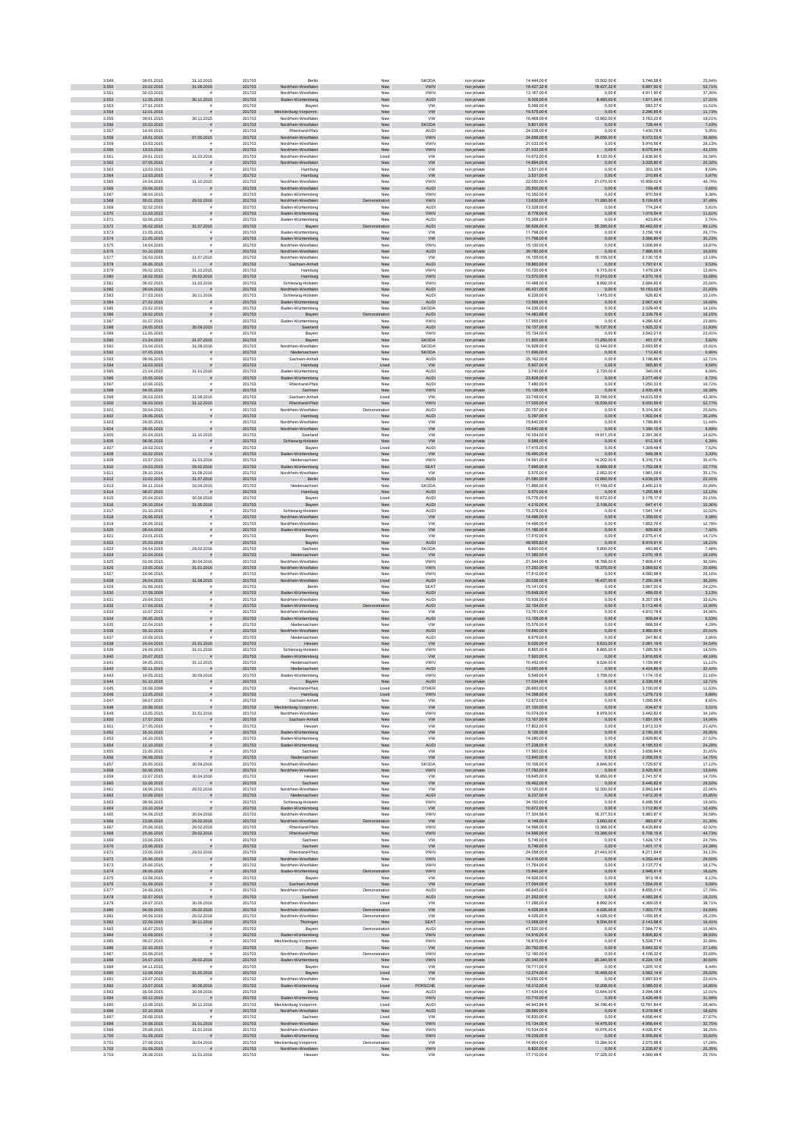| 3.550          | 09.01.2015               | 31.10.2015                            | 201703           | Berlin                                      | New                  | SKODA                       | non private                | 14,444,00 €                      | 13.502.00 €                 | 3.746.58 €                   | 25.94%           |
|----------------|--------------------------|---------------------------------------|------------------|---------------------------------------------|----------------------|-----------------------------|----------------------------|----------------------------------|-----------------------------|------------------------------|------------------|
|                | 20.02.2015               | 31.08.2015                            | 201703           | Nordrhein-Westfalen                         | New                  | <b>VWN</b>                  | non private                | $18.427,32 \in$                  | 18.427,32 €                 | 9.897,92 €                   | 53,71%           |
| 3.551          | 02.03.2015               |                                       | 201703           | Nordrhein-Westfaler                         | New                  | <b>VWN</b>                  | non privat                 | 13.167,00 €                      | $0,00 \in$                  | 4.911,90 €                   | 37,30%           |
| 3.552<br>3.553 | 11.06.2015<br>27.01.2015 | 30.11.2015                            | 201703<br>201703 | Baden-Württemberg                           | New<br>New           | AUDI<br><b>VW</b>           | non private<br>non private | $9.306{,}00 \in$<br>5.066,00 €   | 3.460,00 €<br>$0,00 \in$    | 1.611,24 €<br>583,27€        | 17,31%<br>11,51% |
| 3.554          | 12.01.2015               |                                       | 201703           | Bayern<br>ecklenburg-Vorpomm.               | ${\sf New}$          | <b>VW</b>                   | non private                | 19.575,00 €                      | $0,00 \in$                  | 2.296,85€                    | 11,73%           |
| 3.555          | 09.01.2015               | 30.11.2015                            | 201703           | Nordrhein-Westfalen                         | New                  | <b>VW</b>                   | non private                | 16.468,00 €                      | 13.962,00 €                 | 3.163,23 €                   | 19,21%           |
| 3.556          | 20.03.2015               |                                       | 201703           | Nordrhein-Westfalen                         | New                  | SKODA                       | non private                | 9.801,00 €                       | $0,00 \in$                  | 728,44 €                     | 7,43%            |
| 3.557<br>3.558 | 14.04.2015<br>19.01.2015 | 07.05.2015                            | 201703<br>201703 | Rheinland-Pfalz<br>Nordrhein-Westfalen      | New<br>New           | <b>AUDI</b><br><b>VWN</b>   | non privat                 | 24.038.00 €<br>24.656.00 €       | 0.006<br>24.656,00 €        | 1.430.78 €<br>9.072,53 €     | 5.95%<br>36,80%  |
| 3.559          | 13.03.2015               |                                       | 201703           | Nordrhein-Westfaler                         | New                  | VWN                         | non private<br>non privat  | 21.033,00 €                      | $0,00 \in$                  | 5.916,566                    | 28,13%           |
| 3.560          | 13.03.2015               |                                       | 201703           | Nordrhein-Westfalen                         | New                  | VWN                         | non private                | 21.033,00 €                      | $0{,}00 \in$                | $9.075,94 \in$               | 43,15%           |
| 3.561          | 29.01.2015               | 31.03.2016                            | 201703           | Nordrhein-Westfaler                         | Used                 | <b>VW</b>                   | non privat                 | 10.672,00 €                      | 8.120,00 €                  | 2.836,90 €                   | 26,58%           |
| 3.562<br>3.563 | 07.05.2015<br>13.03.2015 | $\overline{z}$                        | 201703<br>201703 | Nordrhein-Westfalen<br>Hamburg              | ${\sf New}$<br>New   | ${\tt VW}$<br><b>VW</b>     | non private<br>non private | 14.894,00 €<br>3.531,00 €        | $0{,}00 \in$<br>0,006       | $3.025,80 \in$<br>303,35€    | 20,32%<br>8,59%  |
| 3.564          | 13.03.2015               |                                       | 201703           | Hamburg                                     | New                  | <b>VW</b>                   | non private                | 3.531,00 €                       | $0,00 \in$                  | 210,66€                      | 5,97%            |
| 3.565          | 24.04.2015               | 31.10.2015                            | 201703           | Nordrhein-Westfaler                         | New                  | <b>VWN</b>                  | non privat                 | 22.050.00 €                      | 21.070,00 €                 | 10.959.02 €                  | 49.70%           |
| 3.566          | 03.06.2015               | $\overline{z}$                        | 201703           | Nordrhein-Westfalen                         | New                  | <b>AUDI</b>                 | non private                | 25.500,00 €                      | $0,00 \in$                  | 169,48 €                     | 0,66%            |
| 3.567          | 08.04.2015               |                                       | 201703           | Baden-Württemberg                           | New                  | VWN                         | non private                | 10.350.00 €                      | $0{,}00 \in$                | 970,59€                      | 9,38%            |
| 3.568<br>3.569 | 30.01.2015<br>02.02.2015 | 29.02.2016                            | 201703<br>201703 | Nordrhein-Westfalen<br>Baden-Württemberg    | ration<br>New        | VWN<br>AUDI                 | non private<br>non private | $13.630,00 \in$<br>13.328,00 €   | 11.280,00 €<br>$0,00 \in$   | 5.109,65€<br>774,24€         | 37,49%<br>5,81%  |
| 3.570          | 11.03.2015               | ø                                     | 201703           | Baden-Württemberg                           | New                  | VWN                         | non private                | 8.778,00 €                       | $0,00 \in$                  | 1.019,54 €                   | 11,61%           |
| 3.571          | 03.06.2015               |                                       | 201703           | Baden-Württemberg                           | New                  | <b>AUDI</b>                 | non private                | 15.368,00 €                      | $0,00 \in$                  | 423,60 €                     | 2,76%            |
| 3.572<br>3.573 | 05.02.2015<br>21.05.2015 | 31.07.2015                            | 201703<br>201703 | Bayern<br>Baden-Württemberg                 | tration<br>New       | <b>AUDI</b><br><b>VW</b>    | non private                | 56.626,00 €<br>11,798.00 €       | 55.395,00 €<br>0.006        | 50.462,65€<br>3.158.19 €     | 89,12%<br>26.77% |
| 3.574          | 21.05.2015               |                                       | 201703           | Baden-Württemberg                           | New                  | <b>VW</b>                   | non privat<br>non private  | 11.798,00 €                      | $0,00 \in$                  | 3.566,89 €                   | 30,23%           |
| 3.575          | 14.04.2015               |                                       | 201703           | Nordrhein-Westfaler                         | Nev                  | VWN                         | non privat                 | 15.130,00 €                      | $0,00 \in$                  | 3.006,99 €                   | 19,87%           |
| 3.576          | 01.10.2015               |                                       | 201703           | Nordrhein-Westfalen                         | New                  | AUDI                        | non private                | 39.780,00 $\in$                  | $0{,}00 \in$                | 7.886,50 $\in$               | 19,83%           |
| 3.577<br>3.578 | 26.03.2015<br>26.06.2015 | 31.07.2015                            | 201703<br>201703 | Nordrhein-Westfaler<br>Sachsen-Anhalt       | New<br>New           | <b>VW</b><br>AUDI           | non privat<br>non private  | 16.155,00<br>18.860,00 €         | 16.155,00 €<br>$0{,}00 \in$ | 2.130,156<br>1.797,61 €      | 13,19%<br>9,53%  |
| 3.579          | 05.02.2015               | 31.10.2015                            | 201703           | Hamburg                                     | New                  | <b>VWN</b>                  | non private                | 10.720,00 €                      | 9.715,00 €                  | 1.479,28 €                   | 13,80%           |
| 3.580          | 18.02.2015               | 29.02.2016                            | 201703           | Hamburg                                     | New                  | <b>VWN</b>                  | non private                | 13.570,00 €                      | 11.210,00 €                 | 4.570,19 €                   | 33,68%           |
| 3.581          | 06.02.2015               | 31.03.2016                            | 201703           | Schleswig-Holstein                          | New                  | <b>VWN</b>                  | non private                | 10,488.00 €                      | 8.892.00 €                  | 2.684.92€                    | 25,60%           |
| 3.582<br>3.583 | 09.04.2015<br>27.03.2015 | $\frac{1}{2}$<br>30.11.2016           | 201703<br>201703 | Nordrhein-Westfalen<br>Schleswig-Holstein   | New<br>Nev           | <b>AUDI</b><br><b>AUDI</b>  | non private<br>non privat  | 46.431,00 €<br>6.226,00 €        | $0,00 \in$<br>1.415,00 €    | 10.183,02 €<br>628,82€       | 21,93%<br>10,10% |
| 3.584          | 27.02.2015               | s                                     | 201703           | Baden-Württemberg                           | New                  | AUDI                        | non private                | 13.566,00 €                      | $0{,}00 \in$                | 2.667,42 €                   | 19,66%           |
| 3.585          | 23.02.2015               | $\dot{a}$                             | 201703           | Baden-Württemberg                           | New                  | SKODA                       | non private                | 14.336,00 €                      | $0,00 \in$                  | 2.029,45 €                   | 14,16%           |
| 3.586          | 18.02.2015               | $\tilde{\pi}$                         | 201703           | Bayern                                      | ation                | AUDI                        | non private                | 14.483,66 €                      | $0,00 \in$                  | 2.339,76 €                   | 16,15%           |
| 3.587<br>3.588 | 01.07.2015<br>29.05.2015 | 30.09.2015                            | 201703<br>201703 | Baden-Württemberg<br>Saarland               | New<br>New           | VWN<br><b>AUDI</b>          | non private<br>non private | 17.955,00 €<br>16.137,00 €       | $0,00 \in$<br>16.137,00 €   | 4.286,92 €<br>1.925,32 €     | 23,88%<br>11,93% |
| 3.589          | 11.05.2015               |                                       | 201703           | Bayern                                      | New                  | VWN                         | non private                | 15.134,00 €                      | $0,00 \in$                  | 3.542,21 €                   | 23,41%           |
| 3.590          | 21.04.2015               | 31.07.2015                            | 201703           | Bayern                                      | New                  | <b>SKODA</b>                | non private                | 11.500.00 €                      | 11.250,00 €                 | 451,07 €                     | 3,92%            |
| 3.591          | 23.04.2015               | 31.08.2016                            | 201703           | Nordrhein-Westfaler                         | New                  | SKODA                       | non privat                 | 16.928.00 €                      | 12.144,00 €                 | 2.693.95€                    | 15,91%           |
| 3.592<br>3.593 | 07.05.2015<br>08.06.2015 | ø                                     | 201703<br>201703 | Niedersachsen<br>Sachsen-Anhalt             | New<br>Nev           | <b>SKODA</b><br><b>AUDI</b> | non private<br>non privat  | 11.696,00 €<br>25.162,00 €       | $0{,}00 \in$<br>$0,00 \in$  | 112,42 €<br>3.196,866        | 0,96%<br>12,71%  |
| 3.594          | 18.03.2015               |                                       | 201703           | Hamburg                                     | Used                 | ww                          | non private                | 5.907,00 €                       | $0{,}00 \in$                | 565,80 €                     | 9,58%            |
| 3.595          | 21.04.2015               | 31.01.2016                            | 201703           | Baden-Württemberg                           | New                  | AUDI                        | non privat                 | 3.740,006                        | 2.720,00 €                  | 340,00 €                     | 9,09%            |
| 3.596<br>3.597 | 15.05.2015<br>10.06.2015 | $\tilde{\pi}$                         | 201703<br>201703 | Baden-Württemberg<br>Rheinland-Pfalz        | New<br>New           | AUDI<br><b>AUDI</b>         | non private                | 23.828,00 €<br>7.480,00 €        | $0,00 \in$<br>0,006         | 2.077,49 €<br>1.250,33 €     | 8,72%<br>16,72%  |
| 3.598          | 04.05.2015               | $\mathbf{r}$<br>$\tilde{\pi}$         | 201703           | Sachsen                                     | New                  | <b>VWN</b>                  | non private<br>non private | 15.138,00 €                      | $0,00 \in$                  | 2.935,45 €                   | 19,39%           |
| 3.599          | 06.03.2015               | 31.08.2015                            | 201703           | Sachsen-Anhalt                              | Used                 | <b>VW</b>                   | non private                | 33,748.00 6                      | 33.748.00 €                 | 14.633.55 €                  | 43.36%           |
| 3.600          | 06.03.2015               | 31.12.2015                            | 201703           | Rheinland-Pfalz                             | New                  | VWN                         | non private                | 17.055,00 €                      | 15.539,00 €                 | $9.000, 69 \in$              | 52,77%           |
| 3.601          | 30.04.2015               |                                       | 201703           | Nordrhein-Westfalen                         | Demonstration        | AUDI                        | non privat                 | 20.757,00 €                      | $0,00 \in$                  | 5.314,36 €                   | 25,60%           |
| 3.602<br>3.603 | 29.06.2015<br>28.05.2015 | ø                                     | 201703<br>201703 | Hamburg<br>Nordrhein-Westfalen              | New<br>New           | AUDI<br><b>VW</b>           | non private<br>non private | 5.397,00 €<br>15.640,00 €        | $0,00 \in$<br>$0,00 \in$    | 1.902,04 €<br>1.788,86 €     | 35,24%<br>11,44% |
| 3.604          | 28.05.2015               |                                       | 201703           | Nordrhein-Westfalen                         | New                  | <b>VW</b>                   | non private                | 15.640,00 €                      | $0,00 \in$                  | 1.390,15 €                   | 8,89%            |
| 3.605          | 01.04.2015               | 31.10.2015                            | 201703           | Saarland                                    | New                  | <b>VW</b>                   | non private                | 16.354,00 €                      | 14.911,00 €                 | 2.391,36 €                   | 14,62%           |
| 3.606<br>3.607 | 08.06.2015<br>19.03.2015 | $\mathbf{r}$                          | 201703<br>201703 | Schleswig-Holstein                          | New<br>Used          | <b>VW</b><br><b>AUDI</b>    | non private                | 9.588.00 €<br>17.415.00 €        | $0,00 \in$<br>0.00E         | 612.30 €<br>1.309.48 €       | 6.39%<br>7.52%   |
| 3.608          | 03.02.2015               |                                       | 201703           | Bayern<br>Baden-Württemberg                 | New                  | <b>VW</b>                   | non private<br>non private | 16.490,00 €                      | $0{,}00 \in$                | 549,38 €                     | 3,33%            |
| 3.609          | 15.07.2015               | 31.03.2016                            | 201703           | Niedersachser                               | New                  | VWN                         | non privat                 | 14.991,00 €                      | 14.202,00 €                 | 5.316,73 €                   | 35,47%           |
| 3.610          | 19.03.2015               | 29.02.2016                            | 201703           | aden-Württemberg                            | New                  | SEAT                        | non private                | 7.695,00 €                       | 6.669,00 €                  | 1.752,08 €                   | 22,77%           |
| 3.611          | 28.10.2014               | 31.08.2016                            | 201703           | Nordrhein-Westfalen                         | New                  | <b>VW</b>                   | non private                | 5.576,00 €                       | 2.952,00 €                  | 1.961,09 €                   | 35,17%           |
| 3.612<br>3.613 | 10.02.2015<br>04.11.2014 | 31.07.2016<br>16.04.2015              | 201703<br>201703 | Berlin<br>Niedersachsen                     | New<br>New           | AUDI<br>SKODA               | non private<br>non private | 21.080,00 €<br>11.866,00 €       | 12.860,00 €<br>11.168,00 €  | 4.639,05 €<br>2.490,23€      | 22,01%<br>20,99% |
| 3.614          | 08.07.2015               | $\mathbf{r}$                          | 201703           | Hamburg                                     | New                  | <b>AUDI</b>                 | non private                | 9.570.00 $\in$                   | $0,00 \in$                  | 1.255.88 €                   | 13,12%           |
| 3.615          | 20.04.2015               | 30.06.2016                            | 201703           | Bayerr                                      | Used                 | <b>AUDI</b>                 | non private                | 15,776.00 €                      | 10.672.00 €                 | 3.178.17 €                   | 20.15%           |
| 3.616<br>3.617 | 28.10.2014               | 31.05.2016<br>$\tilde{\mathbf{r}}$    | 201703           | Bayern                                      | New                  | <b>AUDI</b>                 | non private                | 4.216,00 €                       | 2.108,00 €                  | 647,41 €                     | 15,36%           |
| 3.618          | 01.10.2015<br>26.06.2015 |                                       | 201703<br>201703 | Schleswig-Holstein<br>Nordrhein-Westfalen   | New<br>New           | <b>AUDI</b><br><b>VW</b>    | non private<br>non private | 15.378,00 €<br>14.496,00 €       | $0,00 \in$<br>$0{,}00 \in$  | 1.541,14 €<br>1.359,00 €     | 10,02%<br>9,38%  |
| 3.619          | 26.06.2015               |                                       | 201703           | Nordrhein-Westfalen                         | New                  | <b>VW</b>                   | non private                | 14.496,00 €                      | $0,00 \in$                  | 1.852,76 €                   | 12,78%           |
| 3.620          | 08.04.2015               |                                       | 201703           | Baden-Württemberg                           | New                  | <b>VW</b>                   | non private                | 11.186,00 €                      | $0,00 \in$                  | 829,92 €                     | 7,42%            |
| 3.621          | 23.01.2015               |                                       | 201703           | Bayern                                      | New                  | <b>VW</b>                   | non private                | 17.510,00 €                      | $0,00 \in$                  | 2.575,41 €                   | 14,71%           |
| 3.622<br>3.623 | 25.03.2015<br>24.04.2015 | 29.02.2016                            | 201703<br>201703 | Bayern<br>Sachser                           | New<br>New           | <b>AUDI</b><br><b>SKODA</b> | non private<br>non privat  | 48.955,83 €<br>6.600.00 €        | $0,00 \in$<br>5,800,00 €    | 8.916,91 €<br>493.86 €       | 18,21%<br>7.48%  |
| 3.624          | 22.04.2015               |                                       | 201703           | Niedersachsen                               | New                  | <b>VW</b>                   | non private                | 11.385.00 €                      | $0,00 \in$                  | 2.070,18 €                   | 18,18%           |
| 3.625          | 01.06.2015               | 30.04.2016                            | 201703           | Nordrhein-Westfaler                         | New                  | VWN                         | non privat                 | 21.344,00 €                      | 18.768,00 €                 | 7.809,41 €                   | 36,59%           |
| 3.626<br>3.627 | 13.05.2015<br>24.06.2015 | 31.01.2016                            | 201703<br>201703 | Nordrhein-Westfalen<br>Nordrhein-Westfaler  | New<br>New           | <b>VWN</b><br>VWN           | non private                | 17.250,00 €<br>17.512,00 €       | 15.375,00 €<br>$0,00 \in$   | $3.569, 62 \in$<br>4.580,986 | 20,69%<br>26,16% |
| 3.628          | 28.04.2015               | 31.08.2015                            | 201703           | Nordrhein-Westfalen                         | Used                 | AUDI                        | non privat<br>non private  | 20.026,00 €                      | 19.437,00 €                 | 7.250,39 €                   | 36,20%           |
| 3.629          | 01.09.2015               |                                       |                  |                                             |                      |                             |                            |                                  |                             |                              |                  |
|                |                          |                                       | 201703           | Berlin                                      | New                  | SEAT                        | non private                | 15.141,00 €                      | $0,00 \in$                  | 3.667,20 €                   | 24,22%           |
| 3.630          | 17.09.2009               | $\bar{\pi}$                           | 201703           | Baden-Württemberg                           | New                  | AUDI                        | non private                | 15.648,00 €                      | $0,00 \in$                  | 489,00 €                     | 3,13%            |
| 3.631          | 20.04.2015               | $\bar{\pi}$                           | 201703           | Nordrhein-Westfaler                         | New                  | <b>AUDI</b>                 | non private                | 15,936,00 €                      | 0.00E                       | 5.357.08€                    | 33.62%           |
| 3.632<br>3.633 | 17.04.2015               | $\tilde{\pi}$<br>$\bar{a}$            | 201703           | Baden-Württemberg                           | tration              | <b>AUDI</b><br><b>VW</b>    | non private                | 32.154,00 €                      | $0,00 \in$                  | 5.112,46 €                   | 15,90%           |
| 3.634          | 10.07.2015<br>06.05.2015 | s                                     | 201703<br>201703 | Nordrhein-Westfaler<br>Baden-Württemberg    | New<br>New           | AUDI                        | non privat<br>non private  | 13.761,00 €<br>$13.158{,}00 \in$ | $0,00 \in$<br>$0{,}00 \in$  | 4.810,78 €<br>859,64 $\in$   | 34,96%<br>6,53%  |
| 3.635          | 22.04.2015               |                                       | 201703           | Niedersachsen                               | New                  | <b>VW</b>                   | non private                | 15.576,00 €                      | $0,00 \in$                  | 668,59 €                     | 4,29%            |
| 3.636          | 05.10.2015               |                                       | 201703           | trhein-Westfalen                            | ${\sf New}$          | <b>AUDI</b>                 | non private                | 19.890,00 €                      | $0,00 \in$                  | 3.980,60 €                   | 20,01%           |
| 3.637          | 10.09.2015               |                                       | 201703           | Niedersachsen                               | New                  | <b>AUDI</b>                 | non private                | 8.679,00 €                       | $0,00 \in$                  | 247,80 €                     | 2,86%            |
| 3.638<br>3.639 | 24.04.2015<br>24.09.2015 | 31.01.2016<br>31.01.2016              | 201703<br>201703 | Hessen<br>Schleswig-Holstein                | New<br>New           | <b>VW</b><br><b>VWN</b>     | non private<br>non private | 6.026,00 €<br>8.865.00 €         | 5.633,00 €<br>8.865.00 €    | 2.081,19€<br>1.285.50 €      | 34,54%<br>14.50% |
| 3.640          | 20.07.2015               |                                       | 201703           | Baden-Württemberg                           | New                  | W                           | non private                | 7.920,00 €                       | $0,00 \in$                  | 3.816,65€                    | 48,19%           |
| 3.641          | 04.05.2015               | 31.12.2015                            | 201703           | Niedersachser                               | New                  | VWN                         | non privat                 | 10.442,001                       | 9.534,00 €                  | 1.159,99 6                   | 11,11%           |
| 3.642<br>3.643 | 02.11.2015<br>19.05.2015 | 30.09.2016                            | 201703<br>201703 | Niedersachsen<br>Baden-Württemberg          | New<br>New           | <b>AUDI</b><br>VWN          | non private<br>non privat  | 13.650,00 €<br>5.549,006         | $0,00 \in$<br>3.759,006     | 4.424,86 €<br>1.174,15€      | 32,42%<br>21,16% |
| 3.644          | 01.10.2015               |                                       | 201703           |                                             | New                  | AUDI                        | ton privat                 | 17.034,00 6                      | $0,00 \in$                  | 2.336,00 €                   | 13,71%           |
| 3.645          | 26.08.2009               | $\bar{\pi}$                           | 201703           | Rheinland-Pfalz                             | Used                 | OTHER                       | non private                | 26.660,00 €                      | $0,00 \in$                  | 3.100,00 €                   | 11,63%           |
| 3.646<br>3.647 | 13.05.2015<br>09.07.2015 | $\tilde{\pi}$<br>$\bar{\pi}$          | 201703<br>201703 | Hamburg<br>Sachsen-Anhalt                   | Used<br>New          | <b>VWN</b><br><b>VW</b>     | non private                | 14.398,00 €<br>12.672.00 €       | $0,00 \in$<br>0.00E         | 1.279,73 €<br>1.095.56 €     | 8,89%<br>8.65%   |
| 3.648          | 20.08.2015               | $\tilde{\pi}$                         | 201703           | Mecklenburg-Vorpomm.                        | New                  | <b>VW</b>                   | non private<br>non private | 21.120,00 €                      | $0,00 \in$                  | 634,67€                      | 3,01%            |
| 3.649          | 13.05.2015               | 31.01.2016                            | 201703           | Nordrhein-Westfaler                         | New                  | VWN                         | non private                | 10.074.00 €                      | 8.979,00 €                  | 3.442,82 €                   | 34,18%           |
| 3.650<br>3.651 | 17.07.2015<br>27.05.2015 | $\tilde{\pi}$<br>$\tilde{\mathbf{r}}$ | 201703<br>201703 | Sachsen-Anhalt<br>Hessen                    | New<br>New           | ${\tt VW}$<br><b>VW</b>     | non private                | 13.167,00 €<br>17.802,00 €       | $0{,}00 \in$<br>$0,00 \in$  | $1.851,00 \in$<br>3.813,33 € | 14,06%           |
| 3.652          | 16.10.2015               | $\tilde{\pi}$                         | 201703           | Baden-Württemberg                           | New                  | <b>VW</b>                   | non private                | 8.126,00 €                       | $0,00 \in$                  | 2.190,30 €                   | 21,42%<br>26,95% |
| 3.653          | 16.10.2015               |                                       | 201703           | Baden-Württemberg                           | New                  | <b>VW</b>                   | non private<br>non private | 14.280,00 €                      | $0,00 \in$                  | 3.929,80 €                   | 27,52%           |
| 3.654          | 12.10.2015               | $\tilde{\pi}$<br>$\bar{z}$            | 201703           | Baden-Württemberg                           | New                  | <b>AUDI</b>                 | non private                | 17.238,00 €                      | $0,00 \in$                  | 4.185,53 €                   | 24,28%           |
| 3.655<br>3.656 | 22.05.2015<br>06.08.2015 |                                       | 201703<br>201703 | Sachsen<br>Niedersachsen                    | New<br>New           | <b>VW</b><br><b>VW</b>      | non private<br>non private | 11.560,00 €<br>13.940.00 €       | $0,00 \in$<br>$0.00 \in$    | 3.658,94 €<br>2.056.05€      | 31,65%<br>14.75% |
| 3.657          | 26.05.2015               | 30.09.2016                            | 201703           | Nordrhein-Westfalen                         | New                  | SKODA                       | non private                | 10.106.00 €                      | 6.846.00 €                  | 1.729.67 €                   | 17.12%           |
| 3.658          | 02.06.2015               |                                       | 201703           | Nordrhein-Westfalen<br>Hesser               | ${\sf New}$          | ${\tt VWN}$                 | non private                | 17.782,00 €                      | $0,00 \in$                  | 2.425,90 €                   | 13,64%           |
| 3.659<br>3.660 | 22.07.2015<br>31.08.2015 | 30.04.2016                            | 201703<br>201703 | Sachsen                                     | Nev<br>New           | <b>VW</b><br>${\sf VW}$     | non privat<br>non private  | 18.645,00 €<br>18.462,00 €       | 16.950,00 €<br>$0,00 \in$   | 2.741,57 €<br>5.446,82 €     | 14,70%<br>29,50% |
| 3.661          | 18.06.2015               | 29.02.2016                            | 201703           | Nordrhein-Westfalen                         | New                  | <b>VW</b>                   | non private                | 13.120,00 €                      | 12.300,00 €                 | 2.893,64 €                   | 22,06%           |
| 3.662          | 10.09.2015               | $\tilde{\pi}$                         | 201703           | Niedersachsen                               | New                  | AUDI                        | non private                | 6.237,00 €                       | $0,00 \in$                  | 1.612,30 €                   | 25,85%           |
| 3.663<br>3.664 | 08.06.2015<br>23.10.2014 | $\mathbf{r}$<br>$\tilde{\pi}$         | 201703<br>201703 | Schleswig-Holstein<br>Baden-Württemberg     | New<br>New           | <b>VWN</b><br><b>VW</b>     | non private                | 34.100,00 €<br>10.672,00 €       | $0,00 \in$<br>$0,00 \in$    | 6.498,56 €<br>1.112,80 €     | 19,06%           |
| 3.665          | 04.08.2015               | 30.04.2016                            | 201703           | Nordrhein-Westfalen                         | New                  | <b>VWN</b>                  | non private<br>non private | 17.304.56 €                      | 16.377.53 €                 | 5.983.87 €                   | 10,43%<br>34.58% |
| 3.666          | 23.06.2015               | 29.02.2016                            | 201703           | Nordrhein-Westfalen                         | ration               | ${\tt VW}$                  | non private                | $4.148,00€$                      | 3.660,00 €                  | 883,67 $\in$                 | 21,30%           |
| 3.667          | 25.06.2015               | 29.02.2016                            | 201703           | Rheinland-Pfalz                             | New                  | <b>VWN</b>                  | non private                | 14.996,00 €                      | 13.366,00 €                 | 6.435,89 €                   | 42,92%           |
| 3.668          | 25.06.2015               | 29.02.2016                            | 201703           | inland-Pfalz                                | New                  | <b>VWN</b>                  | non private                | 14.996,00 €                      | 13.366,00 €                 | 6.708,15€                    | 44,73%           |
| 3.669<br>3.670 | 23.06.2015<br>23.06.2015 |                                       | 201703<br>201703 | Sachsen<br>Sachsen                          | New<br>New           | <b>VW</b><br><b>VW</b>      | non private<br>non private | 5.746,00 €<br>5.746,00 €         | $0{,}00 \in$<br>$0,00 \in$  | 1.424,17 €<br>1.401,17 €     | 24,79%<br>24,39% |
| 3.671          | 23.06.2015               | 29.02.2016                            | 201703           | Rheinland-Pfalz                             | New                  | VWN                         | non private                | 24.058,00 €                      | 21.443,00 €                 | 8.211,54 €                   | 34,13%           |
| 3.672<br>3.673 | 25.06.2015<br>25.06.2015 | $\mathbf{r}$<br>$\tilde{\mathbf{r}}$  | 201703<br>201703 | Nordrhein-Westfalen<br>Nordrhein-Westfalen  | New<br>New           | <b>VWN</b><br><b>VWN</b>    | non private                | 14.416.00 €<br>11.764.00 €       | $0.00 \in$<br>0.00E         | 4.252,44 €<br>2.137.77€      | 29.50%<br>18.17% |
| 3.674          | 26.06.2015               | ø                                     | 201703           | Baden-Württemberg                           | tration              | <b>VWN</b>                  | non private<br>non private | 15.840,00 €                      | $0,00 \in$                  | 2.948,91 €                   | 18,62%           |
| 3.675          | 13.08.2015               |                                       | 201703           | Bayerr                                      | New                  | <b>VW</b>                   | non privat                 | 14.926,00 €                      | $0,00 \in$                  | 913,18€                      | 6,12%            |
| 3.676          | 01.09.2015               | $\tilde{\pi}$                         | 201703           | Sachsen-Anhalt                              | New                  | ${\tt VW}$                  | non private                | 17.094,00 €                      | $0,00 \in$                  | 1.554,00 €                   | 9,09%            |
| 3.677          | 24.09.2015               |                                       | 201703           | Nordrhein-Westfalen                         | Demonstration        | <b>AUDI</b>                 | non private                | 48.645,00 €                      | $0,00 \in$                  | 8.655,01 €                   | 17,79%           |
| 3.678<br>3.679 | 02.07.2015<br>29.07.2015 | 30.06.2016                            | 201703<br>201703 | Saarland<br>Nordrhein-Westfalen             | New<br>Used          | <b>AUDI</b><br>ww           | non private<br>non private | 21.252,00 €<br>11.286,00 €       | $0,00 \in$<br>8.892,00 €    | 4.082,26 €<br>4.369,05€      | 19,21%<br>38,71% |
| 3.680          | 04.09.2015               | 29.02.2016                            | 201703           | Nordrhein-Westfalen                         | Demonstration        | <b>VW</b>                   | non private                | 4.026.00 €                       | 4.026,00 €                  | 1.003.77 €                   | 24,93%           |
| 3.681          | 04.09.2015               | 29.02.2016                            | 201703           | Nordrhein-Westfalen                         | Demonstration        | <b>VW</b>                   | non private                | 4.026.00 €                       | 4.026.00 €                  | 1.055.95€                    | 26.23%           |
| 3.682<br>3.683 | 22.09.2015               | 30.11.2016<br>$\tilde{\mathbf{r}}$    | 201703           | Thüringen                                   | New                  | <b>SEAT</b>                 | non private                | 13.068,00 €                      | 9.504,00 €                  | 2.143,98 €                   | 16,41%           |
| 3.684          | 16.07.2015<br>15.09.2015 | $\tilde{\pi}$                         | 201703<br>201703 | Bayern<br>Baden-Württemberg                 | Demonstration<br>New | <b>AUDI</b><br><b>VWN</b>   | non private<br>non private | 47.520,00 €<br>14.916,00 €       | $0,00 \in$<br>$0{,}00 \in$  | 7.584,77€<br>$5.806,82 \in$  | 15,96%<br>38,93% |
| 3.685          | 09.07.2015               |                                       | 201703           | Mecklenburg-Vorpomm                         | New                  | VWN                         | non private                | 16.815,00 €                      | $0,00 \in$                  | 5.528,71€                    | 32,88%           |
| 3.686          | 22.10.2015               |                                       | 201703           | Bayern                                      | New                  | W                           | non private                | 20.792,00 €                      | $0,00 \in$                  | 5.642,32 €                   | 27,14%           |
| 3.687<br>3.688 | 03.08.2015<br>24.07.2015 | 29.02.2016                            | 201703<br>201703 | Nordrhein-Westfalen<br>Baden-Württemberg    | Demonstration<br>New | VWN<br><b>VWN</b>           | non private<br>non private | 12.190,00 €<br>20.340,00 €       | $0,00 \in$<br>20.340,00 €   | 4.106,32 €<br>6.224,13 €     | 33,69%<br>30,60% |
| 3.689          | 04.11.2015               |                                       | 201703           | Bavern                                      | New                  | <b>VW</b>                   | non private                | 18,711,00 €                      | 0.00E                       | 1.205.10 €                   | 6.44%            |
| 3.690          | 12.08.2015               | 31.05.2016                            | 201703           | Bayern                                      | Used                 | <b>VW</b>                   | non private                | 12.274.00 €                      | 10.469,00 €                 | 3.562,14 €                   | 29,02%           |
| 3.691          | 23.07.2015               |                                       | 201703           | Nordrhein-Westfaler                         | New                  | <b>VW</b>                   | non privat                 | 16.650,00 €                      | $0,00 \in$                  | 3.897,63 €                   | 23,41%           |
| 3.692<br>3.693 | 23.07.2015<br>05.08.2015 | 30.06.2016                            | 201703<br>201703 | Baden-Württemberg<br>Berlin                 | Used<br>New          | PORSCHE<br><b>AUD</b>       | non private<br>non private | 18.312,00 €<br>17.434,00 €       | 12.208,00 €<br>13.644,00 €  | $3.085,53 \in$<br>2.094,08 € | 16,85%<br>12,01% |
| 3.694          | 03.12.2015               | 30.09.2016<br>$\mathbf{H}$            | 201703           | Baden-Württemberg                           | New                  | <b>VWN</b>                  | non private                | $10.710{,}00 \in$                | $0,00 \in$                  | 3.426,49 €                   | 31,99%           |
| 3.695          | 13.08.2015               | 30.11.2016                            | 201703           | Mecklenburg-Vorpomm                         | Used                 | <b>AUDI</b>                 | non private                | 44.943,84 €                      | 34.196,40 €                 | 12.791,84 €                  | 28,46%           |
| 3.696<br>3.697 | 22.10.2015<br>26.08.2015 | $\bar{\pi}$                           | 201703<br>201703 | Nordrhein-Westfalen<br>Sachser              | New<br>Used          | <b>AUDI</b><br><b>VW</b>    | non private                | 28.560,00 €<br>16,830,00 €       | $0,00 \in$<br>0.00E         | 5.318,66 €<br>4.656.44 €     | 18,62%<br>27.67% |
| 3.698          | 20.08.2015               | 31.01.2016                            | 201703           | Nordrhein-Westfalen                         | New                  | <b>VWN</b>                  | non private<br>non private | 15.134,00 €                      | 14.476,00 €                 | 4.956,64 €                   | 32,75%           |
| 3.699          | 20.08.2015               | 31.01.2016                            | 201703           | Nordrhein-Westfaler                         | New                  | VWN                         | non private                | 10.534.00 €                      | 10.076,00 €                 | 4.028,87 €                   | 38,25%           |
| 3.700          | 01.09.2015               | $\bar{\pi}$                           | 201703           | Baden-Württemberg                           | New                  | VWN                         | non private                | 19.239,00 €                      | $0,00 \in$                  | $6.505,69 \in$               | 33,82%           |
| 3.701<br>3.702 | 27.08.2015<br>01.09.2015 | 30.04.2016                            | 201703<br>201703 | Mecklenburg-Vorpomm.<br>Nordrhein-Westfalen | Demonstration<br>New | <b>VW</b><br>VWN            | non private<br>non private | 14.904,00 €<br>8.820,00 €        | 13.284,00 €<br>$0,00 \in$   | 2.575,98 €<br>2.235,97€      | 17,28%<br>25,35% |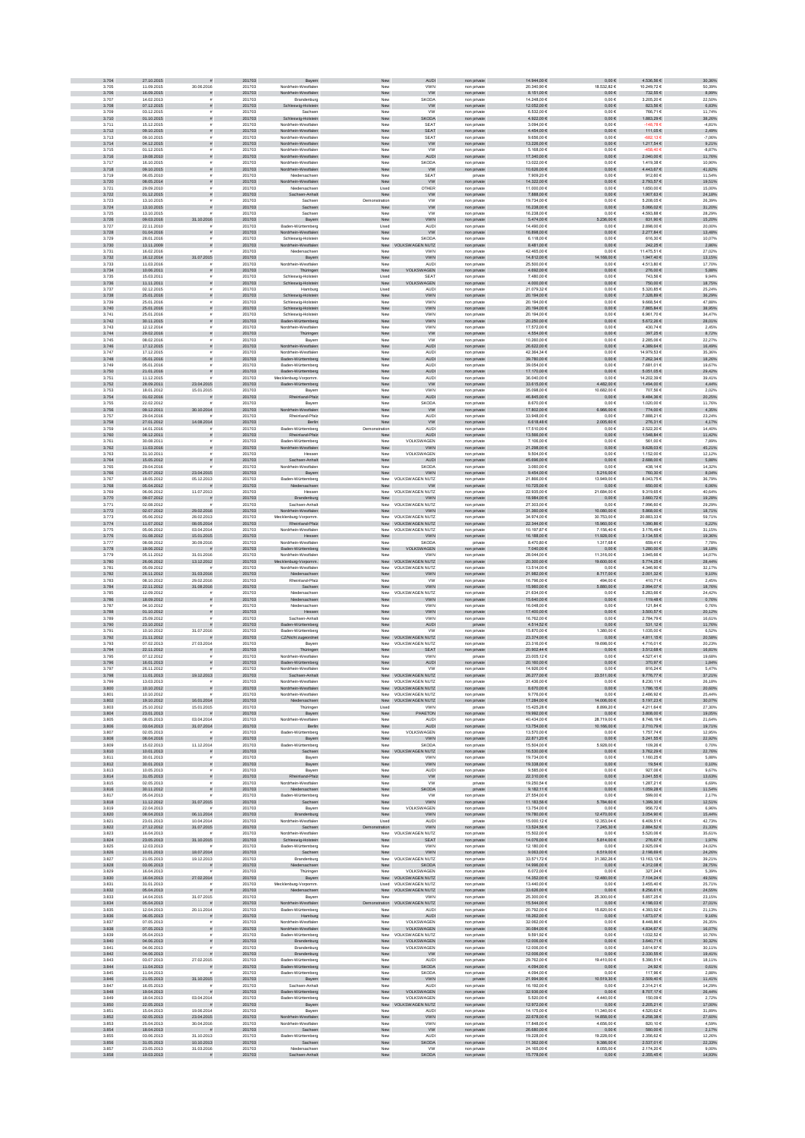| 3.704<br>3.705 | 27.10.2015<br>11.09.2015 | 30.06.2016                            | 201703<br>201703 | Bayerr<br>Nordrhein-Westfale               | Nev                  | AUDI<br>VWN                                   | non private<br>non privat  | 14.944,00 €<br>20.340,901      | $0{,}00 \in$<br>18.532,826      | $4.536,56 \in$<br>10.249,72   | 30,36%<br>50,39%   |
|----------------|--------------------------|---------------------------------------|------------------|--------------------------------------------|----------------------|-----------------------------------------------|----------------------------|--------------------------------|---------------------------------|-------------------------------|--------------------|
| 3.706          | 16.09.2015               |                                       | 201703           | Nordrhein-Westfaler                        | New                  | <b>VW</b>                                     | non private                | 8.151,00 €                     | $0,00 \in$                      | 732,55€                       | 8,99%              |
| 3.707<br>3.708 | 14.02.2013<br>07.12.2015 | s                                     | 201703<br>201703 | Brandenburg<br>Schleswig-Holstein          | New<br>New           | <b>SKODA</b><br><b>VW</b>                     | non private<br>non private | 14.248,00 €<br>12.052,00 €     | $0,00 \in$<br>$0,00 \in$        | 3.205,206<br>823,56 €         | 22,50%<br>6,83%    |
| 3.709          | 03.12.2015               |                                       | 201703           | Sachser                                    | New                  | <b>VW</b>                                     | non private                | 6.532,00 €                     | $0,00 \in$                      | 766,71€                       | 11,74%             |
| 3.710<br>3.711 | 01.10.2015<br>15.12.2015 | s<br>$\bar{z}$                        | 201703<br>201703 | Schleswig-Holstein<br>Nordrhein-Westfaler  | New<br>New           | <b>SKODA</b><br><b>SEAT</b>                   | non private<br>non private | 4.922,00 €<br>3.094.00 €       | $0,00 \in$<br>0.00E             | 1.883,29 €<br>$-148.786$      | 38,26%<br>$-4.81%$ |
| 3.712          | 09.10.2015               | s                                     | 201703           | Nordrhein-Westfalen                        | ${\sf New}$          | SEAT                                          | non private                | 4.454,00 €                     | $0{,}00 \in$                    | 111,05€                       | 2,49%              |
| 3.713<br>3.714 | 09.10.2015<br>04.12.2015 |                                       | 201703<br>201703 | Nordrhein-Westfaler<br>Nordrhein-Westfalen | New<br>New           | SEAT<br><b>VW</b>                             | non private<br>non private | 9.656,00 €<br>13.226,00 €      | $0,00 \in$<br>$0,00 \in$        | $-682.136$<br>1.217,54 €      | $-7,06%$<br>9,21%  |
| 3.715          | 01.12.2015               |                                       | 201703           | Nordrhein-Westfalen                        | New                  | <b>VW</b>                                     | non private                | 5.168,00 €                     | $0,00 \in$                      | 458,40                        | $-8,87%$           |
| 3.716          | 19.08.2010               |                                       | 201703           | Nordrhein-Westfalen                        | New                  | <b>AUDI</b>                                   | non private                | 17.340,00 €                    | $0{,}00 \in$                    | 2.040,00 €                    | 11,76%             |
| 3.717<br>3.718 | 16.10.2015<br>09.10.2015 |                                       | 201703<br>201703 | Nordrhein-Westfaler<br>Nordrhein-Westfalen | New<br>New           | SKODA<br><b>VW</b>                            | non private<br>non private | 13.022,00 €<br>10.626.00 €     | $0,00 \in$<br>$0,00 \in$        | 1.419,38 €<br>4.443,67 €      | 10,90%<br>41,82%   |
| 3.719          | 06.05.2010               |                                       | 201703           | Niedersachser                              | New                  | <b>SEAT</b>                                   | private                    | 7.909.20 €                     | 0.00E                           | 912.60 €                      | 11.54%             |
| 3.720<br>3.721 | 08.05.2014<br>29.09.2010 |                                       | 201703<br>201703 | Nordrhein-Westfalen<br>Niedersachse        | New<br>Usec          | <b>VW</b><br>OTHER                            | non private<br>non privat  | 14.322,00 €<br>11.000,00 €     | $0,00 \in$<br>0,006             | 2.793,57 €<br>1.650,00 €      | 19,51%<br>15,00%   |
| 3.722          | 01.12.2015               | s                                     | 201703           | Sachsen-Anhalt                             | New                  | ${\tt VW}$                                    | non private                | 7.888,00 €                     | $0,00 \in$                      | $1.907, 63 \in$               | 24,18%             |
| 3.723<br>3.724 | 13.10.2015<br>13.10.2015 |                                       | 201703<br>201703 | Sachser<br>Sachsen                         | Demonstration        | <b>VW</b><br><b>VW</b>                        | non private                | 19.734,00 €<br>16.238,00 €     | $0,00 \in$<br>$0,00 \in$        | 5.208,056<br>$5.066,02 \in$   | 26,39%<br>31,20%   |
| 3.725          | 13.10.2015               | $\tilde{\pi}$                         | 201703           | Sachser                                    | New<br>New           | <b>VW</b>                                     | non private<br>non private | 16.238,00 €                    | 0,006                           | 4.593,88 €                    | 28,29%             |
| 3.726          | 09.03.2016               | 31.10.2016                            | 201703           | Bayern                                     | New                  | <b>VWN</b>                                    | non private                | 5.474.00 €                     | 5.236,00 €                      | 831,90 €                      | 15,20%             |
| 3.727<br>3.728 | 22.11.2010<br>01.04.2016 | s                                     | 201703<br>201703 | Baden-Württemberg<br>Nordrhein-Westfalen   | Used<br>New          | AUDI<br><b>VW</b>                             | non private<br>non private | 14,490.00 €<br>16.898,00 €     | 0.00E<br>$0{,}00 \in$           | 2.898.00 €<br>2.277,84 €      | 20.00%<br>13,48%   |
| 3.729          | 28.01.2016               | $\dot{a}$                             | 201703           | Schleswig-Holstein                         | New                  | SKODA                                         | non private                | 6.118,00 €                     | $0,00 \in$                      | 616,30 €                      | 10,07%             |
| 3.730<br>3.731 | 13.11.2009<br>16.02.2016 | s                                     | 201703<br>201703 | rhein-Westfalen<br>Niedersachser           | New<br>New           | N NUTZ<br>VWN                                 | non private<br>non private | 8.481,00 €<br>42.465,00 €      | $0,00 \in$<br>$0,00 \in$        | 242,25€<br>11.475,51 €        | 2,86%<br>27,02%    |
| 3.732          | 16.12.2014               | 31.07.2015                            | 201703           | Bayern                                     | New                  | VWN                                           | non private                | 14.812,00 €                    | 168,00 €                        | 1.947,40 €                    | 13,15%             |
| 3.733          | 11.03.2016               |                                       | 201703           | Nordrhein-Westfaler                        | New                  | <b>AUDI</b><br>VOLKSWAGEN                     | non private                | 25.500,00 €<br>4.692.00 €      | $0,00 \in$                      | 4.513,80 €                    | 17,70%             |
| 3.734<br>3.735 | 10.06.2011<br>15.03.2011 |                                       | 201703<br>201703 | Thüringen<br>Schleswig-Holstein            | New<br>Used          | <b>SEAT</b>                                   | non private<br>non private | 7.480.00 €                     | $0.00 \in$<br>0.00E             | 276,00 €<br>743.56 €          | 5,88%<br>9.94%     |
| 3.736          | 11.11.2011               |                                       | 201703           | Schleswig-Holstein                         | New                  | VOLKSWAGEN                                    | non private                | 4.000,00 €                     | $0,00 \in$                      | 750,00 $\in$                  | 18,75%             |
| 3.737<br>3.738 | 02.12.2015<br>25.01.2016 |                                       | 201703<br>201703 | Hamburg<br>Schleswig-Holstein              | Used<br>New          | <b>AUDI</b><br>VWN                            | non privat<br>non private  | 21.079,326<br>20.194,00 €      | $0,00 \in$<br>$0,00 \in$        | 5.320,856<br>7.328,89 €       | 25,24%<br>36,29%   |
| 3.735          | 25.01.2016               |                                       | 201703           | Schleswig-Holstein                         | New                  | VWN                                           | non private                | 20.194,00 €                    | $0,00 \in$                      | 9.668,54 $\in$                | 47,88%             |
| 3.740<br>3.741 | 25.01.2016<br>25.01.2016 | $\tilde{\pi}$<br>$\bar{z}$            | 201703<br>201703 | Schleswig-Holstein<br>Schleswig-Holstein   | ${\sf New}$<br>New   | <b>VWN</b><br>VWN                             | non private<br>non private | 20.194,00 €<br>20.194,00 €     | $0{,}00 \in$<br>$0,00 \in$      | 7.865,84 $\in$<br>6.961,706   | 38,95%<br>34,47%   |
| 3.742          | 30.11.2015               | $\tilde{\pi}$                         | 201703           | Baden-Württemberg                          | New                  | <b>VWN</b>                                    | non private                | 20.250,00 €                    | $0,00 \in$                      | 6.672,26€                     | 28,01%             |
| 3.743<br>3.744 | 12.12.2014<br>29.02.2016 | $\mathbf{r}$                          | 201703           | Nordrhein-Westfaler                        | New                  | <b>VWN</b>                                    | non private                | 17.572.00 €                    | 0.00E<br>$0,00 \in$             | 430.74€                       | 2.45%              |
| 3.745          | 08.02.2016               | s<br>$\dot{a}$                        | 201703<br>201703 | Thüringen<br>Bayerr                        | New<br>New           | w<br><b>VW</b>                                | non private<br>non private | 4.554,00 €<br>10.260,00 €      | $0.00 \in$                      | 397,25 $\in$<br>2.285,06 €    | 8,72%<br>22,27%    |
| 3.746          | 17.12.2015               |                                       | 201703           | Nordrhein-Westfalen                        | ${\sf New}$          | AUDI                                          | non private                | 26.622,00 €                    | $0{,}00 \in$                    | $4.389, 64 \in$               | 16,49%             |
| 3.747<br>3.748 | 17.12.2015<br>05.01.2016 |                                       | 201703<br>201703 | Nordrhein-Westfalen<br>Baden-Württemberg   | New<br>${\sf New}$   | <b>AUDI</b><br><b>AUDI</b>                    | non private<br>non private | 42.364,34 €<br>39.780,00 €     | $0,00 \in$<br>$0,00 \in$        | 14.979,53 €<br>7.262,34 €     | 35,36%<br>18,26%   |
| 3.749          | 05.01.2016               |                                       | 201703           | Baden-Württemberg                          | New                  | <b>AUDI</b>                                   | non private                | 39.054,00 €                    | $0,00 \in$                      | 7.681,01 €                    | 19,67%             |
| 3.750<br>3.751 | 21.01.2016<br>11.12.2015 |                                       | 201703<br>201703 | Baden-Württemberg                          | New<br>New           | <b>AUDI</b><br><b>AUDI</b>                    | non private                | 17.170,00 €<br>36,040.00 €     | $0,00 \in$<br>0,006             | $5.051,05 \in$<br>14.202.39 6 | 29,42%<br>39.41%   |
| 3.752          | 28.09.2011               | 23.04.2015                            | 201703           | Mecklenburg-Vorpomm<br>Baden-Württemberg   | New                  | <b>VW</b>                                     | non private<br>non private | 33.615,00 €                    | 4.482,00 €                      | 1.494,00 €                    | 4,44%              |
| 3.753          | 18.01.2012               | 15.01.2015                            | 201703           | Baye                                       | Nev                  | VWN                                           | non privat                 | 35.098,00 €                    | 10.682,00 €                     | 707,56 €                      | 2,02%              |
| 3.754<br>3.755 | 01.02.2016<br>22.02.2012 | $\bar{z}$                             | 201703<br>201703 | nd-Pfalz<br>Bayerr                         | New<br>New           | AUDI<br><b>SKODA</b>                          | non private<br>non private | 46.845,00 €<br>8.670,006       | $0{,}00 \in$<br>$0,00 \in$      | $9.484,36 \in$<br>1.020,00 €  | 20,25%<br>11,76%   |
| 3.766          | 09.12.2011               | 30.10.2014                            | 201703           | Irhein-Westfalen                           | ${\sf New}$          | <b>VW</b>                                     | non private                | $17.802,00 \in$                | 6.966,00 €                      | 774,00 €                      | 4,35%              |
| 3.757<br>3.758 | 29.04.2016<br>27.01.2012 | 14.08.2014                            | 201703<br>201703 | Rheinland-Pfalz<br>Berlin                  | New                  | AUDI<br><b>VW</b>                             | non private                | 33.948,00 €<br>6.618,48 €      | $0,00 \in$<br>2.005,60 €        | 7.888,21 €<br>276,31 €        | 23,24%             |
| 3.759          | 14.01.2016               | £.                                    | 201703           | <b>Baden-Württemberg</b>                   | New<br>Demonstration | <b>AUDI</b>                                   | non private<br>non private | 17.510.00 €                    | 0.00E                           | 2.522.20 €                    | 4,17%<br>14,40%    |
| 3.760          | 08.12.2011               | $\bar{\pi}$                           | 201703           | Rheinland-Pfalz                            | New                  | <b>AUDI</b>                                   | non private                | 13.566,00 €                    | $0,00 \in$                      | 1.548,84 €                    | 11,42%             |
| 3.761<br>3.762 | 30.08.2011<br>11.03.2016 |                                       | 201703<br>201703 | Baden-Württemberg<br>Nordrhein-Westfalen   | Nev<br>New           | VOLKSWAGEN<br>VWN                             | non private<br>non private | 7.106,00 €<br>21.298,00 €      | $0,00 \in$<br>$0{,}00 \in$      | 561,00 €<br>9.628,03 €        | 7,89%<br>45,21%    |
| 3.763          | 31.10.2011               |                                       | 201703           | Hesser                                     | New                  | VOLKSWAGEN                                    | non private                | 9.504,00 €                     | $0,00 \in$                      | 1.152,00 €                    | 12,12%             |
| 3.764<br>3.765 | 15.05.2012<br>29.04.2016 |                                       | 201703<br>201703 | Sachsen-Anhalt<br>Nordrhein-Westfaler      | New<br>New           | AUDI<br><b>SKODA</b>                          | non private<br>non private | 45.696,00 €<br>3.060,00 €      | $0,00 \in$<br>$0,00 \in$        | 2.688,00 €<br>438,14 €        | 5,88%<br>14,32%    |
| 3.766          | 25.07.2012               | 23.04.2015                            | 201703           | Bayern                                     | New                  | VWN                                           | non private                | 9.454,00 €                     | 5.216,00 €                      | 760,30 €                      | 8,04%              |
| 3.767          | 18.05.2012               | 05.12.2013                            | 201703           | Baden-Württemberg                          |                      | New VOLKSWAGEN NUTZ                           | non private                | 21.866.00 €                    | 13.949.00 €                     | 8.043.75€                     | 36.79%             |
| 3.768<br>3.769 | 05.04.2012<br>06.06.2012 | 11.07.2013                            | 201703<br>201703 | Niedersachsen<br>Hesser                    | New                  | <b>VW</b><br>New VOLKSWAGEN NUTZ              | non private<br>non privat  | 10.725,00 €<br>22.935,00 €     | $0,00 \in$<br>21.684,00 €       | 650,00€<br>9.319,656          | 6,06%<br>40,64%    |
| 3.770          | 09.07.2012               | ø                                     | 201703           | Brandenburg                                | Nev                  | VWN                                           | non private                | 18.984,00 €                    | $0{,}00 \in$                    | $3.660,72 \in$                | 19,28%             |
| 3.771<br>3.772 | 02.08.2012<br>02.07.2012 | 29.02.2016                            | 201703<br>201703 | Sachsen-Anhal<br>Nordrhein-Westfalen       | New<br>New           | VOLKSWAGEN NUTZ<br><b>VWN</b>                 | non privat<br>non private  | 27.303,00 €<br>31.360,00 €     | $0,00 \in$<br>$10.080{,}00 \in$ | 7.996,60 €<br>5.868,00 €      | 29,29%<br>18,71%   |
| 3.773          | 05.06.2012               | 28.02.2013                            | 201703           | Mecklenburg-Vorpomm                        | New                  | VOLKSWAGEN NUTZ                               | non private                | 34.974,00 €                    | 30.753,00 €                     | 20.883,336                    | 59,71%             |
| 3.774<br>3.775 | 11.07.2012<br>05.06.2012 | 08.05.2014<br>03.04.2014              | 201703<br>201703 | Rheinland-Pfalz<br>Nordrhein-Westfaler     | New                  | New VOLKSWAGEN NUTZ<br>VOLKSWAGEN NUTZ        | non private<br>non private | 22.344,00 €<br>10.197,87€      | 15.960,00 €<br>7.156,40 €       | 1.390,86 €<br>3.176,49 €      | 6,22%<br>31,15%    |
| 3.776          | 01.08.2012               | 15.01.2015                            | 201703           | Hessen                                     | New                  | VWN                                           | non private                | 16.188,00 €                    | 11.928,00 €                     | 3.134,55 €                    | 19,36%             |
| 3.777          | 08.08.2012               | 30.09.2016                            | 201703           | Nordrhein-Westfaler                        | New                  | SKODA                                         | private                    | 8,470,80 €                     | 1.317.686                       | 659.41€                       | 7.78%              |
| 3.778<br>3.779 | 19.06.2012<br>05.11.2012 | 31.01.2016                            | 201703<br>201703 | Baden-Württemberg<br>Nordrhein-Westfaler   | New<br>Nev           | VOLKSWAGEN<br>VWN                             | non private<br>non private | 7.040,00 $\in$<br>28.044,00 €  | $0{,}00 \in$<br>11.316,00 €     | 1.280,00 €<br>3.945,66 €      | 18,18%<br>14,07%   |
| 3.780          | 26.06.2012               | 13.12.2012                            | 201703           | ecklenburg-Vorpomm.                        |                      | New VOLKSWAGEN NUTZ                           | non private                | 20.300,00 $\in$                | 19.600,00 €                     | 5.774,25 €                    | 28,44%             |
| 3.781<br>3.782 | 05.09.2012<br>26.11.2012 | 31.03.2016                            | 201703<br>201703 | Nordrhein-Westfaler<br>Niedersachsen       | New<br>New           | VOLKSWAGEN NUTZ<br><b>VWN</b>                 | non private<br>non private | 13.514,00 €<br>21.982,00 €     | $0,00 \in$<br>8.717,00 €        | 4.346,90 €<br>2.001,32 €      | 32,17%<br>9,10%    |
| 3.783          | 08.10.2012               | 29.02.2016                            | 201703           | Rheinland-Pfalz                            | New                  | <b>VW</b>                                     | non private                | 16.796,00 €                    | 494,00 €                        | 410,71€                       | 2,45%              |
| 3.784<br>3.785 | 22.11.2012<br>12.09.2012 | 31.08.2016                            | 201703<br>201703 | Sachsen<br>Niedersachser                   | New                  | <b>VWN</b><br>New VOLKSWAGEN NUTZ             | non private<br>non private | 15.960,00 €<br>21.634.00 €     | 5.880,00 €<br>0.006             | 2.994,07 €<br>5.283.66 €      | 18,76%<br>24,42%   |
| 3.786          | 18.09.2012               |                                       | 201703           | Niedersachsen                              | New                  | VWN                                           | non private                | 15.640,00 €                    | $0{,}00 \in$                    | $119{,}48 \in$                | 0,76%              |
| 3.787          | 04.10.2012               |                                       | 201703           | Niedersachser                              | Nev                  | VWN                                           | non privat                 | 16.048,00 €                    | $0,00 \in$                      | 121,846                       | 0,76%              |
| 3.788<br>3.789 | 01.10.2012<br>25.09.2012 |                                       | 201703<br>201703 | Hessen<br>Sachsen-Anhal                    | New<br>Nev           | VWN<br>VWN                                    | non private<br>non private | 17.400,00 €<br>16.762,00 €     | $0,00 \in$<br>$0,00 \in$        | 3.500,57 €<br>2.784,796       | 20,12%<br>16,61%   |
| 3.790          | 23.10.2012               |                                       | 201703           | Baden-Württemberg                          | New                  | AUDI                                          | private                    | 4.514,52 €                     | $0{,}00 \in$                    | 531,12€                       | 11,76%             |
| 3.791<br>3.792 | 10.10.2012<br>21.11.2012 | 31.07.2016                            | 201703<br>201703 | Baden-Württemberg                          | New                  | <b>VW</b><br>New VOLKSWAGEN NUTZ              | non private<br>non private | 15.870,00 €<br>23.374.00 €     | 1.380,00 €<br>$0,00 \in$        | 1.035,00 €<br>4.811,15€       | 6,52%<br>20,58%    |
| 3.793          | 07.02.2013               | 27.03.2014                            | 201703           | CZ/Nicht zugeordnet<br>Bayerr              |                      | New VOLKSWAGEN NUTZ                           | non private                | 23.316.00 €                    | 19,698.00 €                     | 4.716.01 €                    | 20.23%             |
| 3.794          | 22.11.2012               | $\bar{\pi}$                           | 201703<br>201703 | Thüringen                                  | New                  | SEAT<br>VWN                                   | non private                | 20.902,44 $\in$                | $0{,}00 \in$                    | $3.512,68 \in$                | 16,81%             |
| 3.795<br>3.796 | 07.12.2012<br>16.01.2013 |                                       | 201703           | Nordrhein-Westfalen<br>Baden-Württemberg   | Nev<br>New           | <b>AUDI</b>                                   | private<br>non private     | 23.005,12€<br>20.160,00 €      | $0,00 \in$<br>$0,00 \in$        | 4.527,41 €<br>370,97€         | 19,68%<br>1,84%    |
| 3.797          | 26.11.2012               |                                       | 201703           | Nordrhein-Westfaler                        | New                  | <b>VW</b>                                     | non private                | 14.926,00 €                    | $0,00 \in$                      | 816,246                       | 5,47%              |
| 3.798<br>3.799 | 11.01.2013<br>13.03.201  | 19.12.2013                            | 201703<br>201703 | Sachsen-Anhalt<br>hein-Westfall            |                      | New VOLKSWAGEN NUTZ<br><b>VOLKSWAGEN NUTZ</b> | non private                | 26.277,00 €<br>31.436.00 €     | 23.511,00 €                     | 9.776,77 €<br>3.230.111       | 37,21%<br>26.18%   |
| 3.800          | 10.10.2012               | ä.                                    | 201703           | Nordrhein-Westfalen                        |                      | New VOLKSWAGEN NUTZ                           | non private                | 8.670.00 €                     | $0.00 \in$                      | 1.786.15€                     | 20.60%             |
| 3.801<br>3.802 | 10.10.2012<br>19.10.2012 | 16.01.2014                            | 201703<br>201703 | Nordrhein-Westfaler<br>Niedersachsen       |                      | New VOLKSWAGEN NUTZ<br>New VOLKSWAGEN NUTZ    | non private<br>non private | 9.776.00 €<br>17.284,00 €      | 0.006<br>14.006,00 €            | 2.486.92€<br>5.197,23 €       | 25.44%<br>30,07%   |
| 3.803          | 25.10.2012               | 15.01.2015                            | 201703           | Thüringer                                  | Usec                 | <b>VWN</b>                                    | privat                     | 15.425,28 €                    | 8.899,20 €                      | 4.211,64 €                    | 27,30%             |
| 3.804<br>3.805 | 23.01.2013<br>08.05.2013 | 03.04.2014                            | 201703<br>201703 | Bayern                                     | New<br>New           | PHAETON<br><b>AUDI</b>                        | non private                | 19.992,00 €<br>40.434,00 €     | $0,00 \in$<br>28.719,00 €       | 3.808,00 €<br>8.748,196       | 19,05%<br>21,64%   |
| 3.806          | 03.04.2013               | 31.07.2014                            | 201703           | Nordrhein-Westfalen<br>Berlin              | ${\sf New}$          | <b>AUDI</b>                                   | non private<br>non private | 13.754.00 €                    | $10.166{,}00 \in$               | $2.710,79 \in$                | 19,71%             |
| 3.807          | 02.05.2013               |                                       | 201703           | Baden-Württemberg                          | New                  | VOLKSWAGEN                                    | non private                | 13.570,00 €                    | $0,00 \in$                      | 1.757,74 €                    | 12,95%             |
| 3.808<br>3.809 | 08.04.2016<br>15.02.2013 | $\tilde{\pi}$<br>11.12.2014           | 201703<br>201703 | Bayern<br>Baden-Württemberg                | New<br>New           | <b>VWN</b><br>SKODA                           | non private<br>non private | 22.871,20 €<br>15,504.00 €     | $0,00 \in$<br>5.928.00 €        | 5.241,55 €<br>109.26€         | 22,92%<br>0.70%    |
| 3.810          | 10.01.2013               | $\tilde{\pi}$                         | 201703           | Sachsen                                    |                      | New VOLKSWAGEN NUTZ                           | non private                | 16.530,00 €                    | $0,00 \in$                      | 3.762,29 €                    | 22,76%             |
| 3.811<br>3.812 | 30.01.2013<br>30.01.2013 | $\tilde{\mathbf{r}}$<br>$\tilde{\pi}$ | 201703<br>201703 | Bayern<br>Bayern                           | New<br>${\sf New}$   | VWN<br><b>VWN</b>                             | non private<br>non private | 19.734,00 €<br>19.338,00 €     | $0,00 \in$<br>$0{,}00 \in$      | 1.160,25€<br>19,54 $\in$      | 5,88%<br>0,10%     |
| 3.813          | 10.05.2013               |                                       | 201703           | Bayern                                     | New                  | <b>AUDI</b>                                   | non private                | 9.585,00 €                     | $0,00 \in$                      | 927,06€                       | 9,67%              |
| 3.814<br>3.815 | 31.05.2013<br>02.05.2013 | $\mathbf{r}$                          | 201703<br>201703 | and-Pfalz<br>Nordrhein-Westfalen           | New<br>New           | ww<br><b>VW</b>                               | non private<br>private     | 22.310,00 €<br>19.250,54 €     | $0,00 \in$<br>$0,00 \in$        | 3.041,55 €<br>1.287,21 €      | 13,63%<br>6,69%    |
| 3.816          | 30.11.2012               | $\tilde{\pi}$                         | 201703           | Niedersachsen                              | New                  | <b>SKODA</b>                                  | private                    | 9.182,11 $\in$                 | $0,00 \in$                      | 1.059,28 €                    | 11,54%             |
| 3.817          | 05.04.2013               | 31.07.2015                            | 201703           | Baden-Württemberg                          | New                  | <b>VW</b>                                     | non private                | 27.554.00 €                    | 0.00E                           | 599.00€                       | 2.17%<br>12,51%    |
| 3.818<br>3.819 | 11.12.2012<br>22.04.2013 |                                       | 201703<br>201703 | Sachsen<br>Bayen                           | New<br>New           | <b>VWN</b><br>VOLKSWAGEN                      | non private<br>non private | 11.183,56 €<br>13.754,00 €     | 5.784,60 €<br>$0,00 \in$        | 1.399,30 €<br>956,72€         | 6,96%              |
| 3.820          | 08.04.2013               | 06.11.2014                            | 201703           | Brandenburg                                | New                  | VWN                                           | non private                | 19.780,00 €                    | 12.470,00 €                     | $3.054,90 \in$                | 15,44%             |
| 3.821<br>3.822 | 23.01.2013<br>27.12.2012 | 10.04.2014<br>31.07.2015              | 201703<br>201703 | Nordrhein-Westfalen<br>Sachsen             | Usec<br>tration      | <b>AUDI</b><br><b>VWN</b>                     | private<br>non private     | 15.000,12 €<br>13.524.56 €     | 12.353,04 €<br>7.245,30 €       | 6.409,51 €<br>2.884,52 €      | 42,73%<br>21,33%   |
| 3.823          | 16.04.2013               |                                       | 201703           | Nordrhein-Westfalen                        |                      | New VOLKSWAGEN NUTZ                           | non private                | 15.502,00 €                    | $0,00 \in$                      | 5.520,06 €                    | 35,61%             |
| 3.824<br>3.825 | 23.05.2013<br>12.03.2013 | 31.10.2015                            | 201703<br>201703 | Schleswig-Holstein<br>Baden-Württemberg    | New<br>New           | <b>SEAT</b><br><b>VWN</b>                     | non private<br>non private | 14.076,00 €<br>12,180.00 €     | 5.814,00 €<br>0.00E             | 276,67€<br>2.925.09€          | 1,97%<br>24.02%    |
| 3.826          | 10.01.2013               | 18.07.2014                            | 201703           | Sachsen                                    | New                  | <b>VWN</b>                                    | non private                | 9.063,00 $\in$                 | 6.519,00 €                      | 2.198,69 €                    | 24,26%             |
| 3.827<br>3.828 | 21.05.2013<br>03.06.2013 | 19.12.2013<br>ø                       | 201703<br>201703 | Brandenburg<br>iedersachsen                | New                  | New VOLKSWAGEN NUTZ<br><b>SKODA</b>           | non private<br>non private | 33.571,72 €<br>14.996,00 €     | 31.382,26 €<br>$0{,}00 \in$     | 13.163,13 €<br>$4.312,08€$    | 39,21%<br>28,75%   |
| 3.829          | 16.04.2013               |                                       | 201703           | Thüringen                                  | New                  | VOLKSWAGEN                                    | non private                | 6.072,00 €                     | $0,00 \in$                      | 327,24 €                      | 5,39%              |
| 3.830          | 16.04.2013               | 27.02.2014                            | 201703           | Bayern                                     | New                  | <b>VOLKSWAGEN NUTZ</b>                        | non private                | 14.352,00 €                    | 12.480,00 €                     | 7.104,24 €                    | 49,50%             |
| 3.831<br>3.832 | 31.01.2013<br>05.04.2013 | $\overline{z}$                        | 201703<br>201703 | Mecklenburg-Vorpomm<br>Niedersachsen       |                      | Used VOLKSWAGEN NUTZ<br>New VOLKSWAGEN NUTZ   | non private<br>non private | 13.440,00 €<br>33.626,00 $\in$ | $0,00 \in$<br>$0,00 \in$        | 3.455,40 €<br>8.256,61 €      | 25,71%<br>24,55%   |
| 3.833          | 14.04.2015               | 31.07.2015                            | 201703           | Bayerr                                     | New                  | <b>VWN</b>                                    | non private                | 25,300.00 €                    | 25,300,00 €                     | 5.857.25€                     | 23.15%             |
| 3.834<br>3.835 | 05.04.2013<br>12.04.2013 | 20.11.2014                            | 201703<br>201703 | Nordrhein-Westfalen<br>Baden-Württemberg   | Nev                  | stration VOLKSWAGEN NUTZ<br>AUDI              | non private<br>non private | 15.544,00 €<br>20.792,00 €     | $0,00 \in$<br>15.820,00 €       | 4.198,03 €<br>4.393,92 €      | 27,01%<br>21,13%   |
| 3.836          | 06.05.2013               |                                       | 201703           | Hamburg                                    | New                  | <b>AUDI</b>                                   | non private                | 18.262,00 €                    | $0{,}00 \in$                    | $1.673,07$ $\in$              | 9,16%              |
| 3.837<br>3.838 | 07.05.2013<br>07.05.2013 | $\tilde{\pi}$                         | 201703<br>201703 | Nordrhein-Westfalen<br>Nordrhein-Westfalen | New<br>New           | VOLKSWAGEN<br>VOLKSWAGEN                      | non private<br>non private | 32.062,00 €<br>30.084,00 €     | $0,00 \in$<br>$0,00 \in$        | 8.448,866<br>4.834,67 €       | 26,35%<br>16,07%   |
| 3.835          | 05.04.2013               |                                       | 201703           | Baden-Württemberg                          | New                  | VOLKSWAGEN NUTZ                               | non private                | 9.591,92 €                     | $0,00 \in$                      | 1.032,52 €                    | 10,76%             |
| 3.840          | 04.06.2013               | $\tilde{\pi}$                         | 201703           | Brandenburg                                | New                  | VOLKSWAGEN                                    | non private                | 12.006,00 €                    | $0,00 \in$                      | 3.640,71 €                    | 30,32%             |
| 3.841<br>3.842 | 04.06.2013<br>04.06.2013 |                                       | 201703<br>201703 | Brandenburg<br>Brandenburg                 | New<br>New           | VOLKSWAGEN<br><b>VW</b>                       | non private<br>non private | 12.006,00 €<br>12.006.00 €     | $0,00 \in$<br>$0,00 \in$        | 3.614,97€<br>2.330,55 €       | 30,11%<br>19,41%   |
| 3.843          | 03.07.2013               | 27.02.2015                            | 201703           | Baden-Württemberg                          | New                  | AUDI                                          | non private                | 29.762.00 €                    | 19.410.00 €                     | 5.390.51 €                    | 18.11%             |
| 3.844<br>3.845 | 11.04.2013<br>11.04.2013 | $\bar{\pi}$                           | 201703<br>201703 | Baden-Württemberg<br>Baden-Württemberg     | New<br>New           | <b>SKODA</b><br><b>SKODA</b>                  | non private<br>non private | 4.094,00 €<br>4.094,00 €       | $0{,}00 \in$<br>$0,00 \in$      | 24,92 $\in$<br>117,96€        | 0,61%<br>2,88%     |
| 3.846          | 21.05.2013               | 31.10.2015                            | 201703           | Bayern                                     | New                  | <b>VWN</b>                                    | private                    | 21.994,90 €                    | 10.519,30 €                     | 2.509,40 €                    | 11,41%             |
| 3.847<br>3.848 | 16.05.2013<br>19.04.2013 |                                       | 201703<br>201703 | Sachsen-Anhalt<br>Baden-Württemberg        | New<br>New           | <b>AUDI</b><br>VOLKSWAGEN                     | non private<br>non private | 16.192,00 €<br>32.936,00 €     | $0{,}00 \in$<br>$0{,}00 \in$    | 2.314,21 €<br>8.707,17 €      | 14,29%<br>26,44%   |
| 3.849          | 18.04.2013               | 03.04.2014                            | 201703           | Baden-Württemberg                          | New                  | VOLKSWAGEN                                    | non private                | 5.520,00 €                     | 4.440,00 €                      | 150,09€                       | 2,72%              |
| 3.850<br>3.851 | 22.05.2013<br>15.04.2013 | $\overline{z}$<br>19.06.2014          | 201703<br>201703 | Bayern<br>Bayern                           | New                  | New VOLKSWAGEN NUTZ<br>AUDI                   | non private<br>non private | 12.972.00 €<br>14.175.00 €     | $0.00 \in$<br>11.340.00 €       | 2.205.21€<br>4.520.62 €       | 17,00%<br>31.89%   |
| 3.852          | 02.05.2013               | 23.04.2015                            | 201703           | Nordrhein-Westfalen                        | New                  | VWN                                           | non private                | 22.678,00 €                    | 14.858,00 €                     | 6.258,38 €                    | 27,60%             |
| 3.853          | 25.04.2013               | 30.04.2016                            | 201703           | Nordrhein-Westfaler                        | Nev                  | VWN                                           | non private                | 17.848,00 €                    | 4.656,00 €                      | 820,10 €                      | 4,59%              |
| 3.854<br>3.855 | 18.04.2013<br>03.06.2013 | $\mathbf{r}$<br>31.10.2013            | 201703<br>201703 | Sachsen<br>Baden-Württemberg               | ${\sf New}$<br>New   | <b>VW</b><br>AUDI                             | non private<br>non private | 26.680,00 €<br>19.228,00 €     | $0,00 \in$<br>19.228,00 €       | 580,00 €<br>2.356,62 €        | 2,17%<br>12,26%    |
| 3.856          | 31.05.2013               | 10.10.2013                            | 201703           | Sachsen                                    | New                  | <b>SKODA</b>                                  | non private                | 11.362,00 €                    | 9.386,00 €                      | 2.537,01 €                    | 22,33%             |
| 3.857<br>3.858 | 23.05.2013<br>19.03.2013 | 31.03.2016                            | 201703<br>201703 | Niedersachser<br>Sachsen-Anhalt            | New<br>New           | w<br><b>SKODA</b>                             | non private<br>non private | 24.165,00 €<br>15.778,00 €     | 8.055,00 €<br>$0{,}00 \in$      | 2.174,20 €<br>$2.355,45 \in$  | 9,00%<br>14,93%    |
|                |                          |                                       |                  |                                            |                      |                                               |                            |                                |                                 |                               |                    |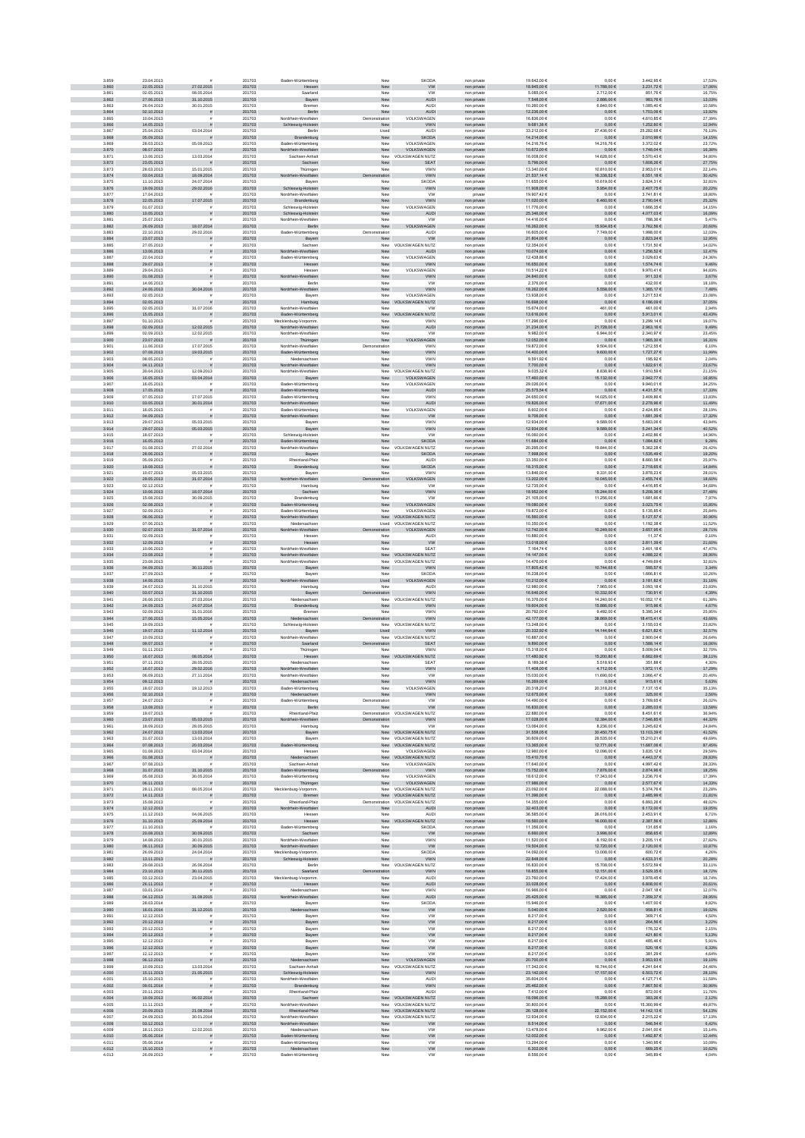| 3.859          | 23.04.2013               |                              | 201703           | Baden-Württemberg                         | New                  | <b>SKODA</b>                                         | non private                | 19.642.00 €                | 0.00E                            | 3.442.956                    | 17,53%           |
|----------------|--------------------------|------------------------------|------------------|-------------------------------------------|----------------------|------------------------------------------------------|----------------------------|----------------------------|----------------------------------|------------------------------|------------------|
| 3.860          | 22.05.2013               | 27.02.2015                   | 201703           | Hessen                                    | New                  | <b>VW</b>                                            | non private                | 18.945,00 €                | 11.788,00 €                      | 3.231,72 €                   | 17,06%           |
| 3.861          | 02.05.2013               | 08.05.2014<br>31.10.2015     | 201703           | Saarland                                  | Nev                  | <b>VW</b>                                            | non private                | 5.085,00 €                 | 2.712,00 €                       | 851,766                      | 16,75%           |
| 3.862<br>3.863 | 27.06.2013<br>26.04.2013 | 30.01.2015                   | 201703<br>201703 | Bayern<br>Bremer                          | New<br>New           | AUDI<br>AUDI                                         | non private<br>non private | 7.548,00 €<br>10.260,00 €  | $2.886,\!00$ $\in$<br>6.840,00 € | 983,76 $\in$<br>1.085,406    | 13,03%<br>10,58% |
| 3.864          | 02.10.2013               | $\tilde{\pi}$                | 201703           | Berlin                                    | New                  | <b>AUDI</b>                                          | non private                | 12.236,00 €                | $0,00 \in$                       | 1.703,06 €                   | 13,92%           |
| 3.865          | 10.04.2013               |                              | 201703           | Nordrhein-Westfalen                       | Demonstration        | VOLKSWAGEN                                           | non private                | 16.836,00 €                | $0,00 \in$                       | 4.610,856                    | 27,39%           |
| 3.866          | 14.05.2013               |                              | 201703           | Schleswig-Holstein                        | New                  | <b>VWN</b>                                           | non private                | 9.681,36 €                 | $0,00 \in$                       | 1.252,60 €                   | 12,94%           |
| 3.867<br>3.868 | 25.04.2013<br>05.09.2013 | 03.04.2014                   | 201703<br>201703 | Berlin<br>Brandenburg                     | Used<br>New          | <b>AUDI</b><br><b>SKODA</b>                          | non private                | 33.212.00 €<br>14.214,00 € | 27.436,00 €<br>$0,00 \in$        | 25.282.686<br>2.010,99 €     | 76.13%<br>14,15% |
| 3.869          | 28.03.2013               | 05.09.2013                   | 201703           | Baden-Württemberg                         | New                  | VOLKSWAGEN                                           | non private<br>non private | 14.216,76 €                | 14.216,76 €                      | 3.372,026                    | 23,72%           |
| 3.870          | 08.07.2013               |                              | 201703           | Nordrhein-Westfalen                       | New                  | VOLKSWAGEN                                           | non private                | 10.672,00 €                | $0,00 \in$                       | $1.748,04 \in$               | 16,38%           |
| 3.871          | 13.06.2013               | 13.03.2014                   | 201703           | Sachsen-Anhal                             | New                  | VOLKSWAGEN NUTZ                                      | non private                | 16.008,00 €                | 14.628,00 €                      | 5.570,436                    | 34,80%           |
| 3.872          | 23.05.2013               | $\pm$                        | 201703           | Sachsen                                   | New                  | <b>SEAT</b>                                          | non private                | 5.796,00 €                 | $0,00 \in$                       | $1.608,26 \in$               | 27,75%           |
| 3.873<br>3.874 | 28.03.2013<br>03.04.2013 | 15.01.2015<br>18.09.2014     | 201703<br>201703 | Thüringer<br>Nordrhein-Westfalen          | Nev<br>tration       | <b>VWN</b><br><b>VWN</b>                             | non private<br>non private | 13.340,00 €<br>21.537,14 € | 10.810,00 €<br>16.338,52 €       | 2.953,016<br>6.551,18€       | 22,14%<br>30,42% |
| 3.875          | 11.10.2013               | 24.07.2014                   | 201703           | Bayer                                     | Nev                  | SKODA                                                | non private                | 11,655.00 €                | 10.619.00 €                      | 3.824.316                    | 32.81%           |
| 3.876          | 19.09.2013               | 29.02.2016                   | 201703           | Schleswig-Holstein                        | New                  | <b>VWN</b>                                           | non private                | 11.908,00 €                | 6.954,00€                        | 2.407,75€                    | 20,22%           |
| 3.877          | 17.04.2013               |                              | 201703           | Nordrhein-Westfaler                       | Nev                  | <b>VW</b>                                            | private                    | 19.907,42 €                | $0{,}00 \in$                     | 3.741,816                    | 18,80%           |
| 3.878          | 22.05.2013               | 17.07.2015                   | 201703           | Brandenburg                               | New                  | VWN                                                  | non private                | 11.020,00 €                | 6.460,00 €                       | 2.790,04 €                   | 25,32%           |
| 3.879<br>3.880 | 01.07.2013<br>10.05.2013 |                              | 201703<br>201703 | Schleswig-Holstein<br>Schleswig-Holstein  | New<br>New           | VOLKSWAGEN<br><b>AUDI</b>                            | non private<br>non private | 11.776,00 €<br>25.346,00 € | $0{,}00 \in$<br>$0,00 \in$       | 1.666,356<br>4.077,03 €      | 14,15%<br>16,09% |
| 3.881          | 25.07.2013               |                              | 201703           | Nordrhein-Westfalen                       | New                  | <b>VW</b>                                            | non private                | 14.416,00 €                | $0,00 \in$                       | 788,36 €                     | 5,47%            |
| 3.882          | 26.09.2013               | 18.07.2014                   | 201703           | Berlin                                    | New                  | VOLKSWAGEN                                           | non private                | 18.262,00 €                | 15.934,65 €                      | 3.762,56 €                   | 20,60%           |
| 3.883          | 22.10.2013               | 29.02.2016                   | 201703           | Baden-Württemberg                         | Demonstration        | <b>AUDI</b>                                          | non private                | 16,605.00 €                | 7.749.00 €                       | 1.998.00 €                   | 12.03%           |
| 3.884<br>3.885 | 23.07.2013<br>27.05.2013 |                              | 201703<br>201703 | Bayern<br>Sachse                          | New<br>New           | <b>VW</b><br>VOLKSWAGEN NUTZ                         | non private<br>non privat  | 21.804,00 €<br>12.354,00 € | $0,00 \in$<br>$0,00 \in$         | 2.823,24 €<br>1.731,50       | 12,95%<br>14,02% |
| 3.886          | 13.06.2013               |                              | 201703           | Nordrhein-Westfalen                       | New                  | <b>AUDI</b>                                          | non private                | 10.074,00 €                | $0{,}00 \in$                     | 1.256,52 €                   | 12,47%           |
| 3.887          | 22.04.2013               |                              | 201703           | Baden-Württemberg                         | Nev                  | VOLKSWAGEN                                           | non private                | 12.438,86 €                | $0,00 \in$                       | 3.029,636                    | 24,36%           |
| 3.888          | 29.07.2013               |                              | 201703           | Hessen                                    | New                  | <b>VWN</b>                                           | non private                | 16.650,00 €                | $0{,}00 \in$                     | 1.574,74 €                   | 9,46%            |
| 3.889<br>3.890 | 29.04.2013<br>01.08.2013 |                              | 201703<br>201703 | Hessen<br>Westfalen                       | New                  | VOLKSWAGEN                                           | private                    | 10.514,22 €<br>24.840,00 € | $0,00 \in$<br>$0,00 \in$         | 9.970,41 €<br>911,33 €       | 94,83%           |
| 3.891          | 14.06.2013               | $\tilde{\pi}$                | 201703           | Nordrhein<br>Berlin                       | New<br>New           | <b>VWN</b><br><b>VW</b>                              | non private<br>non private | 2.376.00 €                 | 0.00E                            | 432.00 €                     | 3,67%<br>18.18%  |
| 3.892          | 24.06.2013               | 30.04.2016                   | 201703           | Nordrhein-Westfalen                       | New                  | <b>VWN</b>                                           | non private                | 18.262,00 €                | 5.558,00 €                       | 1.365,17€                    | 7,48%            |
| 3,893          | 02.05.2013               |                              | 201703           | Bayerr                                    | Nev                  | VOLKSWAGEN                                           | non private                | 13.938,00 €                | $0,00 \in$                       | 3.217,536                    | 23,08%           |
| 3.894<br>3.895 | 02.05.2013               |                              | 201703           | Hamburg                                   |                      | New VOLKSWAGEN NUTZ                                  | non private                | 16.698,00 €                | $0{,}00 \in$                     | 6.186,09 €<br>461,006        | 37,05%           |
| 3.896          | 02.05.2013<br>15.05.2013 | 31.07.2016                   | 201703<br>201703 | Nordrhein-Westfaler<br>Baden-Württemberg  | Nev                  | <b>VW</b><br>New VOLKSWAGEN NUTZ                     | non private<br>non private | 15.674,00 €<br>13.616,00 € | 461,00 €<br>$0,00 \in$           | 5.913,01 €                   | 2,94%<br>43,43%  |
| 3.897          | 01.10.2013               |                              | 201703           | Mecklenburg-Vorpomm                       | New                  | VWN                                                  | non private                | 17.296,00 €                | $0{,}00 \in$                     | 3.299,14 €                   | 19,07%           |
| 3.898          | 02.09.2013               | 12.02.2015                   | 201703           | Nordrhein-Westfalen                       | New                  | <b>AUDI</b>                                          | non private                | 31.234,00 €                | 21.728,00 €                      | 2.963,16€                    | 9,49%            |
| 3.899          | 02.09.2013               | 12.02.2015                   | 201703           | Nordrhein-Westfaler                       | New                  | ww                                                   | non private                | 9.982,00 €                 | 6.944,00 €                       | 2.340,97 €                   | 23,45%           |
| 3.900<br>3.901 | 23.07.2013<br>11.06.2013 | 17.07.2015                   | 201703<br>201703 | Thüringen<br>Nordrhein-Westfaler          | New<br>Demonstration | VAGEN<br><b>VOLKS'</b><br><b>VWN</b>                 | non private<br>non private | 12.052.00 €<br>19.872.00 € | $0,00 \in$<br>9.504.00 €         | 1.965.30 €<br>1.212.55 6     | 16,31%<br>6.10%  |
| 3.902          | 07.08.2013               | 19.03.2015                   | 201703           | Baden-Württemberg                         | New                  | <b>VWN</b>                                           | non private                | 14.400,00 €                | $9.600{,}00\in$                  | 1.727,27 €                   | 11,99%           |
| 3.903          | 08.05.2013               |                              | 201703           | Niedersachse                              | Nev                  | <b>VWN</b>                                           | non private                | 9.591,92 €                 | 0,006                            | 195,926                      | 2,04%            |
| 3.904          | 04.11.2013               |                              | 201703           | Nordrhein-Westfalen                       | New                  | <b>VWN</b>                                           | non private                | 7.700,00 €                 | $0{,}00 \in$                     | 1.822,61 €                   | 23,67%           |
| 3.905          | 30.04.2013               | 12.09.2013                   | 201703           | Nordrhein-Westfaler                       | New                  | <b>VOLKSWAGEN NUTZ</b>                               | non private                | 9.035,32 €                 | 8.838,90 €                       | 1.910,596                    | 21,15%           |
| 3.906<br>3.907 | 16.05.2013<br>16.05.2013 | 03.04.2014                   | 201703<br>201703 | Bayern<br>Baden-Württemberg               | New<br>New           | VOLKSWAGEN<br>VOLKSWAGEN                             | non private<br>non private | 17.460,00 €<br>29.026,00 € | 15.132,00 €<br>$0,00 \in$        | 2.942,77 €<br>9.940,016      | 16,85%<br>34,25% |
| 3.908          | 17.05.2013               | $\tilde{\pi}$                | 201703           | Baden-Württemberg                         | New                  | <b>AUDI</b>                                          | non private                | 25.575.54 €                | $0{,}00 \in$                     | 4.431,57 €                   | 17,33%           |
| 3.909          | 07.05.2013               | 17.07.2015                   | 201703           | Baden-Württemberg                         | New                  | <b>VWN</b>                                           | non private                | 24.650.00 €                | 14.025.00 €                      | 3.409.866                    | 13.83%           |
| 3.910          | 03.05.2013               | 30.01.2014                   | 201703           | Nordrhein-Westfalen                       | New                  | AUDI                                                 | non private                | 19.826,00 €                | 17.671,00 €                      | 2.278,96 €                   | 11,49%           |
| 3.911          | 16.05.2013               |                              | 201703           | Baden-Württemberg                         | Nev                  | VOLKSWAGEN                                           | non private                | 8.602,00 €                 | 0,00€                            | 2.424,85 €                   | 28,19%           |
| 3.912<br>3.913 | 04.09.2013<br>29.07.2013 | 05.03.2015                   | 201703<br>201703 | in-Westfalen<br>Bayerr                    | New<br>New           | <b>VW</b><br><b>VWN</b>                              | non private<br>non private | 9.706,00 €<br>12.934,00 €  | $0{,}00 \in$<br>9.589,00 €       | 1.681,39 €<br>5.683,066      | 17,32%<br>43,94% |
| 3.914          | 29.07.2013               | 05.03.2015                   | 201703           | Bayern                                    | New                  | <b>VWN</b>                                           | non private                | 12.934,00 €                | 9.589,00 €                       | 5.241,34 €                   | 40,52%           |
| 3.915          | 18.07.2013               |                              | 201703           | Schleswig-Holstein                        | New                  | ww                                                   | non private                | 16.060,00 €                | $0,00 \in$                       | 2.402,866                    | 14,96%           |
| 3.916          | 16.05.2013               |                              | 201703           | Baden-Württemberg                         | New                  | <b>SKODA</b>                                         | non private                | 11.684.00 €                | $0,00 \in$                       | 1.084.82 €                   | 9,28%            |
| 3.917          | 01.08.2013               | 27.02.2014                   | 201703           | Nordrhein-Westfaler                       |                      | New VOLKSWAGEN NUTZ<br><b>SKODA</b>                  | non private                | 20.295.00 €                | 19.844,00 €                      | 5.362.286                    | 26.42%           |
| 3.918<br>3.919 | 28.06.2013<br>05.09.2013 |                              | 201703<br>201703 | Bayern<br>Rheinland-Pfalz                 | New<br>Nev           | AUDI                                                 | non private<br>non private | 7.998,00 €<br>33.350,00 €  | $0{,}00 \in$<br>$0{,}00 \in$     | $1.535,49 \in$<br>8.660,586  | 19,20%<br>25,97% |
| 3.920          | 19.08.2013               |                              | 201703           | Brandenburg                               | New                  | <b>SKODA</b>                                         | non private                | 18.315,00 €                | $0{,}00 \in$                     | 2.718,65 €                   | 14,84%           |
| 3.921          | 10.07.2013               | 05.03.2015                   | 201703           | Bayerr                                    | Nev                  | <b>VWN</b>                                           | non private                | 13.846,00 €                | 9.331,00 €                       | 3.878,236                    | 28,01%           |
| 3.922          | 29.05.2013               | 31.07.2014                   | 201703           | Nordrhein-Westfalen                       | ration               | VOLKSWAGEN                                           | non private                | 13.202,00 €                | 10.045,00 €                      | 2.455,74 €                   | 18,60%           |
| 3.923<br>3.924 | 02.12.2013<br>10.06.2013 | 18.07.2014                   | 201703<br>201703 | Hamburg<br>Sachsen                        | New<br>New           | VW<br>VWN                                            | non private<br>non private | 12.735,00 €<br>18.952.00 € | $0,00 \in$<br>15.244,00 €        | 4.416,856<br>5.208,36 €      | 34,68%<br>27,48% |
| 3.925          | 15.08.2013               | 30.09.2015                   | 201703           | Brandenburg                               | New                  | <b>VW</b>                                            | non private                | 21.105.00 €                | 11.256,00 €                      | 1.681.666                    | 7.97%            |
| 3.926          | 02.08.2013               | $\bar{\pi}$                  | 201703           | Baden-Württemberg                         | New                  | VOLKSWAGEN                                           | non private                | 19.080,00 €                | $0,00 \in$                       | $3.023,75 \in$               | 15,85%           |
| 3.927          | 02.09.2013               |                              | 201703           | Baden-Württemberg                         | Nev                  | VOLKSWAGEN                                           | non private                | 19.872,00 €                | $0,00 \in$                       | 5.135,856                    | 25,84%           |
| 3.928<br>3.929 | 06.06.2013<br>07.06.2013 |                              | 201703<br>201703 | Nordrhein-Westfalen                       | New                  | VOLKSWAGEN NUTZ                                      | non private                | 16.560,00 €<br>10.350,00 € | $0{,}00 \in$                     | 5.127,57 €<br>1.192,386      | 30,96%<br>11,52% |
| 3.930          | 02.07.2013               | 31.07.2014                   | 201703           | Niedersachser<br>ein-Westfalen            | ration               | Used VOLKSWAGEN NUTZ<br>VOLKSWAGEN                   | non private<br>non private | 12.742,00 €                | $0{,}00 \in$<br>10.249,00 €      | 3.657,95€                    | 28,71%           |
| 3.931          | 02.09.2013               |                              | 201703           | Hessen                                    | New                  | AUDI                                                 | non private                | 10.880,00 €                | $0,00 \in$                       | 11,37 €                      | 0,10%            |
| 3.932          | 12.09.2013               |                              | 201703           | Hessen                                    | New                  | <b>VW</b>                                            | non private                | 13.018,00 €                | $0,00 \in$                       | 2.811,39 €                   | 21,60%           |
| 3.933          | 10.06.2013               |                              | 201703           | Nordrhein-Westfaler                       | New                  | <b>SEAT</b>                                          | private                    | 7.164.74€                  | 0.00E                            | 3.401.186                    | 47.47%           |
| 3.934<br>3.935 | 23.08.2013<br>23.08.2013 |                              | 201703<br>201703 | Nordrhein-Westfalen<br>Nordrhein-Westfale | New                  | New VOLKSWAGEN NUTZ<br>VOLKSWAGEN NUTZ               | non private<br>non private | 14.147,00 €<br>14.476,00 € | $0,00 \in$<br>$0{,}00 \in$       | 4.088,22 €<br>4.749,69 €     | 28,90%<br>32,81% |
| 3.936          | 04.09.2013               | 30.11.2015                   | 201703           | Bayern                                    | New                  | <b>VWN</b>                                           | non private                | 17.805,42 €                | 10.744,65 €                      | 595,57 $\in$                 | 3,34%            |
| 3.937          | 27.09.2013               |                              | 201703           | Bayerr                                    | Nev                  | <b>SKODA</b>                                         | non private                | 16.238,00 €                | $0,00 \in$                       | 1.666,816                    | 10,26%           |
| 3.938          | 14.06.2013               |                              | 201703           | Nordrhein-Westfalen                       | Used                 | VOLKSWAGEN                                           | non private                | 10.212,00 €                | $0{,}00 \in$                     | $3.181,82 \in$               | 31,16%           |
| 3.939          | 24.07.2013               | 31.10.2015                   | 201703           | Hamburg                                   | New                  | <b>AUDI</b>                                          | non private                | 12.980,00 €                | 7.965,00 €                       | 3.093,186                    | 23,83%           |
| 3.940<br>3.941 | 03.07.2013<br>26.06.2013 | 31.10.2015<br>27.03.2014     | 201703<br>201703 | Bayern<br>Niedersachser                   | tration              | <b>VWN</b><br>New VOLKSWAGEN NUTZ                    | non private<br>non private | 16.646,00 €<br>16.376.00 € | 10.332,00 €<br>14.240.00 €       | 730,91€<br>10.052.17€        | 4,39%<br>61.38%  |
| 3.942          | 24.09.2013               | 24.07.2014                   | 201703           | Brandenburg                               | New                  | <b>VWN</b>                                           | non private                | 19.604,00 €                | 15.886,00 €                      | 915,96€                      | 4,67%            |
| 3.943          | 02.09.2013               | 31.01.2016                   | 201703           | Bremer                                    | Nev                  | <b>VWN</b>                                           | non private                | 20.792,00 €                | 9.492,00 €                       | 5.395,346                    | 25,95%           |
| 3.944          | 27.06.2013               | 15.05.2014                   | 201703           | rsachsen                                  | ration               | VWN                                                  | non private                | 42.177,00 €                | 38.869,00 €                      | 18.415,41 €                  | 43,66%           |
| 3.945          | 19.09.2013               |                              | 201703           | Schleswig-Holstein                        |                      | New VOLKSWAGEN NUTZ                                  | non private                | 13.248,00 €                | $0{,}00 \in$                     | 3.155,036                    | 23,82%           |
| 3.946<br>3.947 | 19.07.2013<br>10.09.2013 | 11.12.2014                   | 201703<br>201703 | Bayern<br>Nordrhein-Westfaler             | Used                 | <b>VWN</b><br>New VOLKSWAGEN NUTZ                    | non private<br>non private | 20.332,92 €<br>10.887,00 € | 14.144,64 €<br>$0,00 \in$        | 6.621,82 €<br>2.900,04 6     | 32,57%<br>26,64% |
| 3.948          | 09.07.2013               |                              | 201703           | Saarland                                  | tration              | <b>SEAT</b>                                          | non private                | 9.890,00 €                 | $0,00 \in$                       | 1.588,14 €                   | 16,06%           |
| 3.949          | 01.11.2013               |                              | 201703           | Thüringer                                 | Nev                  | <b>VWN</b>                                           | non private                | 15,318.00 €                | 0.00E                            | 5.009.04 6                   | 32.70%           |
| 3.950          | 16.07.2013               | 08.05.2014                   | 201703           | Hessen                                    | New                  | <b>VOLKSWAGEN NUTZ</b>                               | non private                | 17.480,92 €                | 15.200,80 €                      | 6.662,69 €                   | 38,11%           |
| 3.951<br>3.952 | 07.11.2013<br>16.07.2013 | 28.05.2015<br>29.02.2016     | 201703<br>201703 | Niedersachse<br>Nordrhein-Westfalen       | Nev<br>New           | SEAT<br><b>VWN</b>                                   | non privat<br>non private  | 8.189,38 €<br>11.408,00 €  | 5.518,93 €<br>4.712,00 €         | 351.88<br>1.972,11 €         | 4,30%<br>17,29%  |
| 3.953          | 06.09.2013               | 27.11.2014                   | 201703           | Nordrhein-Westfaler                       | Nev                  | VW                                                   | non private                | 15.030,00 €                | 11.690,00 €                      | 3.066,476                    | 20,40%           |
| 3.954          | 09.12.2013               |                              | 201703           |                                           | New                  | VWN                                                  | non private                | 16.269,00 €                | $0,00 \in$                       | 915,61 €                     | 5,63%            |
| 3.955          | 18.07.2013               | 19.12.2013                   | 201703           | Baden-Württemberg                         | New                  | VOLKSWAGEN                                           | non private                | 20.318,20 €                | 20.318,20 €                      | 7.137,15€                    | 35,13%           |
| 3.956          | 02.10.2013               | $\tilde{\pi}$                | 201703           | Niedersachsen                             | New                  | <b>VWN</b>                                           | non private                | 12.675,00 €                | $0,00 \in$                       | 325,00 €                     | 2,56%            |
| 3.957<br>3.958 | 24.07.2013<br>13.08.2013 | $\tilde{\pi}$                | 201703<br>201703 | Baden-Württemberg<br>Berlin               | Demonstration<br>New | <b>VW</b><br><b>VW</b>                               | non private                | 14.490.00 €<br>16.830,00 € | 0.00E<br>$0,00 \in$              | 3.769.65 €<br>2.285,03€      | 26.02%<br>13,58% |
| 3.959          | 19.07.2013               |                              | 201703           | Rheinland-Pfalz                           |                      | Demonstration VOLKSWAGEN NUTZ                        | non private<br>non private | 22.880,00 €                | $0,00 \in$                       | 8.451,61 €                   | 36.94%           |
| 3.960          | 23.07.2013               | 05.03.2015                   | 201703           | ordrhein-Westfalen                        | Demonstration        | <b>VWN</b>                                           | non private                | 17.028,00 €                | 12.384,00 €                      | $7.546,85 \in$               | 44,32%           |
| 3.961          | 18.09.2013               | 28.05.2015                   | 201703           | Hamburg                                   | Nev                  | VW<br>New VOLKSWAGEN NUTZ                            | non private                | 13.064,00 €                | 8.236,00 €                       | 3.245,62 €                   | 24,84%           |
| 3.962<br>3.963 | 24.07.2013<br>31.07.2013 | 13.03.2014<br>13.03.2014     | 201703<br>201703 | Bayern                                    |                      | VOLKSWAGEN NUTZ                                      | non private                | 31.558,05 €<br>30.609,00 € | 30.450,75 €<br>29.535,00 €       | 13.103,39 €<br>15.210,21 €   | 41,52%<br>49,69% |
| 3.964          | 07.08.2013               | 20.03.2014                   | 201703           | Bayern<br>en-Württemberg                  | New                  | New VOLKSWAGEN NUTZ                                  | non private<br>non private | 13.365,00 €                | 12.771,00 €                      | 11.687,06 €                  | 87,45%           |
| 3.965          | 01.08.2013               | 03.04.2014                   | 201703           | Hessen                                    | New                  | VOLKSWAGEN                                           | non private                | 12.960,00 €                | 12.096,00 €                      | 3.835,126                    | 29,59%           |
| 3.966          | 01.08.2013               | $\tilde{\pi}$                | 201703           | Niedersachsen                             |                      | New VOLKSWAGEN NUTZ                                  | non private                | 15.410.70 €                | $0,00 \in$                       | 4.443.37 €                   | 28,83%           |
| 3.967<br>3.968 | 07.08.2013<br>31.07.2013 | 31.10.2015                   | 201703<br>201703 | Sachsen-Anhalt<br>Baden-Württemberg       | New<br>tration       | VOLKSWAGEN<br><b>VWN</b>                             | non private<br>non private | 17.640.00 €<br>15.752,00 € | $0.00 \in$<br>$7.876{,}00 \in$   | 4.997.42 €<br>$2.874,96 \in$ | 28.33%<br>18,25% |
| 3.969          | 05.08.2013               | 30.05.2014                   | 201703           | Baden-Württemberg                         | Nev                  | VOLKSWAGEN                                           | non private                | 18.612,00 €                | 17.343,00 €                      | 3.236,70                     | 17,39%           |
| 3.970          | 06.11.2013               |                              | 201703           | Thüringen                                 | New                  | VOLKSWAGEN                                           | non private                | 17.986,00 €                | $0,00 \in$                       | 2.577,67 €                   | 14,33%           |
| 3.971          | 28.11.2013               | 08.05.2014                   | 201703           | Mecklenburg-Vorpomm                       | New                  | VOLKSWAGEN NUTZ                                      | non private                | 23.092,00 €                | 22.088,00 €                      | 5.374,766                    | 23,28%           |
| 3.972<br>3.973 | 14.11.2013<br>15.08.2013 | $\tilde{\pi}$                | 201703<br>201703 | Bremen<br>Rheinland-Pfalz                 |                      | New VOLKSWAGEN NUTZ<br>Demonstration VOLKSWAGEN NUTZ | non private<br>non private | 11.396,00 €<br>14.355,00 € | $0,00 \in$<br>$0,00 \in$         | 2.485,99 €<br>6.893,266      | 21,81%<br>48,02% |
| 3.974          | 12.12.2013               |                              | 201703           | Nordrhein-Westfalen                       | New                  | <b>AUDI</b>                                          | non private                | 32.403.00 €                | $0,00 \in$                       | 6.172,00 €                   | 19,05%           |
| 3.975          | 11.12.2013               | 04.06.2015                   | 201703           | Hessen                                    | New                  | <b>AUDI</b>                                          | non private                | 36,585.00 €                | 26.016.00 €                      | 2.453.91 €                   | 6.71%            |
| 3.976          | 31.10.2013               | 25.09.2014                   | 201703           | Hessen                                    | ${\sf New}$          | VOLKSWAGEN NUTZ                                      | non private                | 18.560,00 €                | 16.000,00 €                      | 2.387,56 €                   | 12,86%           |
| 3.977          | 11.10.2013               |                              | 201703           | Baden-Württemberg                         | Nev                  | <b>SKODA</b>                                         | non private                | 11.356,00 €                | $0,00 \in$                       | 131,65 €                     | 1,16%            |
| 3.978<br>3.979 | 20.08.2013<br>14.08.2013 | 30.09.2015<br>30.01.2015     | 201703<br>201703 | Sachsen<br>Nordrhein-Westfalen            | New<br>New           | <b>VW</b><br>VWN                                     | non private<br>non private | 6.660,00 €<br>11.520,00 €  | 3.996,00 €<br>8.192,00 €         | 858,65€<br>3.205,11 €        | 12,89%<br>27,82% |
| 3.980          | 08.11.2013               | 30.09.2015                   | 201703           | Nordrhein-Westfalen                       | New                  | <b>VW</b>                                            | non private                | 19.504,00 €                | 12.720,00 €                      | 2.120,00 €                   | 10,87%           |
| 3.981          | 26.09.2013               | 24.04.2014                   | 201703           | Mecklenburg-Vorpomm.                      | New                  | SKODA                                                | non private                | 14.092,00 €                | 13.008,00 €                      | 600,72€                      | 4,26%            |
| 3.982          | 13.11.2013               | 重                            | 201703           | Schleswig-Holstein                        | New                  | <b>VWN</b>                                           | non private                | 22.848.00 €                | $0.00 \in$                       | 4.633.31 €                   | 20,28%           |
| 3.983<br>3.984 | 29.08.2013<br>23.10.2013 | 26.06.2014<br>30.11.2015     | 201703<br>201703 | Berlin<br>Saarland                        |                      | New VOLKSWAGEN NUTZ                                  | non private                | 16,830.00 €<br>18.855,00 € | 15.708.00 €<br>12.151,00 €       | 5.572.59 6<br>3.529,35 €     | 33.11%           |
| 3.985          | 03.12.2013               | 23.04.2015                   | 201703           | Mecklenburg-Vorpomm                       | ration<br>Nev        | <b>VWN</b><br>AUDI                                   | non private<br>non private | 23.760,00 €                | 17.424,00 €                      | 3.978,456                    | 18,72%<br>16,74% |
| 3.986          | 26.11.2013               | $\tilde{\pi}$                | 201703           | Hessen                                    | New                  | <b>AUDI</b>                                          | non private                | 33.028,00 €                | $0,00 \in$                       | 6.808,00 €                   | 20,61%           |
| 3.987          | 03.01.2014               |                              | 201703           | Niedersachser                             | Nev                  | VWN                                                  | non private                | 16.966,00 €                | $0{,}00 \in$                     | 2.047,186                    | 12,07%           |
| 3.988          | 04.12.2013               | 31.08.2015                   | 201703           | Nordrhein-Westfalen                       | New                  | <b>AUDI</b>                                          | non private                | 25.425,00 €                | 16.385,00 €                      | 7.359,37 €                   | 28,95%           |
| 3.989<br>3,990 | 28.03.2014<br>16.01.2014 | 31.12.2015                   | 201703<br>201703 | Bayern                                    | New                  | <b>SKODA</b><br><b>VW</b>                            | non private                | 15.946,00 €<br>5.040.00 €  | $0,00 \in$<br>2.520,00 €         | 1.407,00 €                   | 8,82%<br>19,02%  |
| 3.991          | 12.12.2013               |                              | 201703           | Niedersachsen<br>Bayern                   | New<br>New           | <b>VW</b>                                            | non private<br>non private | 8.217.00 €                 | $0.00 \in$                       | 958,81€<br>369.71€           | 4.50%            |
| 3.992          | 20.12.2013               | $\tilde{\pi}$                | 201703           | Bayern                                    | New                  | ${\sf VW}$                                           | non private                | 8.217,00 €                 | $0{,}00 \in$                     | 264,56 €                     | 3,22%            |
| 3.993          | 20.12.2013               |                              | 201703           | Bayerr                                    | Nev                  | <b>VW</b>                                            | non private                | 8.217,00 €                 | $0,00 \in$                       | 176,32 €                     | 2,15%            |
| 3.994          | 20.12.2013               | $\tilde{\pi}$                | 201703           | Bayern                                    | ${\sf New}$          | ${\tt VW}$                                           | non private                | 8.217,00 €                 | $0{,}00 \in$                     | 421,80 €                     | 5,13%            |
| 3.995<br>3.996 | 12.12.2013<br>12.12.2013 |                              | 201703<br>201703 | Bayern<br>Bayern                          | New<br>New           | <b>VW</b><br>${\tt VW}$                              | non private<br>non private | 8.217,00 €<br>8.217,00 €   | 0,00 €<br>$0,00 \in$             | 485,466<br>520,18€           | 5,91%<br>6,33%   |
| 3.997          | 12.12.2013               |                              | 201703           | Bayern                                    | New                  | <b>VW</b>                                            | non private                | 8.217,00 €                 | $0,00 \in$                       | 381,296                      | 4,64%            |
| 3.998          | 06.12.2013               |                              | 201703           | Niedersachsen                             | New                  | VOLKSWAGEN                                           | non private                | 20.700,00 €                | $0,00 \in$                       | 3.953,93 €                   | 19,10%           |
| 3,999          | 10.09.2013               | 13.03.2014                   | 201703           | Sachsen-Anhalt                            |                      | New VOLKSWAGEN NUTZ                                  | non private                | 17.342.00 €                | 16.744.00 €                      | 4.241.646                    | 24.46%           |
| 4.000          | 15.11.2013<br>15.10.2013 | 21.05.2015                   | 201703<br>201703 | Schleswig-Holstein                        | New<br>Nev           | <b>VWN</b>                                           | non private                | 23.142,00 €                | 17.157,00 €                      | 6.503,72 €<br>4.127,716      | 28,10%<br>11,59% |
| 4.001<br>4.002 | 09.01.2014               |                              | 201703           | Nordrhein-Westfaler<br>Brandenburg        | New                  | AUDI<br>VWN                                          | non privat<br>non private  | 35.604,00 €<br>25.462,00 € | $0,00 \in$<br>$0{,}00 \in$       | 7.867,50 $\in$               | 30,90%           |
| 4.003          | 20.11.2013               |                              | 201703           | Rheinland-Pfalz                           | Nev                  | AUDI                                                 | non private                | 7.412,00 €                 | $0,00 \in$                       | 872,00 €                     | 11,76%           |
| 4.004          | 19.09.2013               | 06.02.2014                   | 201703           | Sachsen                                   |                      | New VOLKSWAGEN NUTZ                                  | non private                | 18.096,00 $\in$            | 15.288,00 €                      | 383,26 €                     | 2,12%            |
|                | 11.11.2013               |                              | 201703           | Nordrhein-Westfalen                       |                      | New VOLKSWAGEN NUTZ                                  | non private                | 30.800,00 €                | $0,00 \in$                       | 15.360,99 6                  | 49,87%<br>54,13% |
| 4.005          |                          |                              |                  |                                           |                      |                                                      |                            |                            |                                  |                              |                  |
| 4.006          | 20.09.2013               | 21.08.2014                   | 201703           | Rheinland-Pfalz                           |                      | New VOLKSWAGEN NUTZ                                  | non private                | 26.128,00 €                | 22.152,00 €                      | 14.142,13 €                  |                  |
| 4.007<br>4.008 | 24.09.2013<br>03.12.2013 | 30.01.2014<br>- 章            | 201703<br>201703 | Nordrhein-Westfaler                       | New                  | New VOLKSWAGEN NUTZ<br><b>VW</b>                     | non private                | 12.934.00 €<br>8.514,00 €  | 12.934.00 €<br>$0,00 \in$        | 2.215.226<br>546,54 €        | 17.13%<br>6,42%  |
| 4.009          | 18.11.2013               | 12.02.2015                   | 201703           | Nordrhein-Westfalen<br>Niedersachser      | Nev                  | <b>VW</b>                                            | non private<br>non private | 13.478,00 €                | 9.962,00 €                       | 2.041,00 €                   | 15,14%           |
| 4.010          | 05.06.2014               | $\tilde{\pi}$                | 201703           | Baden-Württemberg                         | New                  | <b>VW</b>                                            | non private                | 12.002,00 €                | $0{,}00 \in$                     | $1.492,87 \in$               | 12,44%           |
| 4.011          | 05.06.2014               |                              | 201703           | Baden-Württemberg                         | New                  | <b>VW</b>                                            | non private                | 13.294,00 €                | $0,00\in$                        | 1.340,95 €                   | 10,09%           |
| 4.012<br>4.013 | 15.10.2013<br>26.09.2013 | $\tilde{\pi}$<br>$\bar{\pi}$ | 201703<br>201703 | Niedersachsen<br>Baden-Württemberg        | New<br>New           | ${\tt VW}$<br><b>VW</b>                              | non private<br>non private | 6.302,00 €<br>8.556,00 €   | $0,00 \in$<br>$0,00 \in$         | 669,25€<br>345,89 €          | 10,62%<br>4,04%  |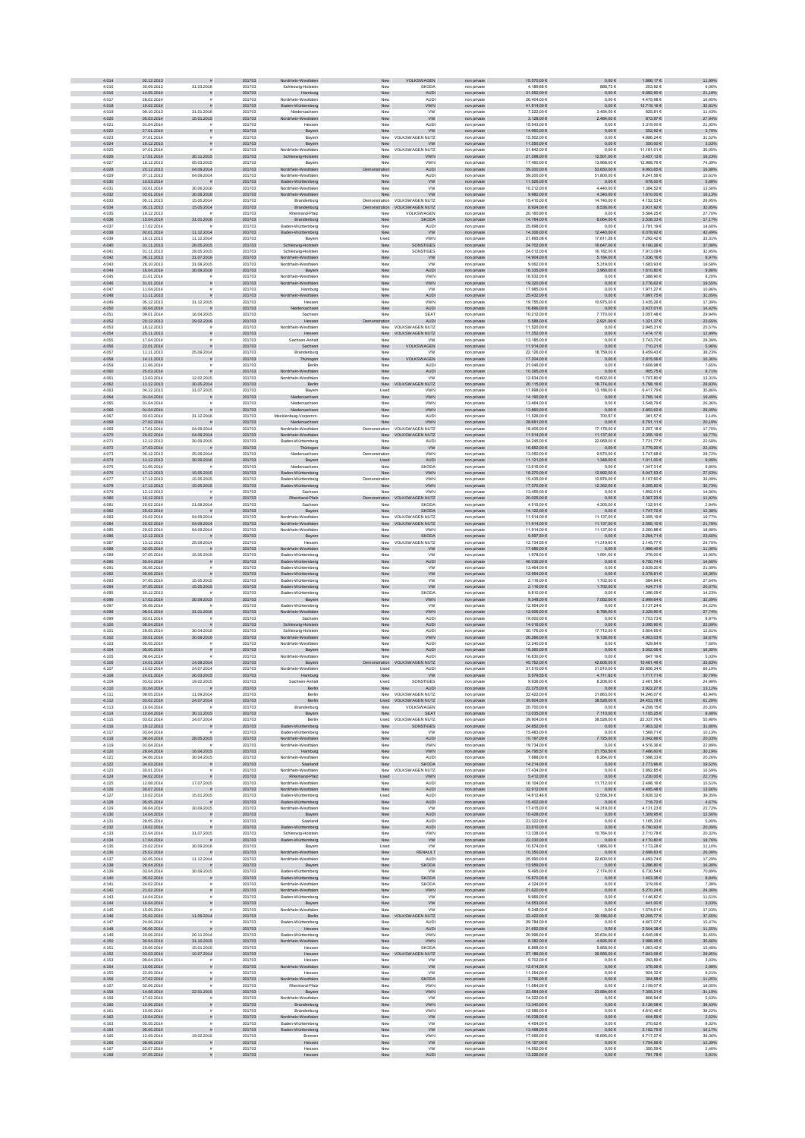| 4.014          | 02.12.2013               |                                       | 201703           | Nordrhein-Westfalen                        | New                  | VOLKSWAGEN                           | non private                | 15.570,00 €                | $0,00 \in$                      | 1.866,17€                   | 11,99%           |
|----------------|--------------------------|---------------------------------------|------------------|--------------------------------------------|----------------------|--------------------------------------|----------------------------|----------------------------|---------------------------------|-----------------------------|------------------|
| 4.015          | 30.09.2013               | 31.03.2016                            | 201703           | Schleswig-Holstein                         | New                  | SKODA                                | non private                | 4.189,68 €                 | 888,72€                         | 253,926                     | 6,06%            |
| 4.016          | 14.05.2014               |                                       | 201703           | Hamburg                                    | New                  | <b>AUDI</b>                          | non private                | 31.552.00 €                | $0,00 \in$                      | 6.682.90 €                  | 21,18%           |
| 4.017<br>4.018 | 28.02.2014               |                                       | 201703           | Nordrhein-Westfaler                        | New                  | <b>AUDI</b>                          | non private                | 26.404.00 €                | $0.00 \in$                      | 4.475.986                   | 16.95%           |
| 4.019          | 19.02.2014<br>09.10.2013 | 31.01.2016                            | 201703<br>201703 | Baden-Württemberg<br>Niedersachse          | New<br>Nev           | <b>VWN</b><br><b>VW</b>              | non private<br>non privat  | 41.814,00 €<br>7.222,00 €  | $0{,}00 \in$<br>3.454,00 €      | 13.719,16 €<br>825,816      | 32,81%<br>11,43% |
| 4.020          | 05.03.2014               | 15.01.2015                            | 201703           | hein-Westfalen                             | New                  | <b>VW</b>                            | non private                | 3.128,00 €                 | 2.484,00 €                      | 873,97€                     | 27,94%           |
| 4.021          | 01.04.2014               |                                       | 201703           | Hessen                                     | New                  | AUDI                                 | non private                | 15.543,00 €                | $0,00 \in$                      | 3.319,00 €                  | 21,35%           |
| 4.022          | 27.01.2014               | $\tilde{\pi}$                         | 201703           | Bayern                                     | New                  | <b>VW</b>                            | non private                | 14.960,00 €                | $0,00 \in$                      | 552,92€                     | 3,70%            |
| 4.023<br>4.024 | 07.01.2014<br>18.12.2013 | $\mathbf{r}$                          | 201703<br>201703 | Bayern                                     |                      | New VOLKSWAGEN NUTZ<br><b>VW</b>     | non private                | 15.502,00 €<br>11.550,00 € | $0,00 \in$<br>$0,00 \in$        | 4.886,246<br>350,00 €       | 31,52%           |
| 4.025          | 07.01.2014               | $\tilde{\pi}$                         | 201703           | Bayern<br>Nordrhein-Westfalen              | New                  | New VOLKSWAGEN NUTZ                  | non private<br>non private | 31.842.00 €                | $0.00 \in$                      | 11.161.016                  | 3,03%<br>35.05%  |
| 4.026          | 17.01.2014               | 30.11.2015                            | 201703           | Schleswig-Holstein                         | New                  | <b>VWN</b>                           | non private                | 21.298,00 €                | 12.501,00 €                     | 3.457,13 €                  | 16,23%           |
| 4.027          | 18.12.2013               | 05.03.2015                            | 201703           | Bayerr                                     | New                  | <b>VWN</b>                           | non private                | 17.460,00 €                | 13.968,00 €                     | 12.988,76 €                 | 74,39%           |
| 4.028          | 20.12.2013               | 04.09.2014                            | 201703           | Nordrhein-Westfalen                        | tration              | <b>AUDI</b>                          | non private                | 59.200,00 €                | 53.650,00 €                     | 9.993,65€                   | 16,88%           |
| 4.029          | 07.11.2013               | 04.09.2014                            | 201703           | Nordrhein-Westfalen                        | New                  | AUDI                                 | non private                | 59.200,00 €                | 51.800,00 €                     | 9.241,566                   | 15,61%           |
| 4.030<br>4.031 | 10.03.2014<br>03.01.2014 | 30.06.2016                            | 201703<br>201703 | Baden-Württemberg<br>Nordrhein-Westfalen   | New<br>New           | <b>VW</b><br><b>VW</b>               | non private<br>non private | 11.526,00 €<br>10.212,00 € | $0,00 \in$<br>4.440,00 €        | 678,00 €<br>1.384,52 €      | 5,88%<br>13,56%  |
| 4.032          | 03.01.2014               | 30.06.2016                            | 201703           | Nordrhein-Westfalen                        | New                  | <b>VW</b>                            | non private                | 9.982,00 €                 | 4.340,00 €                      | 1.610,00 €                  | 16,13%           |
| 4.033          | 05.11.2013               | 15.05.2014                            | 201703           | Brandenburg                                |                      | Demonstration VOLKSWAGEN NUTZ        | non private                | 15,410.00 €                | 14.740,00 €                     | 4.152.536                   | 26.95%           |
| 4.034          | 05.11.2013               | 15.05.2014                            | 201703           | Brandenburg                                |                      | Demonstration VOLKSWAGEN NUTZ        | non private                | 8.924,00 €                 | $8.536{,}00 \in$                | 2.931,92 €                  | 32,85%           |
| 4.035          | 19.12.2013               |                                       | 201703           | Rheinland-Pfalz                            | Nev                  | VOLKSWAGEN                           | non private                | 20.160,90 €                | $0,00 \in$                      | 5.584,256                   | 27,70%           |
| 4.036<br>4.037 | 15.04.2014<br>17.02.2014 | 31.01.2016                            | 201703<br>201703 | Brandenburg<br>Baden-Württemberg           | New<br>New           | <b>SKODA</b><br>AUDI                 | non private                | 14.784,00 €<br>25.898,00 € | $8.064,00 \in$                  | 2.538,33 €<br>3.781,196     | 17,17%<br>14,60% |
| 4.038          | 02.01.2014               | 11.12.2014                            | 201703           | Baden-Württemberg                          | New                  | <b>VW</b>                            | non private<br>non private | 14.306,00 €                | $0,00 \in$<br>12.440,00 €       | $6.078,92 \in$              | 42,49%           |
| 4.039          | 19.11.2013               | 11.12.2014                            | 201703           | Bayern                                     | Used                 | <b>VWN</b>                           | non private                | 21.895,08 €                | 17.611,26 €                     | 7.292,42 €                  | 33,31%           |
| 4.040          | 01.11.2013               | 28.05.2015                            | 201703           | Schleswig-Holstein                         | New                  | <b>SONSTIGES</b>                     | non private                | 24.702,00 €                | 16.647,00 €                     | 9.160,26€                   | 37,08%           |
| 4.041          | 01.11.2013               | 28.05.2015                            | 201703           | Schleswig-Holstein                         | New                  | SONSTIGES                            | non private                | 24.012,00 €                | 16.182,00 €                     | 7.913.096                   | 32.95%           |
| 4.042<br>4.043 | 06.11.2013<br>28.10.2013 | 31.07.2016<br>31.08.2015              | 201703<br>201703 | Vordrhein-Westfalen<br>Nordrhein-Westfaler | New<br>New           | <b>VW</b><br><b>VW</b>               | non private<br>non private | 14.904,00 €<br>9.062,00 €  | $5.184,\!00€$<br>5.319,00 €     | $1.336,16 \in$<br>1.683,936 | 8,97%<br>18,58%  |
| 4.044          | 16.04.2014               | 30.09.2016                            | 201703           | Bayern                                     | New                  | <b>AUDI</b>                          | non private                | 16.335,00 €                | 3.960,00 €                      | 1.610,80 €                  | 9,86%            |
| 4.045          | 31.01.2014               |                                       | 201703           | Nordrhein-Westfalen                        | New                  | VWN                                  | non private                | 16.932,00 €                | $0{,}00 \in$                    | 1.388,90 €                  | 8,20%            |
| 4.046          | 31.01.2014               | $\overline{z}$                        | 201703           | Nordrhein-Westfalen                        | New                  | <b>VWN</b>                           | non private                | 19.320,00 €                | $0,00 \in$                      | 3.776,62 €                  | 19,55%           |
| 4.047          | 11.04.2014               |                                       | 201703           | Hamburg                                    | New                  | <b>VW</b>                            | non private                | 17.985,00 €<br>25.432.00 € | 0,00 €                          | 1.971,276                   | 10,96%           |
| 4.048<br>4.049 | 11.11.2013<br>05.12.2013 | 31.12.2015                            | 201703<br>201703 | Nordrhein-Westfalen<br>Hesser              | New<br>New           | <b>AUDI</b><br><b>VWN</b>            | non private<br>non private | 19.755.00 €                | $0,00 \in$<br>10.975.00 €       | 7.897,75€<br>3.435.266      | 31,05%<br>17.39% |
| 4.050          | 03.04.2014               |                                       | 201703           | Niedersachsen                              | New                  | <b>AUDI</b>                          | non private                | 16.896,00 €                | $0,00 \in$                      | 2.437,01 €                  | 14,42%           |
| 4.051          | 09.01.2014               | 16.04.2015                            | 201703           | Sachse                                     | New                  | SEAT                                 | non privat                 | 10.212,00 €                | 7.770,00 €                      | 3.057,486                   | 29,94%           |
| 4.062          | 20.12.2013               | 29.02.2016                            | 201703           | Hessen                                     | tration              | <b>AUDI</b>                          | non private                | 5.588,00 €                 | 2.921,00 €                      | $1.321,37 \in$              | 23,65%           |
| 4.053<br>4.054 | 18.12.2013               | $\tilde{\pi}$                         | 201703           | Nordrhein-Westfalen                        |                      | New VOLKSWAGEN NUTZ                  | non private                | 11.520,00 €                | $0,00 \in$                      | 2.945,316                   | 25,57%           |
| 4.055          | 25.11.2013<br>17.04.2014 |                                       | 201703<br>201703 | Hessen<br>Sachsen-Anhalt                   | New                  | New VOLKSWAGEN NUTZ<br><b>VW</b>     | non private<br>non private | 11.352,00 €<br>13.185,00 € | $0{,}00 \in$<br>$0,00 \in$      | 1.474,17 €<br>3.743,70 €    | 12,99%<br>28,39% |
| 4.056          | 22.01.2014               |                                       | 201703           | Sachsen                                    | New                  | VOLKSWAGEN                           | non private                | 11.914,00 €                | $0{,}00 \in$                    | 710,21€                     | 5,96%            |
| 4.057          | 11.11.2013               | 25.09.2014                            | 201703           | Brandenburg                                | New                  | <b>VW</b>                            | non private                | 22.126.00 €                | 18.759.00 €                     | 8.459.436                   | 38.23%           |
| 4.058          | 14.11.2013               | $\mathbf{r}$                          | 201703           | Thüringen                                  | New                  | VOLKSWAGEN                           | non private                | 17.204,00 €                | $0,00 \in$                      | 2.815,06 €                  | 16,36%           |
| 4.059<br>4.060 | 11.06.2014<br>25.03.2014 |                                       | 201703<br>201703 | Berlin<br>sin-Westfalen                    | New<br>New           | <b>AUDI</b><br>AUDI                  | non private<br>non private | 21.046,00 €<br>10.395,00 € | $0,00 \in$<br>$0{,}00 \in$      | 1.608,98 €<br>905,75 $\in$  | 7,65%<br>8,71%   |
| 4.061          | 13.03.2014               | 12.02.2015                            | 201703           | Nordrhein-Westfalen                        | New                  | VW                                   | non private                | 12.834,00 €                | 10.602,00 €                     | 1.707,80 €                  | 13,31%           |
| 4.062          | 11.12.2013               | 30.05.2014                            | 201703           | Berlin                                     | New                  | OLKSWAGEN NUTZ                       | non private                | 20.115,00 €                | 18.774,00 €                     | 5.798,16€                   | 28,83%           |
| 4.063          | 04.12.2013               | 31.07.2015                            | 201703           | Bayern                                     | Used                 | <b>VWN</b>                           | non private                | 17.898,00 €                | 13.188,00 €                     | 6.417,79 €                  | 35,86%           |
| 4.064          | 01.04.2014               |                                       | 201703           | Niedersachsen                              | New                  | <b>VWN</b>                           | non private                | 14.190,00 €                | $0,00 \in$                      | 2.765,14 €                  | 19,49%           |
| 4.065<br>4.066 | 01.04.2014<br>01.04.2014 |                                       | 201703<br>201703 | Niedersachser<br>Niedersachsen             | New<br>New           | <b>VWN</b><br><b>VWN</b>             | non private<br>non private | 13,464.00 €<br>13.860,00 € | $0,00 \in$<br>$0{,}00 \in$      | 3.548.796<br>3.893,62 €     | 26.36%<br>28,09% |
| 4.067          | 03.03.2014               | 31.12.2016                            | 201703           | Mecklenburg-Vorporr                        | Nev                  | AUDI                                 | non privat                 | 11.526,00 €                | 700,57 €                        | 361,57 €                    | 3,14%            |
| 4.068          | 27.02.2014               |                                       | 201703           | Niedersachsen                              | New                  | <b>VWN</b>                           | non private                | 28.681,00 €                | $0{,}00 \in$                    | $5.791,11 \in$              | 20,19%           |
| 4.069          | 17.01.2014               | 04.09.2014                            | 201703           | Nordrhein-Westfaler                        |                      | Demonstration VOLKSWAGEN NUTZ        | non private                | 18.405,00 €                | 17.178,00 €                     | 3.257,186                   | 17,70%           |
| 4.070          | 20.02.2014<br>12.12.2013 | 04.09.2014<br>30.09.2015              | 201703<br>201703 | Nordrhein-Westfalen                        |                      | New VOLKSWAGEN NUTZ                  | non private                | 11.914,00 €<br>34.245,00 € | 11.137,00 €<br>22.069,00 €      | 2.355,19€<br>7.731,776      | 19,77%<br>22,58% |
| 4.071<br>4.072 | 27.03.2014               | <b>=</b>                              | 201703           | Baden-Württemberg<br>Thüringen             | New<br>New           | AUDI<br><b>VW</b>                    | non private<br>non private | 16.852,00 €                | $0,00 \in$                      | 3.779,20 €                  | 22,43%           |
| 4.073          | 05.12.2013               | 25.09.2014                            | 201703           | Niedersachsen                              | Demonstration        | <b>VWN</b>                           | non private                | 13.050.00 €                | 9.570.00 €                      | 3.747.686                   | 28.72%           |
| 4.074          | 11.12.2013               | 30.09.2016                            | 201703           | Bayern                                     | Used                 | <b>AUDI</b>                          | non private                | 11.121,00 €                | $1.348,00$ $\in$                | $1.011,00 \in$              | 9,09%            |
| 4.075          | 21.05.2014               |                                       | 201703           | Niedersachser                              | New                  | SKODA                                | non private                | 13.616,00 €                | $0{,}00 \in$                    | 1.347,31 €                  | 9,90%            |
| 4.076<br>4.077 | 17.12.2013<br>17.12.2013 | 15.05.2015<br>15.05.2015              | 201703<br>201703 | Baden-Württemberg<br>Baden-Württemberg     | New<br>Demonstration | <b>VWN</b><br>VWN                    | non private<br>non private | 18.270,00 €<br>15.435,00 € | 12.992,00 €<br>10.976,00 €      | 5.047,53 €<br>5.107,60 €    | 27,63%<br>33,09% |
| 4.078          | 17.12.2013               | 15.05.2015                            | 201703           | Baden-Württemberg                          | New                  | <b>VWN</b>                           | non private                | 17.370,00 €                | 12.352,00 €                     | 6.205,50 €                  | 35,73%           |
| 4.079          | 12.12.2013               |                                       | 201703           | Sachsen                                    | New                  | <b>VWN</b>                           | non private                | 13.455,00 €                | $0,00 \in$                      | 1.892,01€                   | 14,06%           |
| 4.080          | 10.12.2013               |                                       | 201703           | land-Pfalz                                 | Demonstration        | <b>DLKSWAGEN NUTZ</b>                | non private                | 20.025,00 €                | $0,00 \in$                      | 2.367,23 €                  | 11,82%           |
| 4.081<br>4.082 | 20.02.2014<br>25.02.2014 | 21.08.2014                            | 201703           | Sachsen                                    | New                  | SKODA<br><b>SKODA</b>                | non private                | 4.515,00 €<br>14.122,00 €  | 4.305,00 €<br>$0,00 \in$        | 132,916                     | 2,94%<br>12,38%  |
| 4.083          | 20.02.2014               | 04.09.2014                            | 201703<br>201703 | Bayern<br>Nordrhein-Westfalen              | New                  | New VOLKSWAGEN NUTZ                  | non private<br>non private | 11.914.00 €                | 11.137,00 €                     | 1.747,72€<br>2.355.196      | 19.77%           |
| 4.084          | 20.02.2014               | 04.09.2014                            | 201703           | Nordrhein-Westfalen                        | New                  | VOLKSWAGEN NUTZ                      | non private                | 11.914,00 €                | 11.137,00 €                     | 2.595,10 €                  | 21,78%           |
| 4.085          | 20.02.2014               | 04.09.2014                            | 201703           | Nordrhein-Westfale                         | Nev                  | <b>VWN</b>                           | non private                | 11.914,00 €                | 11.137,00 €                     | 2.260,886                   | 18,98%           |
| 4.086          | 12.12.2013               |                                       | 201703           | Bayern                                     | New                  | <b>SKODA</b>                         | non private                | 9.597,50 $\in$             | $0,00 \in$                      | 2.264,71 €                  | 23,60%           |
| 4.087<br>4.088 | 13.12.2013<br>02.05.2014 | 25.09.2014                            | 201703<br>201703 | Hesser<br>Nordrhein-Westfalen              | New<br>New           | <b>VOLKSWAGEN NUTZ</b><br><b>VW</b>  | non private<br>non private | 12.734,55 €<br>17.986,00 € | 11.319,60 €<br>$0,00 \in$       | 3.145,776<br>1.988,40 €     | 24,70%<br>11,06% |
| 4.089          | 07.05.2014               | 15.05.2015                            | 201703           | Baden-Württemberg                          | New                  | ww                                   | non private                | 1.978,00 €                 | 1.591,00 €                      | 276,00 €                    | 13,95%           |
| 4.090          | 30.04.2014               | $\mathbf{r}$                          | 201703           | Baden-Württemberg                          | New                  | <b>AUDI</b>                          | non private                | 46.036,00 €                | $0,00 \in$                      | 6.750,74€                   | 14,66%           |
| 4.091          | 05.06.2014               |                                       | 201703           | Baden-Württemberg                          | New                  | <b>VW</b>                            | non private                | 13.464.00 €                | $0,00 \in$                      | 2.839.20 €                  | 21.09%           |
| 4.092<br>4.093 | 05.06.2014<br>07.05.2014 | 15.05.2015                            | 201703<br>201703 | Baden-Württemberg<br>Baden-Württemberg     | New<br>New           | ${\sf VW}$<br><b>VW</b>              | non private<br>non private | 12.954,00 €<br>2.116,00 €  | $0{,}00 \in$<br>1.702,00 €      | 2.378,81 €<br>584,84 €      | 18,36%<br>27,64% |
| 4.094          | 07.05.2014               | 15.05.2015                            | 201703           | Baden-Württemberg                          | New                  | ${\sf VW}$                           | non private                | 2.116,00 €                 | 1.702,00 €                      | 424,71€                     | 20,07%           |
| 4.095          | 30.12.2013               |                                       | 201703           | Baden-Württemberg                          | New                  | SKODA                                | non private                | 9.810,00 €                 | $0{,}00 \in$                    | 1.396,096                   | 14,23%           |
| 4.096          | 17.02.2014               | 30.09.2015                            | 201703           | Bayern                                     | New                  | <b>VWN</b>                           | non private                | 9.348,00 €                 | 7.052,00 €                      | 2.999,64 $\in$              | 32,09%           |
| 4.097          | 05.06.2014               |                                       | 201703           | Baden-Württemberg                          | New                  | <b>VW</b>                            | non private                | 12.954,00 €                | $0,00 \in$                      | 3.137,246                   | 24,22%           |
| 4.098<br>4.099 | 08.01.2014<br>03.01.2014 | 31.01.2016                            | 201703<br>201703 | Nordrhein-Westfalen<br>Sachser             | New<br>New           | <b>VWN</b><br><b>AUDI</b>            | non private<br>non private | 12,006,00 €<br>19,000.00 € | 6.786,00 €<br>0.00E             | 3.329,90 €<br>1.703.736     | 27,74%<br>8.97%  |
| 4.100          | 08.04.2014               |                                       | 201703           | Schleswig-Holstein                         | New                  | AUDI                                 | non private                | 14.016,00 €                | $0{,}00 \in$                    | 3.095,90 €                  | 22,09%           |
| 4.101          | 28.05.2014               | 30.04.2016                            | 201703           | Schleswig-Holstei                          | New                  | <b>AUDI</b>                          | non privat                 | 30.176,00 €                | 17.712,00 €                     | 3.804,65                    | 12,61%           |
| 4.102          | 30.01.2014               | 30.09.2016                            | 201703           | ordrhein-Westfalen                         | New                  | <b>VWN</b>                           | non private                | 26.266,00 €                | 9.136,00 €                      | 4.903,03 €                  | 18,67%           |
| 4.103          | 05.05.2014               |                                       | 201703           | Nordrhein-Westfaler                        | New                  | AUDI                                 | non private                | 12.240,00 €                | $0,00 \in$                      | 929,846                     | 7,60%            |
| 4.104<br>4.105 | 05.05.2014<br>08.04.2014 | $\tilde{\pi}$                         | 201703<br>201703 | Bayern<br>Nordrhein-Westfaler              | New<br>New           | <b>AUDI</b><br>AUDI                  | non private<br>non private | 18.360,00 €<br>16.830,00 € | $0,00 \in$<br>$0,00 \in$        | 3.002,06 €<br>847,196       | 16,35%<br>5,03%  |
| 4.106          | 14.01.2014               | 14.08.2014                            | 201703           | Bayern                                     | tration              | <b>VOLKSWAGEN NUTZ</b>               | non private                | 45.762.00 €                | 42.606,00 €                     | 15.481,46 €                 | 33,83%           |
| 4.107          | 10.02.2014               | 24.07.2014                            | 201703           | Nordrhein-Westfaler                        | Used                 | <b>AUDI</b>                          | non private                | 31.510.00 €                | 31.510.00 €                     | 20.856.34 6                 | 66.19%           |
| 4.108          | 24.01.2014               | 26.03.2015                            | 201703           | Hamburg                                    | New                  | ${\tt VW}$                           | non private                | 5.579,55 €                 | 4.711,62 €                      | 1.717,71 €                  | 30,79%           |
| 4.109<br>4.110 | 03.02.2014<br>01.04.2014 | 19.02.2015                            | 201703<br>201703 | Sachsen-Anhalt                             | Used                 | SONSTIGES                            | non private                | 9.936,00 €<br>22.275,00 €  | 8.208,00 €<br>$0,00 \in$        | 2.481,566<br>2.922,27 €     | 24,98%<br>13,12% |
| 4.111          | 08.05.2014               | 11.09.2014                            | 201703           | Berlin<br>Berlin                           | New                  | <b>AUDI</b><br>New VOLKSWAGEN NUTZ   | non private<br>non private | 32.422,00 €                | 31.863,00 €                     | 14.246,076                  | 43,94%           |
| 4.112          | 03.02.2014               | 24.07.2014                            | 201703           | Berlin                                     |                      | Used VOLKSWAGEN NUTZ                 | non private                | 39.904,00 €                | 38.528,00 €                     | 24.453,78 €                 | 61,28%           |
| 4.113          | 16.04.2014               |                                       | 201703           | Brandenburg                                | New                  | VOLKSWAGEN                           | non private                | 20.700,00 €                | $0,00 \in$                      | 4.208,15€                   | 20,33%           |
| 4.114<br>4.115 | 10.04.2014<br>03.02.2014 | 30.11.2015                            | 201703<br>201703 | Bayern<br>Berlin                           | New                  | <b>SEAT</b><br>Lised VOLKSWAGEN NUTZ | non private                | 13.035.00 €<br>39.904.00 € | 7.110,00 €                      | 1.105.25 €<br>22.337.766    | 8.48%<br>55.98%  |
| 4.116          | 19.12.2013               | 24.07.2014<br>$\bar{\pi}$             | 201703           | Baden-Württemberg                          | New                  | SONSTIGES                            | non private<br>non private | 24.852.00 €                | 38.528,00 €<br>$0,00 \in$       | 7.903,32 €                  | 31,80%           |
| 4.117          | 03.04.2014               |                                       | 201703           | Baden-Württemberg                          | Nev                  | <b>VW</b>                            | non private                | 15.483,00 €                | $0,00 \in$                      | 1.568,716                   | 10,13%           |
| 4.118          | 08.04.2014               | 28.05.2015                            | 201703           | Nordrhein-Westfalen                        | New                  | AUDI                                 | non private                | 10.197,00 €                | $7.725{,}00 \in$                | $2.042, 66 \in$             | 20,03%           |
| 4.119          | 01.04.2014               |                                       | 201703           | Nordrhein-Westfalen                        | New                  | VWN                                  | non private                | 19.734,00 €                | $0,00 \in$                      | 4.516,366                   | 22,89%           |
| 4.120<br>4.121 | 28.04.2014<br>04.06.2014 | 16.04.2015<br>30.04.2015              | 201703<br>201703 | Hamburg<br>Nordrhein-Westfalen             | New<br>New           | <b>VWN</b><br>AUDI                   | non private<br>non private | 24.795,57 €<br>7.888,00 €  | $21.760{,}60 \in$<br>6.264,00 € | 7.486,60 €<br>1.598,33 €    | 30,19%<br>20,26% |
| 4.122          | 04.03.2014               | $\frac{1}{2}$                         | 201703           | Saarland                                   | New                  | <b>SKODA</b>                         | non private                | 14.214,00 €                | $0,00 \in$                      | 2.773,96 €                  | 19,52%           |
| 4.123          | 30.01.2014               | £.                                    | 201703           | Nordrhein-Westfalen                        |                      | New VOLKSWAGEN NUTZ                  | non private                | 17.434.00 €                | $0.00 \in$                      | 2.892.856                   | 16,59%           |
| 4.124<br>4.125 | 04.02.2014<br>12.08.2014 | $\overline{z}$                        | 201703<br>201703 | Rheinland-Pfalz                            | Used<br>New          | <b>VWN</b><br>AUDI                   | non private                | 5.412,00 €                 | $0,00 \in$                      | 1.230,00 €<br>2.498,16€     | 22,73%<br>15,51% |
| 4.126          | 30.07.2014               | 17.07.2015                            | 201703           | Nordrhein-Westfaler<br>Nordrhein-Westfalen | New                  | AUDI                                 | non private<br>non private | 16.104,00 €<br>32.912,00 € | 11.712,00 €<br>$0,00 \in$       | $4.495,48 \in$              | 13,66%           |
| 4.127          | 10.02.2014               | 15.01.2015                            | 201703           | Baden-Württemberg                          | Used                 | <b>AUDI</b>                          | non private                | 14.812,46 €                | 12.558,39 €                     | 5.828,32 €                  | 39,35%           |
| 4.128          | 05.05.2014               |                                       | 201703           | Baden-Württemberg                          | ${\sf New}$          | AUDI                                 | non private                | 15.402,00 €                | $0,00 \in$                      | 718,72€                     | 4,67%            |
| 4.129<br>4.130 | 09.04.2014<br>14.04.2014 | 30.09.2015<br>$\overline{z}$          | 201703<br>201703 | Nordrhein-Westfalen<br>Bayern              | New<br>New           | <b>VW</b><br><b>AUDI</b>             | non private<br>non private | 17.415,00 €<br>10.428,00 € | 14.319,00 €<br>$0,00 \in$       | 4.131,23 €<br>1.309,95€     | 23,72%<br>12,56% |
| 4.131          | 28.05.2014               | £.                                    | 201703           | Saarland                                   | New                  | <b>AUDI</b>                          | non private                | 23.322.00 €                | $0.00 \in$                      | 1.165.33 €                  | 5.00%            |
| 4.132          | 19.02.2014               |                                       | 201703           | Baden-Württemberg                          | New                  | <b>AUDI</b>                          | non private                | 33.810,00 €                | $0,00 \in$                      | 6.790,93€                   | 20,09%           |
| 4.133          | 22.04.2014               | 31.07.2015                            | 201703           | Schleswig-Holstein                         | New                  | <b>VWN</b>                           | non private                | 13.338,00 €                | 10.764,00 €                     | 2.710,786                   | 20,32%           |
| 4.134          | 17.04.2014               |                                       | 201703           | Baden-Württemberg                          | New                  | ${\tt VW}$                           | non private                | 22.230,00 €                | $0{,}00 \in$                    | $4.170,80€$                 | 18,76%           |
| 4.135<br>4.136 | 20.02.2014<br>25.02.2014 | 30.09.2016<br>$\frac{1}{2}$           | 201703<br>201703 | Bayern<br>Nordrhein-Westfalen              | Used<br>${\sf New}$  | <b>VW</b><br>RENAULT                 | non private<br>non private | 10.574,00 €<br>10.350,00 € | 1.866,00 €<br>$0,00 \in$        | 1.173,286<br>2.698,83 €     | 11,10%<br>26,08% |
| 4.137          | 02.05.2014               | 11.12.2014                            | 201703           | Nordrhein-Westfalen                        | New                  | AUDI                                 | non private                | 25.990,00 €                | 22.600,00 €                     | 4.493,746                   | 17,29%           |
| 4.138          | 28.04.2014               |                                       | 201703           | Bayern                                     | New                  | <b>SKODA</b>                         | non private                | 13.959,00 €                | $0,00 \in$                      | 2.286,80 €                  | 16,38%           |
| 4.139          | 03.04.2014               | 30.09.2015                            | 201703           | Baden-Württemberg                          | New                  | <b>VW</b>                            | non private                | 9.495.00 €                 | 7.174.00 €                      | 6.730.54 €                  | 70.89%           |
| 4.140<br>4.141 | 05.02.2014<br>24.02.2014 | $\mathbf{r}$<br>$\tilde{\mathbf{r}}$  | 201703<br>201703 | Baden-Württemberg                          | New<br>New           | <b>SKODA</b><br><b>SKODA</b>         | non private                | 15.870,00 €<br>4.324,00 €  | $0,00 \in$<br>$0,00 \in$        | 1.403,35 €<br>319.06€       | 8,84%<br>7.38%   |
| 4.142          | 21.02.2014               | s                                     | 201703           | Nordrhein-Westfaler<br>Nordrhein-Westfalen | New                  | <b>VWN</b>                           | non private<br>non private | 21.620,00 €                | $0{,}00 \in$                    | $5.270,24 \in$              | 24,38%           |
| 4.143          | 14.04.2014               |                                       | 201703           | Baden-Württemberg                          | New                  | <b>VW</b>                            | non private                | 9.966,00 €                 | 0,00 €                          | 1.146,826                   | 11,51%           |
| 4.144          | 16.04.2014               |                                       | 201703           | Bayern                                     | New                  | <b>VW</b>                            | non private                | 14.553,00 €                | $0,00 \in$                      | 441,00 €                    | 3,03%            |
| 4.145          | 15.05.2014               |                                       | 201703           | Nordrhein-Westfalen                        | New                  | <b>VW</b>                            | non private                | 9.248,00 €                 | $0,00 \in$                      | 1.574,61 €                  | 17,03%           |
| 4.146<br>4.147 | 25.02.2014<br>24.06.2014 | 11.09.2014                            | 201703<br>201703 | Berlin<br>Baden-Württemberg                | New                  | New VOLKSWAGEN NUTZ<br><b>AUDI</b>   | non private<br>non private | 32.422,00 €<br>29.784.00 € | 30.186,00 €<br>$0.00 \in$       | 12.205,77€<br>4.607.076     | 37,65%<br>15.47% |
| 4.148          | 05.06.2014               |                                       | 201703           | Hessen                                     | New                  | <b>AUDI</b>                          | non private                | 21.692,00 €                | $0,00 \in$                      | 2.504.38 €                  | 11,55%           |
| 4.149          | 20.06.2014               | 20.11.2014                            | 201703           | Baden-Württemberg                          | New                  | <b>VWN</b>                           | non private                | 20.996.00 €                | 20.634.00 €                     | 6.645.08€                   | 31.65%           |
| 4.150<br>4.151 | 30.04.2014               | 31.10.2015                            | 201703           | Nordrhein-Westfalen                        | New                  | <b>VWN</b>                           | non private                | 8.382,00 €                 | $4.826,00 \in$                  | 2.988,95€                   | 35,66%           |
| 4.152          | 20.06.2014<br>03.03.2014 | 15.01.2015<br>10.07.2014              | 201703<br>201703 | Hesser<br>Hessen                           | New                  | SKODA<br>New VOLKSWAGEN NUTZ         | non private<br>non private | 6.868,00 €<br>27.186,00 €  | 6.858,00€<br>26.595,00 €        | 1.063,426<br>7.843,06 €     | 15,48%<br>28,85% |
| 4.153          | 09.04.2014               |                                       | 201703           | Hessen                                     | New                  | VV                                   | non private                | 9.702,00 €                 | $0,00 \in$                      | 293,89 6                    | 3,03%            |
| 4.154          | 10.06.2014               | $\tilde{\pi}$                         | 201703           | Nordrhein-Westfalen                        | New                  | <b>VW</b>                            | non private                | 12.614,00 €                | $0,00 \in$                      | 376,06€                     | 2,98%            |
| 4.155          | 22.09.2014<br>27.02.2014 | $\mathbf{r}$                          | 201703           | Hessen                                     | New                  | <b>VW</b><br><b>SKODA</b>            | non private                | 11.254,00 €<br>2.756.00 €  | $0,00 \in$                      | 924,32 €<br>304.58 €        | 8,21%            |
| 4.156<br>4.157 | 02.06.2014               | $\tilde{\pi}$<br>$\tilde{\mathbf{r}}$ | 201703<br>201703 | Nordrhein-Westfalen<br>Rheinland-Pfalz     | New<br>New           | <b>VWN</b>                           | non private<br>non private | 11.684.00 €                | $0,00 \in$<br>$0.00 \in$        | 2.109.07€                   | 11,05%<br>18.05% |
| 4.158          | 14.08.2014               | 22.01.2015                            | 201703           | Bayern                                     | New                  | <b>VWN</b>                           | non private                | 23.584,00 $\in$            | 23.584,00 €                     | 7.355,21 $\in$              | 31,19%           |
| 4.159          | 17.02.2014               |                                       | 201703           | Nordrhein-Westfalen                        | New                  | <b>VW</b>                            | non private                | 14.322,00 €                | $0,00 \in$                      | 806,94 €                    | 5,63%            |
| 4.160          | 10.06.2014               | $\tilde{\pi}$                         | 201703           | Brandenburg                                | New                  | <b>VWN</b>                           | non private                | 13.340,00 €                | $0,00 \in$                      | 5.126,08 €                  | 38,43%           |
| 4.161<br>4.162 | 10.06.2014<br>15.04.2014 | $\tilde{\pi}$                         | 201703<br>201703 | Brandenburg<br>ein-Westfalen               | New<br>New           | VWN<br><b>VW</b>                     | non private<br>non private | 12.586,00 €<br>16.038,00 € | $0,00 \in$<br>$0,00 \in$        | 4.810,46 €<br>404,59 €      | 38,22%<br>2,52%  |
| 4.163          | 05.05.2014               |                                       | 201703           | Baden-Württemberg                          | New                  | ww                                   | non private                | 4.454,00 €                 | $0,00 \in$                      | 370,62 €                    | 8,32%            |
| 4.164          | 05.06.2014               |                                       | 201703           | Baden-Württemberg                          | New                  | <b>VW</b>                            | non private                | 13.498.00 €                | $0,00 \in$                      | 2.182,75€                   | 16,17%           |
| 4.165          | 12.09.2014               | 19.02.2015                            | 201703           | Bremen                                     | New                  | <b>VWN</b>                           | non private                | 17.066.00 €                | 16,695.00 €                     | 6.717.276                   | 39.36%           |
| 4.166<br>4.167 | 08.08.2014<br>22.07.2014 |                                       | 201703<br>201703 | Hessen<br>Hesser                           | New<br>New           | ${\sf VW}$<br><b>VW</b>              | non private<br>non private | 14.157,00 €<br>14.592,00 € | $0{,}00 \in$<br>0,00 €          | 1.754,56 €<br>350,596       | 12,39%<br>2,40%  |
| 4.168          | 07.05.2014               | s                                     | 201703           | Hessen                                     | New                  | AUDI                                 | non private                | 13.226,00 €                | $0{,}00 \in$                    | 781,78€                     | 5,91%            |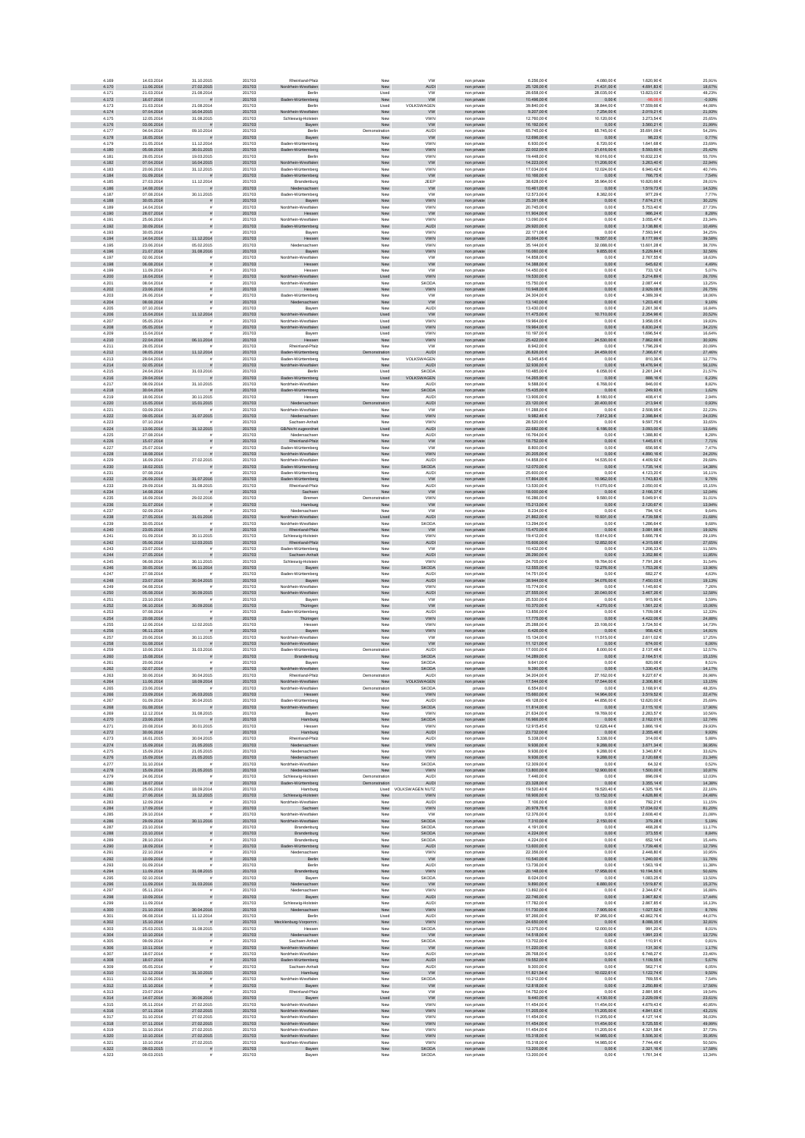| 4.169                   | 14.03.2014                             | 31.10.2015                            | 201703                     | Rheinland-Pfalz                                      | New                       | <b>VW</b>                          | non private                               | 6.256,006                                 | 4.080,00 €                               | 1.620,90 €                            | 25,91%                     |
|-------------------------|----------------------------------------|---------------------------------------|----------------------------|------------------------------------------------------|---------------------------|------------------------------------|-------------------------------------------|-------------------------------------------|------------------------------------------|---------------------------------------|----------------------------|
| 4.170                   | 11.06.2014                             | 27.02.2015                            | 201703                     | Nordrhein-Westfalen                                  | New                       | <b>AUDI</b>                        | non private                               | 25.126,00 €                               | 21.431,00 €                              | 4.691,83 €                            | 18,67%                     |
| 4.171<br>4.172          | 21.03.2014<br>16.07.2014               | 21.08.2014<br><b>=</b>                | 201703<br>201703           | Berlin<br>Baden-Württemberg                          | Used<br>New               | <b>VW</b><br><b>VW</b>             | non privat<br>non private                 | 28.658.00 6<br>10.496,00 €                | 28,035.00 €<br>$0,00 \in$                | 13.823.03 €<br>$-98,06 \in$           | 48.23%<br>$-0,93%$         |
| 4.173                   | 21.03.2014                             | 21.08.2014                            | 201703                     | Berlin                                               | Used                      | VOLKSWAGEN                         | non private                               | 39.840,00 €                               | 38.844,00 €                              | 17.559.66 €                           | 44,08%                     |
| 4.174<br>4.175          | 07.04.2014<br>12.05.2014               | 16.04.2015<br>31.08.2015              | 201703<br>201703           | Nordrhein-Westfalen<br>Schleswig-Holstein            | New<br>New                | W<br>VWN                           | non private<br>non private                | $9.207,00 \in$<br>12.760,00 €             | 7.254,00 €<br>10.120,00 €                | 2.019,21 €<br>3.273,54 €              | 21,93%<br>25,65%           |
| 4.176                   | 03.06.2014                             |                                       | 201703                     | Bayern                                               | New                       | ww                                 | non private                               | 16.192,00 €                               | $0,00 \in$                               | 3.560,21 €                            | 21,99%                     |
| 4.177                   | 04.04.2014                             | 09.10.2014                            | 201703                     | Berlin                                               | Demonstration             | AUDI                               | non private                               | 65.745,00 €                               | 65.745,00 €                              | 35.691,09 €                           | 54,29%                     |
| 4.178<br>4.179          | 16.05.2014<br>21.05.2014               | 11.12.2014                            | 201703<br>201703           | Bayern<br>Baden-Württemberg                          | New<br>New                | ww<br><b>VWN</b>                   | non private<br>non privat                 | 12.696,00 €<br>6.930.00 6                 | $0,00 \in$<br>6.720.00 €                 | 98,23€<br>1.641.68 €                  | 0,77%<br>23,69%            |
| 4.180                   | 05.08.2014                             | 30.01.2015                            | 201703                     | Baden-Württemberg                                    | New                       | <b>VWN</b>                         | non private                               | 22.002,00 €                               | 21.616,00 €                              | 5.593.60 €                            | 25,42%                     |
| 4.181<br>4.182          | 28.05.2014<br>07.04.2014               | 19.03.2015<br>16.04.2015              | 201703<br>201703           | Berlin<br>Nordrhein-Westfalen                        | Nev<br>New                | VWN<br>W                           | non privat<br>non private                 | 19.448,00 €<br>14.223,00 €                | 16.016,00 €<br>11.206,00 €               | 10.832,23 €<br>$3.263,40 \in$         | 55,70%<br>22,94%           |
| 4.183                   | 20.06.2014                             | 31.12.2015                            | 201703                     | Baden-Württemberg                                    | New                       | VWN                                | non privat                                | 17.034,00 €                               | 12.024,00 €                              | 6.940,42 €                            | 40,74%                     |
| 4.184                   | 01.09.2014<br>27.03.2014               | 11.12.2014                            | 201703<br>201703           | Baden-Württemberg                                    | ${\sf New}$               | ww<br>JEEP                         | non private                               | 10.166,00 €<br>38.628,00 €                | $0,00 \in$<br>35.964,00 €                | 766,75€<br>10.820,66 €                | 7,54%<br>28,01%            |
| 4.185<br>4.186          | 14.08.2014                             | $\mathbf{r}$                          | 201703                     | Brandenburg<br>Niedersachsen                         | New<br>New                | <b>VW</b>                          | non private<br>non private                | 10.461,00 €                               | $0,00 \in$                               | 1.519,73 €                            | 14,53%                     |
| 4.187                   | 07.08.2014                             | 30.11.2015                            | 201703                     | Baden-Württemberg                                    | New                       | <b>VW</b>                          | non private                               | 12,573,00 €                               | 8.382.00 €                               | 977.29€                               | 7.77%                      |
| 4.188<br>4.189          | 30.05.2014<br>14.04.2014               | $\tilde{\pi}$<br>$\tilde{\mathbf{r}}$ | 201703<br>201703           | Bayern<br>Nordrhein-Westfalen                        | New<br>New                | <b>VWN</b><br>VWN                  | non private<br>non privat                 | 25.391,08 €<br>20.745,00 €                | $0,00 \in$<br>$0,00 \in$                 | 7.674,21 €<br>5.753,40 €              | 30,22%<br>27,73%           |
| 4.190                   | 28.07.2014                             | $\tilde{\pi}$                         | 201703                     | Hessen                                               | New                       | W                                  | non private                               | 11.904,00 €                               | $0{,}00 \in$                             | 986,24 $\in$                          | 8,28%                      |
| 4.191<br>4.192          | 25.06.2014<br>30.09.2014               |                                       | 201703<br>201703           | Nordrhein-Westfalen<br>Baden-Württemberg             | New<br>${\sf New}$        | VWN<br><b>AUDI</b>                 | non private<br>non private                | 13.090,00 €<br>29.920,00 €                | $0,00 \in$<br>$0,00 \in$                 | 3.055,47 €<br>3.138,86 €              | 23,34%<br>10,49%           |
| 4.193                   | 30.05.2014                             |                                       | 201703                     | Bayern                                               | New                       | <b>VWN</b>                         | non private                               | 22.171,08 €                               | $0,00 \in$                               | 7.593,94 €                            | 34,25%                     |
| 4.194                   | 14.04.2014                             | 11.12.2014                            | 201703                     | Hessen                                               | New                       | <b>VWN</b>                         | non private                               | 20.664,00 €                               | 19.557,00 €                              | 8.177,99 €                            | 39,58%                     |
| 4.195<br>4.196          | 23.06.2014<br>21.07.2014               | 05.02.2015<br>31.08.2016              | 201703<br>201703           | Niedersachsen<br>Bayern                              | New<br>New                | <b>VWN</b><br><b>VWN</b>           | non private<br>non private                | 35,144,00 €<br>16.060.00 €                | 32.088.00 €<br>9.855,00 €                | 13.601.28 €<br>5.229,84 €             | 38,70%<br>32,56%           |
| 4.197                   | 02.06.2014                             |                                       | 201703                     | Nordrhein-Westfaler                                  | New                       | <b>VW</b>                          | non privat                                | 14.858,00 €                               | $0,00 \in$                               | 2.767,556                             | 18,63%                     |
| 4.198<br>4.199          | 06.08.2014<br>11.09.2014               |                                       | 201703<br>201703           | Hessen<br>Hesser                                     | New<br>New                | ${\tt VW}$<br><b>VW</b>            | non private<br>non privat                 | 14.388,00 €<br>14.450,00 €                | $0{,}00 \in$<br>$0,00 \in$               | 645,62 $\in$<br>733,12 €              | 4,49%<br>5,07%             |
| 4.200                   | 16.04.2014                             |                                       | 201703                     | Nordrhein-Westfalen                                  | Used                      | <b>VWN</b>                         | non private                               | 19.530,00 €                               | $0,00 \in$                               | 5.214,89 €                            | 26,70%                     |
| 4.201<br>4.202          | 08.04.2014<br>23.06.2014               | $\tilde{\pi}$                         | 201703<br>201703           | Nordrhein-Westfaler<br>Hessen                        | New<br>New                | <b>SKODA</b><br><b>VWN</b>         | non private<br>non private                | 15.750,00 €<br>10.948,00 €                | $0,00 \in$<br>$0,00 \in$                 | 2.087,44 €<br>2.929,08 €              | 13,25%<br>26,75%           |
| 4.203                   | 26.06.2014                             | $\mathbf{r}$                          | 201703                     | Baden-Württemberg                                    | New                       | <b>VW</b>                          | non private                               | 24.304.00 €                               | 0.00E                                    | 4.389.39 €                            | 18.06%                     |
| 4.204<br>4.205          | 08.08.2014<br>07.10.2014               | s<br>£.                               | 201703<br>201703           | Niedersachsen<br>Bayern                              | New<br>New                | <b>VW</b><br><b>AUDI</b>           | non private                               | 13.140,00 €<br>13,430.00 €                | $0,00 \in$<br>0.00E                      | 1.203,40 €<br>2.261.36 €              | 9,16%<br>16.84%            |
| 4.206                   | 15.04.2014                             | 11.12.2014                            | 201703                     | Nordrhein-Westfalen                                  | Used                      | <b>VW</b>                          | non private<br>non private                | 11.475,00 €                               | 0.710,00 €                               | 2.354,96 €                            | 20,52%                     |
| 4.207                   | 05.05.2014                             | $\tilde{\mathbf{r}}$                  | 201703                     | Nordrhein-Westfalen                                  | Used                      | VWN                                | non privat                                | 19.964,00 €                               | $0,00 \in$                               | 3.958,05 €                            | 19,83%                     |
| 4.208<br>4.209          | 05.05.2014<br>15.04.2014               | $\tilde{\pi}$                         | 201703<br>201703           | drhein-Westfalen<br>Bayern                           | Used<br>Used              | <b>VWN</b><br>VWN                  | non private<br>non private                | 19.964,00 €<br>10.197,00 €                | $0,00 \in$<br>$0,00 \in$                 | 6.830,24 $\in$<br>1.696,54 €          | 34,21%<br>16,64%           |
| 4.210                   | 22.04.2014                             | 06.11.2014                            | 201703                     | Hessen                                               | New                       | <b>VWN</b>                         | non private                               | 25.422,00 €                               | 24.530,00 €                              | 7.862,66 €                            | 30,93%                     |
| 4.211<br>4.212          | 28.05.2014<br>08.05.2014               | 11.12.2014                            | 201703<br>201703           | Rheinland-Pfalz<br>Baden-Württemberg                 | New<br>tration            | <b>VW</b><br><b>AUDI</b>           | non private<br>non private                | 8.942,00 €<br>26,826,00 €                 | $0,00 \in$<br>24.459,00 €                | 1.796,29 €<br>7.366,67 €              | 20,09%<br>27,46%           |
| 4.213                   | 29.04.2014                             |                                       | 201703                     | Baden-Württemberg                                    | New                       | VOLKSWAGEN                         | non private                               | 6.345.45€                                 | 0.006                                    | 810.36€                               | 12,77%                     |
| 4.214                   | 02.05.2014                             |                                       | 201703                     | Nordrhein-Westfalen                                  | New                       | AUDI                               | non private                               | 32.936,00 €                               | $0{,}00 \in$                             | 18.476,94 €                           | 56,10%                     |
| 4.215<br>4.216          | 24.04.2014<br>29.04.2014               | 31.03.2016                            | 201703<br>201703           | Berlin<br>Baden-Württemberg                          | Used<br>Used              | <b>SKODA</b><br>VOLKSWAGEN         | non privat<br>non private                 | 10.485.00 €<br>14.265,90 €                | 6.058,00 €<br>$0,00 \in$                 | 2.261,246<br>888,16€                  | 21,57%<br>6,23%            |
| 4.217                   | 08.09.2014                             | 31.10.2015                            | 201703                     | Nordrhein-Westfaler                                  | New                       | <b>AUD</b>                         | non private                               | 9.588,006                                 | 6.768,00 €                               | 846,00 €                              | 8,82%                      |
| 4.218<br>4.219          | 30.04.2014<br>18.06.2014               | $\mathbf{H}$<br>30.11.2015            | 201703<br>201703           | Baden-Württemberg<br>Hesser                          | New<br>New                | <b>SKODA</b><br>AUDI               | non private<br>non private                | 15.435,00 €<br>13.906,00 €                | $0,00 \in$<br>8.180,00 €                 | 249,93€<br>408,41€                    | 1,62%<br>2,94%             |
| 4.220                   | 15.05.2014                             | 15.01.2015                            | 201703                     | Niedersachsen                                        | tration                   | <b>AUDI</b>                        | non private                               | 23.120,00 €                               | 20.400,00 €                              | 213,94 €                              | 0,93%                      |
| 4.221                   | 03.09.2014                             |                                       | 201703                     | Nordrhein-Westfalen                                  | New                       | <b>VW</b>                          | non private                               | 11,288.00 €                               | 0.00E                                    | 2.508.95€                             | 22,23%                     |
| 4.222<br>4.223          | 09.05.2014<br>07.10.2014               | 31.07.2015                            | 201703<br>201703           | Niedersachsen<br>Sachsen-Anhalt                      | New<br>New                | VWN<br>VWN                         | non private<br>non private                | 9.982,46 €<br>28.520,00 €                 | 1.812,36 €<br>$0,00 \in$                 | 2.398,84 €<br>9.597,75€               | 24,03%<br>33,65%           |
| 4.224                   | 13.06.2014                             | 31.12.2015                            | 201703                     | GB/Nicht zugeordnet                                  | Used                      | <b>AUDI</b>                        | non private                               | 22.682,00 €                               | 3.186,00 €                               | $3.093,00$ €                          | 13,64%                     |
| 4.225<br>4.226          | 27.08.2014<br>15.07.2014               | $\bar{\pi}$                           | 201703<br>201703           | Niedersachsen<br>Rheinland-Pfalz                     | New<br>New                | AUDI<br>${\tt VW}$                 | non private<br>non private                | 16.764,00 €<br>18.752,00 €                | $0,00 \in$<br>$0,00 \in$                 | 1.388,80 €<br>1.445,61 €              | 8,28%<br>7,71%             |
| 4.227                   | 25.07.2014                             |                                       | 201703                     | Baden-Württemberg                                    | New                       | <b>VW</b>                          | non private                               | 8.800,00 €                                | $0,00 \in$                               | 656,95€                               | 7,47%                      |
| 4.228<br>4.229          | 18.08.2014<br>16.09.2014               | 27.02.2015                            | 201703<br>201703           | Nordrhein-Westfalen<br>Nordrhein-Westfalen           | New<br>New                | <b>VWN</b><br><b>AUDI</b>          | non private<br>non privat                 | 20.205.00 €<br>14.858.00 €                | $0.00 \in$<br>14,535,00 €                | 4.890.16€<br>4.409.92 €               | 24.20%<br>29.68%           |
| 4.230                   | 18.02.2015                             |                                       | 201703                     | Baden-Württemberg                                    | New                       | SKODA                              | non private                               | 12.070,00 €                               | $0,00 \in$                               | 1.735,14 €                            | 14,38%                     |
| 4.231                   | 07.08.2014                             |                                       | 201703                     | Baden-Württemberg                                    | Nev                       | <b>AUDI</b>                        | non privat                                | 25.600,00 €                               | 0,006                                    | 4.123,20 €                            | 16,11%                     |
| 4.232<br>4.233          | 26.09.2014<br>29.09.2014               | 31.07.2016<br>31.08.2015              | 201703<br>201703           | Baden-Württemberg<br>Rheinland-Pfalz                 | New<br>New                | <b>VW</b><br>AUDI                  | non private<br>non privat                 | 17.864,00 €<br>13.530,00 €                | 10.962,00 €<br>11.070,00 €               | 1.743,83 €<br>2.050,00 €              | 9,76%<br>15,15%            |
| 4.234                   | 14.08.2014                             |                                       | 201703                     | Sachsen                                              | New                       | <b>VW</b>                          | non private                               | 18.000,00 €                               | $0,00 \in$                               | 2.166,37 €                            | 12,04%                     |
| 4.235<br>4.236          | 16.09.2014<br>31.07.2014               | 29.02.2016<br>$\bar{\pi}$             | 201703<br>201703           | Bremen<br>Hamburg                                    | Demonstration<br>New      | VWN<br><b>VW</b>                   | non private<br>non private                | 16.286,00 €<br>15.213,00 €                | 9.580,00 €<br>$0,00 \in$                 | 5.049,91€<br>2.120,67 €               | 31,01%<br>13,94%           |
| 4.237                   | 02.09.2014                             |                                       | 201703                     | Niedersachser                                        | New                       | <b>VW</b>                          | non private                               | 8.234.00 €                                | 0.00E                                    | 794.10€                               | 9.64%                      |
| 4.238<br>4.239          | 27.05.2014<br>30.05.2014               | 31.01.2016                            | 201703<br>201703           | Nordrhein-Westfalen<br>Nordrhein-Westfaler           | Used<br>New               | <b>AUDI</b><br>SKODA               | non private<br>non privat                 | 21.862,00 €<br>13.294,00 €                | 10.931,00 €<br>$0,00 \in$                | 4.739,58 €<br>1.286,64 €              | 21,68%<br>9,68%            |
| 4.240                   | 23.05.2014                             | s                                     | 201703                     | Rheinland-Pfalz                                      | New                       | W                                  | non private                               | 15.470,00 €                               | $0{,}00 \in$                             | $3.081,98 \in$                        | 19,92%                     |
| 4.241<br>4.242          | 01.09.2014<br>05.06.2014               | 30.11.2015                            | 201703<br>201703           | Schleswig-Holstein<br>Rheinland-Pfalz                | New                       | VWN                                | non private                               | 19.412,00 €<br>15.606,00 €                | 15.614,00 €<br>12.852,00 €               | 5.666,78 €<br>4.315,68 €              | 29,19%<br>27,65%           |
| 4.243                   | 23.07.2014                             | 12.03.2015<br>$\mathbf{r}$            | 201703                     | Baden-Württemberg                                    | ${\sf New}$<br>New        | AUDI<br><b>VW</b>                  | non private<br>non private                | 10.432,00 €                               | $0,00 \in$                               | 1.206,33 €                            | 11,56%                     |
| 4.244                   | 27.05.2014                             |                                       | 201703                     | Sachsen-Anhalt                                       | New                       | <b>AUDI</b>                        | non private                               | 28.290,00 €                               | $0,00 \in$                               | 3.352,86 €                            | 11,85%                     |
| 4.245<br>4.246          | 06.08.2014<br>30.05.2014               | 30.11.2015<br>06.11.2014              | 201703<br>201703           | Schleswig-Holstein<br>Bayern                         | New<br>New                | <b>VWN</b><br><b>SKODA</b>         | non private<br>non private                | 24,705,00 €<br>12.555,00 €                | 19.764.00 €<br>12.276,00 €               | 7.791.26€<br>1.753,26 €               | 31.54%<br>13,96%           |
| 4.247                   | 27.08.2014                             |                                       | 201703                     | Baden-Württemberg                                    | New                       | AUDI                               | non privat                                | 14.751,00 €                               | 0,006                                    | 682,27€                               | 4,63%                      |
|                         |                                        |                                       |                            | Bayern                                               | New                       |                                    | non private                               | 38.944,00 $\in$                           | 34.076,00 €                              | 7.450,03 €                            | 19,13%                     |
| 4.248                   | 23.07.2014                             | 30.04.2015                            | 201703                     |                                                      |                           | AUDI                               |                                           |                                           |                                          |                                       |                            |
| 4.249<br>4.250          | 04.08.2014                             |                                       | 201703                     | Nordrhein-Westfaler                                  | New                       | VWN                                | non private                               | 15.774,00 €<br>27.555,00 €                | $0,00 \in$                               | 1.145,60 €                            | 7,26%<br>12,58%            |
| 4.251                   | 05.08.2014<br>23.10.2014               | 30.09.2015                            | 201703<br>201703           | Nordrhein-Westfalen<br>Bayern                        | ${\sf New}$<br>New        | AUDI<br><b>VW</b>                  | non private<br>non private                | 25.530,00 €                               | 20.040,00 €<br>$0,00 \in$                | 3.467,26 €<br>915,90 €                | 3,59%                      |
| 4.252                   | 06.10.2014                             | 30.09.2016<br>$\tilde{\mathbf{r}}$    | 201703                     | Thüringen                                            | New                       | <b>VW</b>                          | non private                               | 10.370,00 €                               | 4.270,00 €                               | 1.561,22 €                            | 15,06%                     |
| 4.253<br>4.254          | 07.08.2014<br>20.08.2014               | $\tilde{\pi}$                         | 201703<br>201703           | Baden-Württemberg<br>Thüringen                       | New<br>New                | <b>AUDI</b><br><b>VWN</b>          | non private<br>non private                | 13,856,00 €<br>17.775,00 €                | 0.00E<br>$0,00 \in$                      | 1.709.08€<br>4.422,06 €               | 12.33%<br>24,88%           |
| 4.255                   | 12.06.2014                             | 12.02.2015                            | 201703                     | Hessen                                               | New                       | VWN                                | non private                               | 25,288.00 €                               | 23.108,00 €                              | 3.724,50 €                            | 14,73%                     |
| 4.256<br>4.257          | 06.11.2014<br>20.06.2014               | 30.11.2015                            | 201703<br>201703           | Bayern                                               | New<br>New                | VWN                                | non private<br>non private                | $6.426,00 \in$<br>15.134,00 €             | $0{,}00 \in$                             | 958,42 $\in$<br>2.611,02 €            | 14,91%<br>17,25%           |
| 4.258                   | 01.08.2014                             |                                       | 201703                     | Nordrhein-Westfalen<br>lordrhein-Westfalen           | New                       | <b>VW</b><br><b>VW</b>             | non private                               | 11.121,00 €                               | 11.515,00 €<br>$0,00 \in$                | 674,00 €                              | 6,06%                      |
| 4.259<br>4.260          | 10.06.2014<br>15.08.2014               | 31.03.2016                            | 201703<br>201703           | Baden-Württemberg<br>Brandenburg                     | Demonstration<br>New      | AUDI<br><b>SKODA</b>               | non private<br>non private                | 17.000,00 €                               | 8.000,00 €<br>$0,00 \in$                 | 2.137,48 €<br>2.164,51 €              | 12,57%<br>15,15%           |
| 4.261                   | 20.06.2014                             |                                       | 201703                     | Bayerr                                               | New                       | SKODA                              | non privat                                | 14.289,00 €<br>9.641.006                  | 0.006                                    | 820.06€                               | 8.51%                      |
| 4.262                   | 02.07.2014                             |                                       | 201703                     | Nordrhein-Westfalen                                  | New                       | <b>SKODA</b>                       | non private                               | 9.390.00 €                                | 0.00 E                                   | 1.330.43 €                            | 14,17%                     |
| 4.263<br>4.264          | 30.06.2014<br>11.06.2014               | 30.04.2015<br>18.09.2014              | 201703<br>201703           | Rheinland-Pfalz<br>Nordrhein-Westfalen               | Demonstration<br>New      | AUDI<br><b>WAGEN</b><br>VOLKS      | non privat<br>non private                 | 34.204,00 €<br>17.544,00 €                | 27.162,00 €<br>17.544,00 €               | 9.227,67 €<br>2.306,80 €              | 26,98%<br>13,15%           |
| 4.265                   | 23.06.2014                             |                                       | 201703                     | Nordrhein-Westfalen                                  | Demonstration             | <b>SKODA</b>                       | private                                   | 6.554,606                                 | $0,00 \in$                               | 3.168,91 €                            | 48,35%                     |
| 4.266<br>4.267          | 23.09.2014<br>01.09.2014               | 26.03.2015<br>30.04.2015              | 201703<br>201703           | Hessen<br>Baden-Württemberg                          | New<br>New                | <b>VWN</b><br>AUDI                 | non private<br>non private                | 15.660,00 €<br>49.128,00 €                | 14.964,00 €<br>44.856,00 €               | 3.519,52 €<br>12.620,00 €             | 22,47%<br>25,69%           |
| 4.268                   | 01.08.2014                             | $\frac{1}{2}$                         | 201703                     | Nordrhein-Westfalen                                  | New                       | <b>SKODA</b>                       | non private                               | 11.814,00 €                               | $0,00 \in$                               | 2.115,10 €                            | 17,90%                     |
| 4.269<br>4.270          | 12.12.2014<br>23.06.2014               | 31.08.2015<br>$\frac{1}{2}$           | 201703<br>201703           | Bavern                                               | New<br>New                | <b>VWN</b><br><b>SKODA</b>         | non private                               | 21.634.00 €<br>16.966.00 €                | 19.769.00 €<br>$0,00 \in$                | 2.283.57 €<br>2.162,01 €              | 10.56%<br>12,74%           |
| 4.271                   | 20.08.2014                             | 30.01.2015                            | 201703                     | Hamburg<br>Hessen                                    | New                       | <b>VWN</b>                         | non private<br>non private                | 12.915.45 €                               | 12.628.44 €                              | 3.866.19€                             | 29.93%                     |
| 4.272                   | 30.06.2014                             | $\bar{\pi}$                           | 201703                     | Hamburg                                              | New                       | AUDI                               | non private                               | 23.732,00 €                               | $0,00 \in$                               | $2.355,46 \in$                        | 9,93%                      |
| 4.273<br>4.274          | 16.01.2015<br>15.09.2014               | 30.04.2015<br>21.05.2015              | 201703<br>201703           | Rheinland-Pfalz<br>Niedersachsen                     | New<br>New                | <b>AUDI</b><br><b>VWN</b>          | non private<br>non private                | 5.338,00 €<br>9.936,00 $\in$              | 5.338,00 €<br>9.288,00 €                 | 314,00 €<br>$3.671,34 \in$            | 5,88%<br>36,95%            |
| 4.275<br>4.276          | 15.09.2014<br>15.09.2014               | 21.05.2015<br>21.05.2015              | 201703<br>201703           | Niedersachsen<br>Niedersachsen                       | New<br>New                | VWN<br><b>VWN</b>                  | non private<br>non private                | 9.936,00 €<br>9.936,00 $\in$              | 9.288,00 €<br>9.288,00 €                 | 3.340,87 €<br>2.120,68 €              | 33,62%<br>21,34%           |
| 4.277                   | 31.10.2014                             |                                       | 201703                     | Nordrhein-Westfalen                                  | New                       | SKODA                              | non private                               | 12.309,00 €                               | $0,00 \in$                               | 64,32 €                               | 0,52%                      |
| 4.278<br>4.279          | 15.09.2014<br>24.06.2014               | 21.05.2015<br>$\tilde{\mathbf{r}}$    | 201703<br>201703           | Niedersachsen<br>Schleswig-Holstein                  | New<br>Demonstration      | <b>VWN</b><br><b>AUDI</b>          | non private<br>non private                | 13,800.00 €<br>7.446.00 €                 | 12.900,00 €<br>0.00E                     | 1.500.00 €<br>896.09€                 | 10,87%<br>12.03%           |
| 4.280                   | 18.07.2014                             |                                       | 201703                     | Baden-Württemberg                                    | stration                  | <b>AUDI</b>                        | non private                               | 23.328,00 €                               | $0,00 \in$                               | 3.355,14 €                            | 14,38%                     |
| 4.281<br>4.282          | 25.06.2014<br>27.06.2014               | 18.09.2014                            | 201703<br>201703           | Hamburg                                              | New                       | Used VOLKSWAGEN NUTZ<br><b>VWN</b> | non privat                                | 19.520,40 €<br>18.906,00 €                | 19.520,40 €<br>13.152,00 €               | 4.325,19 €<br>4.628,86 €              | 22,16%<br>24,48%           |
| 4.283                   | 12.09.2014                             | 31.12.2015                            | 201703                     | Schleswig-Holstein<br>Nordrhein-Westfalen            | New                       | AUDI                               | non private<br>non private                | 7.106,006                                 | $0,00 \in$                               | 792,21€                               | 11,15%                     |
| 4.284                   | 17.09.2014                             | $\tilde{\pi}$                         | 201703                     | Sachsen                                              | New                       | <b>VWN</b>                         | non private                               | 20.978,76 $\in$                           | $0,00 \in$                               | 17.034,02 €                           | 81,20%                     |
| 4.285<br>4.286          | 29.10.2014<br>29.09.2014               | $\bar{\pi}$<br>30.11.2016             | 201703<br>201703           | Nordrhein-Westfalen<br>Nordrhein-Westfalen           | New<br>New                | ww<br><b>SKODA</b>                 | non private<br>non private                | 12.376,00 €<br>7.310,00 €                 | $0,00 \in$<br>2.150,00 €                 | 2.608,40 €<br>379,28 €                | 21,08%<br>5,19%            |
| 4.287                   | 23.10.2014                             | £.                                    | 201703                     | Brandenburg                                          | New                       | <b>SKODA</b>                       | non private                               | 4.191.00 €                                | 0.00E                                    | 468.26€                               | 11,17%                     |
| 4.288<br>4.289          | 23.10.2014<br>28.10.2014               | s<br>$\tilde{\mathbf{r}}$             | 201703<br>201703           | Brandenburg<br>Brandenburg                           | New<br>New                | <b>SKODA</b><br>SKODA              | non private<br>non private                | $4.224,00 \in$<br>4.224,00 €              | $0{,}00 \in$<br>$0,00 \in$               | 373,55 $\in$<br>652,14 €              | 8,84%<br>15,44%            |
| 4.290                   | 18.09.2014                             | $\tilde{\pi}$                         | 201703                     | n-Württemberg                                        | New                       | AUDI                               | non private                               | 13,600.00 €                               | $0,00 \in$                               | 1.739,46 €                            | 12,79%                     |
| 4.291                   | 22.10.2014                             | $\bar{\pi}$                           | 201703<br>201703           | Niedersachsen<br>Berlin                              | New<br>New                | VWN                                | non private<br>non private                | 22.356,00 €                               | $0,00 \in$                               | 2.448,80 €                            | 10,95%                     |
| 4.292<br>4.293          | 10.09.2014<br>01.09.2014               | $\bar{\pi}$                           | 201703                     | Berlin                                               | New                       | ${\tt VW}$<br><b>AUDI</b>          | non private                               | 10.540,00 €<br>13.736,00 €                | $0{,}00 \in$<br>$0,00 \in$               | 1.240,00 €<br>1.563,19€               | 11,76%<br>11,38%           |
| 4.294<br>4.295          | 11.09.2014<br>02.10.2014               | 31.08.2015                            | 201703<br>201703           | Brandenburg<br>Bayern                                | New<br>New                | <b>VWN</b><br>SKODA                | non private<br>non private                | 20.148.00 €<br>8.024.00 €                 | 17.958.00 €<br>0.00E                     | 10.194.50 €<br>1.083.25€              | 50.60%<br>13,50%           |
| 4.296                   | 11.09.2014                             | 31.03.2016                            | 201703                     | Niedersachsen                                        | ${\sf New}$               | <b>VW</b>                          | non private                               | 9.890,00 $\in$                            | $6.880,00$ $\in$                         | 1.519,87 €                            | 15,37%                     |
| 4.297                   | 05.11.2014                             |                                       | 201703                     | Niedersachser                                        | New                       | VWN                                | non privat                                | 13.892,00 €                               | $0,00 \in$                               | 2.344,67 €                            | 16,88%                     |
| 4.298<br>4.299          | 10.09.2014<br>11.09.2014               | $\tilde{\pi}$                         | 201703<br>201703           | Bayern<br>Schleswig-Holstein                         | New<br>New                | <b>AUDI</b><br>AUDI                | non private<br>non private                | 22.746,00 €<br>17.782,00 €                | $0,00 \in$<br>$0,00 \in$                 | 3.967,82 €<br>2.867,85€               | 17,44%<br>16,13%           |
| 4.300                   | 21.10.2014                             | 30.04.2016                            | 201703                     | Niedersachsen                                        | New                       | <b>VWN</b>                         | non private                               | 11.730,00 €                               | 7.905,00 €                               | 1.027,52 €                            | 8,76%                      |
| 4.301<br>4.302          | 06.08.2014<br>15.10.2014               | 11.12.2014<br>$\bar{\pi}$             | 201703<br>201703           | Berlin<br>Mecklenburg-Vorpomm.                       | Used<br>New               | AUDI<br><b>VWN</b>                 | non private<br>non private                | 97.266,00 €<br>24.650.00 €                | 97.266,00 €<br>$0.00 \in$                | 42.862,76 €<br>8.088,35 €             | 44,07%<br>32,81%           |
| 4.303                   | 25.03.2015                             | 31.08.2015                            | 201703                     | Hessen                                               | New                       | SKODA                              | non private                               | 12,375,00 €                               | 12,000.00 €                              | 991.20€                               | 8.01%                      |
| 4.304<br>4.305          | 10.10.2014<br>09.09.2014               | $\tilde{\pi}$<br>$\tilde{\mathbf{r}}$ | 201703<br>201703           | Niedersachsen<br>Sachsen-Anhalt                      | New<br>New                | <b>VW</b><br><b>SKODA</b>          | non private<br>non private                | 14.518,00 €<br>13.702,00 €                | $0,00 \in$<br>$0,00 \in$                 | 1.991,23 €<br>110,91 €                | 13,72%                     |
| 4.306                   | 10.11.2014                             | s                                     | 201703                     | rdrhein-Westfalen                                    | New                       | W                                  | non private                               | 11.220,00 €                               | $0{,}00 \in$                             | 131,30 €                              | 0,81%<br>1,17%             |
| 4.307<br>4.308          | 18.07.2014<br>18.07.2014               | s                                     | 201703<br>201703           | Nordrhein-Westfalen<br>len-Württemberg               | New                       | AUDI<br><b>AUDI</b>                | non private<br>non private                | 28.768,00 €<br>19.552,00 €                | $0,00 \in$<br>$0,00 \in$                 | 6.748,27 €<br>1.109,55 €              | 23,46%<br>5,67%            |
| 4.309                   | 05.05.2014                             |                                       | 201703                     | Sachsen-Anhalt                                       | ${\sf New}$<br>New        | <b>AUDI</b>                        | non private                               | 9.300,00 €                                | $0,00 \in$                               | 562,71€                               | 6,05%                      |
| 4.310<br>4.311          | 01.12.2014<br>12.06.2014               | 31.10.2015<br>$\tilde{\mathbf{r}}$    | 201703<br>201703           | Hamburg<br>Nordrhein-Westfalen                       | New<br>New                | <b>VW</b><br>SKODA                 | non private<br>non private                | 11.821,54 €<br>10.212.00 €                | $0.022, 61 \in$<br>0.00E                 | 1.122,74 €<br>769.55€                 | 9,50%<br>7.54%             |
| 4.312                   | 15.10.2014                             | $\bar{\pi}$                           | 201703                     | Bayern                                               | New                       | <b>VW</b>                          | non private                               | 12.818,00 €                               | $0,00 \in$                               | 2.250.89 €                            | 17,56%                     |
| 4.313                   | 23.07.2014                             |                                       | 201703                     | Rheinland-Pfalz                                      | New                       | <b>VW</b>                          | non privat                                | 14.752,00 €                               | $0,00 \in$                               | 2.881,95€                             | 19,54%                     |
| 4.314<br>4.315          | 14.07.2014<br>05.11.2014               | 30.06.2016<br>27.02.2015              | 201703<br>201703           | Bayern<br>Nordrhein-Westfalen                        | Used<br>New               | ${\tt VW}$<br>VWN                  | non private<br>non private                | $9.440,00 \in$<br>11.454,00 €             | 4.130,00 €<br>11.454,00 €                | $2.229,09 \in$<br>4.679,43 €          | 23,61%<br>40,85%           |
| 4.316                   | 07.11.2014                             | 27.02.2015                            | 201703                     | Nordrhein-Westfalen                                  | ${\sf New}$               | <b>VWN</b>                         | non private                               | 11.205,00 €                               | 11.205,00 €                              | 4.841,63 €                            | 43,21%                     |
| 4.317<br>4.318          | 31.10.2014<br>07.11.2014               | 27.02.2015<br>27.02.2015              | 201703<br>201703           | Nordrhein-Westfalen<br>Nordrhein-Westfalen           | New<br>New                | VWN<br><b>VWN</b>                  | non private<br>non private                | 11.454,00 €<br>11.454,00 €                | 11.205,00 €<br>11.454,00 €               | 4.127,14 €<br>5.725,55 €              | 36,03%<br>49,99%           |
| 4.319                   | 31.10.2014                             | 27.02.2015                            | 201703                     | Nordrhein-Westfalen                                  | New                       | <b>VWN</b>                         | non private                               | 11,454,00 €                               | 11.205.00 €                              | 4.321.58 €                            | 37.73%                     |
| 4.320<br>4.321<br>4.322 | 10.10.2014<br>10.10.2014<br>09.03.2015 | 27.02.2015<br>27.02.2015<br>s         | 201703<br>201703<br>201703 | Nordrhein-Westfalen<br>Nordrhein-Westfalen<br>Bayern | New<br>New<br>${\sf New}$ | <b>VWN</b><br>VWN<br>SKODA         | non private<br>non private<br>non private | 15.318,00 €<br>15.318,00 €<br>13.200,00 € | 14.985,00 €<br>14.985,00 €<br>$0,00 \in$ | 5.506,30 €<br>7.744,49 €<br>2.321,16€ | 35,95%<br>50,56%<br>17,58% |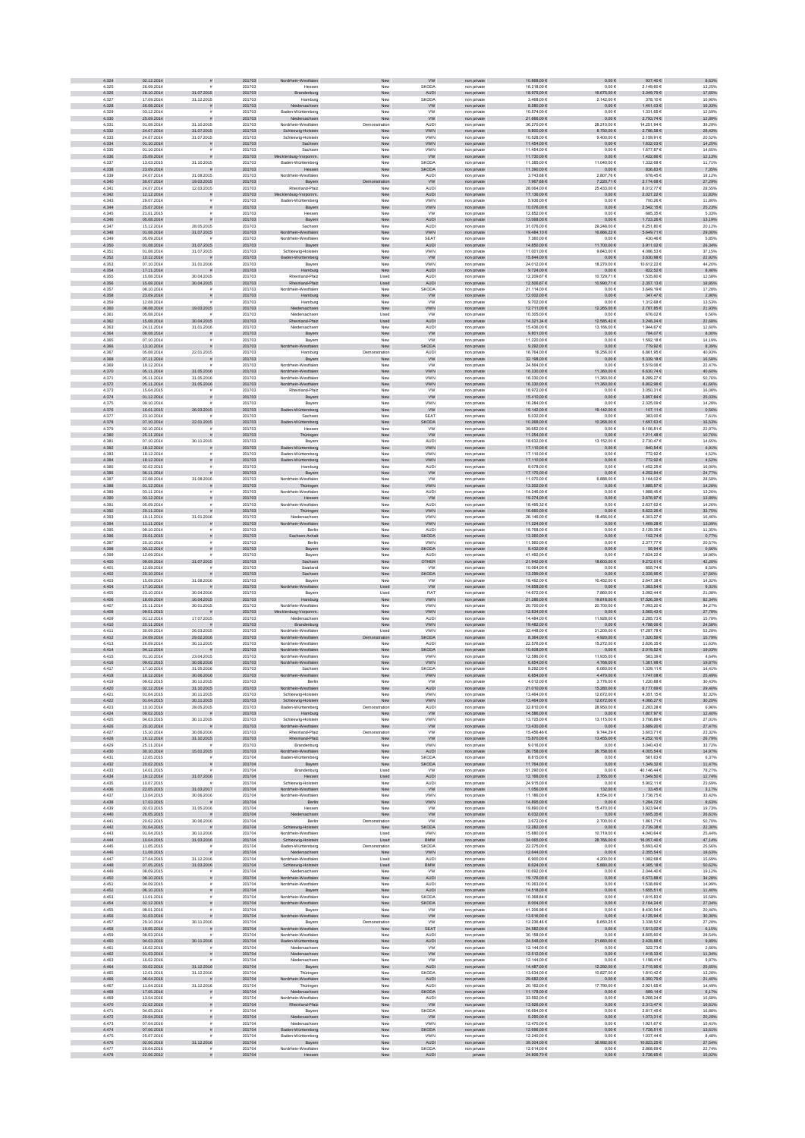| 4.324          | 02.12.2014               |                                        | 201703           | Nordrhein-Westfaler                        | New                   | <b>VW</b>                   | non private                | 10.868.00 €                    | $0,00 \in$                  | 937,40 €                       | 8.63%            |
|----------------|--------------------------|----------------------------------------|------------------|--------------------------------------------|-----------------------|-----------------------------|----------------------------|--------------------------------|-----------------------------|--------------------------------|------------------|
| 4.325          | 26.09.2014               |                                        | 201703           | Hesser                                     | New                   | SKODA                       | non privat                 | 16.218.00 €                    | 0.006                       | 2.149.606                      | 13.25%           |
| 4.326          | 28.10.2014               | 31.07.2015                             | 201703           | Brandenburg                                | New                   | AUDI                        | non private                | 18.975,00 €                    | 16.675,00 €                 | 3.349,79€                      | 17,65%           |
| 4.327<br>4.328 | 17.09.2014<br>26.08.2014 | 31.12.2015<br>$\bar{\pi}$              | 201703<br>201703 | Hamburg<br>Niedersachsen                   | Nev<br>New            | SKODA<br><b>VW</b>          | non privat<br>non private  | 3.468,006<br>8.580,00 €        | 2.142,00 €<br>$0,00 \in$    | 378,106<br>1.401,03 €          | 10,90%<br>16,33% |
| 4.329          | 03.12.2014               |                                        | 201703           | Baden-Württemberg                          | New                   | <b>VW</b>                   | non privat                 | 10.574,00 €                    | $0,00 \in$                  | 1.331,65 €                     | 12,59%           |
| 4.330          | 25.09.2014               |                                        | 201703           | Niedersachsen                              | New                   | <b>VW</b>                   | non private                | 21.666,00 €                    | $0,00 \in$                  | 2.793,74 €                     | 12,89%           |
| 4.331          | 01.08.2014               | 31.10.2015                             | 201703           | Nordrhein-Westfaler                        | Demonstration         | AUDI                        | non private                | 36.270,00 €                    | 28.210,00 €                 | 14.251,94 €                    | 39,29%           |
| 4.332          | 24.07.2014               | 31.07.2015                             | 201703           | Schleswig-Holstein                         | New                   | <b>VWN</b>                  | non private                | 9.800.00 $\in$                 | 8.750,00 €                  | 2.786,58 €                     | 28,43%           |
| 4.333<br>4.334 | 24.07.2014<br>01.10.2014 | 31.07.2015<br>$\tilde{\pi}$            | 201703<br>201703 | Schleswig-Holstein<br>Sachsen              | New<br>New            | <b>VWN</b><br><b>VWN</b>    | non private<br>non private | 10.528.00 €<br>11.454,00 €     | 9.400.00 €<br>$0{,}00 \in$  | 2.159.91€<br>1.632,03 €        | 20.52%<br>14,25% |
| 4.335          | 01.10.2014               | $\bar{a}$                              | 201703           | Sachser                                    | New                   | VWN                         | non privat                 | 11.454,00 €                    | $0,00 \in$                  | 1.677,87 €                     | 14,65%           |
| 4.336          | 25.09.2014               |                                        | 201703           | ecklenburg-Vorpomm.                        | New                   | ww                          | non private                | 11.730,00 €                    | $0,00 \in$                  | 1.422,66 €                     | 12,13%           |
| 4.337          | 13.03.2015               | 31.10.2015                             | 201703           | Baden-Württemberg                          | New                   | SKODA                       | non private                | 11.385,00 €                    | 11.040,00 €                 | 1.332,68 €                     | 11,71%           |
| 4.338          | 23.09.2014               | 31.08.2015                             | 201703           | Hessen                                     | New                   | SKODA                       | non private                | 11.390,00 €                    | $0,00 \in$<br>2.807,76 €    | 836,83 €                       | 7,35%<br>18,12%  |
| 4.339<br>4.340 | 24.07.2014<br>30.07.2014 | 19.03.2015                             | 201703<br>201703 | Nordrhein-Westfalen<br>Bayern              | New<br>tration        | AUDI<br>W                   | non private<br>non private | 3.743,68 €<br>7.967.68 €       | 7.220,71€                   | 678,45€<br>2.174,68 €          | 27,29%           |
| 4.341          | 24.07.2014               | 12.03.2015                             | 201703           | Rheinland-Pfalz                            | New                   | <b>AUDI</b>                 | non private                | 28.064.00 €                    | 25.433,00 €                 | 8.012.77 €                     | 28.55%           |
| 4.342          | 12.12.2014               | s                                      | 201703           | Mecklenburg-Vorpomm.                       | New                   | AUDI                        | non private                | 17.136,00 €                    | $0{,}00 \in$                | 2.027,22 €                     | 11,83%           |
| 4.343          | 29.07.2014               |                                        | 201703           | Baden-Württemberg                          | Nev                   | VWN                         | non privat                 | 5.936,00 €                     | $0,00 \in$                  | 700,266                        | 11,80%           |
| 4.344          | 25.07.2014               |                                        | 201703           | Bayern                                     | New                   | <b>VWN</b>                  | non private                | 10.076,00 €                    | $0,00 \in$                  | 2.542,15€                      | 25,23%           |
| 4.345<br>4.346 | 21.01.2015<br>05.08.2014 |                                        | 201703<br>201703 | Hesser                                     | New<br>New            | <b>VW</b><br>AUDI           | non privat                 | 12.852,00 €<br>13.068,00 €     | $0,00 \in$<br>$0,00 \in$    | 685,35€<br>1.723,26 €          | 5,33%<br>13,19%  |
| 4.347          | 15.12.2014               | $\tilde{\pi}$<br>28.05.2015            | 201703           | Bayern<br>Sachser                          | New                   | <b>AUDI</b>                 | non private<br>non private | 31.076,00 €                    | 29.248,00 €                 | 6.251,80 €                     | 20,12%           |
| 4.348          | 01.08.2014               | 31.07.2015                             | 201703           | Nordrhein-Westfalen                        | New                   | <b>VWN</b>                  | non private                | 19,484.10 €                    | 16.886,22 €                 | 5.649,71 €                     | 29,00%           |
| 4.349          | 05.09.2014               |                                        | 201703           | Nordrhein-Westfaler                        | New                   | <b>SEAT</b>                 | non private                | 7.360.00 €                     | 0.006                       | 430.46€                        | 5.85%            |
| 4.350          | 01.08.2014               | 31.07.2015                             | 201703           | Bayern                                     | New                   | AUDI                        | non private                | 14.850,00 €                    | 11.700,00 €                 | 3.911,02 €                     | 26,34%           |
| 4.351<br>4.352 | 01.08.2014<br>10.12.2014 | 31.07.2015                             | 201703<br>201703 | Schleswig-Holstein<br>Baden-Württemberg    | New<br>New            | VWN<br><b>VW</b>            | non privat                 | 11.001,00 €<br>15.844,00 €     | 9.843,00 €<br>$0,00 \in$    | 4.086,53 €<br>$3.630,98 \in$   | 37,15%<br>22,92% |
| 4.353          | 07.10.2014               | 31.01.2016                             | 201703           | Bayern                                     | New                   | VWN                         | non private<br>non private | 24.012,00 €                    | 18.270,00 €                 | 10.612,22 €                    | 44,20%           |
| 4.354          | 17.11.2014               |                                        | 201703           | Hamburg                                    | New                   | AUDI                        | non private                | 9.724,00 $\in$                 | $0,00 \in$                  | 822,52 €                       | 8,46%            |
| 4.355          | 15.08.2014               | 30.04.2015                             | 201703           | Rheinland-Pfalz                            | Used                  | <b>AUDI</b>                 | non private                | 12.209,67 €                    | 10.729,71€                  | 1.535,60 €                     | 12,58%           |
| 4.356          | 15.08.2014               | 30.04.2015                             | 201703           | Rheinland-Pfalz                            | Used                  | <b>AUDI</b>                 | non private                | 12.506.67 €                    | 10.990,71€                  | 2.357,13€                      | 18,85%           |
| 4.357<br>4.358 | 08.10.2014<br>23.09.2014 |                                        | 201703<br>201703 | Nordrhein-Westfaler                        | New<br>New            | SKODA                       | non privat                 | 21.114.00 €<br>12.002,00 €     | 0.006                       | 3.649.19 €<br>347,47 €         | 17.28%           |
| 4.359          | 12.08.2014               |                                        | 201703           | Hamburg<br>Hamburg                         | Nev                   | <b>VW</b><br><b>VW</b>      | non private<br>non privat  | 9.702,006                      | $0{,}00 \in$<br>$0,00 \in$  | 1.312,68 €                     | 2,90%<br>13,53%  |
| 4.360          | 08.08.2014               | 19.03.2015                             | 201703           | Niedersachsen                              | New                   | VWN                         | non private                | 12.711,00 €                    | 12.265,00 €                 | 2.787,85 €                     | 21,93%           |
| 4.36           | 05.08.2014               |                                        | 201703           | Niedersachser                              | Used                  | <b>VW</b>                   | non privat                 | 10.305,00 +                    | $0,00 \in$                  | 676,02€                        | 6,56%            |
| 4.362          | 15.08.2014               | 30.04.2015                             | 201703           | Rheinland-Pfalz                            | Used                  | AUDI                        | non private                | 14.321,34 €                    | 12.585,42 €                 | 3.248,24 €                     | 22,68%           |
| 4.363<br>4.364 | 24.11.2014<br>08.08.2014 | 31.01.2016<br>$\bar{\pi}$              | 201703<br>201703 | Niedersachser<br>Bayern                    | New<br>New            | AUDI<br><b>VW</b>           | non private<br>non private | 15.436,00 €<br>9.801,00 $\in$  | 13.166,00 €<br>$0,00 \in$   | 1.944,67 €<br>784,07 €         | 12,60%<br>8,00%  |
| 4.365          | 07.10.2014               |                                        | 201703           | Bayerr                                     | New                   | <b>VW</b>                   | non private                | 11.220.00 €                    | 0.006                       | 1.592.18 €                     | 14.19%           |
| 4.366          | 13.10.2014               |                                        | 201703           | Nordrhein-Westfalen                        | New                   | <b>SKODA</b>                | non private                | 9.292,00 €                     | $0,00 \in$                  | 779,92€                        | 8,39%            |
| 4.367          | 05.08.2014               | 22.01.2015                             | 201703           | Hamburg                                    | Demonstration         | AUDI                        | non privat                 | 16.764,00 €                    | 16.256,00 €                 | 6.861,95€                      | 40,93%           |
| 4.368          | 07.11.2014               |                                        | 201703           | Bayern                                     | New                   | W                           | non private                | 32.198,00 $\in$                | $0{,}00 \in$                | 5.339,18 €                     | 16,58%           |
| 4.369<br>4.370 | 19.12.2014<br>05.11.2014 | 31.05.2016                             | 201703<br>201703 | Nordrhein-Westfalen<br>Nordrhein-Westfalen | New<br>${\sf New}$    | <b>VW</b><br><b>VWN</b>     | non private<br>non private | 24.564,00 €<br>16.330,00 €     | $0{,}00 \in$<br>11.360,00 € | 5.519,06 €<br>6.630,74 €       | 22,47%<br>40,60% |
| 4.371          | 05.11.2014               | 31.05.2016                             | 201703           | Nordrhein-Westfalen                        | New                   | <b>VWN</b>                  | non private                | 16.330,00 €                    | 11.360,00 €                 | 8.289,27€                      | 50,76%           |
| 4.372          | 05.11.2014               | 31.05.2016                             | 201703           | Nordrhein-Westfalen                        | New                   | <b>VWN</b>                  | non private                | 16.330,00 €                    | 11.360,00 €                 | 6.802,96 €                     | 41,66%           |
| 4.373          | 15.04.2015               |                                        | 201703           | Rheinland-Pfalz                            | New                   | <b>VW</b>                   | non privat                 | 18,972.00 €                    | 0.006                       | 3.050.31 €                     | 16,08%           |
| 4.374          | 01.12.2014               | ø                                      | 201703           | Bayern                                     | New                   | <b>VW</b>                   | non private                | 15.410,00 €                    | $0,00 \in$                  | 3.857,84 €                     | 25,03%           |
| 4.375          | 09.10.2014               |                                        | 201703           | Bayen                                      | New                   | VWN                         | non privat                 | 16.284,00 €                    | $0,00 \in$                  | 2.325,096                      | 14,28%           |
| 4.376<br>4.377 | 16.01.2015<br>23.10.2014 | 26.03.2015                             | 201703<br>201703 | Baden-Württemberg<br>Sachser               | New<br>New            | <b>VW</b><br>SEAT           | non private<br>non private | 19.142,00 €<br>5.032,00 €      | 19.142,00 €<br>$0,00 \in$   | 107,11 €<br>383,00 €           | 0,56%<br>7,61%   |
| 4.378          | 07.10.2014               | 22.01.2015                             | 201703           | Baden-Württemberg                          | ${\sf New}$           | SKODA                       | non private                | 10.268,00 €                    | 10.268,00 €                 | $1.697, 63 \in$                | 16,53%           |
| 4.379          | 02.10.2014               |                                        | 201703           | Hesser                                     | New                   | <b>VW</b>                   | non private                | 39.652,00 €                    | $0,00 \in$                  | 9.106,81 €                     | 22,97%           |
| 4.380          | 25.11.2014               |                                        | 201703           | Thüringen                                  | New                   | <b>VW</b>                   | non private                | 11.254,00 €                    | $0,00 \in$                  | 1.211,48 €                     | 10,76%           |
| 4.381          | 07.10.2014               | 30.11.2015                             | 201703           | Bayerr                                     | New                   | <b>AUDI</b>                 | non privat                 | 18,632.00 €                    | 13.152.00 €                 | 2.730.47 €                     | 14.65%           |
| 4.382<br>4.383 | 18.12.2014<br>18.12.2014 | $\overline{z}$<br>$\tilde{\mathbf{r}}$ | 201703<br>201703 | Baden-Württemberg<br>Baden-Württemberg     | New<br>New            | <b>VWN</b><br>VWN           | non private<br>non privat  | 17.110,00 €<br>17.110,00 €     | $0,00 \in$<br>$0,00 \in$    | 840,54 €<br>772,92 €           | 4,91%<br>4,52%   |
| 4.384          | 18.12.2014               | s                                      | 201703           | Baden-Württemberg                          | New                   | VWN                         | non private                | 17.110,00 €                    | $0{,}00 \in$                | 772,92 €                       | 4,52%            |
| 4.385          | 02.02.2015               |                                        | 201703           | Hamburg                                    | New                   | <b>AUDI</b>                 | non private                | 9.078,00 €                     | $0,00 \in$                  | 1.452,25€                      | 16,00%           |
| 4.386          | 06.11.2014               |                                        | 201703           | Bayern                                     | New                   | <b>VW</b>                   | non private                | 17.170,00 €                    | $0,00 \in$                  | 4.252,84 €                     | 24,77%           |
| 4.387          | 22.08.2014               | 31.08.2016                             | 201703           | Nordrhein-Westfalen                        | New                   | <b>VW</b>                   | non private                | 11.070,00 €                    | 6.888,00 €                  | 3.164,02 €                     | 28,58%           |
| 4.388<br>4.389 | 01.12.2014<br>03.11.2014 |                                        | 201703<br>201703 | Thüringen<br>Nordrhein-Westfaler           | New<br>New            | <b>VWN</b><br><b>AUDI</b>   | non private<br>non privat  | 13.202,00 €<br>14.246.00 €     | $0,00 \in$<br>0.006         | 1.885,57 €<br>1.888.45 €       | 14,28%<br>13.26% |
| 4.390          | 03.12.2014               |                                        | 201703           | Hessen                                     | New                   | W                           | non private                | 19.274.00 €                    | 0.00 E                      | 2.676,97 €                     | 13,89%           |
| 4.391          | 05.09.2014               |                                        | 201703           | Nordrhein-Westfaler                        | New                   | <b>AUDI</b>                 | non privat                 | 18.495.326                     | 0.006                       | 2.637.62 €                     | 14.26%           |
| 4.392<br>4.393 | 20.11.2014<br>19.11.2014 |                                        | 201703<br>201703 | Thüringen                                  | New                   | VWN<br>VWN                  | non private                | 16.660,00 €<br>26.146,00 €     | $0{,}00 \in$                | 5.622,26 €<br>4.303,276        | 33,75%           |
| 4.394          | 11.11.2014               | 31.01.2016                             | 201703           | Niedersachser<br>Nordrhein-Westfalen       | New<br>New            | <b>VWN</b>                  | non privat<br>non private  | 11.224,00 €                    | 18.456,00 €<br>$0,00 \in$   | 1.469,28 €                     | 16,46%<br>13,09% |
| 4.395          | 09.10.2014               |                                        | 201703           | Berlin                                     | New                   | <b>AUD</b>                  | non private                | 18.768,00 €                    | $0,00 \in$                  | 2.129,35 €                     | 11,35%           |
| 4.396          | 20.01.2015               | s                                      | 201703           | Sachsen-Anhalt                             | New                   | <b>SKODA</b>                | non private                | 13.260,00 €                    | $0,00 \in$                  | 102,74 €                       | 0,77%            |
| 4.397          | 20.10.2014               |                                        | 201703           | Berlin                                     | New                   | VWN                         | non private                | 11.560,00 €                    | $0,00 \in$                  | 2.377,77€                      | 20,57%           |
| 4.398<br>4.399 | 03.12.2014<br>12.09.2014 | s<br>£.                                | 201703<br>201703 | Bayern<br>Bayern                           | New<br>New            | <b>SKODA</b><br><b>AUDI</b> | non private<br>non private | 8.432,00 €<br>41.492.00 €      | $0,00 \in$<br>0.00E         | 55,94 €<br>7.824.22 €          | 0,66%<br>18.86%  |
| 4.400          | 09.09.2014               | 31.07.2015                             | 201703           | Sachsen                                    | New                   | OTHER                       | non private                | 21.942,00 €                    | 18.603,00 €                 | $9.272, 61 \in$                | 42,26%           |
| 4.401          | 12.09.2014               |                                        | 201703           | Saarland                                   | New                   | <b>VW</b>                   | non privat                 | 10.064,00 €                    | $0,00 \in$                  | 855,74€                        | 8,50%            |
| 4.402          | 20.10.2014               |                                        | 201703           | Sachsen                                    | New                   | SKODA                       | non private                | 13.299,00 €                    | $0,00 \in$                  | 2.335,95€                      | 17,56%           |
| 4.403          | 15.09.2014               | 31.08.2016                             | 201703           | Bayern                                     | New                   | <b>VW</b>                   | non private                | 18.492,00 €                    | 10.452,00 €                 | 2.647,38 €                     | 14,32%           |
| 4.404<br>4.405 | 17.10.2014<br>23.10.2014 | 30.04.2016                             | 201703<br>201703 | Westfalen<br>Bayern                        | Used<br>Used          | ${\sf VW}$<br><b>FIAT</b>   | non private<br>non private | 14.858,00 €<br>14.672,00 €     | $0,00 \in$<br>7.860,00 €    | 1.383,54 €<br>3.092,44 €       | 9,31%<br>21,08%  |
| 4.406          | 18.09.2014               | 16.04.2015                             | 201703           | Hamburg                                    | New                   | <b>VWN</b>                  | non private                | 21.286.00 €                    | 19.818,00 €                 | 17.526,39 €                    | 82,34%           |
| 4.407          | 25.11.2014               | 30.01.2015                             | 201703           | Nordrhein-Westfaler                        | New                   | <b>VWN</b>                  | non privat                 | 20,700.00 €                    | 20.700,00 €                 | 7.093.20 €                     | 34.27%           |
| 4.408          | 09.01.2015               |                                        | 201703           | Mecklenburg-Vorpomm.                       | New                   | VWN                         | non private                | 12.834,00 €                    | $0{,}00 \in$                | 3.565,43 €                     | 27,78%           |
| 4.409          | 01.12.2014               | 17.07.2015                             | 201703           | Niedersachser                              | Nev                   | AUDI                        | non privat                 | 14.484,00 €                    | 11.928,00 €                 | 2.285,73€                      | 15,78%           |
| 4.410<br>4.411 | 20.11.2014<br>30.09.2014 | 26.03.2015                             | 201703<br>201703 | Brandenburg<br>Nordrhein-Westfaler         | New<br>Used           | VWN<br>VWN                  | non private                | 19.482,00 €<br>32.448,001      | $0,00 \in$<br>31.200,00 €   | 4.788,06 €<br>17.287,78€       | 24,58%<br>53,28% |
| 4.412          | 24.09.2014               | 29.02.2016                             | 201703           | Nordrhein-Westfalen                        | ration                | SKODA                       | non privat<br>non private  | 8.364,00 €                     | 4.920,00 €                  | 1.320,59 €                     | 15,79%           |
| 4.413          | 26.09.2014               | 30.11.2015                             | 201703           | Nordrhein-Westfaler                        | New                   | <b>AUDI</b>                 | non private                | 22.576,00 €                    | 15.272,00 €                 | 2.626,35 €                     | 11,63%           |
| 4.414          | 04.12.2014               | $\mathbf{r}$                           | 201703           | Nordrhein-Westfalen                        | New                   | <b>SKODA</b>                | non private                | 10.608,00 €                    | $0,00 \in$                  | 2.018,52 €                     | 19,03%           |
| 4.415          | 01.10.2014               | 23.04.2015                             | 201703           | Nordrhein-Westfaler                        | New                   | <b>VWN</b>                  | non private                | 12.586.00 €                    | 11.935.00 €                 | 583.39€                        | 4.64%            |
| 4.416<br>4.417 | 09.02.2015<br>17.10.2014 | 30.06.2016<br>31.05.2016               | 201703<br>201703 | Nordrhein-Westfalen<br>Sachser             | New<br>New            | VWN<br><b>SKODA</b>         | non private                | 6.854,00 €<br>9.292,006        | 4.768,00 €<br>6.060,00 €    | 1.361,98 €<br>1.339,11 €       | 19,87%<br>14,41% |
| 4.418          | 18.12.2014               | 30.06.2016                             | 201703           | Westfalen                                  | New                   | <b>VWN</b>                  | non privat<br>non private  | 6.854,00 €                     | 4.470,00 €                  | 1.747,08 €                     | 25,49%           |
| 4.419          | 09.02.2015               | 30.11.2015                             | 201703           | Berlin                                     | New                   | <b>VW</b>                   | non pnv                    | 4.012,00 €                     | 3.776,00 €                  | 1.220,88 €                     | 30,43%           |
| 4.420          | 02.12.2014               | 31.10.2015                             | 201703           | Nordrhein-Westfalen                        | New                   | <b>AUDI</b>                 | non private                | 21.010,00 €                    | 15.280,00 €                 | 6.177,69 €                     | 29,40%           |
| 4.421          | 01.04.2015               | 30.11.2015                             | 201703           | Schleswig-Holstein                         | New                   | <b>VWN</b>                  | non private                | 13.464,00 €                    | 12.672,00 €                 | 4.351,15€                      | 32,32%           |
| 4.422<br>4.423 | 01.04.2015<br>10.10.2014 | 30.11.2015<br>28.05.2015               | 201703<br>201703 | Schleswig-Holstein<br>Baden-Württemberg    | New<br>Demonstration  | <b>VWN</b><br><b>AUDI</b>   | non private<br>non private | 13,464.00 €<br>32.810.00 €     | 12.672.00 €<br>28.950.00 €  | 4.066.27 €<br>2.283.28€        | 30.20%<br>6.96%  |
| 4.424          | 09.02.2015               |                                        | 201703           | Hamburg                                    | New                   | <b>VW</b>                   | non private                | 14.586,00 €                    | $0,00 \in$                  | 1.807,97 €                     | 12,40%           |
| 4.425          | 04.03.2015               | 30.11.2015                             | 201703           | Schleswig-Holstein                         | Nev                   | VWN                         | non privat                 | 13.725,00 €                    | 13.115,00 €                 | 3.706,89 €                     | 27,01%           |
| 4.426          | 20.10.2014               |                                        | 201703           | Nordrhein-Westfalen                        | New                   | W                           | non private                | $13.430,00$ €                  | $0,00 \in$                  | $3.689,20 \in$                 | 27,47%           |
| 4.427          | 15.10.2014               | 30.06.2016                             | 201703           | Rheinland-Pfalz<br>Rheinland-Pfalz         | Demonstration         | <b>VW</b>                   | non private                | 15.456,466<br>15,870,00 €      | 9.744,29 €                  | 3.603,71€                      | 23,32%           |
| 4.428<br>4.429 | 16.12.2014<br>25.11.2014 | 31.10.2015                             | 201703<br>201703 | Brandenburg                                | New<br>New            | ${\tt VW}$<br>VWN           | non private<br>non private | 9.016,00 €                     | 13.455,00 €<br>$0,00 \in$   | 4.252,10 €<br>3.040,43 €       | 26,79%<br>33,72% |
| 4.430          | 30.10.2014               | 15.01.2015                             | 201703           | Nordrhein-Westfalen                        | New                   | AUDI                        | non private                | 26.758,00 €                    | 26.758,00 €                 | 4.005,54 €                     | 14,97%           |
| 4.431          | 12.05.2015               | $\mathbf{r}$                           | 201704           | Raden-Württemberg                          | New                   | SKODA                       | non private                | 8.815.00 €                     | 0.00E                       | 561.63€                        | 6.37%            |
| 4.432          | 20.02.2015               | $\bar{\pi}$                            | 201704           | Bayern                                     | New                   | <b>SKODA</b>                | non private                | 11.764,00 €                    | $0,00 \in$                  | 1.349,32 €                     | 11,47%           |
| 4.433<br>4.434 | 14.01.2015<br>19.12.2014 | $\tilde{\mathbf{r}}$<br>31.07.2016     | 201704<br>201704 | Brandenburg<br>Hessen                      | Used<br>Used          | <b>VW</b><br>AUDI           | non private<br>non private | 51.290,00 €<br>12.166,00 €     | $0,00 \in$<br>2.765,00 €    | 40.146,44 €<br>$1.549, 50 \in$ | 78,27%<br>12,74% |
| 4.435          | 10.07.2015               |                                        | 201704           | Schleswig-Holstein                         | New                   | AUDI                        | non private                | 24.915,00 €                    | $0,00 \in$                  | 5.902,11 €                     | 23,69%           |
| 4.436          | 22.05.2015               | 31.03.2017                             | 201704           | rdrhein-Westfalen                          | ${\sf New}$           | <b>VW</b>                   | non private                | 1.056,00 €                     | 132,00 €                    | 33,45 €                        | 3,17%            |
| 4.437          | 13.04.2015               | 30.06.2016                             | 201704           | Nordrhein-Westfalen                        | New                   | <b>VWN</b>                  | non private                | 11.186,00 €                    | 8.554,00 €                  | 3.738,75€                      | 33,42%           |
| 4.438          | 17.03.2015               | $\mathbf{r}$                           | 201704           | Berlin                                     | New                   | <b>VWN</b>                  | non private                | 14.895,00 €                    | $0,00 \in$                  | 1.284,72 €                     | 8,63%            |
| 4.439<br>4.440 | 02.03.2015<br>26.05.2015 | 31.05.2016                             | 201704<br>201704 | Hessen<br>Niedersachsen                    | New<br>New            | <b>VW</b><br><b>VW</b>      | non private<br>non private | 19,890.00 €<br>6.032.00 €      | 15.470,00 €<br>$0,00 \in$   | 3.923.94 €<br>1.605,35 €       | 19.73%<br>26,61% |
| 4.441          | 20.02.2015               | 30.06.2016                             | 201704           | Berlin                                     | Demonstration         | <b>VW</b>                   | non privat                 | 3.672,00 €                     | 2.700,00 €                  | 1.861,71€                      | 50,70%           |
| 4.442          | 01.04.2015               |                                        | 201704           | Schleswig-Holstein                         | New                   | SKODA                       | non private                | 12.282,00 €                    | $0,00 \in$                  | $2.739,38 \in$                 | 22,30%           |
| 4.443          | 01.04.2015               | 30.11.2016                             | 201704           | Nordrhein-Westfaler                        | Used                  | VWN                         | non private                | 15.880,00 €                    | 10.719,00 €                 | 4.040,64 €                     | 25,44%           |
| 4.444          | 10.04.2015<br>11.05.2015 | 31.03.2016                             | 201704<br>201704 | Schleswig-Holstein                         | Used<br>Demonstration | <b>BMW</b><br>SKODA         | non private                | 34.065,00 €<br>22.275,00 €     | 28.766,00 €                 | 16.057,46 €<br>5.693,42 €      | 47,14%<br>25,56% |
| 4.445<br>4.446 | 11.08.2015               | $\tilde{\pi}$                          | 201704           | Baden-Württemberg<br>Niedersachsen         | New                   | <b>VWN</b>                  | non private<br>non private | 12.644,00 €                    | $0,00 \in$<br>$0,00 \in$    | 2.355,54 €                     | 18,63%           |
| 4.447          | 27.04.2015               | 31.12.2016                             | 201704           | Nordrhein-Westfalen                        | Used                  | <b>AUDI</b>                 | non private                | 6.900.00 €                     | 4.200.00 €                  | 1.082.68 €                     | 15.69%           |
| 4.448          | 07.05.2015               | 31.03.2016                             | 201704           | Schleswig-Holstein                         | Used                  | <b>BMW</b>                  | non private                | 8.624,00 €                     | 5.880,00 €                  | 4.365,18 €                     | 50,62%           |
| 4 449          | 08.09.2015               |                                        | 201704           | Niedersachsen                              | New                   | <b>VW</b>                   | non private                | 10.692,00 €                    | $0,00 \in$                  | 2.044,40 €                     | 19,12%           |
| 4.450<br>4.451 | 08.10.2015<br>04.09.2015 | $\tilde{\pi}$                          | 201704<br>201704 | rdrhein-Westfalen                          | New<br>New            | AUDI<br><b>AUDI</b>         | non private                | 19.176,00 €<br>10.263,00 €     | $0{,}00 \in$<br>$0,00 \in$  | $6.573,88 \in$<br>1.538,69 €   | 34,28%<br>14,99% |
| 4.452          | 06.10.2015               |                                        | 201704           | Nordrhein-Westfalen<br>Bayern              | New                   | <b>AUDI</b>                 | non private<br>non private | 14.518,00 €                    | $0,00 \in$                  | 1.655,51 €                     | 11,40%           |
| 4.453          | 11.01.2016               | $\bar{z}$                              | 201704           | Nordrhein-Westfalen                        | New                   | SKODA                       | non private                | 10.368,64 €                    | $0,00 \in$                  | 1.615,83 €                     | 15,58%           |
| 4.454          | 02.12.2015               | ø                                      | 201704           | Nordrhein-Westfalen                        | New                   | <b>SKODA</b>                | non private                | 8.004,00 €                     | $0,00 \in$                  | 2.164,24 €                     | 27,04%           |
| 4.455          | 08.01.2016               |                                        | 201704           | Bayern                                     | New                   | <b>VW</b>                   | non private                | 41.206.98 €                    | 0.00E                       | 8.430.54 €                     | 20.46%           |
| 4.456<br>4.457 | 01.03.2016<br>29.10.2014 | 30.11.2016                             | 201704<br>201704 | Nordrhein-Westfalen<br>Bayerr              | New<br>Demonstration  | <b>VW</b><br><b>VW</b>      | non private<br>non private | 13.616,00 €<br>12.236.46 6     | $0,00 \in$<br>6.650,25€     | 4.125.94 €<br>3.338.52 €       | 30,30%<br>27,28% |
| 4.458          | 19.05.2016               |                                        | 201704           | Nordrhein-Westfalen                        | New                   | <b>SEAT</b>                 | non private                | 24.582,00 €                    | $0{,}00 \in$                | 1.513,02 €                     | 6,15%            |
| 4.459          | 08.03.2016               |                                        | 201704           | Nordrhein-Westfaler                        | Nev                   | AUDI                        | non privat                 | 30.158,00 €                    | $0,00 \in$                  | 8.605,60 €                     | 28,54%           |
| 4.460<br>4.461 | 04.03.2016<br>16.02.2016 | 30.11.2016                             | 201704<br>201704 | Baden-Württemberg                          | New<br>New            | AUDI<br><b>VW</b>           | non private                | 24.548,00 $\in$<br>12.144,00 € | 21.660,00 €<br>$0,00 \in$   | 2.428,88 €<br>322,73€          | 9,89%<br>2,66%   |
| 4.462          | 01.03.2016               | $\tilde{\pi}$                          | 201704           | Niedersachser<br>Niedersachsen             | New                   | <b>VW</b>                   | non private<br>non private | 12.512,00 €                    | $0,00 \in$                  | 1.418,33 €                     | 11,34%           |
| 4.463          | 16.02.2016               |                                        | 201704           | Niedersachsen                              | New                   | <b>VW</b>                   | non private                | 12.144,00 €                    | $0,00 \in$                  | 1.198,41€                      | 9,87%            |
| 4.464          | 03.02.2016               | 31.12.2016                             | 201704           | Bayern                                     | New                   | <b>AUDI</b>                 | non private                | 14.487.00 €                    | 12.292.00 €                 | 3.715,95 €                     | 25,65%           |
| 4.465          | 12.01.2016               | 31.12.2016                             | 201704           | Thüringen                                  | New                   | SKODA                       | non private                | 13,634,00 €                    | 10.827.00 €                 | 1.810.42 €                     | 13.28%           |
| 4.466<br>4.467 | 08.04.2016<br>11.04.2016 | 31.12.2016                             | 201704<br>201704 | in-Westfalen<br>Nordrhe<br>Thüringen       | New<br>New            | AUDI<br>AUDI                | non private<br>non private | 29.682,00 €<br>20.162,00 €     | $0,00 \in$<br>17.790,00 €   | 6.350,79 €<br>2.921,65€        | 21,40%<br>14,49% |
| 4.468          | 17.05.2016               | $\tilde{\pi}$                          | 201704           | Niedersachsen                              | New                   | SKODA                       | non private                | 11.178,00 €                    | $0,00 \in$                  | 689,14€                        | 6,17%            |
| 4.469          | 13.04.2016               |                                        | 201704           | Nordrhein-Westfalen                        | New                   | AUDI                        | non private                | 33.592,00 €                    | $0,00 \in$                  | 5.268,24 €                     | 15,68%           |
| 4.470          | 22.02.2016               | $\bar{\pi}$                            | 201704           | Rheinland-Pfalz                            | New                   | <b>VW</b>                   | non private                | 13.926,00 €                    | $0,00 \in$                  | 2.313,47 €                     | 16,61%           |
| 4.471<br>4.472 | 04.05.2016<br>20.04.2016 | $\bar{\pi}$                            | 201704<br>201704 | Bayern<br>Niedersachsen                    | New<br>New            | SKODA<br><b>VW</b>          | non private                | 16.694,00 €<br>5.290.00 €      | $0,00 \in$<br>$0.00 \in$    | 2.817,45€<br>1.073,31 €        | 16,88%<br>20,29% |
| 4.473          | 07.04.2016               | $\tilde{\pi}$<br>$\tilde{\mathbf{r}}$  | 201704           | Niedersachsen                              | New                   | <b>VWN</b>                  | non private<br>non private | 12,470.00 €                    | 0.00E                       | 1.921.67 €                     | 15.41%           |
| 4.474          | 07.06.2016               | s                                      | 201704           | Baden-Württemberg                          | ${\sf New}$           | <b>SKODA</b>                | non private                | 12.696,00 €                    | $0{,}00 \in$                | $1.728, 51 \in$                | 13,61%           |
| 4.475          | 25.07.2016               |                                        | 201704           | Baden-Württemberg                          | New                   | <b>VWN</b>                  | non privat                 | 12.240,00 €                    | $0,00 \in$                  | 1.037,44 €                     | 8,48%            |
| 4.476          | 02.06.2016               | 31.12.2016                             | 201704           | Bayern                                     | New                   | AUDI                        | non private                | 39.304,00 €                    | 36.992,00 €                 | 10.823,25 €                    | 27,54%           |
| 4.477<br>4.478 | 20.04.2016<br>22.06.2012 | $\tilde{\pi}$                          | 201704<br>201704 | Nordrhein-Westfaler<br>Hessen              | New<br>New            | <b>SKODA</b><br>AUDI        | non private<br>private     | 12.614,00 €<br>24.806,70 €     | $0,00 \in$<br>$0{,}00 \in$  | 2.868,69 €<br>$3.726, 65 \in$  | 22,74%<br>15,02% |
|                |                          |                                        |                  |                                            |                       |                             |                            |                                |                             |                                |                  |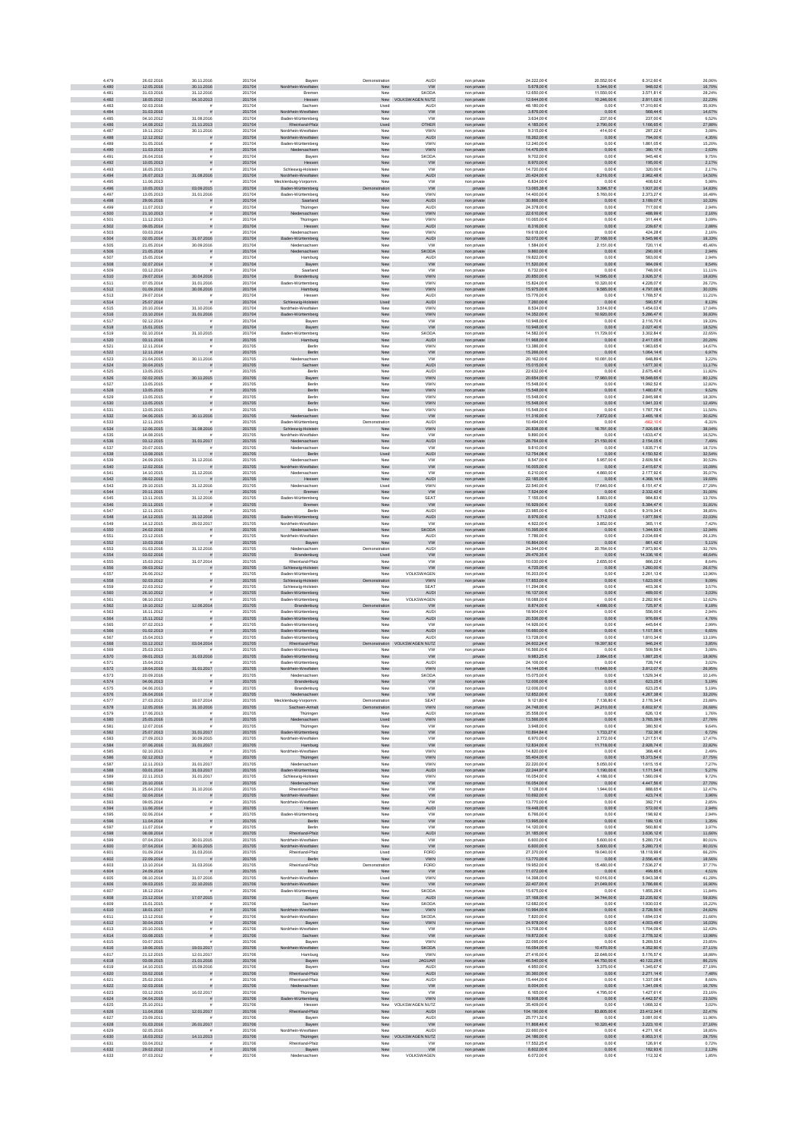| 4.479                   | 26.02.2016                             | 30.11.2016                            | 201704                     | Bayerr                                     | Demonstration                  | AUDI                                      | non private                | 24.222,00 €                              | 20.552,00 €                              | 6.312,60 €                             | 26,06%                   |
|-------------------------|----------------------------------------|---------------------------------------|----------------------------|--------------------------------------------|--------------------------------|-------------------------------------------|----------------------------|------------------------------------------|------------------------------------------|----------------------------------------|--------------------------|
| 4.480                   | 12.05.2016                             | 30.11.2016                            | 201704                     | Nordrhein-Westfalen                        | New                            | <b>VW</b>                                 | non private                | 6.678,00€                                | 5.344,00 €                               | 948,02€                                | 16,70%                   |
| 4.481<br>4.482          | 31.03.2016<br>18.05.2012               | 31.12.2016<br>04.10.2013              | 201704<br>201704           | Bremer<br>Hessen                           | New                            | SKODA<br>New VOLKSWAGEN NUTZ              | non private<br>non private | 12,650.00 €<br>12.644,00 €               | 11.550.00 €<br>10.246,00 €               | 3.571.81 €<br>2.811,02 €               | 28.24%<br>22,23%         |
| 4.483                   | 02.03.2016                             | $\tilde{\mathbf{r}}$                  | 201704                     | Sachsen                                    | Used                           | <b>AUDI</b>                               | non private                | 48.180,00 €                              | $0,00 \in$                               | 17.310,60 €                            | 35,93%                   |
| 4.484<br>4.485          | 31.03.2016<br>04.10.2012               | ø<br>31.08.2016                       | 201704<br>201704           | -Westfalen<br>Nordrh<br>Baden-Württemberg  | New<br>New                     | <b>VW</b><br><b>VW</b>                    | non private<br>non private | 3.876,00 €<br>3.634,00 €                 | $0{,}00 \in$<br>237,00 €                 | $568{,}44 \in$<br>237,00 €             | 14,67%<br>6,52%          |
| 4.486                   | 14.08.2012                             | 21.11.2013                            | 201704                     | Rheinland-Pfalz                            | Used                           | OTHER                                     | non private                | 4.185,00 €                               | 2.790,00 €                               | 1.166,65 €                             | 27,88%                   |
| 4.487<br>4.488          | 19.11.2012<br>12.12.2012               | 30.11.2016                            | 201704<br>201704           | Nordrhein-Westfalen                        | New                            | VWN<br><b>AUDI</b>                        | non private                | 9.315,00 €<br>18.262,00 €                | 414,00 €<br>$0,00 \in$                   | 287,22 €<br>794,00 €                   | 3,08%<br>4,35%           |
| 4.489                   | 31.05.2016                             | $\bar{\pi}$                           | 201704                     | Nordrhein-Westfalen<br>Baden-Württemberg   | New<br>New                     | <b>VWN</b>                                | non private<br>non private | 12,240.00 €                              | 0.00E                                    | 1.861.05€                              | 15.20%                   |
| 4.490                   | 11.03.2013                             | s                                     | 201704                     | Niedersachsen                              | New                            | VWN                                       | non private                | 14.476,00 €                              | $0,00 \in$                               | 380,17€                                | 2,63%                    |
| 4.491<br>4.492          | 26.04.2016<br>10.05.2013               |                                       | 201704<br>201704           | Bayen<br>Hessen                            | New<br>New                     | SKODA<br>W                                | non privat<br>non private  | 9.702,00 €<br>8.970,00 €                 | $0,00 \in$<br>$0{,}00 \in$               | 945,46€<br>195,00 €                    | 9,75%<br>2,17%           |
| 4.493                   | 16.05.2013                             |                                       | 201704                     | Schleswig-Holstein                         | New                            | <b>VW</b>                                 | non private                | 14.720,00 €                              | $0,00 \in$                               | 320,00 €                               | 2,17%                    |
| 4.494<br>4.495          | 26.07.2013<br>11.06.2013               | 31.08.2016                            | 201704<br>201704           | Nordrhein-Westfalen<br>Mecklenburg-Vorpomm | ${\sf New}$<br>New             | AUDI<br><b>VW</b>                         | non private<br>non private | 20.424,00 €<br>6.834,00 €                | 6.216,00 €<br>$0,00 \in$                 | 2.962,48 €<br>408,62 €                 | 14,50%<br>5,98%          |
| 4.496                   | 10.05.2013                             | 03.09.2015                            | 201704                     | Baden-Württemberg                          | Demonstration                  | <b>VW</b>                                 | private                    | 13.065,38 €                              | 5.396,57 €                               | 1.937,20 €                             | 14,83%                   |
| 4.497<br>4.498          | 13.05.2013                             | 31.01.2016                            | 201704<br>201704           | Baden-Württemberg<br>Saarland              | New<br>New                     | <b>VWN</b><br>AUDI                        | non private                | 14,400.00 €<br>30.866,00 €               | 5.760.00 €<br>$0,00 \in$                 | 2.373.27 €                             | 16,48%                   |
| 4.499                   | 29.06.2016<br>11.07.2013               | $\tilde{\pi}$<br>$\tilde{\mathbf{r}}$ | 201704                     | Thüringer                                  | New                            | <b>AUDI</b>                               | non private<br>non private | 24.378,00 €                              | $0,00 \in$                               | 3.189,07 €<br>717,00 €                 | 10,33%<br>2,94%          |
| 4.500                   | 21.10.2013                             | s                                     | 201704                     | Niedersachsen                              | ${\sf New}$                    | <b>VWN</b>                                | non private                | 22.610,00 €                              | $0{,}00 \in$                             | 488,99€                                | 2,16%                    |
| 4.501<br>4.502          | 11.12.2013<br>09.05.2014               |                                       | 201704<br>201704           | Thüringen<br>Hessen                        | New<br>New                     | VWN<br><b>AUDI</b>                        | non private<br>non private | 10.065,00 €<br>8.316,00 €                | $0,00 \in$<br>$0,00 \in$                 | 311,44 €<br>239,67 €                   | 3,09%<br>2,88%           |
| 4.503                   | 03.03.2014                             |                                       | 201704                     | Niedersachsen                              | New                            | VWN                                       | non private                | 19.618,00 €                              | $0,00 \in$                               | 424,28 €                               | 2,16%                    |
| 4.504<br>4.505          | 02.05.2014<br>21.05.2014               | 31.07.2016<br>30.09.2016              | 201704<br>201704           | den-Württemberg<br>Niedersachser           | New<br>New                     | <b>AUDI</b><br><b>VW</b>                  | non private<br>non private | 52.072,00 €<br>1.584.00 €                | 27.168,00 €<br>2.151,00 €                | 9.545,96 €<br>720.11€                  | 18,33%<br>45.46%         |
| 4.506                   | 21.05.2014                             | $\bar{\pi}$                           | 201704                     | Niedersachsen                              | New                            | <b>SKODA</b>                              | non private                | 9.860,00 €                               | $0,00 \in$                               | 290,00 €                               | 2,94%                    |
| 4.507<br>4.508          | 15.05.2014                             |                                       | 201704<br>201704           | Hamburg                                    | New                            | AUDI                                      | non privat                 | 19.822,00 €                              | $0,00 \in$                               | 583,00 6                               | 2,94%                    |
| 4.509                   | 02.07.2014<br>03.12.2014               |                                       | 201704                     | Bayern<br>Saarland                         | New<br>New                     | ${\tt VW}$<br><b>VW</b>                   | non private<br>non private | 11.520,00 €<br>6.732,006                 | $0{,}00 \in$<br>$0,00 \in$               | 984,09 $\in$<br>748,006                | 8,54%<br>11,11%          |
| 4.510                   | 29.07.2014                             | 30.04.2016                            | 201704                     | Brandenburg                                | ${\sf New}$                    | VWN                                       | non private                | 20.850,00 €                              | 14.595,00 €                              | 3.926,37 $\in$                         | 18,83%                   |
| 4.511<br>4.512          | 07.05.2014<br>01.09.2014               | 31.01.2016<br>30.06.2016              | 201704<br>201704           | Baden-Württemberg<br>Hamburg               | New<br>New                     | VWN<br><b>VWN</b>                         | non private<br>non private | 15.824,00 €<br>15.975,00 €               | 10.320,00 €<br>$9.585,00 \in$            | 4.228,07 €<br>4.797,08 €               | 26,72%<br>30,03%         |
| 4.513                   | 29.07.2014                             |                                       | 201704                     | Hesser                                     | New                            | AUDI                                      | non private                | 15,776.00 €                              | 0.006                                    | 1.768.57 €                             | 11.21%                   |
| 4.514<br>4.515          | 25.07.2014<br>20.10.2014               | $\tilde{\pi}$<br>31.10.2016           | 201704<br>201704           | Schleswig-Holstein<br>Nordrhein-Westfaler  | Used<br>New                    | AUDI<br><b>VWN</b>                        | non private<br>non private | 7.260,00 €<br>8,534,00 €                 | $0,00 \in$<br>3.514.00 €                 | 590,57€<br>1.454.03 €                  | 8,13%<br>17.04%          |
| 4.516                   | 23.10.2014                             | 31.01.2016                            | 201704                     | Baden-Württemberg                          | New                            | VWN                                       | non private                | 14.352,00 €                              | 10.920,00 €                              | $5.286,47 \in$                         | 36,83%                   |
| 4.517<br>4.518          | 02.12.2014<br>15.01.2015               | ø                                     | 201704<br>201704           | Bayerr<br>Bayern                           | New<br>${\sf New}$             | w<br><b>VW</b>                            | non private<br>non private | 10.948,00 €<br>10.948,00 €               | $0{,}00 \in$<br>$0{,}00 \in$             | 2.116,70 €<br>2.027,40 €               | 19,33%<br>18,52%         |
| 4.519                   | 02.10.2014                             | 31.10.2015                            | 201704                     | Baden-Württemberg                          | New                            | SKODA                                     | non private                | 14.582,00 €                              | 11.729,00 €                              | 3.302,84 €                             | 22,65%                   |
| 4.520<br>4.521          | 03.11.2016<br>12.11.2014               | ø                                     | 201705<br>201705           | Hamburg<br>Berlin                          | New<br>New                     | AUDI<br>VWN                               | non private<br>non private | 11.968,00 €<br>13.386,00 €               | $0,00 \in$<br>0,006                      | 2.417,05 €<br>1.963,65€                | 20,20%<br>14,67%         |
| 4.522                   | 12.11.2014                             |                                       | 201705                     | Berlin                                     | New                            | <b>VW</b>                                 | non private                | 15,266,00 €                              | $0.00 \in$                               | 1.064,14 €                             | 6,97%                    |
| 4.523                   | 21.04.2015                             | 30.11.2016                            | 201705                     | Niedersachser                              | New                            | <b>VW</b>                                 | non private                | 20.162.00 €                              | 10.081,00 €                              | 648.89€                                | 3.22%                    |
| 4.524<br>4.525          | 30.04.2015<br>13.05.2015               |                                       | 201705<br>201705           | Sachsen<br>Berlin                          | ${\sf New}$<br>New             | <b>AUDI</b><br><b>AUDI</b>                | non private<br>non privat  | 15.015,00 €<br>22.632,00 €               | $0{,}00 \in$<br>$0,00 \in$               | 1.677,30 €<br>2.675,40                 | 11,17%<br>11,82%         |
| 4.526                   | 02.02.2015                             | 30.11.2015                            | 201705                     | Bayern                                     | New                            | VWN                                       | non private                | 20.654,00 €                              | 17.960,00 €                              | 16.548,65 €                            | 80,12%                   |
| 4.527<br>4.528          | 13.05.2015<br>13.05.2015               | $\tilde{\pi}$                         | 201705<br>201705           | Berlin<br>Berlin                           | New<br>New                     | VWN<br><b>VWN</b>                         | non private<br>non private | 15.548,00 €<br>15.548,00 €               | $0,00 \in$<br>$0,00 \in$                 | 1.992,526<br>1.480,67 €                | 12,82%<br>9,52%          |
| 4.529                   | 13.05.2015                             | $\bar{z}$                             | 201705                     | Berlin                                     | New                            | VWN                                       | non private                | 15.548,00 €                              | $0,00 \in$                               | 2.845,98 €                             | 18,30%                   |
| 4.530<br>4.531          | 13.05.2015<br>13.05.2015               | $\tilde{\pi}$                         | 201705<br>201705           | Berlin<br>Berlin                           | New<br>New                     | <b>VWN</b><br><b>VWN</b>                  | non private<br>non private | 15.548,00 €<br>15,548.00 €               | $0,00 \in$<br>0.00E                      | 1.941.33 €<br>1.787.78€                | 12,49%<br>11.50%         |
| 4.532                   | 04.06.2015                             | 30.11.2016                            | 201705                     | Niedersachsen                              | New                            | ${\sf VW}$                                | non private                | 11.316,00 €                              | 7.872,00 €                               | $3.465,18 \in$                         | 30,62%                   |
| 4.533                   | 12.11.2015                             |                                       | 201705                     | Baden-Württemberg                          | Demonstration                  | <b>AUDI</b>                               | non private                | 10.494,00 €                              | $0,00 \in$                               | $-662, 106$                            | $-6,31%$                 |
| 4.534<br>4.635          | 12.06.2015<br>14.08.2015               | 31.08.2016                            | 201705<br>201705           | Schleswig-Holstein<br>Nordrhein-Westfalen  | New<br>New                     | <b>VWN</b><br><b>VW</b>                   | non private<br>non private | 20.838,00 €<br>9.890,00 €                | 16.761,00 €<br>0,006                     | 7.926,68 €<br>1.633,47 €               | 38,04%<br>16,52%         |
| 4.536                   | 03.12.2015                             | 31.01.2017                            | 201705                     | Niedersachsen                              | New                            | AUDI                                      | non private                | 28.764,00 €                              | 21.150,00 €                              | 2.154,05€                              | 7,49%                    |
| 4.537<br>4.538          | 20.07.2015<br>13.08.2015               |                                       | 201705<br>201705           | Niedersachsen<br>Berlin                    | New<br>Used                    | <b>VW</b><br><b>AUDI</b>                  | non private<br>non private | 9.810,00 €<br>12.754.08 €                | $0,00 \in$<br>$0.00 \in$                 | 1.835,71€<br>4.150,52 €                | 18,71%<br>32,54%         |
| 4.539                   | 24.09.2015                             | 31.12.2016                            | 201705                     | Niedersachser                              | New                            | <b>VW</b>                                 | non private                | 8.547.00 €                               | 5.957.00 €                               | 2,609.566                              | 30.53%                   |
| 4.540<br>4.541          | 12.02.2016<br>14.10.2015               |                                       | 201705<br>201705           | drhein-Westfalen                           | New<br>New                     | <b>VW</b><br><b>VW</b>                    | non private                | 16.005,00 €<br>6.210,00 €                | $0,00 \in$                               | 2.415,67 €<br>2.177,92 €               | 15,09%                   |
| 4.542                   | 09.02.2016                             | 31.12.2016                            | 201705                     | Niedersachser<br>Hessen                    | ${\sf New}$                    | <b>AUDI</b>                               | non private<br>non private | 22.185,00 €                              | 4.860,00 €<br>$0,00 \in$                 | $4.368,14€$                            | 35,07%<br>19,69%         |
| 4.543                   | 29.10.2015                             | 31.12.2016                            | 201705                     | Niedersachser                              | Used                           | VWN                                       | non private                | 22.540,00 €                              | 17.640,00 €                              | 6.151,476                              | 27,29%                   |
| 4.544<br>4.545          | 20.11.2015<br>13.11.2015               | 31.12.2016                            | 201705<br>201705           | Bremen<br>Baden-Württemberg                | New<br>New                     | <b>VW</b><br>SEAT                         | non private<br>non private | 7.524,00 €<br>7.155,00 €                 | $0,00 \in$<br>5.883,00 €                 | 2.332,42 €<br>984,83€                  | 31,00%<br>13,76%         |
| 4.546                   | 20.11.2015                             | $\bar{\pi}$                           | 201705                     | Bremen                                     | New                            | <b>VW</b>                                 | non private                | 16.929,00 €                              | $0,00 \in$                               | 5.384,47 €                             | 31,81%                   |
| 4.547<br>4.548          | 12.11.2015<br>14.12.2015               | 31.12.2016                            | 201705<br>201705           | Berlin<br>Baden-Württemberg                | New<br>New                     | AUDI<br>AUDI                              | non private<br>non private | 23,985.00 €<br>8.976,00 €                | 0.00E<br>$6.712{,}00€$                   | 9.319.34 €<br>$1.977,59 \in$           | 38.85%<br>22,03%         |
| 4.549                   | 14.12.2015                             | 28.02.2017                            | 201705                     | Nordrhein-Westfalen                        | New                            | <b>VW</b>                                 | non private                | 4.922,00 €                               | 3.852,00 €                               | 365,11€                                | 7,42%                    |
| 4.550<br>4.551          | 24.02.2016<br>23.12.2015               |                                       | 201705<br>201705           | Niedersachsen<br>Nordrhein-Westfaler       | ${\sf New}$<br>New             | SKODA<br>AUDI                             | non private<br>non private | 10.395,00 €<br>7.786,00 €                | $0{,}00 \in$<br>$0,00 \in$               | $1.344,93 \in$<br>2.034,69 €           | 12,94%<br>26,13%         |
| 4.552                   | 10.03.2016                             |                                       | 201705                     | Bayern                                     | New                            | ww                                        | non private                | 16.864,00 €                              | $0,00 \in$                               | 861,42 €                               | 5,11%                    |
| 4.553<br>4.554          | 01.03.2016<br>03.02.2016               | 31.12.2016                            | 201705<br>201705           | Niedersachsen                              | Demonstration                  | AUDI<br>ww                                | non private                | 24.344,00 €<br>29.476,35 €               | 20.764,00 €                              | 7.973,90 €<br>14.336,16 €              | 32,76%<br>48,64%         |
| 4.555                   | 15.03.2012                             | 31.07.2014                            | 201705                     | Brandenburg<br>Rheinland-Pfalz             | Used<br>New                    | <b>VW</b>                                 | non private<br>non private | 10.030.00 €                              | $0,00 \in$<br>2.655.00 €                 | 866.22€                                | 8.64%                    |
| 4.556                   | 09.03.2012                             |                                       | 201705                     | Schleswig-Holstein                         | New                            | <b>VW</b>                                 | non private                | 4.725,00 €                               | $0,00 \in$                               | 1.260,00 €                             | 26,67%                   |
| 4.557<br>4.558          | 26.06.2012<br>02.03.2012               |                                       | 201705<br>201705           | Baden-Württemberg<br>Schleswig-Holstein    | New<br>tration                 | VOLKSWAGEN<br>VWN                         | non privat<br>non private  | 16.203,00 €<br>17.853,00 €               | $0,00 \in$<br>$0{,}00 \in$               | 2.261,13€<br>1.623,00 €                | 13,96%<br>$9,09\%$       |
| 4.559                   | 22.03.2012                             |                                       | 201705                     | Schleswig-Holstein                         | New                            | SEAT                                      | private                    | 11.294,08 €                              | $0,00 \in$                               | 403,366                                | 3,57%                    |
| 4.560<br>4.561          | 26.10.2012<br>08.10.2012               | s                                     | 201705<br>201705           | Baden-Württemberg<br>Baden-Württemberg     | ${\sf New}$<br>New             | <b>AUDI</b><br>VOLKSWAGEN                 | non private<br>non private | 16.137,00 €<br>18.088,00 €               | $0{,}00 \in$<br>$0,00 \in$               | 489,00€<br>2.282,90 €                  | 3,03%<br>12,62%          |
| 4.562                   | 19.10.2012                             | 12.06.2014                            | 201705                     | Brandenburg                                | Demonstration                  | <b>VW</b>                                 | non private                | 8.874,00 €                               | 698,00 €                                 | 725,97€                                | 8,18%                    |
| 4.563                   |                                        |                                       |                            |                                            |                                |                                           | non private                | 18,904.00 €                              | 0.00E                                    | 556.00€                                | 2.94%                    |
|                         | 16.11.2012                             | $\mathbf{r}$                          | 201705                     | Baden-Württemberg                          | New                            | AUDI                                      |                            |                                          |                                          |                                        |                          |
| 4.564<br>4.565          | 15.11.2012<br>07.02.2013               | $\tilde{\pi}$<br>$\bar{\pi}$          | 201705<br>201705           | Baden-Württemberg<br>Baden-Württemberg     | New<br>New                     | AUDI<br><b>VW</b>                         | non private<br>non private | 20.536,00 €<br>14.926,00 €               | $0,00 \in$<br>$0,00 \in$                 | 976,69€<br>445,64 €                    | 4,76%<br>2,99%           |
| 4.566                   | 01.02.2013                             | s                                     | 201705                     | Baden-Württemberg                          | New                            | AUDI                                      | non private                | 16.660,00 €                              | $0{,}00 \in$                             | 1.107,56 €                             | 6,65%                    |
| 4.567<br>4.568          | 15.04.2013<br>03.12.2012               |                                       | 201705<br>201705           | Baden-Württemberg<br>Rheinland-Pfalz       | New                            | <b>AUDI</b><br><b>NUTZ</b>                | non private<br>private     | 13.728,00 €<br>24.602,24 €               | $0,00 \in$<br>19.397,92 €                | 1.810,34 €<br>946,24 €                 | 13,19%<br>3,85%          |
| 4.569                   | 25.03.2013                             | 03.04.2014                            | 201705                     | Baden-Württemberg                          | ration<br>New                  | <b>VW</b>                                 | non private                | 16.566,00 €                              | $0,00 \in$                               | 509,59€                                | 3,08%                    |
| 4.570<br>4.571          | 09.01.2013<br>15.04.2013               | 31.03.2016                            | 201705<br>201705           | Baden-Württemberg                          | New<br>New                     | <b>VW</b><br>AUDI                         | private                    | 9.983,25€<br>24.106.00 €                 | 2.884,05€<br>0.006                       | 1.887,25€<br>728.74€                   | 18,90%<br>3.02%          |
| 4.572                   | 19.04.2016                             | 31.01.2017                            | 201705                     | Baden-Württemberg<br>Nordrhein-Westfalen   | New                            | VWN                                       | non private<br>non private | 14.144.00 €                              | 11.648,00 €                              | 3.812,07 €                             | 26,95%                   |
| 4.573                   | 20.09.2016                             |                                       | 201705                     | Niedersachser                              | New                            | <b>SKODA</b>                              | non privat                 | 15.075,00 €                              | $0,00 \in$                               | 1.529,346                              | 10,14%                   |
| 4.574<br>4.575          | 04.06.2013<br>04.06.2013               | ă                                     | 201705<br>201705           | Brandenburg<br>Brandenburg                 | New<br>New                     | <b>VW</b><br><b>VW</b>                    | non private<br>non private | 12.006,00 €<br>12.006,00 €               | $0{,}00 \in$<br>$0,00 \in$               | 623,25€<br>623,256                     | 5,19%<br>5,19%           |
| 4.576                   | 26.04.2016                             |                                       | 201705                     | Niedersachsen                              | New                            | <b>VW</b>                                 | non private                | 12.852,00 €                              | $0,00 \in$                               | 4.267,38 €                             | 33,20%                   |
| 4.577<br>4.578          | 27.03.2013<br>12.05.2016               | 18.07.2014<br>31.10.2016              | 201705<br>201705           | Mecklenburg-Vorpomm<br>Sachsen-Anhalt      | Demonstration<br>Demonstration | SEAT<br><b>VWN</b>                        | private<br>non private     | 9.121,80 €<br>24.748,00 €                | 7.138,80 €<br>24.210,00 €                | 2.178,34 €<br>6.602,97 €               | 23,88%<br>26,68%         |
| 4.579                   | 17.06.2013                             | £.                                    | 201705                     | Thüringer                                  | New                            | AUDI                                      | non private                | 35,558.00 €                              | 0.00E                                    | 626.13€                                | 1.76%                    |
| 4.580<br>4.581          | 25.05.2016<br>12.07.2016               | $\tilde{\pi}$<br>£.                   | 201705<br>201705           | Niedersachsen<br>Thüringen                 | Used<br>New                    | <b>VWN</b><br><b>VW</b>                   | non private<br>non private | 13.566,00 €<br>3,948,00 €                | $0,00 \in$<br>0.00E                      | 3.765,39 €<br>380.50 €                 | 27,76%<br>9.64%          |
| 4.582                   | 25.07.2013                             | 31.01.2017                            | 201705                     | Baden-Württemberg                          | New                            | ${\tt VW}$                                | non private                | 10.894,84 $\in$                          | 1.733,27 €                               | 732,36 $\in$                           | 6,72%                    |
| 4.583                   | 27.09.2013                             | 30.09.2015                            | 201705<br>201705           | Nordrhein-Westfalen<br>Hamburg             | New<br>New                     | <b>VW</b><br><b>VW</b>                    | non private                | 6.970,00 €                               | 2.772,00 €<br>11.718,00 €                | 1.217,51 €                             | 17,47%                   |
| 4.584<br>4.585          | 07.06.2016<br>02.10.2013               | 31.01.2017                            | 201705                     | Nordrhein-Westfalen                        | New                            | VWN                                       | non private<br>non private | 12.834,00 €<br>14.820,00 €               | $0,00 \in$                               | 2.928,74 €<br>368,46 €                 | 22,82%<br>2,49%          |
| 4.586<br>4.587          | 02.12.2013<br>12.11.2013               | $\bar{\pi}$<br>31.01.2017             | 201705<br>201705           | Thüringen<br>Niedersachsen                 | New<br>New                     | <b>VWN</b><br><b>VWN</b>                  | non private<br>non private | 55.404,00 €<br>22.220,00 €               | $0{,}00 \in$<br>5.050,00 €               | 15.373,54 €<br>1.615,15€               | 27,75%<br>7,27%          |
| 4.588                   | 03.01.2014                             | 31.03.2017                            | 201705                     | Baden-Württemberg                          | New                            | AUDI                                      | non private                | 22.244.97 €                              | 1.190,00 €                               | 1.171,54 €                             | 5,27%                    |
| 4.589<br>4.590          | 22.11.2013<br>20.10.2016               | 31.01.2017                            | 201705<br>201705           | Schleswig-Holstein<br>Niedersachsen        | New<br>New                     | <b>VWN</b><br>${\sf VW}$                  | non private<br>non private | 16.054.00 €<br>16.054,00 €               | 4.188,00 €<br>$0,00 \in$                 | 1.560.09 €<br>4.447,56 €               | 9,72%<br>27,70%          |
| 4.591                   | 25.04.2014                             | 31.10.2016                            | 201705                     | Rheinland-Pfalz                            | Nev                            | <b>VW</b>                                 | non private                | 7.128,00 €                               | 1.944,00 €                               | 888,65€                                | 12,47%                   |
| 4.592<br>4.593          | 02.04.2014<br>09.05.2014               | $\tilde{\pi}$                         | 201705<br>201705           | Nordrhein-Westfalen<br>Nordrhein-Westfalen | ${\sf New}$<br>New             | ${\sf VW}$<br><b>VW</b>                   | non private<br>non private | 10.692,00 €<br>13.770,00 €               | $0,00 \in$<br>$0,00 \in$                 | 423,74 €<br>392,71€                    | 3,96%<br>2,85%           |
| 4.594                   | 11.06.2014                             | $\tilde{\pi}$                         | 201705                     | Hessen                                     | New                            | AUDI                                      | non private                | 19.448,00 €                              | $0,00 \in$                               | 572,00 €                               | 2,94%                    |
| 4.595<br>4.596          | 02.06.2014<br>11.04.2014               | $\bar{z}$<br>$\tilde{\pi}$            | 201705<br>201705           | Baden-Württemberg<br>Berlin                | New                            | <b>VW</b>                                 | non private                | 6.766,00 €<br>13,995,00 €                | $0,00 \in$<br>$0,00 \in$                 | 198,92€<br>189,13€                     | 2,94%<br>1,35%           |
| 4.597                   | 11.07.2014                             | £.                                    | 201705                     | Berlin                                     | New<br>New                     | <b>VW</b><br><b>VW</b>                    | non private<br>non private | 14.120.00 €                              | 0.00E                                    | 560.80 €                               | 3.97%                    |
| 4.598<br>4.599          | 08.08.2014                             | 30.01.2015                            | 201705<br>201705           | Rheinland-Pfalz                            | ${\sf New}$<br>New             | AUDI<br><b>VW</b>                         | non private                | 31.185,00 €<br>6.600,00 €                | $0{,}00 \in$                             | $3.636, 12 \in$                        | 11,66%                   |
| 4.600                   | 07.04.2014<br>07.04.2014               | 30.01.2015                            | 201705                     | Nordrhein-Westfalen<br>drhein-Westfalen    | New                            | <b>VW</b>                                 | non private<br>non private | 6.600,00 €                               | 5.600,00 €<br>5.600,00 €                 | $6.280,73 \in$<br>5.280,73€            | 80,01%<br>80,01%         |
| 4.601                   | 01.09.2014                             | 31.03.2016                            | 201705                     | Rheinland-Pfalz                            | Used                           | FORD                                      | non private                | 27.370,00 €                              | 19.040,00 €                              | 18.118,99 €                            | 66,20%                   |
| 4.602<br>4.603          | 22.09.2014<br>13.10.2014               | $\mathbf{r}$<br>31.03.2016            | 201705<br>201705           | Berlin<br>Rheinland-Pfalz                  | New<br>Demonstration           | <b>VWN</b><br>FORD                        | non private<br>non private | 13.770,00 €<br>19.952,00 €               | $0,00 \in$<br>15.480,00 €                | $2.556,40 \in$<br>7.536,27 €           | 18,56%<br>37,77%         |
| 4.604                   | 24.09.2014                             |                                       | 201705                     | Berlin                                     | New                            | <b>VW</b>                                 | non private                | 11.072.00 €                              | $0.00 \in$                               | 499.85€                                | 4.51%                    |
| 4.605<br>4.606          | 08.10.2014<br>09.03.2015               | 31.07.2016<br>22.10.2015              | 201705<br>201706           | Nordrhein-Westfaler<br>Nordrhein-Westfalen | Used<br>New                    | <b>VWN</b><br><b>VW</b>                   | non private<br>non private | 14.398.00 €<br>22.407,00 €               | 10.016.00 €<br>21.049,00 €               | 5.943.38 €<br>$3.786, 66 \in$          | 41.28%<br>16,90%         |
| 4.607                   | 18.12.2014                             |                                       | 201706                     | Baden-Württemberg                          | New                            | <b>SKODA</b>                              | non private                | 15.675,00 €                              | $0,00 \in$                               | 1.855,296                              | 11,84%                   |
| 4.608<br>4.609          | 23.12.2014<br>15.01.2015               | 17.07.2015<br>$\bar{z}$               | 201706<br>201706           | Bayern<br>Sachser                          | New<br>New                     | AUDI<br><b>SKODA</b>                      | non private<br>non private | 37.168,00 €<br>12.682,00 €               | 34.744,00 €<br>$0,00 \in$                | 22.235,92 €<br>1.930,03 €              | 59,83%<br>15,22%         |
| 4.610                   | 18.01.2017                             | $\tilde{\pi}$                         | 201706                     | Nordrhein-Westfalen                        | New                            | <b>VWN</b>                                | non private                | 10,994,00 €                              | $0,00 \in$                               | 2.728,50 €                             | 24,82%                   |
| 4.611                   | 13.12.2016                             | $\mathbf{r}$                          | 201706                     | Nordrhein-Westfalen                        | New                            | SKODA                                     | non private                | 7.820.00 €                               | 0.00E                                    | 1.694.03 €                             | 21.66%                   |
| 4.612<br>4.613          | 30.04.2015<br>20.10.2016               | $\tilde{\pi}$<br>$\tilde{\mathbf{r}}$ | 201706<br>201706           | Bayern<br>Nordrhein-Westfalen              | New<br>New                     | VWN<br><b>VW</b>                          | non private<br>non private | 24.978,00 €<br>13.708,00 €               | $0,00 \in$<br>$0,00 \in$                 | $4.003,49 \in$<br>1.704,09 €           | 16,03%<br>12,43%         |
| 4.614                   | 03.08.2015                             | s                                     | 201706                     | Sachsen                                    | New                            | <b>VW</b>                                 | non private                | 19.872,00 €                              | $0{,}00 \in$                             | 2.778,32 €                             | 13,98%                   |
| 4.615<br>4.616          | 03.07.2015<br>19.06.2015               | 19.01.2017                            | 201706<br>201706           | Bayern<br>rdrhein-Westfalen                | New<br>New                     | VWN<br><b>SKODA</b>                       | non private<br>non private | 22.095,00 €<br>16.054,00 €               | $0,00 \in$<br>10.470,00 €                | 5.269,53€<br>4.352,90 €                | 23,85%<br>27,11%         |
| 4.617                   | 21.12.2015                             | 12.01.2017                            | 201706                     | Hamburg                                    | New                            | VWN                                       | non private                | 27.416,00 €                              | 22.648,00 €                              | 5.176,57 €                             | 18,88%                   |
| 4.618<br>4.619          | 03.08.2015<br>14.10.2015               | 21.01.2016<br>15.09.2016              | 201706<br>201706           | Bayern<br>Bayerr                           | Used<br>New                    | <b>JAGUAR</b><br><b>AUDI</b>              | non private<br>non private | 46.540.00 €<br>4.950.00 €                | 44.750.00 €<br>3.375.00 €                | 40.122.29 €<br>1.345.67 €              | 86.21%<br>27.19%         |
| 4.620                   | 03.02.2016                             | $\bar{z}$<br>$\dot{a}$                | 201706                     | and-Pfalz                                  | ${\sf New}$                    | <b>AUDI</b>                               | non private                | 30.360,00 €                              | $0,00 \in$                               | $2.271,14 \in$                         | 7,48%                    |
| 4.621<br>4.622          | 25.02.2016<br>02.03.2016               |                                       | 201706<br>201706           | Rheinland-Pfalz<br>Niedersachsen           | New<br>New                     | AUDI<br><b>VW</b>                         | non privat<br>non private  | 15.444,00 €<br>8.004,00 €                | 0,006<br>$0,00 \in$                      | 1.337,086<br>1.341,09 €                | 8,66%<br>16,76%          |
| 4.623                   | 03.12.2015                             | 16.02.2017                            | 201706                     | Thüringer                                  | New                            | <b>VW</b>                                 | non private                | 6.165,00 €                               | 4.795,00 €                               | 1.427,61 €                             | 23,16%                   |
| 4.624<br>4.625          | 04.04.2016<br>25.10.2011               | $\bar{\pi}$                           | 201706<br>201706           | Baden-Württemberg<br>Hesser                | New                            | <b>VWN</b><br>New VOLKSWAGEN NUTZ         | non private<br>non private | 18.908,00 €<br>35.409,00 €               | $0,00 \in$<br>$0,00 \in$                 | 4.442,57 €<br>1.068,32 €               | 23,50%<br>3,02%          |
| 4.626                   | 11.04.2016                             | 12.01.2017                            | 201706                     | land-Pfalz                                 | New                            | <b>AUDI</b>                               | non private                | 104.190.00 €                             | 83.805,00 €                              | 23.412.34 €                            | 22,47%                   |
| 4.627<br>4.628          | 23.09.2011<br>01.03.2016               | 26.01.2017                            | 201706<br>201706           | Bayern<br>Bayern                           | New<br>New                     | AUDI<br>ww                                | private<br>non private     | 25.771.32 €<br>11.868,46 $\in$           | 0.00E<br>10.320,40 €                     | 3.081.00 €<br>3.223,10 €               | 11.96%<br>27,16%         |
| 4.629                   | 02.05.2016                             |                                       | 201706                     | Nordrhein-Westfaler                        | New                            | <b>AUDI</b>                               | non private                | 22,660.00 €                              | $0,00 \in$                               | 4.271,16 €                             | 18,85%                   |
| 4.630<br>4.631<br>4.632 | 16.03.2012<br>03.04.2012<br>29.02.2012 | 14.11.2013                            | 201706<br>201706<br>201706 | Thüringen<br>Rheinland-Pfalz<br>Bayern     | New<br>New<br>New              | VOLKSWAGEN NUTZ<br><b>VW</b><br><b>VW</b> | non private<br>non private | 24.186,00 €<br>17.552,25 €<br>8.602,00 € | $0{,}00 \in$<br>$0,00 \in$<br>$0,00 \in$ | 6.953,31 $\in$<br>126,91 €<br>182,93 € | 28,75%<br>0,72%<br>2,13% |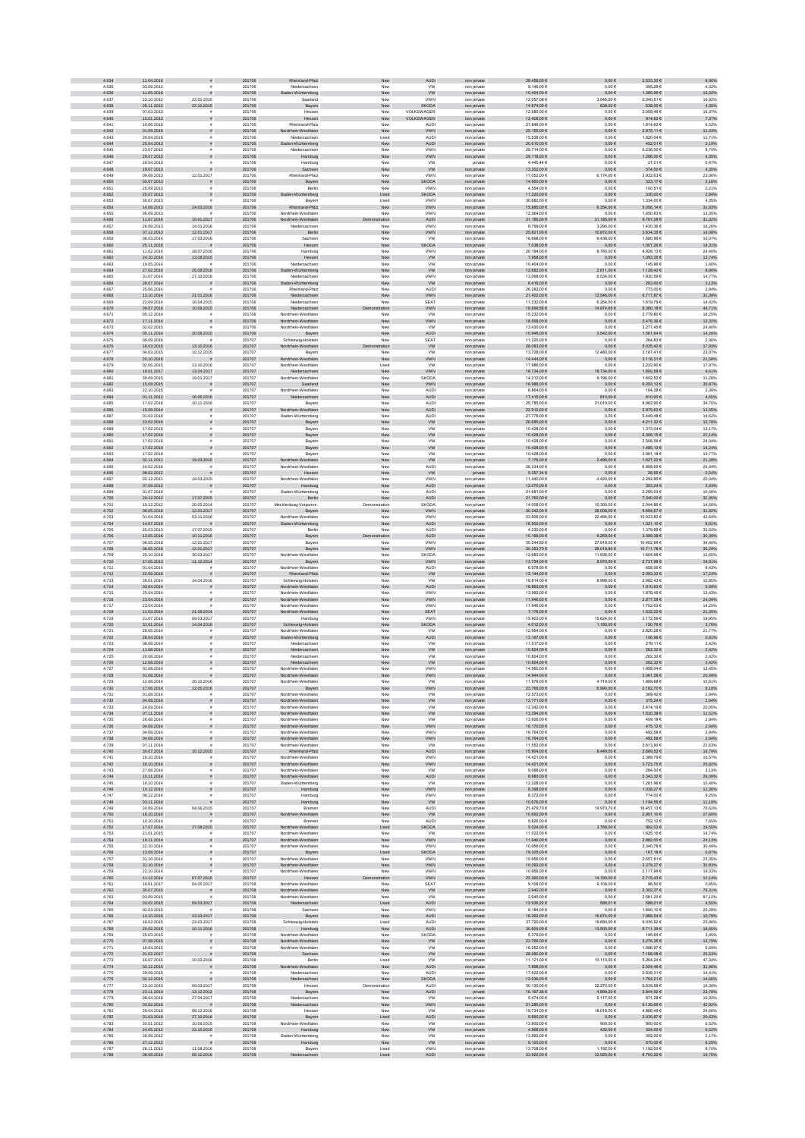| 4.634          | 11.04.2016               |                            | 201706           | Rheinland-Pfalz                                      | New                | <b>AUDI</b>                | non private                | 28.458,00 €                    | $0,00 \in$                   | 2.533,30 €                   | 8,90%            |
|----------------|--------------------------|----------------------------|------------------|------------------------------------------------------|--------------------|----------------------------|----------------------------|--------------------------------|------------------------------|------------------------------|------------------|
| 4.635          | 03.09.2012               |                            | 201706           | Niedersachser                                        | New                | <b>VW</b>                  | non private                | 9.146,00 €                     | $0,00 \in$                   | 395,29 €                     | 4,32%            |
| 4.636<br>4.637 | 11.05.2016<br>23.10.2012 | 22.01.2015                 | 201706<br>201706 | Baden-Württemberg<br>Saarland                        | New<br>New         | <b>VW</b><br><b>VWN</b>    | non private<br>non private | 10.404.00 €<br>12.057.08 €     | $0.00 \in$<br>3.546.20 €     | 1.385.99 €<br>2.040.51 €     | 13,32%<br>16.92% |
| 4.638          | 05.11.2012               | 22.10.2015                 | 201706           | Bayern                                               | New                | <b>SKODA</b>               | non private                | 14.674,00 €                    | 638,00 $\in$                 | 638,00 €                     | 4,35%            |
| 4.639          | 07.03.2013               |                            | 201706           | Hesser                                               | New                | VOLKSWAGEN                 | non privat                 | 12.580,00 €                    | $0,00 \in$                   | 2.059,466                    | 16,37%           |
| 4.640          | 15.01.2013               |                            | 201706           | Hessen                                               | New                | VOLKSWAGEN                 | non private                | 12.408,00 €                    | $0,00 \in$                   | 914,62€                      | 7,37%            |
| 4.641          | 16.06.2016               |                            | 201706           | Rheinland-Pfalz                                      | New                | <b>AUD</b>                 | non private                | 27.846,00 €                    | 0,006                        | 1.814,62 €                   | 6,52%            |
| 4.642<br>4.643 | 01.09.2016<br>29.04.2016 | $\tilde{\pi}$              | 201706<br>201706 | Nordrhein-Westfalen<br>Niedersachser                 | New<br>Used        | <b>VWN</b><br>AUDI         | non private<br>non private | 25.155,00 €<br>15.538,00 €     | $0,00 \in$<br>$0,00 \in$     | 2.875,11 €<br>1.820,04 €     | 11,43%<br>11,71% |
| 4.644          | 25.04.2013               |                            | 201706           | Baden-Württemberg                                    | New                | <b>AUDI</b>                | non private                | 20.610,00 €                    | $0,00 \in$                   | 452,01€                      | 2,19%            |
| 4.645          | 23.07.2013               | $\tilde{\mathbf{r}}$       | 201706           | Niedersachser                                        | New                | <b>VWN</b>                 | non private                | 25.714.00 €                    | 0.00E                        | 2.236.00 €                   | 8,70%            |
| 4.646          | 29.07.2013               |                            | 201706           | Hamburg                                              | New                | VWN                        | non private                | 29.118,00 €                    | $0{,}00 \in$                 | 1.266,00 €                   | 4,35%            |
| 4.647<br>4.648 | 18.04.2013<br>19.07.2013 |                            | 201706<br>201706 | Hamburg<br>Sachsen                                   | New<br>New         | <b>VW</b><br><b>VW</b>     | private                    | 4.445,44 €<br>13.202,00 €      | 0,00 €<br>$0,00 \in$         | 21,01€<br>574,00 €           | 0,47%<br>4,35%   |
| 4.649          | 09.09.2013               | 12.01.2017                 | 201706           | Rheinland-Pfalz                                      | New                | VWN                        | non private<br>non private | 17.052,00 €                    | 6.174,00 €                   | 3.932,63 €                   | 23,06%           |
| 4.650          | 02.07.2013               |                            | 201706           | Bayern                                               | New                | <b>SKODA</b>               | non private                | 14.950,00 €                    | $0,00 \in$                   | 323,17€                      | 2,16%            |
| 4.651          | 25.09.2013               |                            | 201706           | Berlin                                               | New                | VWN                        | non private                | 4.554,00 €                     | 0,006                        | 100,51€                      | 2,21%            |
| 4.652          | 25.07.2013               |                            | 201706           | Baden-Württemberg                                    | Used               | <b>SKODA</b>               | non private                | 11.220.00 €                    | $0,00 \in$                   | 330,00 €                     | 2,94%            |
| 4.653          | 30.07.2013               |                            | 201706           | Baven                                                | Used               | <b>VWN</b>                 | non private                | 30,682.00 €                    | 0.006                        | 1.334.00 €                   | 4.35%            |
| 4.654<br>4.655 | 14.08.2013<br>06.09.2013 | 24.03.2016                 | 201706<br>201706 | nd-Pfalz<br>Rhein<br>Nordrhein-Westfale              | New<br>Nev         | VWN<br>VWN                 | non private<br>non privat  | 15.885,00 €<br>12.364,00 €     | $6.354,00 \in$<br>$0,00 \in$ | $5.056, 14 \in$<br>1.650,836 | 31,83%<br>13,35% |
| 4.656          | 11.07.2016               | 19.01.2017                 | 201706           | Nordrhein-Westfalen                                  | ration             | AUDI                       | non private                | 31.185,00 €                    | 31.185,00 €                  | 9.767,28 €                   | 31,32%           |
| 4.657          | 26.09.2013               | 14.01.2016                 | 201706           | Niedersachser                                        | New                | VWN                        | non private                | 8.799,006                      | 3.290,00 €                   | 1.430,36 €                   | 16,26%           |
| 4.658          | 07.12.2013               | 12.01.2017                 | 201706           | Berlin                                               | New                | <b>VWN</b>                 | non private                | 25.821,00 €                    | 10.872,00 €                  | $3.634,35 \in$               | 14,08%           |
| 4.659          | 06.03.2014               | 17.03.2016                 | 201706           | Sachsen                                              | New                | <b>VW</b>                  | non private                | 16.698,00 €                    | 9.438,00 €                   | 1.680,96 €                   | 10,07%           |
| 4.660<br>4.661 | 25.11.2016<br>11.02.2014 | $\mathbf{H}$<br>28.07.2016 | 201706<br>201706 | Hessen<br>Hamburg                                    | New<br>New         | <b>SKODA</b><br><b>VWN</b> | non private<br>non private | 7.038,00 €<br>20.194.00 €      | $0,00 \in$<br>8.780.00 €     | 1.007,26 €<br>4.928.13 €     | 14,31%<br>24.40% |
| 4.662          | 24.10.2014               | 13.08.2015                 | 201706           | Hessen                                               | New                | <b>VW</b>                  | non private                | 7.958,00 €                     | $0{,}00 \in$                 | 1.093,35 €                   | 13,74%           |
| 4.663          | 19.05.2014               |                            | 201706           | Niedersachsen                                        | New                | <b>VW</b>                  | non private                | 10.404,00 €                    | $0,00 \in$                   | 145,96 €                     | 1,40%            |
| 4.664          | 27.02.2014               | 25.08.2016                 | 201706           | en-Württemberg                                       | New                | <b>VW</b>                  | non private                | 12.682,00 €                    | 2.611,00 €                   | 1.128,42 €                   | 8,90%            |
| 4.665<br>4.666 | 31.07.2014<br>28.07.2014 | 27.10.2016                 | 201706<br>201706 | Niedersachser                                        | New                | VWN<br><b>VW</b>           | non private                | 13.068,00 €<br>8.416,00 €      | 6.534,00 €<br>$0{,}00 \in$   | 1.930,59 €<br>263,00 €       | 14,77%<br>3,13%  |
| 4.667          | 25.06.2014               |                            | 201706           | den-Württemberg<br>Rheinland-Pfalz                   | New<br>New         | <b>AUDI</b>                | non private<br>non private | 26.282,00 €                    | 0,006                        | 773,00 €                     | 2,94%            |
| 4.668          | 13.10.2014               | 21.01.2016                 | 201706           | Niedersachsen                                        | New                | <b>VWN</b>                 | non private                | 21.402.00 €                    | 12.546.00 €                  | 6.717.87 €                   | 31,39%           |
| 4.669          | 22.09.2014               | 16.04.2015                 | 201706           | Niedersachser                                        | New                | <b>SEAT</b>                | non private                | 11.232.00 €                    | 6.264.00 €                   | 1.619.79 €                   | 14.42%           |
| 4.670          | 09.07.2014               | 10.09.2015                 | 201706           | Niedersachsen                                        | tration            | <b>VWN</b>                 | non private                | 18.699,56 €                    | 14.874,65 €                  | 8.360,18€                    | 44,71%           |
| 4.671<br>4.672 | 05.12.2014<br>17.11.2014 |                            | 201706<br>201706 | Nordrhein-Westfale<br>Nordrhein-Westfalen            | New<br>New         | <b>VW</b><br>VWN           | non privat<br>non private  | 15.232,00 €<br>18.598,00 $\in$ | $0,00 \in$<br>$0{,}00 \in$   | 2.779,80 6<br>2.476,36 €     | 18,25%<br>13,32% |
| 4.673          | 02.02.2015               |                            | 201706           | Nordrhein-Westfaler                                  | New                | <b>VW</b>                  | non private                | 13.430,00 €                    | $0,00 \in$                   | 3.277,45 €                   | 24,40%           |
| 4.674          | 05.11.2014               | 20.08.2015                 | 201706           | Bayern                                               | ${\sf New}$        | AUDI                       | non private                | 10.948,00 €                    | 3.542,00 €                   | $1.561, 64 \in$              | 14,26%           |
| 4.675          | 09.09.2016               |                            | 201707           | Schleswig-Holstein                                   | New                | SEAT                       | non private                | 11.220,00 €                    | $0,00 \in$                   | 264,83 €                     | 2,36%            |
| 4.676          | 18.03.2015               | 13.10.2016                 | 201707           | Nordrhein-Westfalen                                  | Demonstration      | ww                         | non private                | 28.083,00 €                    | $0,00 \in$<br>12,480.00 €    | 5.035,42 €                   | 17,93%<br>23.07% |
| 4.677<br>4.678 | 04.03.2015<br>20.10.2016 | 10.12.2015<br><b>F</b>     | 201707<br>201707 | Bayer<br>Nordrhein-Westfalen                         | New<br>New         | <b>VW</b><br><b>VWN</b>    | non private                | 13,728,00 €<br>14.444,00 €     | $0,00 \in$                   | 3.167.41 €<br>3.116,31 €     | 21,58%           |
| 4.679          | 02.06.2015               | 13.10.2016                 | 201707           | Nordrhein-Westfaler                                  | Used               | <b>VW</b>                  | non private<br>non private | 17.986,00 €                    | $0,00\in$                    | 3.232,90 €                   | 17,97%           |
| 4.680          | 18.01.2017               | 13.04.2017                 | 201707           | Niedersachsen                                        | New                | VWN                        | non private                | 18.734,00 €                    | 18.734,00 €                  | $1.800,58 \in$               | 9,61%            |
| 4.681          | 30.09.2015               | 19.01.2017                 | 201707           | Nordrhein-Westfalen                                  | New                | SKODA                      | non private                | 14.212,00 €                    | 9.196,00 €                   | 1.602,52 €                   | 11,28%           |
| 4.682<br>4.683 | 15.09.2015<br>22.10.2015 |                            | 201707<br>201707 | Saarland                                             | ${\sf New}$        | <b>VWN</b><br><b>AUDI</b>  | non private                | 16.986,00 €<br>6.864,00 €      | $0,00 \in$<br>0,006          | 6.093,12 €<br>164,38 €       | 35,87%<br>2,39%  |
| 4.684          | 01.11.2012               | 16.06.2016                 | 201707           | Nordrhein-Westfaler<br>Niedersachsen                 | New<br>New         | <b>AUDI</b>                | non private<br>non private | 17.415,00 €                    | 810,00 €                     | 810,00 €                     | 4,65%            |
| 4.685          | 17.02.2016               | 10.11.2016                 | 201707           | Bayer                                                | New                | <b>AUDI</b>                | non private                | 25,785.00 €                    | 21.010,00 €                  | 8.962.90 €                   | 34.76%           |
| 4.686          | 15.08.2014               |                            | 201707           | Nordrhein-Westfalen                                  | New                | <b>AUDI</b>                | non private                | 22.912,00 €                    | $0,00 \in$                   | 2.875,63 €                   | 12,55%           |
| 4.687          | 01.03.2016               |                            | 201707           | Baden-Württemberg                                    | New                | <b>AUDI</b>                | non privat                 | 27.778,00 €                    | $0,00 \in$                   | 5.449,48 €                   | 19,62%           |
| 4.688<br>4.689 | 23.02.2016<br>17.02.2016 |                            | 201707<br>201707 | Bayern<br>Bayerr                                     | New<br>New         | <b>VW</b><br><b>VW</b>     | non private                | 26.685,00 $\in$<br>10.428,00 € | $0{,}00 \in$<br>$0,00 \in$   | 4.211,32 €<br>1.373,04 €     | 15,78%<br>13,17% |
| 4.690          | 17.02.2016               |                            | 201707           | Bayern                                               | ${\sf New}$        | <b>VW</b>                  | non private<br>non private | 10.428,00 €                    | $0,00 \in$                   | $2.309,15 \in$               | 22,14%           |
| 4.691          | 17.02.2016               |                            | 201707           | Bayerr                                               | New                | <b>VW</b>                  | non private                | 10.428,00 €                    | $0,00 \in$                   | 2.506,59 €                   | 24,04%           |
| 4.692          | 17.02.2016               | $\bar{\pi}$                | 201707           | Bayern                                               | New                | <b>VW</b>                  | non private                | 10.428,00 €                    | $0,00 \in$                   | 1.485,13 €                   | 14,24%           |
| 4.693<br>4.694 | 17.02.2016<br>02.11.2011 | 19.03.2015                 | 201707<br>201707 | Bayerr<br>Nordrhein-Westfalen                        | New<br>New         | <b>VW</b><br><b>VW</b>     | non private                | 10.428.00 €<br>7.176,00 €      | 0.00E<br>2.496,00 €          | 2.061.18€<br>$1.527,22 \in$  | 19.77%<br>21,28% |
| 4.695          | 24.02.2016               |                            | 201707           | Nordrhein-Westfaler                                  | New                | AUDI                       | non private<br>non private | 26.334,00 €                    | $0,00 \in$                   | 6.858,65€                    | 26,04%           |
| 4.696          | 08.02.2012               |                            | 201707           | Hessen                                               | New                | ${\tt VW}$                 | private                    | $6.257,34 \in$                 | $0{,}00 \in$                 | 28,55 €                      | 0,54%            |
| 4.697          | 02.12.2011               | 19.03.2015                 | 201707           | Nordrhein-Westfalen                                  | New                | VWN                        | non private                | 11.440,00 €                    | 4.420,00 €                   | 2.292,85€                    | 20,04%           |
| 4.698          | 07.09.2012<br>01.07.2016 |                            | 201707           | Hamburg                                              | New                | <b>AUDI</b>                | non private                | 12.070,00 €                    | $0,00 \in$                   | 353,24 €<br>2.255,03€        | 2,93%<br>10,40%  |
| 4.699<br>4.700 | 20.12.2012               | 17.07.2015                 | 201707<br>201707 | Baden-Württemberg<br>Berlin                          | New<br>New         | <b>AUDI</b><br>AUDI        | non private<br>non private | 21.681,00 €<br>21.760,00 €     | $0,00 \in$<br>$0,00 \in$     | 7.040,00 €                   | 32,35%           |
| 4.701          | 10.12.2012               | 20.02.2014                 | 201707           | Mecklenburg-Vorpomm                                  | Demonstration      | <b>SKODA</b>               | non private                | 14.008,00 €                    | 10.300,00 €                  | 2.044,86 €                   | 14,60%           |
| 4.702          | 06.05.2016               | 12.01.2017                 | 201707           | Bayern                                               | New                | VWN                        | non private                | 30.342.00 €                    | 28.008,00 €                  | 9.684.67 €                   | 31,92%           |
| 4.703          | 01.04.2016               | 03.11.2016                 | 201707<br>201707 | Nordrhein-Westfaler                                  | New                | <b>VWN</b>                 | non private                | 23,506.00 €<br>16.500,00 €     | 22,484.00 €                  | 10.023.82 €                  | 42.64%           |
| 4.704<br>4.705 | 14.07.2016<br>25.03.2013 | 17.07.2015                 | 201707           | Baden-Württemberg<br>Berlin                          | New<br>Nev         | AUDI<br>AUDI               | non private<br>non privat  | 4.230,00 €                     | $0{,}00 \in$<br>$0,00 \in$   | 1.321,10 €<br>1.379,66 €     | 8,01%<br>32,62%  |
| 4.706          | 13.05.2016               | 10.11.2016                 | 201707           | Bayern                                               | ration             | <b>AUDI</b>                | non private                | 10.166,00 €                    | 9.269,00 $\in$               | 3.089,38 €                   | 30,39%           |
| 4.707          | 06.05.2016               | 12.01.2017                 | 201707           | Bayerr                                               | New                | VWN                        | non private                | 30.244,50 €                    | 27.918,00 €                  | 10.402,99 €                  | 34,40%           |
| 4.708          | 06.05.2016               | 12.01.2017                 | 201707           | Bayern                                               | New                | <b>VWN</b>                 | non private                | 30.353,70 €                    | 28.018,80 €                  | 10.711,78 €                  | 35,29%           |
| 4.709<br>4.710 | 25.10.2016<br>17.05.2013 | 30.03.2017<br>11.12.2014   | 201707<br>201707 | Nordrhein-Westfaler<br>Bayern                        | New<br>New         | <b>SKODA</b><br><b>VWN</b> | non private<br>non private | 12.682,00 €<br>13.754,00 €     | 11.936,00 €<br>8.970,00 €    | 1.604,68 €<br>2.737,98 €     | 12,65%<br>19,91% |
| 4.711          | 01.04.2014               |                            | 201707           | Nordrhein-Westfaler                                  | New                | AUDI                       | non private                | 6.978.90 €                     | 0.00E                        | 658.06€                      | 9.43%            |
| 4.712          | 22.09.2016               |                            | 201707           | Rheinland-Pfalz                                      | New                | ${\sf VW}$                 | non private                | 12.144,00 €                    | $0{,}00 \in$                 | 2.093,32 €                   | 17,24%           |
| 4.713          | 28.01.2014               | 14.04.2016                 | 201707           | Schleswig-Holstein                                   | New                | <b>VW</b>                  | non private                | 18.814,00 €                    | $8.998,00 \in$               | 2.982,43 €                   | 15,85%           |
| 4.714<br>4.715 | 03.04.2014               |                            | 201707<br>201707 | Nordrhein-Westfalen                                  | New                | <b>AUDI</b><br>VWN         | non private                | 16.863,00 €<br>13.992,00 €     | $0,00 \in$<br>$0,00 \in$     | 1.010,93 €<br>1.878,45 €     | 5,99%            |
| 4.716          | 25.04.2014<br>23.04.2014 |                            | 201707           | Nordrhein-Westfalen<br>Nordrhein-Westfalen           | New<br>New         | <b>VWN</b>                 | non private<br>non private | 11.946,00 €                    | $0,00 \in$                   | 2.877,58 €                   | 13,43%<br>24,09% |
| 4.717          | 23.04.2014               |                            | 201707           | Nordrhein-Westfaler                                  | New                | VWN                        | non private                | 11.946,00 €                    | $0,00 \in$                   | 1.702,63 €                   | 14,25%           |
| 4.718          | 11.03.2014               | 21.08.2014                 | 201707           | Nordrhein-Westfalen                                  | New                | <b>SEAT</b>                | non private                | 7.176.00 €                     | $0.00 \in$                   | 1.532.22 €                   | 21,35%           |
| 4.719          | 21.07.2016               | 09.03.2017                 | 201707           | Hamburg                                              | New                | <b>VWN</b>                 | non private                | 15,903.00 €                    | 15,624.00 €                  | 3.172.59 €                   | 19.95%           |
| 4.720<br>4.721 | 31.01.2014<br>28.05.2014 | 14.04.2016                 | 201707<br>201707 | vig-Holstein<br><b>Schles</b><br>Nordrhein-Westfaler | ${\sf New}$<br>New | SKODA<br><b>VW</b>         | non private<br>non privat  | 4.012,00 €<br>12.954,00 €      | 1.180,00 €<br>0,006          | 150,76 €<br>2.820,286        | 3,76%<br>21,77%  |
| 4.722          | 28.04.2014               |                            | 201707           | Baden-Württemberg                                    | New                | <b>AUDI</b>                | non private                | 13.167,00 €                    | $0,00 \in$                   | 106,96 €                     | 0,81%            |
| 4.723          | 08.08.2014               |                            | 201707           | Niedersachser                                        | New                | <b>VW</b>                  | non private                | 11.517,00 €                    | $0,00 \in$                   | 279,11€                      | 2,42%            |
| 4.724          | 11.08.2014               | $\tilde{\pi}$              | 201707           | Niedersachsen                                        | New                | <b>VW</b>                  | non private                | 10.824,00 €                    | $0,00 \in$                   | 262,32 €                     | 2,42%            |
| 4.725          | 20.08.2014               |                            | 201707           | Niedersachser                                        | New                | <b>VW</b>                  | non private                | 10.824,00 €                    | $0,00 \in$                   | 262,32 €                     | 2,42%            |
| 4.726<br>4.727 | 12.08.2014<br>01.08.2014 | $\bar{\pi}$                | 201707<br>201707 | Niedersachsen<br>Nordrhein-Westfaler                 | New<br>New         | <b>VW</b><br><b>VWN</b>    | non private<br>non private | 10.824.00 €<br>14.560.00 €     | $0.00 \in$<br>0.006          | 262.32 €<br>1.958.04 €       | 2,42%<br>13.45%  |
| 4.728          | 01.08.2014               | $\bar{\pi}$                | 201707           | Nordrhein-Westfalen                                  | New                | <b>VWN</b>                 | non private                | 14.944,00 €                    | $0{,}00 \in$                 | $3.061,58 \in$               | 20,49%           |
| 4.729          | 12.08.2014               | 20.10.2016                 | 201707           | Nordrhein-Westfaler                                  | New                | VW                         | non privat                 | 11.979,00 €                    | 4.719,00 €                   | 1.869,68 €                   | 15,61%           |
| 4.730          | 17.06.2014               | 12.05.2016                 | 201707           | Bayern                                               | New                | VWN                        | non private                | 23.766,00 €                    | 6.990,00 €                   | 2.182,70 €                   | 9,18%            |
| 4.731<br>4.732 | 01.08.2014<br>04.08.2014 |                            | 201707<br>201707 | Nordrhein-Westfaler                                  | New<br>New         | <b>VW</b><br><b>VW</b>     | non private                | 12.573,00 €<br>12.771,00 €     | $0,00 \in$<br>$0{,}00 \in$   | 369,42€<br>375,24 €          | 2,94%<br>2,94%   |
| 4.733          | 24.09.2014               | $\tilde{\pi}$              | 201707           | Nordrhein-Westfalen<br>Nordrhein-Westfaler           | New                | <b>VW</b>                  | non private<br>non private | 12.342,00 €                    | $0,00 \in$                   | 2.474,19€                    | 20,05%           |
| 4.734          | 07.11.2014               |                            | 201707           | Nordrhein-Westfalen                                  | New                | <b>VW</b>                  | non private                | 13.294.00 €                    | $0.00 \in$                   | 1.530.38 €                   | 11,51%           |
| 4.735          | 26.08.2014               | $\tilde{\mathbf{r}}$       | 201707           | Nordrhein-Westfaler                                  | New                | <b>VW</b>                  | non private                | 13,926.00 €                    | 0.00E                        | 409.18€                      | 2.94%            |
| 4.736<br>4.737 | 04.08.2014<br>04.08.2014 | $\bar{\pi}$                | 201707<br>201707 | Nordrhein-Westfalen                                  | New<br>New         | <b>VWN</b><br><b>VWN</b>   | non private                | 16.170.00 €<br>16.764,00 €     | 0.00 E<br>$0,00 \in$         | 475.12€<br>492,58 €          | 2.94%<br>2,94%   |
| 4.738          | 04.08.2014               | $\tilde{\pi}$              | 201707           | Nordrhein-Westfaler<br>Nordrhein-Westfalen           | ${\sf New}$        | <b>VWN</b>                 | non private<br>non private | 16.764,00 €                    | $0{,}00 \in$                 | 492,58 $\in$                 | 2,94%            |
| 4.739          | 07.11.2014               |                            | 201707           | Nordrhein-Westfaler                                  | New                | <b>VW</b>                  | non private                | 11.552,00 €                    | $0,00 \in$                   | 2.613,90 €                   | 22,63%           |
| 4.740          | 30.07.2014               | 10.12.2015                 | 201707           | Rheinland-Pfalz                                      | ${\sf New}$        | <b>AUDI</b>                | non private                | 15,904.00 €                    | 8.449,00 €                   | 2.669,52 €                   | 16,79%           |
| 4.741          | 16.10.2014               |                            | 201707           | Nordrhein-Westfaler<br>Nordrhein-Westfalen           | New                | VWN                        | non private                | 14.421,00 €                    | $0,00 \in$                   | 2.389,79€                    | 16,57%           |
| 4.742<br>4.743 | 16.10.2014<br>27.08.2014 | $\bar{\pi}$<br>$\bar{\pi}$ | 201707<br>201707 | Nordrhein-Westfaler                                  | New<br>New         | <b>VWN</b><br><b>VW</b>    | non private<br>non private | 14.421,00 €<br>9.088.00 €      | $0,00 \in$<br>0.00E          | 3.723,75 €<br>284.00 €       | 25,82%<br>3.13%  |
| 4.744          | 10.11.2014               | $\tilde{\pi}$              | 201707           | Nordrhein-Westfalen                                  | New                | AUDI                       | non private                | 8.980,00 €                     | $0,00 \in$                   | 2.343,32 €                   | 26,09%           |
| 4.745          | 16.10.2014               | $\tilde{\mathbf{r}}$       | 201707           | Baden-Württemberg                                    | New                | <b>VW</b>                  | non private                | 12.328.00 €                    | $0,00 \in$                   | 1.281.96€                    | 10,40%           |
| 4.746          | 10.12.2014               |                            | 201707           | Hamburg                                              | ${\sf New}$        | VWN                        | non private                | 8.398,00 $\in$                 | $0{,}00 \in$                 | $1.038,27 \in$               | 12,36%           |
| 4.747<br>4.748 | 08.12.2014<br>03.11.2014 |                            | 201707<br>201707 | Hamburg<br>Hamburg                                   | New<br>${\sf New}$ | VWN<br>ww                  | non private<br>non private | 8.372,00 €<br>10.676,00 €      | 0,00 €<br>$0,00 \in$         | 774,00 €<br>1.194,55 €       | 9,25%<br>11,19%  |
| 4.749          | 24.09.2014               | 04.06.2015                 | 201707           | Bremer                                               | New                | AUDI                       | non private                | 21.479,70 €                    | 14.970,70 €                  | 16.457,13€                   | 76,62%           |
| 4.750          | 16.10.2014               |                            | 201707           | Nordrhein-Westfalen                                  | New                | ww                         | non private                | 10.692,00 €                    | $0,00 \in$                   | 2.951,10 €                   | 27,60%           |
| 4.751          | 10.10.2014               |                            | 201707           | Bremer                                               | New                | AUDI                       | non private                | 9.826.00 €                     | 0.006                        | 752.12€                      | 7.65%            |
| 4.752<br>4.753 | 17.07.2014<br>21.01.2015 | 27.08.2015                 | 201707<br>201707 | Nordrhein-Westfalen                                  | Used<br>New        | <b>SKODA</b><br><b>VW</b>  | non private                | 5.024.00 €<br>11.022,00 €      | 3.768,00 €<br>$0,00 \in$     | 982,03€<br>1.625,15€         | 19,55%<br>14,74% |
| 4.754          | 19.11.2014               |                            | 201707           | Nordrhein-Westfaler<br>Nordrhein-Westfalen           | New                | VWN                        | non privat<br>non private  | 11.946,00 €                    | $0{,}00 \in$                 | 2.882,00 €                   | 24,13%           |
| 4.755          | 22.10.2014               |                            | 201707           | Nordrhein-Westfaler                                  | New                | VWN                        | non private                | 10.956,00 €                    | $0,00 \in$                   | 3.340,78 €                   | 30,49%           |
| 4.756          | 13.08.2014               | $\tilde{\pi}$              | 201707           | Bayern                                               | Used               | SKODA                      | non private                | 19,305,00 €                    | $0,00 \in$                   | 167,18€                      | 0,87%            |
| 4.757          | 31.10.2014               |                            | 201707           | Nordrhein-Westfalen                                  | New                | VWN                        | non private                | 10.956,00 €                    | $0,00 \in$                   | 2.557,81 €                   | 23,35%           |
| 4.758<br>4.759 | 31.10.2014<br>22.10.2014 | $\tilde{\pi}$              | 201707<br>201707 | Nordrhein-Westfalen<br>Nordrhein-Westfaler           | New<br>New         | <b>VWN</b><br><b>VWN</b>   | non private<br>non private | 10.292,00 €<br>10.956.00 €     | $0,00 \in$<br>0.00E          | 3.379,27 €<br>2.117.99€      | 32,83%<br>19.33% |
| 4.760          | 11.12.2014               | 07.07.2016                 | 201707           | Hessen                                               | tration            | <b>VWN</b>                 | non private                | 22.360,00 €                    | 14.190,00 €                  | 2.715,43 €                   | 12,14%           |
| 4.761          | 16.01.2017               | 04.05.2017                 | 201708           | Nordrhein-Westfaler                                  | New                | SEAT                       | non private                | 9.108.00 €                     | 9.108,00 €                   | 86.50 €                      | 0,95%            |
| 4.762          | 30.07.2015               |                            | 201708           | Nordrhein-Westfalen                                  | New                | ${\sf VW}$                 | non private                | 2.940,00 €                     | $0{,}00 \in$                 | $2.302,27 \in$               | 78,31%           |
| 4.763<br>4.764 | 03.09.2015<br>03.02.2015 | 09.03.2017                 | 201708<br>201708 | Nordrhein-Westfalen<br>Niedersachsen                 | New<br>Used        | <b>VW</b><br>AUDI          | non private<br>non private | 2.940,00 €<br>12.936,22 €      | $0,00 \in$<br>588,01€        | 2.561,20 €<br>588,01€        | 87,12%<br>4,55%  |
| 4.765          | 02.03.2015               |                            | 201708           | Sachsen                                              | New                | VWN                        | non private                | 8.184,00 €                     | $0,00 \in$                   | 1.660,10 €                   | 20,28%           |
| 4.766          | 14.10.2016               | 23.03.2017                 | 201708           | Bayern                                               | New                | <b>AUDI</b>                | non private                | 18.262,00 €                    | 16.674,00 €                  | 1.968,54 €                   | 10,78%           |
| 4.767          | 19.02.2015               | 23.03.2017                 | 201708           | Schleswig-Holstein                                   | Used               | AUDI                       | non private                | 37.720.00 €                    | 19,680.00 €                  | 9.035.92€                    | 23.96%           |
| 4.768<br>4.769 | 20.02.2015<br>25.03.2015 | 10.11.2016                 | 201708<br>201708 | Hamburg<br>Nordrhein-Westfaler                       | New<br>New         | AUDI<br>SKODA              | non private<br>non private | 30,600.00 €<br>5.379.00 €      | 13.500,00 €<br>0.006         | 5.711,39 €<br>185.64€        | 18,66%<br>3.45%  |
| 4.770          | 07.08.2015               |                            | 201708           | Nordrhein-Westfalen                                  | ${\sf New}$        | ${\sf VW}$                 | non private                | 23.766,00 €                    | $0,00 \in$                   | 3.276,35 €                   | 13,79%           |
| 4.771          | 16.04.2015               |                            | 201708           | Nordrhein-Westfaler                                  | New                | <b>VW</b>                  | non private                | 16.252.00 €                    | $0,00 \in$                   | 1.086,97 €                   | 6,69%            |
| 4.772          | 01.02.2017               |                            | 201708           | Sachsen                                              | New                | <b>VW</b>                  | non private                | 28.080,00 €                    | $0,00 \in$                   | 7.168,08 €                   | 25,53%           |
| 4.773<br>4.774 | 16.07.2015<br>02.12.2015 | 10.03.2016                 | 201708<br>201708 | Berlin<br>Nordrhein-Westfalen                        | Used<br>New        | <b>VW</b><br>AUDI          | non private                | 11.121,00 €<br>7.898,00 €      | 10.110,00 €<br>$0,00 \in$    | 5.264,24 €<br>$2.524,46 \in$ | 47,34%<br>31,96% |
| 4.775          | 29.09.2015               | $\tilde{\pi}$              | 201708           | Niedersachser                                        | New                | AUDI                       | non private<br>non private | 17.622,00 €                    | $0,00 \in$                   | 2.539,31 €                   | 14,41%           |
| 4.776          | 02.12.2015               |                            | 201708           | Niedersachsen                                        | New                | <b>SKODA</b>               | non private                | 12.036.00 €                    | $0,00 \in$                   | 1.764,21 €                   | 14,66%           |
| 4.777          | 23.10.2015               | 09.03.2017                 | 201708           | Hesser                                               | Demonstration      | AUDI                       | non private                | 30.130.00 €                    | 22.270,00 €                  | 5.839.58 €                   | 19.38%           |
| 4.778          | 23.11.2010               | 13.12.2012                 | 201708           | Bayern                                               | New                | AUDI<br><b>VW</b>          | private                    | 16.167,36 €                    | 4.899,20 €                   | $3.844,92 \in$               | 23,78%           |
| 4.779<br>4.780 | 08.04.2016<br>03.02.2016 | 27.04.2017                 | 201708<br>201708 | Niedersachser<br>rsachsen                            | New<br>New         | VWN                        | non private<br>non private | 5.474,00 €<br>21.285,00 €      | 5.117,00 €<br>$0,00 \in$     | 871,28€<br>9.135,69 $\in$    | 15,92%<br>42,92% |
| 4.781          | 28.04.2016               | 08.12.2016                 | 201708           | Hesser                                               | New                | <b>VW</b>                  | non private                | 19.734,00 €                    | 18.018,00 €                  | 4.866,49 €                   | 24,66%           |
| 4.782          | 01.03.2016               | 27.10.2016                 | 201708           | Bayern                                               | Used               | AUDI                       | non private                | 9.890,00 $\in$                 | $0,00 \in$                   | 2.039,87 €                   | 20,63%           |
| 4.783          | 20.01.2012               | 10.09.2015                 | 201708           | Nordrhein-Westfaler                                  | New                | <b>VW</b>                  | non private                | 13.800,00 €<br>4.968.00 €      | 900,00€                      | 900,00€<br>324.00 €          | 6,52%<br>6,52%   |
| 4.784<br>4.785 | 24.05.2012<br>26.09.2012 | 22.10.2015                 | 201708<br>201708 | Hamburg<br>Baden-Württemberg                         | New<br>New         | <b>VW</b><br><b>VW</b>     | non private<br>non private | 13,892.00 €                    | 432,00 €<br>0.006            | 302.00 €                     | 2.17%            |
| 4.786          | 27.12.2012               |                            | 201708           | Hamburg                                              | New                | <b>VW</b>                  | non private                | 9.120,00 €                     | $0{,}00 \in$                 | $570{,}00 \in$               | 6,25%            |
| 4.787          | 28.11.2012               | 11.08.2016                 | 201708           | Bayer                                                | Used               | VWN                        | non privat                 | 13.708,00 €                    | 1.192,00 €                   | 1.192,00 €                   | 8,70%            |
| 4.788          | 08.08.2016               | 08.12.2016                 | 201708           | Niedersachsen                                        | Used               | AUDI                       | non private                | 33.920,00 $\in$                | 33.920,00 €                  | 6.700,22 €                   | 19,75%           |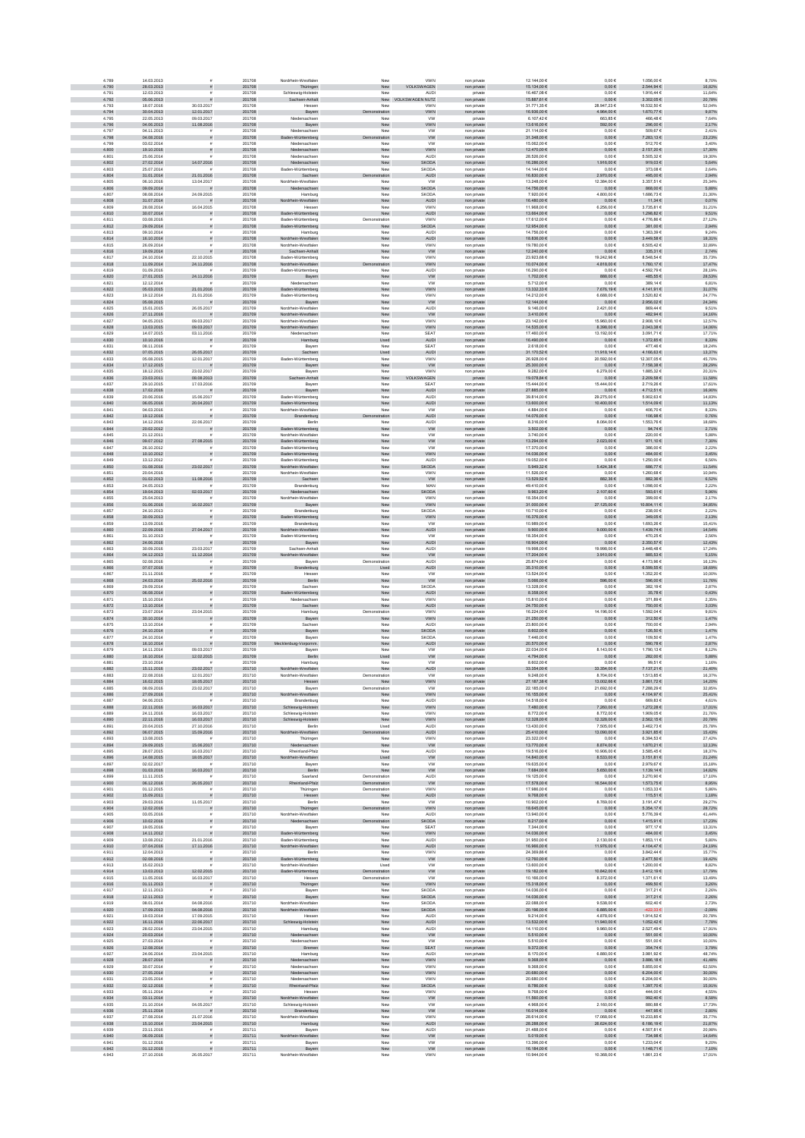| 4.789          | 14.03.2013               | ×                                     | 201708           | Nordrhein-Westfaler                        | New                            | <b>VWN</b>                  | non private                | 12.144,00 €                | $0,00 \in$                   | 1.056,00 €                  | 8,70%             |
|----------------|--------------------------|---------------------------------------|------------------|--------------------------------------------|--------------------------------|-----------------------------|----------------------------|----------------------------|------------------------------|-----------------------------|-------------------|
| 4.790<br>4.791 | 28.03.2013<br>12.03.2013 | $\bar{\pi}$<br>$\bar{\pi}$            | 201708<br>201708 | Thüringen<br>Schleswig-Holstein            | New<br>New                     | VOLKSWAGEN<br><b>AUDI</b>   | non private<br>private     | 15.134,00 €<br>16.467.08 € | $0,00 \in$<br>0.00E          | $2.544,94 \in$<br>1.916.446 | 16,82%<br>11.64%  |
| 4.792          | 05.06.2013               | $\bar{\pi}$                           | 201708           | Sachsen-Anhalt                             |                                | New VOLKSWAGEN NUTZ         | non private                | 15.887,61 €                | $0,00 \in$                   | 3.302,05 €                  | 20,78%            |
| 4.793<br>4.794 | 18.07.2016<br>30.04.2013 | 30.03.2017<br>12.01.2017              | 201708<br>201708 | Hesser<br>Bayern                           | New<br>tration                 | <b>VWN</b><br>VWN           | non private<br>non private | 31.771,35 €<br>16.936,00 € | 28.947,23 €<br>$4.964,\!00€$ | 16.532,50 €<br>1.670,77 €   | 52,04%<br>9,87%   |
| 4.795          | 22.05.2013               | 09.03.2017                            | 201708           | Niedersachsen                              | New                            | <b>VW</b>                   | private                    | 6.107,42 €                 | 663,85€                      | 466,486                     | 7,64%             |
| 4.796          | 04.06.2013               | 11.08.2016                            | 201708           | Bayern                                     | New                            | VWN                         | non private                | 13.616,00 €                | 592,00 €                     | 296,00 €                    | 2,17%             |
| 4.797<br>4.798 | 04.11.2013<br>04.08.2016 | $\mathbf{r}$<br>$\bar{\pi}$           | 201708<br>201708 | Niedersachsen<br>aden-Württemberg          | New<br>Demonstration           | <b>VW</b><br><b>VW</b>      | non private<br>non private | 21.114,00 €<br>31.348,00 € | $0,00 \in$<br>$0,00 \in$     | 509,67€<br>7.283,13 €       | 2,41%<br>23,23%   |
| 4.799          | 03.02.2014               | £.                                    | 201708           | Niedersachsen                              | New                            | <b>VW</b>                   | non private                | 15.062.00 €                | $0.00 \in$                   | 512.70€                     | 3.40%             |
| 4.800<br>4.801 | 19.10.2016               |                                       | 201708<br>201708 | Niedersachsen                              | New                            | <b>VWN</b>                  | non private                | 12.470,00 €                | $0,00 \in$                   | 2.157,20 €                  | 17,30%            |
| 4.802          | 25.06.2014<br>27.02.2014 | 14.07.2016                            | 201708           | Niedersachser<br>Niedersachsen             | New<br>New                     | AUDI<br>SKODA               | non private<br>non private | 28.526,00 €<br>16.286,00 € | $0{,}00 \in$<br>1.916,00 €   | 5.505,326<br>919,03 $\in$   | 19,30%<br>5,64%   |
| 4.803          | 25.07.2014               |                                       | 201708           | Baden-Württemberg                          | New                            | <b>SKODA</b>                | non private                | 14.144,00 €                | $0,00 \in$                   | 373,086                     | 2,64%             |
| 4.804          | 31.01.2014<br>06.10.2016 | 21.01.2016<br>13.04.2017              | 201708           | Sachsen                                    | tration                        | AUDI                        | non private                | 16.830,00 €<br>13.248,00 € | 2.970,00 €<br>12.384,00 €    | 495,00 €<br>3.357,51 €      | 2,94%<br>25,34%   |
| 4.805<br>4.806 | 09.09.2014               |                                       | 201708<br>201708 | Nordrhein-Westfalen<br>Niedersachsen       | New<br>New                     | ww<br><b>SKODA</b>          | non private<br>non private | 14.756,00 €                | $0,00 \in$                   | 868,00 €                    | 5,88%             |
| 4.807          | 08.08.2014               | 24.09.2015                            | 201708           | Hamburg                                    | New                            | SKODA                       | non private                | 7.920.00 €                 | 4.800.00 €                   | 1.686.736                   | 21.30%            |
| 4.808          | 31.07.2014               |                                       | 201708           | Nordrh<br>sin-Westfalen                    | New                            | AUDI                        | non private                | 16.480,00 €                | $0,00 \in$                   | 11,34 $\epsilon$            | 0,07%             |
| 4.809<br>4.810 | 28.08.2014<br>30.07.2014 | 16.04.2015                            | 201708<br>201708 | Hesser<br>Baden-Württemberg                | New<br>New                     | <b>VWN</b><br>AUDI          | non private<br>non private | 11.968,00 €<br>13.664,00 € | 6.256,00 €<br>$0{,}00 \in$   | 3.735,816<br>$1.298,82 \in$ | 31,21%<br>9,51%   |
| 4.811          | 03.08.2016               |                                       | 201708           | Baden-Württemberg                          | Demonstration                  | <b>VWN</b>                  | non private                | 17.612,00 €                | 0,00 €                       | 4.776,866                   | 27,12%            |
| 4.812          | 29.09.2014               |                                       | 201708           | Baden-Württemberg                          | New                            | <b>KODA</b>                 | non private                | 12.954,00 €                | $0,00 \in$                   | 381,00 €                    | 2,94%             |
| 4.813<br>4.814 | 09.10.2014<br>16.10.2014 |                                       | 201708<br>201708 | Hamburg<br>in-Westfalen<br>Nordrh          | New<br>New                     | AUDI<br><b>AUDI</b>         | non private<br>non private | 14.756,00 €<br>18.836,00 € | $0,00 \in$<br>$0,00 \in$     | 1.363,39 6<br>3.449,58 €    | 9,24%<br>18,31%   |
| 4.815          | 26.09.2014               |                                       | 201708           | Nordrhein-Westfaler                        | New                            | <b>VWN</b>                  | non private                | 19.780.00 €                | $0.00 \in$                   | 6.505.426                   | 32.89%            |
| 4.816          | 19.09.2014               |                                       | 201708           | Sachsen-Anhalt                             | New                            | <b>VW</b>                   | non private                | 12.240,00 €                | $0{,}00 \in$                 | 335,31 €                    | 2,74%             |
| 4.817<br>4.818 | 24.10.2014<br>11.09.2014 | 22.10.2015<br>24.11.2016              | 201708<br>201708 | Baden-Württemberg<br>Nordrhein-Westfalen   | New<br>tration                 | <b>VWN</b><br><b>VWN</b>    | non private<br>non private | 23.923,68 €<br>10.074,00 € | 19.242,96 €<br>$4.818{,}00€$ | 8.548,54<br>1.760,17€       | 35,73%<br>17,47%  |
| 4.819          | 01.09.2016               |                                       | 201709           | Baden-Württemberg                          | New                            | AUDI                        | non private                | 16.290,00 €                | $0,00 \in$                   | 4.592,79 6                  | 28,19%            |
| 4.820          | 27.01.2015               | 24.11.2016                            | 201709           | Bayern                                     | New                            | ${\tt VW}$                  | non private                | 1.702,00 €                 | 888,00 €                     | 485,55€                     | 28,53%            |
| 4.821<br>4.822 | 12.12.2014<br>05.03.2015 | 21.01.2016                            | 201709<br>201709 | Niedersachsen<br>Baden-Württemberg         | New<br>New                     | <b>VW</b><br><b>VWN</b>     | non private<br>non private | 5.712,00 €<br>13.332,33 €  | $0,00 \in$<br>7.676,19 €     | 389,14 €<br>4.141,91 €      | 6,81%<br>31,07%   |
| 4.823          | 19.12.2014               | 21.01.2016                            | 201709           | Baden-Württemberg                          | New                            | <b>VWN</b>                  | non private                | 14.212.00 €                | 6,688.00 €                   | 3.520.82 €                  | 24.77%            |
| 4.824          | 05.08.2015               |                                       | 201709           | Bayern                                     | New                            | <b>VW</b>                   | non private                | 12.144,00 €                | $0,00 \in$                   | 2.956,02€                   | 24,34%            |
| 4.825<br>4.826 | 15.01.2015<br>27.11.2016 | 26.05.2017                            | 201709<br>201709 | Nordrhein-Westfalen<br>Nordrhein-Westfalen | New<br>New                     | <b>AUDI</b><br>${\tt VW}$   | non private<br>non private | 9.146.00 €<br>3.410,00 €   | 2.421.00 €<br>$0,00 \in$     | 869.446<br>482,94€          | 9.51%<br>14,16%   |
| 4.827          | 04.05.2015               | 09.03.2017                            | 201709           | Nordrhein-Westfaler                        | New                            | VWN                         | non private                | 23.142,00 €                | 15.960,00 €                  | 2.908,10 €                  | 12,57%            |
| 4.828          | 13.03.2015               | 09.03.2017                            | 201709           | rdrhein-Westfalen                          | New                            | <b>VWN</b>                  | non private                | 14.535,00 €                | 8.398,00 €                   | 2.043,38 €                  | 14,06%            |
| 4.829<br>4.830 | 14.07.2015<br>10.10.2016 | 03.11.2016<br>$\bar{\pi}$             | 201709<br>201709 | Niedersachsen<br>Hamburg                   | ${\sf New}$<br>Used            | SEAT<br><b>AUDI</b>         | non private<br>non private | 17.460,00 €<br>16.490,00 € | 13.192,00 €<br>$0,00 \in$    | 3.091,71€<br>1.372,85 €     | 17,71%<br>8,33%   |
| 4.831          | 08.11.2016               |                                       | 201709           | Bayern                                     | New                            | <b>SEAT</b>                 | non private                | 2.618,00 €                 | $0,00 \in$                   | 477,466                     | 18,24%            |
| 4.832          | 07.05.2015               | 26.05.2017                            | 201709           | Sachsen                                    | Used                           | <b>AUDI</b>                 | non private                | 31.170,52 €                | 11.918,14 €                  | 4.166.63€                   | 13,37%            |
| 4.833<br>4.834 | 05.08.2015<br>17.12.2015 | 12.01.2017                            | 201709<br>201709 | Baden-Württemberg<br>Bayern                | New<br>New                     | <b>VWN</b><br>${\tt VW}$    | non private<br>non private | 26.928.00 €<br>25.300,00 € | 20.592.00 €<br>$0{,}00 \in$  | 12.307.056<br>7.158,38 €    | 45.70%<br>28,29%  |
| 4.835          | 18.12.2015               | 23.02.2017                            | 201709           | Bayerr                                     | New                            | VWN                         | non private                | 9.282,00 €                 | 6.279,00 €                   | 1.885,326                   | 20,31%            |
| 4.836          | 23.03.2011               | 08.08.2013                            | 201709           | n-Anhalt                                   | New                            | VAGEN<br><b>/OLKS</b>       | private                    | 19.078,84 €                | $0,00 \in$                   | 2.209,58 €                  | 11,58%            |
| 4.837<br>4.838 | 29.10.2015<br>17.02.2016 | 17.03.2016                            | 201709<br>201709 | Bayern<br>Bayern                           | New<br>New                     | <b>SEAT</b><br>AUDI         | non private<br>non private | 15.444,00 €<br>27.885,00 € | 15.444,00 €<br>$0,00 \in$    | 2.719,266<br>4.712,51 €     | 17,61%<br>16,90%  |
| 4.839          | 20.06.2016               | 15.06.2017                            | 201709           | Baden-Württemberg                          | New                            | AUDI                        | non private                | 39.814,00 €                | 29.275,00 €                  | 5.902,636                   | 14,83%            |
| 4.840          | 06.05.2016               | 20.04.2017                            | 201709           | Baden-Württemberg                          | New                            | <b>AUDI</b>                 | non private                | 13.600,00 €                | 10.400,00 €                  | 1.514,09 €                  | 11,13%            |
| 4.841<br>4.842 | 04.03.2016               | $\tilde{\mathbf{r}}$<br>ø             | 201709           | Nordrhein-Westfalen<br>Brandenburg         | New                            | <b>VW</b>                   | non private                | 4.884.00 €                 | $0,00 \in$                   | 406.70€                     | 8.33%             |
| 4.843          | 19.12.2016<br>14.12.2016 | 22.06.2017                            | 201709<br>201709 | Berlin                                     | tration<br>New                 | AUDI<br>AUDI                | non private<br>non private | 14.076,00 €<br>8.316,00 €  | $0{,}00 \in$<br>8.064,00 €   | 106,98€<br>1.553,766        | 0,76%<br>18,68%   |
| 4.844          | 20.02.2012               |                                       | 201709           | Baden-Württemberg                          | New                            | <b>VW</b>                   | non private                | 3.502,00 €                 | $0,00 \in$                   | 94,74 $\in$                 | 2,71%             |
| 4.845<br>4.846 | 21.12.2011<br>09.07.2012 | 27.08.2015                            | 201709<br>201709 | Nordrhein-Westfalen<br>Baden-Württemberg   | New<br>New                     | <b>VW</b><br><b>VW</b>      | non private                | 3.740,00 €<br>13.294,00 €  | $0{,}00 \in$<br>2.023,00 €   | 220,00 €<br>971,10€         | 5,88%<br>7,30%    |
| 4.847          | 26.10.2012               |                                       | 201709           | Baden-Württemberg                          | New                            | <b>VW</b>                   | non private<br>non private | 17.370,00 €                | 0,00 €                       | 386,00 €                    | 2,22%             |
| 4.848          | 10.10.2012               |                                       | 201709           | Baden-Württemberg                          | New                            | <b>VWN</b>                  | non private                | 14.036.00 €                | $0,00 \in$                   | 484.00 €                    | 3,45%             |
| 4.849<br>4.850 | 13.12.2012<br>01.08.2016 |                                       | 201709<br>201709 | Baden-Württemberg<br>Nordrhein-Westfalen   | New<br>New                     | <b>AUDI</b><br><b>SKODA</b> | non private                | 19.052.00 €<br>5.949,32 €  | 0.00E                        | 1.250.00 €<br>686,77€       | 6.56%             |
| 4.851          | 20.04.2016               | 23.02.2017                            | 201709           | Nordrhein-Westfaler                        | New                            | VWN                         | non private<br>non private | 11.526,00 €                | 5.424,38 €<br>$0,00 \in$     | 1.260,686                   | 11,54%<br>10,94%  |
| 4.852          | 01.02.2013               | 11.08.2016                            | 201709           | Sachsen                                    | New                            | <b>VW</b>                   | non private                | 13.529,52 €                | 882,36 €                     | 882,36 €                    | 6,52%             |
| 4.853<br>4.854 | 24.05.2013<br>19.04.2013 | 02.03.2017                            | 201709<br>201709 | Brandenburg<br>Niedersachsen               | New                            | MAN<br><b>SKODA</b>         | non private                | 49.410,00 €<br>9.963,20 €  | $0,00 \in$<br>2.107,60 €     | 1.098,00 6<br>593,61 €      | 2,22%<br>5,96%    |
| 4.855          | 25.04.2013               |                                       | 201709           | Nordrhein-Westfalen                        | New<br>New                     | <b>VWN</b>                  | private<br>non private     | 18.354,00 €                | $0,00 \in$                   | 399,00 6                    | 2,17%             |
| 4.856          | 01.06.2016               | 16.02.2017                            | 201709           | Bayern                                     | New                            | <b>VWN</b>                  | non private                | 31.000,00 $\in$            | 27.125,00 €                  | 10.804,11€                  | 34,85%            |
| 4.857<br>4.858 | 24.10.2013<br>30.09.2013 | $\tilde{\mathbf{r}}$<br>$\bar{\pi}$   | 201709<br>201709 | Brandenburg<br>Baden-Württemberg           | New<br>New                     | <b>SKODA</b><br><b>VWN</b>  | non private<br>non private | 10.710.00 €<br>16.376,00 € | $0.00 \in$<br>$0{,}00 \in$   | 238.00 6<br>349,05€         | 2.22%<br>2,13%    |
| 4 859          | 13.09.2016               |                                       | 201709           | Brandenburg                                | New                            | <b>VW</b>                   | non private                | 10.989,00 €                | $0,00 \in$                   | 1.693,266                   | 15,41%            |
| 4.860          | 22.09.2016               | 27.04.2017                            | 201709           | ein-Westfalen                              | New                            | AUDI                        | non private                | 9.900,00 €                 | 00,000.6                     | 1.439,74 €                  | 14,54%            |
| 4.861<br>4.862 | 31.10.2013<br>24.06.2016 |                                       | 201709<br>201709 | Baden-Württemberg<br>Bayern                | New<br>New                     | <b>VW</b><br><b>AUDI</b>    | non private<br>non private | 18.354,00 €<br>18.904,00 € | 0,00 €<br>$0,00 \in$         | 470,256<br>2.350,57 €       | 2,56%<br>12,43%   |
| 4.863          | 30.09.2016               | 23.03.2017                            | 201709           | Sachsen-Anhalt                             | New                            | AUDI                        | non private                | 19.998,00 €                | 19.998,00 €                  | 3.448,486                   | 17,24%            |
| 4.864          | 04.12.2013               | 11.12.2014                            | 201709           | Vordrhein-Westfalen                        | New                            | <b>VW</b>                   | non private                | 17.204,00 €                | 3.910,00 €                   | 885,53€                     | 5,15%             |
| 4.865<br>4.866 | 02.08.2016<br>07.07.2016 | £.<br>$\bar{\pi}$                     | 201709<br>201709 | Bayerr<br>Brandenburg                      | Demonstration<br>Used          | <b>AUDI</b><br><b>AUDI</b>  | non private                | 25.874.00 €<br>35.310,00 € | 0.00E<br>$0,00 \in$          | 4.173.96 €<br>6.599,55€     | 16.13%<br>18,69%  |
| 4.867          | 21.11.2016               |                                       | 201709           | Hesse                                      | Nev                            | <b>VW</b>                   | non private<br>non private | 13.524,00 €                | $0{,}00 \in$                 | 1.352,20 €                  | 10,00%            |
| 4.868          | 24.03.2014               | 25.02.2016                            | 201709           | Berlin                                     | New                            | ${\tt VW}$                  | non private                | $6.066,00 \in$             | 596,00 €                     | 596,00 $\in$                | 11,76%            |
| 4.869<br>4.870 | 29.09.2014<br>06.08.2014 | $\tilde{\pi}$                         | 201709<br>201709 | Sachsen<br>Baden-Württemberg               | New                            | SKODA<br><b>AUDI</b>        | non private                | 13.328,00 €<br>8.358,00 €  | $0,00 \in$                   | 382,196                     | 2,87%             |
| 4.871          | 15.10.2014               |                                       | 201709           | Niedersachsen                              | New<br>New                     | <b>VWN</b>                  | non private<br>non private | 15.810,00 €                | $0{,}00 \in$<br>$0,00 \in$   | 35,78 $\in$<br>371,896      | 0,43%<br>2,35%    |
| 4.872          | 13.10.2014               |                                       | 201709           | Sachsen                                    | New                            | <b>AUDI</b>                 | non private                | 24.750,00 €                | $0,00 \in$                   | 750,00 €                    | 3,03%             |
| 4.873          | 23.07.2014               | 23.04.2015                            | 201709           | Hamburg                                    | Demonstration                  | <b>VWN</b>                  | non private                | 16.224.00 €                | 14.196.00 €                  | 1.592.04 6                  | 9.81%             |
| 4.874<br>4.875 | 30.10.2014<br>13.10.2014 | $\mathbf{r}$<br>$\tilde{\mathbf{r}}$  | 201709<br>201709 | Bayern<br>Sachsen                          | New<br>New                     | <b>VWN</b><br><b>AUDI</b>   | non private<br>non private | 21.250,00 €<br>23.800,00 € | $0,00 \in$<br>$0,00 \in$     | 312,50 €<br>700,00 €        | 1,47%<br>2,94%    |
| 4.876          | 24.10.2014               |                                       | 201709           | Bayern                                     | New                            | SKODA                       | non private                | 8.602,00 $\in$             | $0{,}00 \in$                 | 126,50 €                    | 1,47%             |
| 4.877<br>4.878 | 24.10.2014<br>16.10.2014 |                                       | 201709<br>201709 | Bayern<br>nburg-Vorpomm.                   | New<br>New                     | SKODA                       | non private                | 7.446,00 €<br>20.570,00 €  | $0{,}00 \in$<br>$0,00 \in$   | 109,50 €<br>590,78€         | 1,47%<br>2,87%    |
| 4.879          | 14.11.2014               | 09.03.2017                            | 201709           | Bayern                                     | New                            | AUDI<br><b>VW</b>           | non private<br>non private | 22.034,00 €                | 8.143,00 €                   | 1.790,13€                   | 8,12%             |
| 4.880          | 16.10.2014               | 12.02.2015                            | 201709           | Berlin                                     | Used                           | <b>VW</b>                   | non private                | 4.794,00 €                 | $0,00 \in$                   | 282,00 €                    | 5,88%             |
| 4.881<br>4.882 | 23.10.2014<br>15.11.2016 | 23.02.2017                            | 201709<br>201710 | Hamburg<br>Nordrhein-Westfalen             | New<br>New                     | <b>VW</b><br><b>AUDI</b>    | non private                | 8.602.00 €<br>33.354,00 €  | 0.00E<br>33,354,00 €         | 99.516<br>7.137.21€         | 1.16%<br>21,40%   |
| 4.883          | 22.08.2016               | 12.01.2017                            | 201710           | Nordrhein-Westfaler                        | Demonstration                  | <b>VW</b>                   | non private<br>non private | 9.248,00 €                 | 8.704,00 €                   | 1.513,856                   | 16,37%            |
| 4.884          | 16.02.2015               | 18.05.2017                            | 201710           | Hessen                                     | New                            | VWN                         | non private                | 27.187,38 €                | 13.002,66 €                  | 3.861,72 €                  | 14,20%            |
| 4.885<br>4.886 | 08.09.2016<br>27.09.2016 | 23.02.2017<br>$\bar{\pi}$             | 201710<br>201710 | Bayern<br>in-Westfalen                     | Demonstration<br>New           | <b>VW</b><br><b>VWN</b>     | non private<br>non private | 22.185,00 €<br>16.155,00 € | 21.692,00 €<br>$0{,}00 \in$  | 7.288,29 6<br>4.104,97 €    | 32,85%<br>25,41%  |
| 4.887          | 04.06.2015               |                                       | 201710           | Brandenburg                                | New                            | AUDI                        | non private                | 14.518,00 €                | $0,00 \in$                   | 669,83€                     | 4,61%             |
| 4.888          | 22.11.2016               | 16.03.2017                            | 201710           | Schleswig-Holstein                         | New                            | <b>VWN</b>                  | non private                | 7.480,00 €                 | 7.260,00 €                   | 1.272,28 €                  | 17,01%            |
| 4.889<br>4.890 | 24.11.2016<br>22.11.2016 | 16.03.2017<br>16.03.2017              | 201710<br>201710 | Schleswig-Holstein<br>Schleswig-Holstein   | New<br>New                     | <b>VWN</b><br><b>VWN</b>    | non private<br>non private | 8.772.00 €<br>12.328,00 €  | 8.772.00 €<br>12.328,00 €    | 1.909.05€<br>2.562,15€      | 21.76%<br>20,78%  |
| 4.891          | 20.04.2015               | 27.10.2016                            | 201710           | Berlin                                     | Used                           | <b>AUDI</b>                 | non private                | 13.430.00 €                | 7.505.00 €                   | 3.462.73 €                  | 25.78%            |
| 4.892<br>4.893 | 06.07.2015               | 15.09.2016                            | 201710           | Nordrhein-Westfalen                        | tration                        | AUDI                        | non private                | 25.410,00 €                | 13.090,00 €                  | $3.921,85 \in$              | 15,43%            |
| 4.894          | 13.08.2015<br>29.09.2015 | 15.06.2017                            | 201710<br>201710 | Thüringen<br>Niedersachsen                 | New<br>New                     | <b>VWN</b><br><b>VW</b>     | non private<br>non private | 23.322,00 €<br>13.770,00 € | $0,00 \in$<br>8.874,00 €     | 6.394,53 €<br>1.670,21 €    | 27,42%<br>12,13%  |
| 4.895          | 28.07.2015               | 16.03.2017                            | 201710           | Rheinland-Pfalz                            | New                            | <b>AUDI</b>                 | non private                | 19.516,00 €                | 10.906,00 €                  | 3.585,456                   | 18,37%            |
| 4.896<br>4.897 | 14.08.2015<br>02.02.2017 | 18.05.2017                            | 201710<br>201710 | Nordrhein-Westfalen<br>Bayern              | Used<br>New                    | <b>VW</b><br><b>VW</b>      | non private<br>non private | 14.840,00 €<br>19.635,00 € | 8.533,00 €<br>$0,00 \in$     | 3.151,81 €<br>2.979,67€     | 21,24%<br>15,18%  |
| 4.898          | 01.03.2016               | 16.03.2017                            | 201710           | Berlin                                     | New                            | <b>VW</b>                   | non private                | 7.684,00 €                 | 5.650,00 €                   | 1.139,14 €                  | 14.82%            |
| 4.899          | 11.11.2015               |                                       | 201710           | Saarland                                   | Demonstration                  | <b>AUDI</b>                 | non private                | 19.125.00 €                | $0.00 \in$                   | 3.270.90 6                  | 17.10%            |
| 4.900<br>4.901 | 06.12.2016<br>01.12.2015 | 26.05.2017                            | 201710<br>201710 | land-Pfalz<br>Thüringer                    | Demonstration<br>Demonstration | <b>VW</b><br><b>VWN</b>     | non private<br>non private | 17.578,00 €<br>17.986,00 € | 16.544,00 €<br>$0,00 \in$    | 1.573,75 €<br>1.053,336     | 8,95%<br>5,86%    |
| 4.902          | 15.09.2011               |                                       | 201710           | Hessen                                     | New                            | AUDI                        | non private                | 9.768,00 €                 | $0,00 \in$                   | 115,51 €                    | 1,18%             |
| 4.903          | 29.03.2016               | 11.05.2017                            | 201710           | Berlin                                     | New                            | <b>VW</b>                   | non private                | 10.902,00 €                | 8.769,00 €                   | 3.191,476                   | 29,27%            |
| 4.904<br>4.905 | 12.02.2016<br>03.05.2016 | $\overline{z}$                        | 201710<br>201710 | Thüringen<br>Nordrhein-Westfalen           | Demonstration<br>New           | <b>VWN</b><br>AUDI          | non private<br>non private | 18.645,00 €<br>13.940,00 € | $0,00 \in$<br>$0,00 \in$     | 5.354,17 €<br>5.776,39 €    | 28,72%<br>41,44%  |
| 4.906          | 10.02.2016               | $\tilde{\pi}$                         | 201710           | Niedersachsen                              | Demonstration                  | <b>SKODA</b>                | non private                | 8.217,00 €                 | $0,00 \in$                   | 1.415,91 €                  | 17,23%            |
| 4.907          | 19.05.2016               | £.                                    | 201710           | Bayern                                     | New                            | <b>SEAT</b>                 | non private                | 7.344.00 €                 | $0.00 \in$                   | 977.17 $6$                  | 13.31%            |
| 4.908<br>4.909 | 14.11.2012<br>13.08.2012 | 21.01.2016                            | 201710<br>201710 | Baden-Württemberg<br>Baden-Württemberg     | New<br>New                     | VWN<br><b>AUDI</b>          | non private<br>non private | 14.036,00 €<br>31.950,00 € | $0{,}00 \in$<br>2.130,00 €   | 484,00 €<br>1.853,11 €      | 3,45%<br>5,80%    |
| 4.910          | 07.04.2016               | 17.11.2016                            | 201710           | Nordrhein-Westfalen                        | New                            | AUDI                        | non private                | 16.966,00 €                | 11.976,00 €                  | 4.104,47 €                  | 24,19%            |
| 4.911<br>4.912 | 12.04.2013<br>02.08.2016 | $\tilde{\pi}$                         | 201710<br>201710 | Berlin<br>Baden-Württemberg                | New<br>New                     | <b>VWN</b><br><b>VW</b>     | non private<br>non private | 24.369,86 €<br>12.760,00 € | 0,00 €<br>$0,00 \in$         | 3.842,44 €<br>2.477,50 €    | 15,77%<br>19,42%  |
| 4.913          | 15.02.2013               |                                       | 201710           | Nordrhein-Westfalen                        | Used                           | <b>VW</b>                   | non private                | 13.600,00 €                | $0,00 \in$                   | 1.200,00 €                  | 8,82%             |
| 4.914          | 13,03.2013               | 12.02.2015                            | 201710           | Baden-Württemberg                          | Demonstration                  | <b>VW</b>                   | non private                | 19.182.00 €                | 10.842,00 €                  | 3.412.19€                   | 17.79%            |
| 4.915<br>4.916 | 11.05.2016               | 16.03.2017                            | 201710<br>201710 | Hessen                                     | Demonstration                  | <b>VW</b>                   | non private                | 10.166.00 €<br>15.318,00 € | 8.372,00 €                   | 1.371.61 €<br>499,50 €      | 13.49%            |
| 4.917          | 01.11.2013<br>12.11.2013 | $\bar{\pi}$                           | 201710           | Thüringen<br>Bayerr                        | New<br>New                     | <b>VWN</b><br>SKODA         | non private<br>non private | 14.036,00 €                | $0{,}00 \in$<br>$0,00 \in$   | 317,21€                     | 3,26%<br>2,26%    |
| 4.918          | 12.11.2013               |                                       | 201710           | Bayern                                     | New                            | <b>SKODA</b>                | non private                | 14.036,00 €                | $0,00 \in$                   | 317,21 €                    | 2,26%             |
| 4.919<br>4.920 | 08.01.2014<br>17.09.2013 | 04.08.2016<br>04.08.2016              | 201710<br>201710 | Nordrhein-Westfaler<br>Nordrhein-Westfalen | New<br>New                     | SKODA<br>SKODA              | non private<br>non private | 22.088,00 €<br>20.196,00 € | 9.538,00 €<br>6.885,00 $\in$ | 602,40 €<br>-422,33 €       | 2,73%<br>$-2,09%$ |
| 4.921          | 19.03.2014               | 17.09.2015                            | 201710           | Hessen                                     | New                            | <b>AUDI</b>                 | non private                | 9.214,00 €                 | 4.878,00 €                   | 1.914,52 €                  | 20,78%            |
| 4.922          | 16.11.2016               | 22.06.2017                            | 201710           | Schleswig-Holstein                         | New                            | <b>AUDI</b>                 | non private                | 13,532.00 €                | 11.940,00 €                  | 1.052.42 €                  | 7,78%             |
| 4.923<br>4.924 | 28.02.2014<br>20.03.2014 | 23.04.2015<br>$\overline{\mathbf{a}}$ | 201710<br>201710 | Hamburg<br>Niedersachsen                   | New<br>New                     | <b>AUDI</b><br><b>VW</b>    | non private                | 14.110.00 €<br>5.510,00 €  | 9.960.00 €<br>$0,00 \in$     | 2.527.49 €<br>551,00 €      | 17.91%<br>10,00%  |
| 4.925          | 27.03.2014               |                                       | 201710           | Niedersachsen                              | New                            | <b>VW</b>                   | non private<br>non private | 5.510,00 €                 | $0,00 \in$                   | 551,00 €                    | 10,00%            |
| 4.926          | 12.08.2014               |                                       | 201710           | Bremen                                     | New                            | SEAT                        | non private                | $9.372,00 \in$             | $0{,}00 \in$                 | 354,74 $\in$                | 3,79%             |
| 4.927<br>4.928 | 24.06.2014<br>28.07.2014 | 23.04.2015<br>$\bar{\pi}$             | 201710<br>201710 | Hamburg<br>Niedersachsen                   | New<br>New                     | <b>AUDI</b><br><b>VWN</b>   | non private<br>non private | 8.170,00 €<br>9.368,00 €   | 6.880,00 €<br>$0,00 \in$     | 3.981,92 €<br>3.886,18 €    | 48,74%<br>41,48%  |
| 4.929          | 30.07.2014               |                                       | 201710           | Niedersachsen                              | New                            | <b>VWN</b>                  | non private                | 9.368,00 €                 | $0,00 \in$                   | 5.855,00 €                  | 62,50%            |
| 4.930          | 27.05.2014               |                                       | 201710           | Niedersachsen                              | New                            | <b>VWN</b>                  | non private                | 20.680,00 €                | $0,00 \in$                   | 6.204,00 €                  | 30,00%            |
| 4.931<br>4.932 | 23.05.2014<br>02.12.2016 | £.                                    | 201710<br>201710 | Niedersachsen<br>Rheinland-Pfalz           | New<br>New                     | <b>VWN</b><br><b>SKODA</b>  | non private<br>non private | 20.680.00 €<br>8.786,00 €  | $0.00 \in$<br>$0,00 \in$     | 6.204.006<br>1.397,70 €     | 30.00%<br>15,91%  |
| 4.933          | 05.11.2014               |                                       | 201710           | Hesser                                     | New                            | <b>VWN</b>                  | non private                | 9.768,00 €                 | $0{,}00 \in$                 | 444,006                     | 4,55%             |
| 4.934<br>4.935 | 03.11.2014<br>21.10.2014 | 04.05.2017                            | 201710<br>201710 | Nordrhein-Westfalen                        | New<br>New                     | ${\tt VW}$<br><b>VW</b>     | non private                | 11.560,00 €<br>4.968,00 €  | $0{,}00 \in$                 | 992,40 $\in$<br>880,886     | 8,58%<br>17,73%   |
| 4.936          | 25.11.2014               |                                       | 201710           | Schleswig-Holstein<br>Brandenburg          | New                            | ${\tt VW}$                  | non private<br>non private | 16.014,00 €                | 2.160,00 €<br>$0,00 \in$     | 447,95€                     | 2,80%             |
| 4.937          | 27.08.2014               | 21.07.2016                            | 201710           | Nordrhein-Westfalen                        | New                            | <b>VWN</b>                  | non private                | 28.614,00 €                | 17.068,00 €                  | 10.233,85 €                 | 35,77%            |
| 4.938<br>4.939 | 15.10.2014<br>23.11.2016 | 23.04.2015<br>$\bar{\pi}$             | 201710<br>201711 | Hamburg<br>Bayern                          | New<br>New                     | AUDI<br><b>AUDI</b>         | non private<br>non private | 28.288,00 €<br>21,488.00 € | 26.624,00 €<br>$0.00 \in$    | 6.186,19€<br>4.507.81 €     | 21,87%<br>20.98%  |
| 4.940          | 06.09.2016               | $\tilde{\pi}$                         | 201711           | Nordrhein-Westfalen                        | New                            | <b>VW</b>                   | non private                | 5.019,00 €                 | $0,00 \in$                   | 734,98 €                    | 14,64%            |
| 4.941          | 01.12.2016               | $\tilde{\mathbf{r}}$                  | 201711           | Bayern                                     | New                            | <b>VW</b>                   | non private                | 13.396,00 €                | $0{,}00 \in$                 | 1.233,04 €                  | 9,20%             |
| 4.942<br>4.943 | 01.12.2016<br>27.10.2016 | 26.05.2017                            | 201711<br>201711 | Bayern<br>Nordrhein-Westfalen              | New<br>New                     | ${\tt VW}$<br><b>VWN</b>    | non private<br>non private | 16.184,00 €<br>10.944,00 € | $0{,}00 \in$<br>10.368,00 €  | 1.148,71 €<br>1.861,23 €    | 7,10%<br>17,01%   |
|                |                          |                                       |                  |                                            |                                |                             |                            |                            |                              |                             |                   |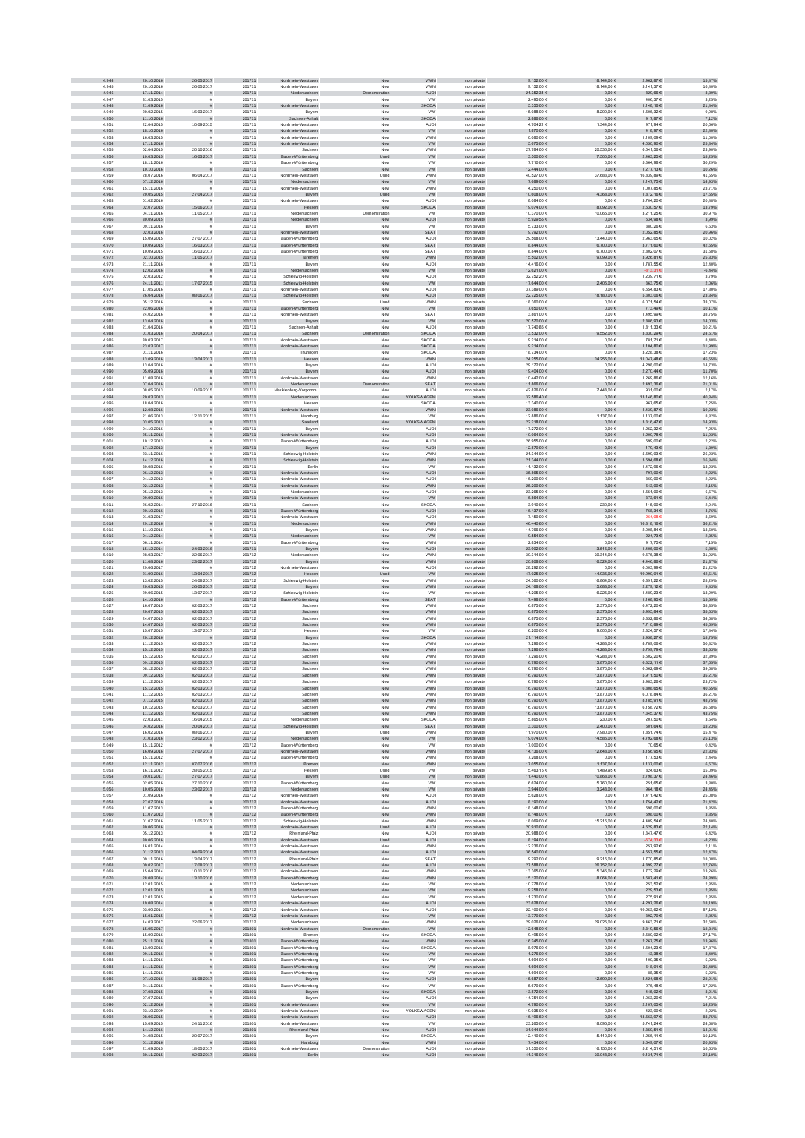| 4.944          | 20.10.2016               | 26.05.2017                   | 201711           | Nordrhein-Westfalen                        | New                  | <b>VWN</b>                   | non private                | 19.152,00 €                    | 18.144,00 €                     | 2.962,87 €                | 15,47%             |
|----------------|--------------------------|------------------------------|------------------|--------------------------------------------|----------------------|------------------------------|----------------------------|--------------------------------|---------------------------------|---------------------------|--------------------|
| 4.945          | 20.10.2016               | 26.05.2017                   | 201711           | Nordrhein-Westfaler                        | New                  | <b>VWN</b>                   | non private                | 19.152.00 €                    | 18.144,006                      | 3.141.37 €                | 16.40%             |
| 4.946<br>4.947 | 17.11.2014<br>31.03.2015 | ø                            | 201711<br>201711 | Niedersachsen<br>Bayer                     | ration<br>Ne         | <b>AUDI</b><br><b>VW</b>     | non private<br>non privat  | 21.352,34 €<br>12.495,00 €     | $0{,}00 \in$<br>0,006           | 829,66 $\in$<br>406,37€   | 3,89%<br>3,25%     |
| 4.948          | 21.09.2016               |                              | 201711           | sin-Westfalen                              | New                  | SKODA                        | non private                | 5.355,00 €                     | $0,00 \in$                      | 1.148,16 €                | 21,44%             |
| 4.949          | 20.02.2015               | 16.03.2017                   | 201711           | Bayerr                                     | New                  | <b>VW</b>                    | non private                | 15.088,00 €                    | 8.200,00 €                      | 1.506,32 €                | 9,98%              |
| 4.950<br>4.951 | 11.10.2016<br>22.04.2015 | 10.09.2015                   | 201711<br>201711 | Sachs<br>en-Anhalt<br>Nordrhein-Westfaler  | New<br>New           | SKODA<br>AUDI                | non private<br>non private | 12.886,00 €<br>4.704,21€       | $0,00 \in$<br>1.344,06 €        | 917,87€<br>971,94€        | 7,12%<br>20,66%    |
| 4.952          | 18.10.2016               | $\tilde{\pi}$                | 201711           | Nordrhein-Westfalen                        | New                  | <b>VW</b>                    | non private                | 1.870,00 €                     | $0,00 \in$                      | 418,97€                   | 22,40%             |
| 4.953          | 16.03.2015               |                              | 201711           | Nordrhein-Westfaler                        | New                  | <b>VWN</b>                   | non private                | 10.080.00 €                    | 0.006                           | 1.109.09€                 | 11.00%             |
| 4.954<br>4.955 | 17.11.2016<br>02.04.2015 | 20.10.2016                   | 201711<br>201711 | Nordrhein-Westfalen<br>Sachser             | New<br>New           | <b>VW</b><br>VWN             | non private<br>non private | 15.675,00 €<br>27.784,00 €     | $0{,}00 \in$<br>20.536,00 €     | 4.050,90 €<br>6.641,56 €  | 25,84%<br>23,90%   |
| 4.956          | 10.03.2015               | 16.03.2017                   | 201711           | Baden-Württemberg                          | Used                 | <b>VW</b>                    | non private                | 13.500,00 €                    | 7.500,00 €                      | 2.463,25 €                | 18,25%             |
| 4.957          | 18.11.2016               |                              | 201711           | Baden-Württemberg                          | New                  | VW                           | non private                | 17.710,00 €                    | $0,00 \in$                      | 5.364,98 €                | 30,29%             |
| 4.958<br>4.959 | 10.10.2016<br>28.07.2016 | 06.04.2017                   | 201711<br>201711 | Sachsen<br>Nordrhein-Westfalen             | New<br>Used          | <b>VW</b><br>VWN             | non private<br>non private | 12.444,00 €<br>40.527,00 €     | $0,00 \in$<br>37.683,00 €       | 1.277,13 €<br>16.839,89 € | 10,26%<br>41,55%   |
| 4.960          | 07.12.2016               |                              | 201711           | Niedersachsen                              | New                  | <b>VW</b>                    | non private                | 7.689,00 €                     | $0,00 \in$                      | 1.147,75€                 | 14,93%             |
| 4.961<br>4.962 | 15.11.2016               |                              | 201711           | Nordrhein-Westfalen                        | New                  | <b>VWN</b>                   | non private                | 4.250.00 €                     | 0.006                           | 1.007.85 €                | 23.71%             |
| 4.963          | 20.05.2015<br>01.02.2016 | 27.04.2017                   | 201711<br>201711 | Bayern<br>Nordrhein-Westfaler              | Used<br>Nev          | ${\tt VW}$<br><b>AUDI</b>    | non private<br>non privat  | 10.608,00 €<br>18.084,00 €     | 4.368,00 €<br>0,006             | 1.872,16 €<br>3.704,20 €  | 17,65%<br>20,48%   |
| 4.964          | 02.07.2015               | 15.06.2017                   | 201711           | Hessen                                     | New                  | SKODA                        | non private                | 19.074,00 €                    | 8.092,00 €                      | 2.630,57 €                | 13,79%             |
| 4.965<br>4.966 | 04.11.2016<br>30.09.2015 | 11.05.2017<br>$\bar{\pi}$    | 201711<br>201711 | Niedersachser<br>Niedersachsen             | Demonstration<br>New | <b>VW</b><br>AUDI            | non private<br>non private | 10.370,00 €<br>15.929,55 €     | 10.065,00 €<br>$0,00 \in$       | 3.211,25€<br>634,98 €     | 30,97%<br>3,99%    |
| 4.967          | 09.11.2016               |                              | 201711           | Bayen                                      | New                  | VW                           | non private                | 5.733,00 €                     | $0,00 \in$                      | 380,26€                   | 6,63%              |
| 4.968          | 02.03.2016               |                              | 201711           | Nordrhein-Westfalen                        | New                  | <b>SEAT</b>                  | non private                | 9.792,00 €                     | $0,00 \in$                      | 2.052.85€                 | 20,96%             |
| 4.969<br>4.970 | 15.09.2015<br>10.09.2015 | 27.07.2017<br>16.03.2017     | 201711<br>201711 | Baden-Württemberg<br>Baden-Württemberg     | New<br>New           | <b>AUDI</b><br>SEAT          | non private<br>non private | 29.568.00 €<br>$8.844,00 \in$  | 13,440.00 €<br>$6.700{,}00\in$  | 2.963.65 €<br>3.771,60 €  | 10.02%<br>42,65%   |
| 4.971          | 10.09.2015               | 16.03.2017                   | 201711           | Baden-Württemberg                          | New                  | SEAT                         | non private                | 8.844,00 €                     | 6.700,00 €                      | 2.802,07€                 | 31,68%             |
| 4.972          | 02.10.2015               | 11.05.2017                   | 201711           | Bremen                                     | New                  | VWN                          | non private                | 15.502,00 €                    | 9.099,00 €                      | 3.926,81 €                | 25,33%             |
| 4.973<br>4.974 | 21.11.2016<br>12.02.2016 | s                            | 201711<br>201711 | Bayern<br>Niedersachsen                    | New<br>New           | AUDI<br><b>VW</b>            | non private<br>non private | 14.416,00 €<br>12.621,00 €     | $0,00 \in$<br>$0{,}00 \in$      | 1.787,55 €<br>-813,31 €   | 12,40%<br>$-6,44%$ |
| 4.975          | 02.03.2012               |                              | 201711           | Schleswig-Holstein                         | New                  | <b>AUDI</b>                  | non private                | 32.752,20 €                    | 0,006                           | 1.239,71€                 | 3,79%              |
| 4.976<br>4.977 | 24.11.2011<br>17.05.2016 | 17.07.2015                   | 201711<br>201711 | Schleswig-Holstein<br>Nordrhein-Westfalen  | New<br>New           | <b>VW</b><br><b>AUDI</b>     | non private<br>non private | 17.644.00 €<br>37,389.00 €     | 2.406,00 €<br>0.006             | 363,75€<br>6.654.83 €     | 2,06%<br>17.80%    |
| 4.978          | 26.04.2016               | 08.06.2017                   | 201711           | Schleswig-Holstein                         | New                  | <b>AUDI</b>                  | non private                | 22.725,00 €                    | 18.180,00 €                     | 5.303,06 €                | 23,34%             |
| 4.979          | 05.12.2016               |                              | 201711           | Sachse                                     | Used                 | <b>VWN</b>                   | non privat                 | 18.360,00 €                    | 0,006                           | 6.071,54 €                | 33,07%             |
| 4.980<br>4.981 | 22.06.2016<br>24.02.2016 | $\tilde{\pi}$                | 201711<br>201711 | Baden-Württemberg<br>Nordrhein-Westfaler   | New<br>New           | W<br>SEA1                    | non private<br>non private | $7.650,00 \in$<br>3.861,00 €   | $0,00 \in$<br>0,006             | 773,49 €<br>1.495,99 €    | 10,11%<br>38,75%   |
| 4.982          | 13.04.2016               | s                            | 201711           | Bayern                                     | ${\sf New}$          | ww                           | non private                | 20.570,00 $\in$                | $0{,}00 \in$                    | 2.886,93 €                | 14,03%             |
| 4.983          | 21.04.2016               |                              | 201711           | Sachsen-Anhal                              | New                  | <b>AUD</b>                   | non private                | 17.740,86 €                    | 0,006                           | 1.811,33 €                | 10,21%             |
| 4.984<br>4.985 | 01.03.2016<br>30.03.2017 | 20.04.2017<br>$\bar{\pi}$    | 201711<br>201711 | Sachsen<br>Nordrhein-Westfaler             | tration<br>New       | <b>SKODA</b><br><b>SKODA</b> | non private<br>non private | 13.532,00 €<br>9.214.00 €      | 9.552,00 €<br>0.006             | 3.330,29 €<br>781.71€     | 24,61%<br>8.48%    |
| 4.986          | 23.03.2017               | $\tilde{\pi}$                | 201711           | Nordrhein-Westfalen                        | New                  | <b>SKODA</b>                 | non private                | 9.214,00 €                     | $0,00 \in$                      | 1.104,80 €                | 11,99%             |
| 4.987          | 01.11.2016               | $\tilde{\mathbf{r}}$         | 201711           | Thüringer                                  | New                  | <b>SKODA</b>                 | non private                | 18.734,00 €                    | $0,00 \in$                      | 3.228,38 €                | 17,23%             |
| 4.988<br>4.989 | 13.09.2016<br>13.04.2016 | 13.04.2017                   | 201711<br>201711 | Hessen<br>Bayern                           | New<br>New           | VWN<br><b>AUD</b>            | non private<br>non private | 24.255,00 $\in$<br>29.172,00 € | 24.255,00 €<br>$0,00 \in$       | 11.047,48 €<br>4.298,00 € | 45,55%<br>14,73%   |
| 4.990          | 05.09.2016               |                              | 201711           | Bayern                                     | ${\sf New}$          | <b>AUD</b>                   | non private                | 19.404,00 €                    | $0,00 \in$                      | 2.270,44 €                | 11,70%             |
| 4.991<br>4.992 | 11.08.2016<br>07.04.2016 |                              | 201711<br>201711 | Nordrhein-Westfalen<br>Niedersachsen       | New<br>tration       | <b>VWN</b><br>SEAT           | non private<br>non private | 10.442,00 €<br>11.866,00 €     | $0,00 \in$<br>$0,00 \in$        | 1.269,86 €<br>2.493,36 €  | 12,16%<br>21,01%   |
| 4.993          | 08.05.2013               | 10.09.2015                   | 201711           | Mecklenburg-Vorpomm                        | New                  | <b>AUD</b>                   | non private                | 42.826.00 €                    | 7.448.00 €                      | 931.00 €                  | 2.17%              |
| 4.994          | 20.03.2013               |                              | 201711           | Niedersachsen                              | New                  | VOLKSWAGEN                   | private                    | 32.586,40 €                    | $0,00 \in$                      | 13.146,80 €               | 40,34%             |
| 4.995<br>4.996 | 18.04.2016<br>12.08.2016 |                              | 201711<br>201711 | Hesse<br>Nordrhein-Westfalen               | New<br>New           | SKOD/<br>VWN                 | non privat<br>non private  | 13.340,00 €<br>23.086,00 $\in$ | $0,00 \in$<br>$0{,}00 \in$      | 967,65€<br>4.439,87 €     | 7,25%<br>19,23%    |
| 4.997          | 21.06.2013               | 12.11.2015                   | 201711           | Hamburg                                    | New                  | VW                           | non private                | 12.886,00 €                    | 1.137,006                       | 1.137,00 €                | 8,82%              |
| 4.998          | 03.05.2013               | $\tilde{\pi}$                | 201711           | Saarland                                   | New                  | VOLKSWAGEN                   | non private                | 22.218,00 €                    | $0{,}00 \in$                    | 3.316,47 €                | 14,93%             |
| 4.999<br>5.000 | 04.10.2016<br>25.11.2016 | $\tilde{\pi}$                | 201711<br>201711 | Bayern<br>Nordrhein-Westfalen              | New<br>New           | <b>AUDI</b><br><b>AUDI</b>   | non private<br>non private | 17.272,00 €<br>10.064,00 €     | $0,00 \in$<br>$0,00 \in$        | 1.252,32 €<br>1.200,78 €  | 7,25%<br>11,93%    |
| 5.001          | 10.12.2013               |                              | 201711           | Baden-Württemberg                          | New                  | <b>AUDI</b>                  | non private                | 26.955.00 €                    | 0.006                           | 599.00 €                  | 2.22%              |
| 5.002          | 17.12.2013               | $\tilde{\pi}$                | 201711           | Bayern                                     | New                  | <b>AUDI</b>                  | non private                | 12.870,00 €                    | $0,00 \in$                      | 179,43 €                  | 1,39%              |
| 5.003<br>5.004 | 23.11.2016<br>14.12.2016 | $\dot{a}$<br>ñ               | 201711<br>201711 | Schleswig-Holstein<br>Schleswig-Holstein   | New<br>New           | <b>VWN</b><br>VWN            | non private<br>non private | 21.344,00 €<br>21.344,00 €     | 0.006<br>$0{,}00 \in$           | 5.599,03 €<br>3.594,68 €  | 26,23%<br>16,84%   |
| 5.005          | 30.08.2016               |                              | 201711           | Berlin                                     | New                  | <b>VW</b>                    | non private                | 11.132,00 €                    | $0,00 \in$                      | 1.472,96 €                | 13,23%             |
| 5.006          | 06.12.2013               |                              | 201711           | Nordrhein-Westfalen                        | ${\sf New}$          | AUDI                         | non private                | 35.865,00 €                    | $0,00 \in$                      | 797,00 €                  | 2,22%              |
| 5.007<br>5.008 | 04.12.2013<br>02.12.2013 |                              | 201711<br>201711 | Nordrhein-Westfalen<br>Nordrhein-Westfalen | New<br>New           | <b>AUDI</b><br>VWN           | non private<br>non private | 16.200,00 €<br>25.200,00 €     | 0,006<br>$0,00 \in$             | 360,00 €<br>543,00 €      | 2,22%<br>2,15%     |
| 5.009          | 05.12.2013               |                              | 201711           | Niedersachser                              | New                  | <b>AUD</b>                   | non private                | 23,265.00 €                    | 0.006                           | 1.551.00 €                | 6.67%              |
| 5.010<br>5.011 | 09.09.2016<br>26.02.2014 | 27.10.2016                   | 201711<br>201711 | Nordrhein-Westfalen<br>Sachser             | New<br>New           | <b>VW</b><br><b>SKODA</b>    | non private<br>non private | 6.864,00 €<br>3.910.00 €       | $0,00 \in$<br>230.00 €          | 373,61 €<br>115.00€       | 5,44%<br>2.94%     |
| 5.012          | 20.10.2016               |                              | 201711           | Baden-Württemberg                          | New                  | AUDI                         | non private                | 16.137,00 €                    | $0,00 \in$                      | 768,34 €                  | 4,76%              |
| 5.013          | 01.03.2017               |                              | 201711           | Nordrhein-Westfale                         | New                  | <b>AUD</b>                   | non privat                 | 7.150,00 €                     | $0,00 \in$                      | -264.08.6                 | $-3,69%$           |
| 5.014<br>5.015 | 29.12.2016<br>11.10.2016 | s                            | 201711<br>201711 | sachsen<br>Bayen                           | New<br>New           | VWN<br>VWN                   | non private<br>non private | 46.440,60 €<br>14.766,00 €     | $0,00 \in$<br>0,006             | 16.818,16 €<br>2.008,84 € | 36,21%<br>13,60%   |
| 5.016          | 04.12.2014               | $\tilde{\pi}$                | 201711           | Niedersachsen                              | New                  | ${\tt VW}$                   | non private                | $9.554,00 \in$                 | $0,00 \in$                      | 224,73€                   | 2,35%              |
| 5.017          | 06.11.2014               | 24.03.2016                   | 201711           | Baden-Württemberg                          | New                  | <b>VWN</b>                   | non private                | 12.834,00 €                    | $0,00 \in$                      | 917,75€                   | 7,15%              |
| 5.018<br>5.019 | 15.12.2014<br>28.03.2017 | 22.06.2017                   | 201711<br>201712 | Bayern<br>Niedersachsen                    | New<br>New           | <b>AUDI</b><br><b>VWN</b>    | non private<br>non private | 23.902,00 €<br>30.314.00 €     | $3.515{,}00 \in$<br>30.314.00 € | 1.406,00 €<br>9.676.38 €  | 5,88%<br>31,92%    |
| 5.020          | 11.08.2016               | 23.02.2017                   | 201712           | Bayern                                     | New                  | VWN                          | non private                | 20.808,00 $\in$                | 16.524,00 €                     | 4.446,86 €                | 21,37%             |
| 5.021<br>5.022 | 29.06.2017<br>21.09.2016 | 13.04.2017                   | 201712<br>201712 | Nordrhein-Westfaler<br>Hessen              | New<br>Used          | <b>AUDI</b><br><b>VW</b>     | non private<br>non private | 28.292,00 €<br>47.025,00 €     | $0{,}00 \in$<br>44.935,00 €     | 6.003,99 €<br>19.990,01 € | 21,22%<br>42,51%   |
| 5.023          | 13.02.2015               | 24.08.2017                   | 201712           | Schleswig-Holstein                         | New                  | VWN                          | non private                | 24.360,00 €                    | 16.864,00 €                     | 6.891,22 €                | 28,29%             |
| 5.024          | 20.03.2015               | 26.05.2017                   | 201712           | Bayern                                     | New                  | <b>VWN</b>                   | non private                | 24.168,00 €                    | 15.688,00 €                     | 2.279,12 €                | 9,43%              |
| 5.025<br>5.026 | 29.06.2015<br>14.10.2016 | 13.07.2017                   | 201712<br>201712 | Schleswig-Holstein<br>Baden-Württemberg    | New<br>New           | ww<br><b>SEAT</b>            | non private<br>non private | 11.205,00 €<br>7.498,00 €      | 6.225,00 €<br>$0,00 \in$        | 1.489,23€<br>1.168,95€    | 13,29%<br>15,59%   |
| 5.027          | 16.07.2015               | 02.03.2017                   | 201712           | Sachser                                    | New                  | <b>VWN</b>                   | non private                | 16.875.00 €                    | 12.375,00 €                     | 6.472.20 €                | 38,35%             |
| 5.028<br>5.029 | 20.07.2015<br>24.07.2015 | 02.03.2017<br>02.03.2017     | 201712<br>201712 | Sachsen<br>Sachser                         | New<br>Nev           | VWN<br><b>VWN</b>            | non private                | 16.875,00 €<br>16.875,00 €     | 12.375,00 €<br>12.375,00 €      | 5.995,84 €<br>5.852,86 €  | 35,53%<br>34,68%   |
| 5.030          | 14.07.2015               | 02.03.2017                   | 201712           | Sachsen                                    | New                  | VWN                          | non privat<br>non private  | 16.875,00 €                    | 12.375,00 €                     | 7.710,89 €                | 45,69%             |
| 5.031          | 15.07.2015               | 13.07.2017                   | 201712           | Hesser                                     | New                  | <b>VW</b>                    | non private                | 16.200,00 €                    | 9.000,000                       | 2.824,57 €                | 17,44%             |
| 5.032<br>5.033 | 20.12.2016<br>11.12.2015 | $\mathbf{r}$<br>02.03.2017   | 201712<br>201712 | Bayern<br>Sachser                          | New<br>New           | SKODA<br>VWN                 | non private<br>non private | 21.114,00 €<br>17.296,00 €     | $0,00 \in$<br>14.288,00 €       | 3.958,27 €<br>8.789,06€   | 18,75%<br>50,82%   |
| 5.034          | 15.12.2015               | 02.03.2017                   | 201712           | Sachsen                                    | New                  | <b>VWN</b>                   | non private                | 17.296,00 €                    | 14.288,00 €                     | 5.799,79€                 | 33,53%             |
| 5.035          | 15.12.2015               | 02.03.2017                   | 201712           | Sachser                                    | New                  | <b>VWN</b>                   | non private                | 17.296.00 €                    | 14,288,00 €                     | 5.602.20 €                | 32,39%             |
| 5.036<br>5.037 | 09.12.2015<br>08.12.2015 | 02.03.2017<br>02.03.2017     | 201712<br>201712 | Sachsen<br>Sachser                         | New<br>New           | VWN<br>VWN                   | non private<br>non private | 16.790,00 €<br>16.790,00 €     | 13.870,00 €<br>13.870,00 €      | 6.322,11 €<br>6.662,69 €  | 37,65%<br>39,68%   |
| 5.038          | 09.12.2015               | 02.03.2017                   | 201712           | Sachsen                                    | New                  | VWN                          | non private                | 16.790,00 €                    | 13.870,00 €                     | 5.911,50 €                | 35,21%             |
| 5.039          | 11.12.2015               | 02.03.2017                   | 201712           | Sachse                                     | New                  | VWN                          | non private                | 16.790,00 €                    | 13.870,00 €                     | 3.983,26 €                | 23,72%             |
| 5.040<br>5.041 | 15.12.2015<br>11.12.2015 | 02.03.2017<br>02.03.2017     | 201712<br>201712 | Sachsen<br>Sachsen                         | New<br>New           | <b>VWN</b><br><b>VWN</b>     | non private<br>non private | 16.790,00 €<br>16.790,00 €     | 13.870,00 €<br>13.870,00 €      | 6.808,65 €<br>6.078,84 €  | 40,55%<br>36,21%   |
| 5.042          | 07.12.2015               | 02.03.2017                   | 201712           | Sachsen                                    | New                  | <b>VWN</b>                   | non private                | 16.790.00 €                    | 13.870.00 €                     | 8.185.91€                 | 48.75%             |
| 5.043<br>5.044 | 10.12.2015               | 02.03.2017<br>02.03.2017     | 201712<br>201712 | Sachsen<br>Sachsen                         | New                  | <b>VWN</b>                   | non private                | 16.790.00 €<br>16.790,00 €     | 13,870,00 €                     | 6.158.72€                 | 36.68%             |
| 5.045          | 11.12.2015<br>22.03.2011 | 16.04.2015                   | 201712           | Niedersachser                              | New<br>New           | VWN<br><b>SKODA</b>          | non private<br>non private | 5.865,00 €                     | 13.870,00 €<br>230,00 €         | 7.345,37 €<br>207,50 €    | 43,75%<br>3,54%    |
| 5.046          | 04.02.2016               | 20.04.2017                   | 201712           | Schleswig-Holstein                         | New                  | SEAT                         | non private                | $3.300,00 \in$                 | $2.400{,}00 \in$                | $601, 64 \in$             | 18,23%             |
| 5.047<br>5.048 | 16.02.2016<br>01.03.2016 | 08.06.2017<br>23.02.2017     | 201712<br>201712 | Bayern<br>Niedersachsen                    | Used<br>New          | <b>VWN</b><br>W              | non private<br>non private | 11.970,00 €<br>19.074,00 €     | 7.980,00 €<br>14.586,00 €       | 1.851,74 €<br>4.792,68 €  | 15,47%<br>25,13%   |
| 5.049          | 15.11.2012               |                              | 201712           | Baden-Württemberg                          | New                  | <b>VW</b>                    | non private                | 17.000,00 €                    | $0,00 \in$                      | 70,65€                    | 0,42%              |
| 5.050<br>5.051 | 16.09.2016<br>15.11.2012 | 27.07.2017                   | 201712<br>201712 | Nordrhein-Westfalen<br>Baden-Württemberg   | New<br>New           | <b>VWN</b><br><b>VWN</b>     | non private<br>non private | 14.136,00 €<br>7.268.00 €      | 12.648,00 €<br>0.006            | 3.156,95 €<br>177.53€     | 22,33%<br>2.44%    |
| 5.052          | 12.11.2012               | 07.07.2016                   | 201712           | Bremen                                     | New                  | <b>VWN</b>                   | non private                | 17.055,00 €                    | 1.137,00 €                      | 1.137,00 €                | 6,67%              |
| 5.053          | 16.11.2012               | 28.05.2015                   | 201712           | Hessen                                     | Used                 | <b>VW</b>                    | private                    | 5.463,15 €                     | 1.489,95€                       | 824,63 €                  | 15,09%             |
| 5.054<br>5.055 | 20.01.2017<br>02.05.2016 | 27.07.2017<br>27.10.2016     | 201712<br>201712 | Bayern<br>Baden-Württemberg                | Used<br>New          | <b>VW</b><br><b>VW</b>       | non private<br>non private | 11.440,00 €<br>6.624,00 €      | 10.868,00 €<br>5.760,00 €       | 2.798,37 €<br>251,65€     | 24,46%<br>3,80%    |
| 5.056          | 10.05.2016               | 23.02.2017                   | 201712           | Niedersachsen                              | New                  | <b>VW</b>                    | non private                | 3.944,00 €                     | 3.248,00 €                      | 964,18€                   | 24,45%             |
| 5.057<br>5.058 | 01.09.2016<br>27.07.2016 | $\bar{\pi}$<br>$\tilde{\pi}$ | 201712<br>201712 | Nordrhein-Westfalen<br>Nordrhein-Westfalen | New<br>New           | <b>AUDI</b><br><b>AUDI</b>   | non private<br>non private | 5.628,00 €<br>8.190,00 €       | 0,006<br>$0,00 \in$             | 1.411,42 €<br>1.754,42 €  | 25,08%<br>21,42%   |
| 5.059          | 11.07.2013               | $\tilde{\mathbf{r}}$         | 201712           | Baden-Württemberg                          | New                  | <b>VWN</b>                   | non private                | 18,148.00 €                    | 0.006                           | 698.00€                   | 3.85%              |
| 5.060          | 11.07.2013               |                              | 201712           | Baden-Württemberg                          | New                  | VWN                          | non private                | 18.148,00 €                    | $0,00 \in$                      | 698,00€                   | 3.85%              |
| 5.061<br>5.062 | 01.07.2016<br>30.06.2016 | 11.05.2017                   | 201712<br>201712 | Schleswig-Holstein<br>Nordrhein-Westfalen  | New<br>Used          | <b>VWN</b><br>AUDI           | non private<br>non private | 18.069,00 €<br>20.910,00 $\in$ | 15.216,00 €<br>$0{,}00 \in$     | 4.409,54 €<br>4.629,83 €  | 24,40%<br>22,14%   |
| 5.063          | 05.12.2013               |                              | 201712           | Rheinland-Pfalz                            | New                  | <b>AUD</b>                   | non private                | 20.988,00 €                    | $0,00 \in$                      | 1.347,47 €                | 6,42%              |
| 5.064<br>5.065 | 30.06.2016<br>16.01.2014 | $\tilde{\pi}$                | 201712<br>201712 | Nordrhein-Westfalen<br>Nordrhein-Westfalen | Used<br>New          | <b>AUDI</b><br>VWN           | non private                | 8.194,00 €<br>12.236,00 €      | $0,00 \in$<br>$0,00 \in$        | -674,33 €<br>257,92€      | $-8,23%$<br>2,11%  |
| 5.066          | 01.12.2013               | 04.09.2014                   | 201712           | Nordrhein-Westfalen                        | New                  | AUDI                         | non private<br>non private | 36.540,00 €                    | $0,00 \in$                      | 4.557,55€                 | 12,47%             |
| 5.067          | 09.11.2016               | 13.04.2017                   | 201712           | Rheinland-Pfalz                            | New                  | SEAT                         | non private                | 9.792.00 €                     | 9.216.00 €                      | 1.770.85€                 | 18.08%             |
| 5.068<br>5.069 | 09.02.2017<br>15.04.2014 | 17.08.2017<br>10.11.2016     | 201712<br>201712 | Nordrhein-Westfalen<br>Nordrhein-Westfalen | New<br>New           | AUDI<br><b>VWN</b>           | non private<br>non private | 27.588,00 €<br>13.365,00 €     | 26.752,00 €<br>5.346,006        | 4.899,77 €<br>1.772,29 €  | 17,76%<br>13,26%   |
| 5.070          | 28.08.2014               | 13.10.2016                   | 201712           | Baden-Württemberg                          | New                  | VWN                          | non private                | 15.120,00 €                    | $8.064,00 \in$                  | 3.687,41 €                | 24,39%             |
| 5.071          | 12.01.2015               |                              | 201712           | Niedersachsen                              | New                  | <b>VW</b>                    | non private                | 10.778,00 €                    | $0,00 \in$                      | 253,52€                   | 2,35%              |
| 5.072<br>5.073 | 12.01.2015<br>12.01.2015 | s<br>$\bar{z}$               | 201712<br>201712 | Niedersachsen<br>Niedersachsen             | ${\sf New}$<br>New   | ${\sf VW}$<br><b>VW</b>      | non private<br>non private | 9.758,00 €<br>11.730,00 €      | $0,00 \in$<br>0,006             | 229,53 €<br>275,91€       | 2,35%<br>2,35%     |
| 5.074          | 19.08.2014               | $\tilde{\pi}$                | 201712           | Nordrhein-Westfalen                        | New                  | <b>AUDI</b>                  | non private                | 23.628,00 €                    | $0,00 \in$                      | 4.297,26 €                | 18,19%             |
| 5.075          | 03.09.2014               |                              | 201712           | Nordrhein-Westfalen                        | New                  | AUDI                         | non private                | 22.100.00 €                    | 0.006                           | 19.253.62 €               | 87.12%             |
| 5.076<br>5.077 | 15.01.2015<br>14.03.2017 | 22.06.2017                   | 201712<br>201712 | Nordrhein-Westfalen<br>Niedersachser       | New<br>New           | W<br><b>VWN</b>              | non private<br>non private | 13.770,00 €<br>29.026,00 €     | $0,00 \in$<br>29.026,00 €       | 392,70€<br>9.463,71€      | 2,85%<br>32,60%    |
| 5.078          | 15.05.2017               | ø                            | 201801           | Nordrhein-Westfalen                        | ration               | ${\sf VW}$                   | non private                | 12.648,00 €                    | $0{,}00 \in$                    | 2.319,56 €                | 18,34%             |
| 5.079<br>5.080 | 15.09.2016<br>25.11.2016 | $\tilde{\pi}$                | 201801<br>201801 | Bremer<br>Baden-Württemberg                | Nev<br>New           | <b>SKODA</b><br>VWN          | non private<br>non private | 9.495,00 €<br>16.245,00 €      | $0,00 \in$<br>$0,00 \in$        | 2.580,02 €<br>2.267,75€   | 27,17%<br>13,96%   |
| 5.081          | 13.09.2016               |                              | 201801           | Baden-Württemberg                          | New                  | <b>SKODA</b>                 | non private                | 8.976,00 €                     | $0,00 \in$                      | 1.604,23 €                | 17,87%             |
| 5.082          | 09.11.2016               | $\tilde{\pi}$                | 201801           | Baden-Württemberg                          | New                  | <b>VW</b>                    | non private                | 1.276,00 €                     | $0,00 \in$                      | 43,38 €                   | 3,40%              |
| 5.083<br>5.084 | 14.11.2016<br>14.11.2016 | $\bar{z}$<br>$\tilde{\pi}$   | 201801<br>201801 | Baden-Württemberg<br>Baden-Württemberg     | New<br>New           | <b>VW</b><br><b>VW</b>       | non private                | 1.694,00 €<br>1.694,00 €       | $0,00 \in$<br>$0,00 \in$        | 100,35€<br>618,01€        | 5,92%<br>36,48%    |
| 5.085          | 14.11.2016               | $\bar{\pi}$                  | 201801           | Baden-Württemberg                          | New                  | <b>VW</b>                    | non private<br>non private | 1.694.00 €                     | 0.006                           | 88.35€                    | 5.22%              |
| 5.086<br>5.087 | 07.10.2016               | 31.08.2017                   | 201801           | Bayern                                     | New                  | AUDI                         | non private                | 15.687,00 €                    | 12.699,00 €                     | 4.424,68 €                | 28,21%             |
| 5.088          | 24.11.2016<br>07.08.2015 | $\tilde{\pi}$                | 201801<br>201801 | Baden-Württemberg<br>Bayern                | New<br>New           | VW<br>SKODA                  | non private<br>non private | 6.670,00€<br>13.872,00 €       | $0,00 \in$<br>$0,00 \in$        | 976,48 $\in$<br>445,02€   | 17,22%<br>3,21%    |
| 5.089          | 07.07.2015               |                              | 201801           | Bayern                                     | New                  | <b>AUD</b>                   | non private                | 14.751,00 €                    | $0,00 \in$                      | 1.063,20 €                | 7,21%              |
| 5.090<br>5.091 | 02.12.2016<br>23.10.2009 | $\tilde{\pi}$<br>$\bar{z}$   | 201801<br>201801 | Nordrhein-Westfalen<br>Nordrhein-Westfalen | New<br>New           | <b>VW</b><br>VOLKSWAGEN      | non private<br>non private | 14.790,00 €<br>19.035,00 €     | $0,00 \in$<br>$0,00 \in$        | 2.107,05€<br>423,00 €     | 14,25%<br>2,22%    |
| 5.092          | 08.06.2015               |                              | 201801           | Nordrhein-Westfalen                        | New                  | AUDI                         | private                    | 16.196.60 €                    | $0.00 \in$                      | 13.563,97 €               | 83,75%             |
| 5.093          | 15.09.2015               | 24.11.2016                   | 201801           | Nordrhein-Westfalen                        | New                  | <b>VW</b>                    | non private                | 23.265.00 €                    | 18,095,00 €                     | 5.741.24 €                | 24.68%             |
| 5.094<br>5.095 | 14.12.2016<br>04.08.2015 | 20.07.2017                   | 201801<br>201801 | Rheinland-Pfalz<br>Bayen                   | New<br>New           | AUDI<br>SKODA                | non private<br>non private | $31.044,00 \in$<br>12.410,00 € | $0{,}00 \in$<br>5.110,00 €      | 4.350,51 €<br>1.256,11 €  | 14,01%<br>10,12%   |
| 5.096          | 01.12.2016               |                              | 201801           | Hamburg                                    | New                  | VWN                          | non private                | 17.434,00 €                    | $0,00 \in$                      | 3.649,07 €                | 20,93%             |
| 5.097<br>5.098 | 21.09.2015<br>30.11.2015 | 18.05.2017<br>02.03.2017     | 201801<br>201801 | Nordrhein-Westfalen<br>Berlin              | Demonstration<br>New | <b>AUD</b><br><b>AUDI</b>    | non private<br>non private | 31.350,00 €<br>41.316.00 €     | 16.150,00 €<br>30.048.00 €      | 5.214,51 €<br>9.131.71 €  | 16,63%<br>22.10%   |